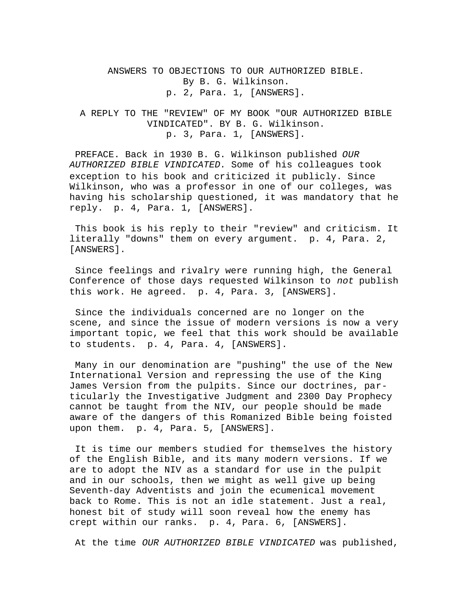## ANSWERS TO OBJECTIONS TO OUR AUTHORIZED BIBLE. By B. G. Wilkinson. p. 2, Para. 1, [ANSWERS].

## A REPLY TO THE "REVIEW" OF MY BOOK "OUR AUTHORIZED BIBLE VINDICATED". BY B. G. Wilkinson. p. 3, Para. 1, [ANSWERS].

 PREFACE. Back in 1930 B. G. Wilkinson published *OUR AUTHORIZED BIBLE VINDICATED.* Some of his colleagues took exception to his book and criticized it publicly. Since Wilkinson, who was a professor in one of our colleges, was having his scholarship questioned, it was mandatory that he reply. p. 4, Para. 1, [ANSWERS].

 This book is his reply to their "review" and criticism. It literally "downs" them on every argument. p. 4, Para. 2, [ANSWERS].

 Since feelings and rivalry were running high, the General Conference of those days requested Wilkinson to *not* publish this work. He agreed. p. 4, Para. 3, [ANSWERS].

 Since the individuals concerned are no longer on the scene, and since the issue of modern versions is now a very important topic, we feel that this work should be available to students. p. 4, Para. 4, [ANSWERS].

 Many in our denomination are "pushing" the use of the New International Version and repressing the use of the King James Version from the pulpits. Since our doctrines, particularly the Investigative Judgment and 2300 Day Prophecy cannot be taught from the NIV, our people should be made aware of the dangers of this Romanized Bible being foisted upon them. p. 4, Para. 5, [ANSWERS].

 It is time our members studied for themselves the history of the English Bible, and its many modern versions. If we are to adopt the NIV as a standard for use in the pulpit and in our schools, then we might as well give up being Seventh-day Adventists and join the ecumenical movement back to Rome. This is not an idle statement. Just a real, honest bit of study will soon reveal how the enemy has crept within our ranks. p. 4, Para. 6, [ANSWERS].

At the time *OUR AUTHORIZED BIBLE VINDICATED* was published,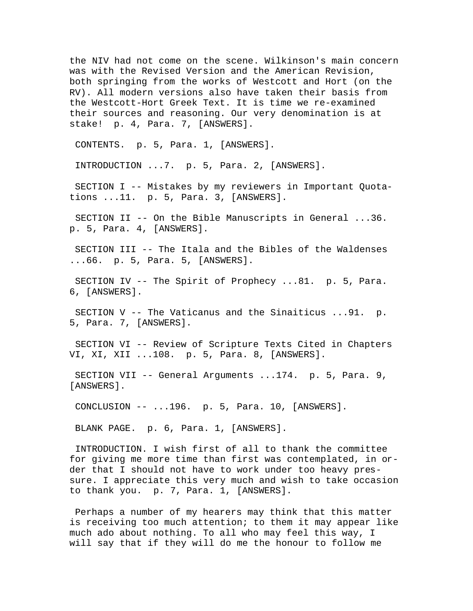the NIV had not come on the scene. Wilkinson's main concern was with the Revised Version and the American Revision, both springing from the works of Westcott and Hort (on the RV). All modern versions also have taken their basis from the Westcott-Hort Greek Text. It is time we re-examined their sources and reasoning. Our very denomination is at stake! p. 4, Para. 7, [ANSWERS].

CONTENTS. p. 5, Para. 1, [ANSWERS].

INTRODUCTION ...7. p. 5, Para. 2, [ANSWERS].

 SECTION I -- Mistakes by my reviewers in Important Quotations ...11. p. 5, Para. 3, [ANSWERS].

 SECTION II -- On the Bible Manuscripts in General ...36. p. 5, Para. 4, [ANSWERS].

 SECTION III -- The Itala and the Bibles of the Waldenses ...66. p. 5, Para. 5, [ANSWERS].

 SECTION IV -- The Spirit of Prophecy ...81. p. 5, Para. 6, [ANSWERS].

 SECTION V -- The Vaticanus and the Sinaiticus ...91. p. 5, Para. 7, [ANSWERS].

 SECTION VI -- Review of Scripture Texts Cited in Chapters VI, XI, XII ...108. p. 5, Para. 8, [ANSWERS].

 SECTION VII -- General Arguments ...174. p. 5, Para. 9, [ANSWERS].

CONCLUSION -- ...196. p. 5, Para. 10, [ANSWERS].

BLANK PAGE. p. 6, Para. 1, [ANSWERS].

 INTRODUCTION. I wish first of all to thank the committee for giving me more time than first was contemplated, in order that I should not have to work under too heavy pressure. I appreciate this very much and wish to take occasion to thank you. p. 7, Para. 1, [ANSWERS].

 Perhaps a number of my hearers may think that this matter is receiving too much attention; to them it may appear like much ado about nothing. To all who may feel this way, I will say that if they will do me the honour to follow me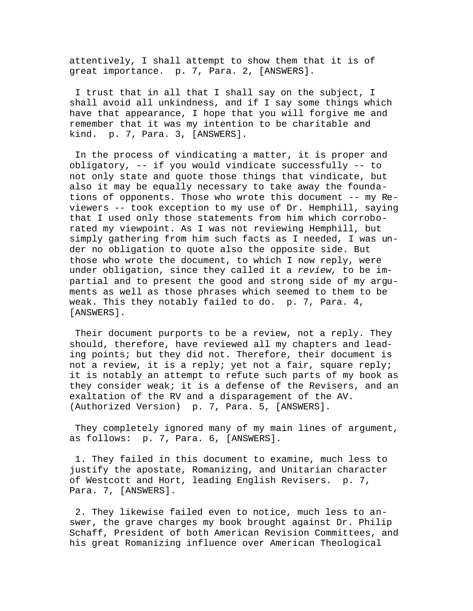attentively, I shall attempt to show them that it is of great importance. p. 7, Para. 2, [ANSWERS].

 I trust that in all that I shall say on the subject, I shall avoid all unkindness, and if I say some things which have that appearance, I hope that you will forgive me and remember that it was my intention to be charitable and kind. p. 7, Para. 3, [ANSWERS].

 In the process of vindicating a matter, it is proper and obligatory, -- if you would vindicate successfully -- to not only state and quote those things that vindicate, but also it may be equally necessary to take away the foundations of opponents. Those who wrote this document -- my Reviewers -- took exception to my use of Dr. Hemphill, saying that I used only those statements from him which corroborated my viewpoint. As I was not reviewing Hemphill, but simply gathering from him such facts as I needed, I was under no obligation to quote also the opposite side. But those who wrote the document, to which I now reply, were under obligation, since they called it a *review,* to be impartial and to present the good and strong side of my arguments as well as those phrases which seemed to them to be weak. This they notably failed to do. p. 7, Para. 4, [ANSWERS].

 Their document purports to be a review, not a reply. They should, therefore, have reviewed all my chapters and leading points; but they did not. Therefore, their document is not a review, it is a reply; yet not a fair, square reply; it is notably an attempt to refute such parts of my book as they consider weak; it is a defense of the Revisers, and an exaltation of the RV and a disparagement of the AV. (Authorized Version) p. 7, Para. 5, [ANSWERS].

 They completely ignored many of my main lines of argument, as follows: p. 7, Para. 6, [ANSWERS].

 1. They failed in this document to examine, much less to justify the apostate, Romanizing, and Unitarian character of Westcott and Hort, leading English Revisers. p. 7, Para. 7, [ANSWERS].

 2. They likewise failed even to notice, much less to answer, the grave charges my book brought against Dr. Philip Schaff, President of both American Revision Committees, and his great Romanizing influence over American Theological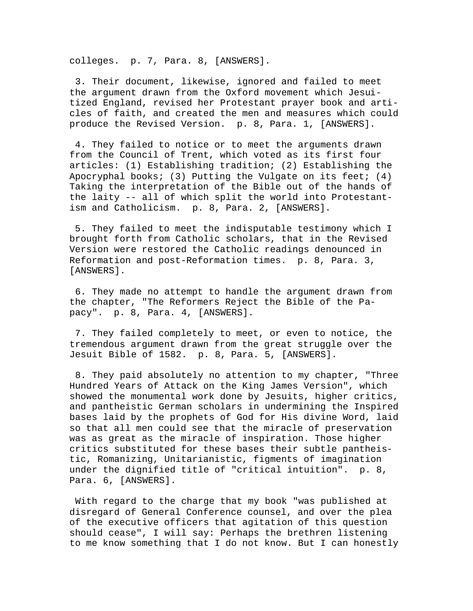colleges. p. 7, Para. 8, [ANSWERS].

 3. Their document, likewise, ignored and failed to meet the argument drawn from the Oxford movement which Jesuitized England, revised her Protestant prayer book and articles of faith, and created the men and measures which could produce the Revised Version. p. 8, Para. 1, [ANSWERS].

 4. They failed to notice or to meet the arguments drawn from the Council of Trent, which voted as its first four articles: (1) Establishing tradition; (2) Establishing the Apocryphal books; (3) Putting the Vulgate on its feet;  $(4)$ Taking the interpretation of the Bible out of the hands of the laity -- all of which split the world into Protestantism and Catholicism. p. 8, Para. 2, [ANSWERS].

 5. They failed to meet the indisputable testimony which I brought forth from Catholic scholars, that in the Revised Version were restored the Catholic readings denounced in Reformation and post-Reformation times. p. 8, Para. 3, [ANSWERS].

 6. They made no attempt to handle the argument drawn from the chapter, "The Reformers Reject the Bible of the Papacy". p. 8, Para. 4, [ANSWERS].

 7. They failed completely to meet, or even to notice, the tremendous argument drawn from the great struggle over the Jesuit Bible of 1582. p. 8, Para. 5, [ANSWERS].

 8. They paid absolutely no attention to my chapter, "Three Hundred Years of Attack on the King James Version", which showed the monumental work done by Jesuits, higher critics, and pantheistic German scholars in undermining the Inspired bases laid by the prophets of God for His divine Word, laid so that all men could see that the miracle of preservation was as great as the miracle of inspiration. Those higher critics substituted for these bases their subtle pantheistic, Romanizing, Unitarianistic, figments of imagination under the dignified title of "critical intuition". p. 8, Para. 6, [ANSWERS].

 With regard to the charge that my book "was published at disregard of General Conference counsel, and over the plea of the executive officers that agitation of this question should cease", I will say: Perhaps the brethren listening to me know something that I do not know. But I can honestly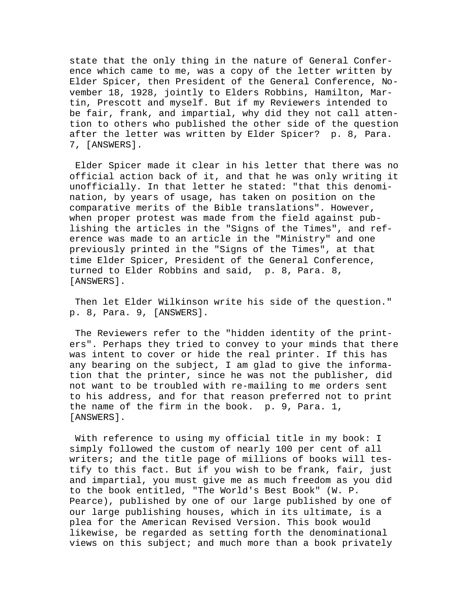state that the only thing in the nature of General Conference which came to me, was a copy of the letter written by Elder Spicer, then President of the General Conference, November 18, 1928, jointly to Elders Robbins, Hamilton, Martin, Prescott and myself. But if my Reviewers intended to be fair, frank, and impartial, why did they not call attention to others who published the other side of the question after the letter was written by Elder Spicer? p. 8, Para. 7, [ANSWERS].

 Elder Spicer made it clear in his letter that there was no official action back of it, and that he was only writing it unofficially. In that letter he stated: "that this denomination, by years of usage, has taken on position on the comparative merits of the Bible translations". However, when proper protest was made from the field against publishing the articles in the "Signs of the Times", and reference was made to an article in the "Ministry" and one previously printed in the "Signs of the Times", at that time Elder Spicer, President of the General Conference, turned to Elder Robbins and said, p. 8, Para. 8, [ANSWERS].

 Then let Elder Wilkinson write his side of the question." p. 8, Para. 9, [ANSWERS].

 The Reviewers refer to the "hidden identity of the printers". Perhaps they tried to convey to your minds that there was intent to cover or hide the real printer. If this has any bearing on the subject, I am glad to give the information that the printer, since he was not the publisher, did not want to be troubled with re-mailing to me orders sent to his address, and for that reason preferred not to print the name of the firm in the book. p. 9, Para. 1, [ANSWERS].

 With reference to using my official title in my book: I simply followed the custom of nearly 100 per cent of all writers; and the title page of millions of books will testify to this fact. But if you wish to be frank, fair, just and impartial, you must give me as much freedom as you did to the book entitled, "The World's Best Book" (W. P. Pearce), published by one of our large published by one of our large publishing houses, which in its ultimate, is a plea for the American Revised Version. This book would likewise, be regarded as setting forth the denominational views on this subject; and much more than a book privately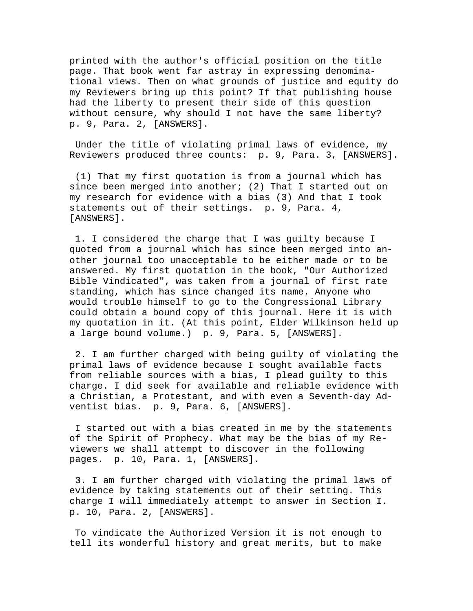printed with the author's official position on the title page. That book went far astray in expressing denominational views. Then on what grounds of justice and equity do my Reviewers bring up this point? If that publishing house had the liberty to present their side of this question without censure, why should I not have the same liberty? p. 9, Para. 2, [ANSWERS].

 Under the title of violating primal laws of evidence, my Reviewers produced three counts: p. 9, Para. 3, [ANSWERS].

 (1) That my first quotation is from a journal which has since been merged into another; (2) That I started out on my research for evidence with a bias (3) And that I took statements out of their settings. p. 9, Para. 4, [ANSWERS].

 1. I considered the charge that I was guilty because I quoted from a journal which has since been merged into another journal too unacceptable to be either made or to be answered. My first quotation in the book, "Our Authorized Bible Vindicated", was taken from a journal of first rate standing, which has since changed its name. Anyone who would trouble himself to go to the Congressional Library could obtain a bound copy of this journal. Here it is with my quotation in it. (At this point, Elder Wilkinson held up a large bound volume.) p. 9, Para. 5, [ANSWERS].

 2. I am further charged with being guilty of violating the primal laws of evidence because I sought available facts from reliable sources with a bias, I plead guilty to this charge. I did seek for available and reliable evidence with a Christian, a Protestant, and with even a Seventh-day Adventist bias. p. 9, Para. 6, [ANSWERS].

 I started out with a bias created in me by the statements of the Spirit of Prophecy. What may be the bias of my Reviewers we shall attempt to discover in the following pages. p. 10, Para. 1, [ANSWERS].

 3. I am further charged with violating the primal laws of evidence by taking statements out of their setting. This charge I will immediately attempt to answer in Section I. p. 10, Para. 2, [ANSWERS].

 To vindicate the Authorized Version it is not enough to tell its wonderful history and great merits, but to make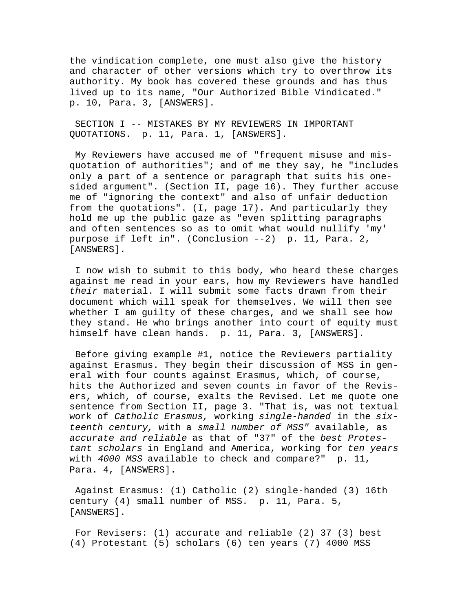the vindication complete, one must also give the history and character of other versions which try to overthrow its authority. My book has covered these grounds and has thus lived up to its name, "Our Authorized Bible Vindicated." p. 10, Para. 3, [ANSWERS].

 SECTION I -- MISTAKES BY MY REVIEWERS IN IMPORTANT QUOTATIONS. p. 11, Para. 1, [ANSWERS].

 My Reviewers have accused me of "frequent misuse and misquotation of authorities"; and of me they say, he "includes only a part of a sentence or paragraph that suits his onesided argument". (Section II, page 16). They further accuse me of "ignoring the context" and also of unfair deduction from the quotations". (I, page 17). And particularly they hold me up the public gaze as "even splitting paragraphs and often sentences so as to omit what would nullify 'my' purpose if left in". (Conclusion --2) p. 11, Para. 2, [ANSWERS].

 I now wish to submit to this body, who heard these charges against me read in your ears, how my Reviewers have handled *their* material. I will submit some facts drawn from their document which will speak for themselves. We will then see whether I am guilty of these charges, and we shall see how they stand. He who brings another into court of equity must himself have clean hands. p. 11, Para. 3, [ANSWERS].

 Before giving example #1, notice the Reviewers partiality against Erasmus. They begin their discussion of MSS in general with four counts against Erasmus, which, of course, hits the Authorized and seven counts in favor of the Revisers, which, of course, exalts the Revised. Let me quote one sentence from Section II, page 3. "That is, was not textual work of *Catholic Erasmus,* working *single-handed* in the *sixteenth century,* with a *small number of MSS"* available, as *accurate and reliable* as that of "37" of the *best Protestant scholars* in England and America, working for *ten years* with *4000 MSS* available to check and compare?" p. 11, Para. 4, [ANSWERS].

 Against Erasmus: (1) Catholic (2) single-handed (3) 16th century (4) small number of MSS. p. 11, Para. 5, [ANSWERS].

 For Revisers: (1) accurate and reliable (2) 37 (3) best (4) Protestant (5) scholars (6) ten years (7) 4000 MSS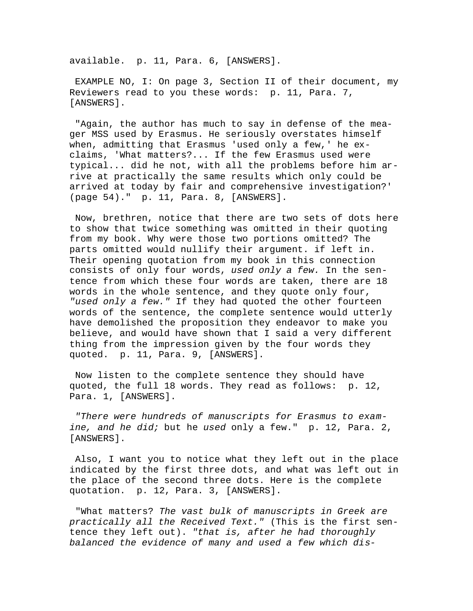available. p. 11, Para. 6, [ANSWERS].

 EXAMPLE NO, I: On page 3, Section II of their document, my Reviewers read to you these words: p. 11, Para. 7, [ANSWERS].

 "Again, the author has much to say in defense of the meager MSS used by Erasmus. He seriously overstates himself when, admitting that Erasmus 'used only a few,' he exclaims, 'What matters?... If the few Erasmus used were typical... did he not, with all the problems before him arrive at practically the same results which only could be arrived at today by fair and comprehensive investigation?' (page 54)." p. 11, Para. 8, [ANSWERS].

 Now, brethren, notice that there are two sets of dots here to show that twice something was omitted in their quoting from my book. Why were those two portions omitted? The parts omitted would nullify their argument. if left in. Their opening quotation from my book in this connection consists of only four words, *used only a few.* In the sentence from which these four words are taken, there are 18 words in the whole sentence, and they quote only four, *"used only a few."* If they had quoted the other fourteen words of the sentence, the complete sentence would utterly have demolished the proposition they endeavor to make you believe, and would have shown that I said a very different thing from the impression given by the four words they quoted. p. 11, Para. 9, [ANSWERS].

 Now listen to the complete sentence they should have quoted, the full 18 words. They read as follows: p. 12, Para. 1, [ANSWERS].

 *"There were hundreds of manuscripts for Erasmus to examine, and he did;* but he *used* only a few." p. 12, Para. 2, [ANSWERS].

 Also, I want you to notice what they left out in the place indicated by the first three dots, and what was left out in the place of the second three dots. Here is the complete quotation. p. 12, Para. 3, [ANSWERS].

 "What matters? *The vast bulk of manuscripts in Greek are practically all the Received Text."* (This is the first sentence they left out). *"that is, after he had thoroughly balanced the evidence of many and used a few which dis-*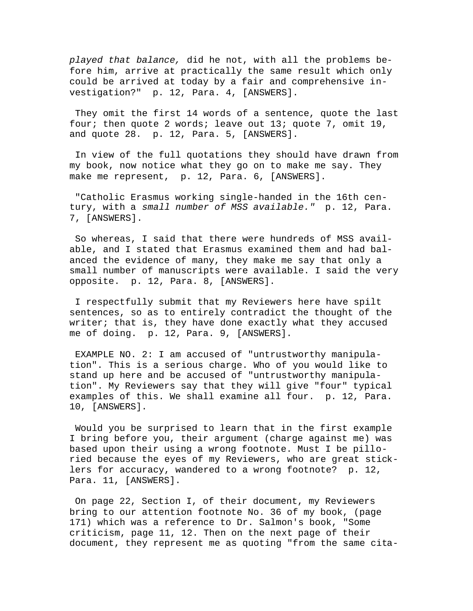*played that balance,* did he not, with all the problems before him, arrive at practically the same result which only could be arrived at today by a fair and comprehensive investigation?" p. 12, Para. 4, [ANSWERS].

 They omit the first 14 words of a sentence, quote the last four; then quote 2 words; leave out 13; quote 7, omit 19, and quote 28. p. 12, Para. 5, [ANSWERS].

 In view of the full quotations they should have drawn from my book, now notice what they go on to make me say. They make me represent, p. 12, Para. 6, [ANSWERS].

 "Catholic Erasmus working single-handed in the 16th century, with a *small number of MSS available."* p. 12, Para. 7, [ANSWERS].

 So whereas, I said that there were hundreds of MSS available, and I stated that Erasmus examined them and had balanced the evidence of many, they make me say that only a small number of manuscripts were available. I said the very opposite. p. 12, Para. 8, [ANSWERS].

 I respectfully submit that my Reviewers here have spilt sentences, so as to entirely contradict the thought of the writer; that is, they have done exactly what they accused me of doing. p. 12, Para. 9, [ANSWERS].

 EXAMPLE NO. 2: I am accused of "untrustworthy manipulation". This is a serious charge. Who of you would like to stand up here and be accused of "untrustworthy manipulation". My Reviewers say that they will give "four" typical examples of this. We shall examine all four. p. 12, Para. 10, [ANSWERS].

 Would you be surprised to learn that in the first example I bring before you, their argument (charge against me) was based upon their using a wrong footnote. Must I be pilloried because the eyes of my Reviewers, who are great sticklers for accuracy, wandered to a wrong footnote? p. 12, Para. 11, [ANSWERS].

 On page 22, Section I, of their document, my Reviewers bring to our attention footnote No. 36 of my book, (page 171) which was a reference to Dr. Salmon's book, "Some criticism, page 11, 12. Then on the next page of their document, they represent me as quoting "from the same cita-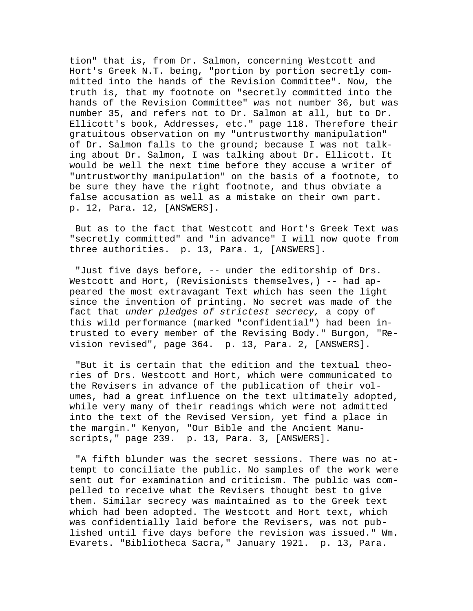tion" that is, from Dr. Salmon, concerning Westcott and Hort's Greek N.T. being, "portion by portion secretly committed into the hands of the Revision Committee". Now, the truth is, that my footnote on "secretly committed into the hands of the Revision Committee" was not number 36, but was number 35, and refers not to Dr. Salmon at all, but to Dr. Ellicott's book, Addresses, etc." page 118. Therefore their gratuitous observation on my "untrustworthy manipulation" of Dr. Salmon falls to the ground; because I was not talking about Dr. Salmon, I was talking about Dr. Ellicott. It would be well the next time before they accuse a writer of "untrustworthy manipulation" on the basis of a footnote, to be sure they have the right footnote, and thus obviate a false accusation as well as a mistake on their own part. p. 12, Para. 12, [ANSWERS].

 But as to the fact that Westcott and Hort's Greek Text was "secretly committed" and "in advance" I will now quote from three authorities. p. 13, Para. 1, [ANSWERS].

 "Just five days before, -- under the editorship of Drs. Westcott and Hort, (Revisionists themselves,) -- had appeared the most extravagant Text which has seen the light since the invention of printing. No secret was made of the fact that *under pledges of strictest secrecy,* a copy of this wild performance (marked "confidential") had been intrusted to every member of the Revising Body." Burgon, "Revision revised", page 364. p. 13, Para. 2, [ANSWERS].

 "But it is certain that the edition and the textual theories of Drs. Westcott and Hort, which were communicated to the Revisers in advance of the publication of their volumes, had a great influence on the text ultimately adopted, while very many of their readings which were not admitted into the text of the Revised Version, yet find a place in the margin." Kenyon, "Our Bible and the Ancient Manuscripts," page 239. p. 13, Para. 3, [ANSWERS].

 "A fifth blunder was the secret sessions. There was no attempt to conciliate the public. No samples of the work were sent out for examination and criticism. The public was compelled to receive what the Revisers thought best to give them. Similar secrecy was maintained as to the Greek text which had been adopted. The Westcott and Hort text, which was confidentially laid before the Revisers, was not published until five days before the revision was issued." Wm. Evarets. "Bibliotheca Sacra," January 1921. p. 13, Para.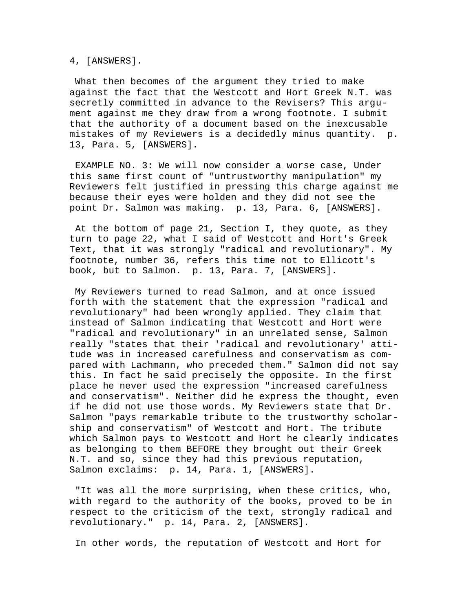4, [ANSWERS].

 What then becomes of the argument they tried to make against the fact that the Westcott and Hort Greek N.T. was secretly committed in advance to the Revisers? This argument against me they draw from a wrong footnote. I submit that the authority of a document based on the inexcusable mistakes of my Reviewers is a decidedly minus quantity. p. 13, Para. 5, [ANSWERS].

 EXAMPLE NO. 3: We will now consider a worse case, Under this same first count of "untrustworthy manipulation" my Reviewers felt justified in pressing this charge against me because their eyes were holden and they did not see the point Dr. Salmon was making. p. 13, Para. 6, [ANSWERS].

 At the bottom of page 21, Section I, they quote, as they turn to page 22, what I said of Westcott and Hort's Greek Text, that it was strongly "radical and revolutionary". My footnote, number 36, refers this time not to Ellicott's book, but to Salmon. p. 13, Para. 7, [ANSWERS].

 My Reviewers turned to read Salmon, and at once issued forth with the statement that the expression "radical and revolutionary" had been wrongly applied. They claim that instead of Salmon indicating that Westcott and Hort were "radical and revolutionary" in an unrelated sense, Salmon really "states that their 'radical and revolutionary' attitude was in increased carefulness and conservatism as compared with Lachmann, who preceded them." Salmon did not say this. In fact he said precisely the opposite. In the first place he never used the expression "increased carefulness and conservatism". Neither did he express the thought, even if he did not use those words. My Reviewers state that Dr. Salmon "pays remarkable tribute to the trustworthy scholarship and conservatism" of Westcott and Hort. The tribute which Salmon pays to Westcott and Hort he clearly indicates as belonging to them BEFORE they brought out their Greek N.T. and so, since they had this previous reputation, Salmon exclaims: p. 14, Para. 1, [ANSWERS].

 "It was all the more surprising, when these critics, who, with regard to the authority of the books, proved to be in respect to the criticism of the text, strongly radical and revolutionary." p. 14, Para. 2, [ANSWERS].

In other words, the reputation of Westcott and Hort for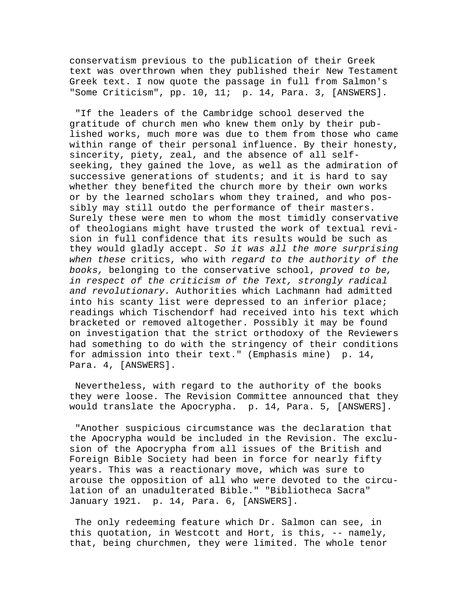conservatism previous to the publication of their Greek text was overthrown when they published their New Testament Greek text. I now quote the passage in full from Salmon's "Some Criticism", pp. 10, 11; p. 14, Para. 3, [ANSWERS].

 "If the leaders of the Cambridge school deserved the gratitude of church men who knew them only by their published works, much more was due to them from those who came within range of their personal influence. By their honesty, sincerity, piety, zeal, and the absence of all selfseeking, they gained the love, as well as the admiration of successive generations of students; and it is hard to say whether they benefited the church more by their own works or by the learned scholars whom they trained, and who possibly may still outdo the performance of their masters. Surely these were men to whom the most timidly conservative of theologians might have trusted the work of textual revision in full confidence that its results would be such as they would gladly accept. *So it was all the more surprising when these* critics, who with *regard to the authority of the books,* belonging to the conservative school, *proved to be, in respect of the criticism of the Text, strongly radical and revolutionary.* Authorities which Lachmann had admitted into his scanty list were depressed to an inferior place; readings which Tischendorf had received into his text which bracketed or removed altogether. Possibly it may be found on investigation that the strict orthodoxy of the Reviewers had something to do with the stringency of their conditions for admission into their text." (Emphasis mine) p. 14, Para. 4, [ANSWERS].

 Nevertheless, with regard to the authority of the books they were loose. The Revision Committee announced that they would translate the Apocrypha. p. 14, Para. 5, [ANSWERS].

 "Another suspicious circumstance was the declaration that the Apocrypha would be included in the Revision. The exclusion of the Apocrypha from all issues of the British and Foreign Bible Society had been in force for nearly fifty years. This was a reactionary move, which was sure to arouse the opposition of all who were devoted to the circulation of an unadulterated Bible." "Bibliotheca Sacra" January 1921. p. 14, Para. 6, [ANSWERS].

 The only redeeming feature which Dr. Salmon can see, in this quotation, in Westcott and Hort, is this, -- namely, that, being churchmen, they were limited. The whole tenor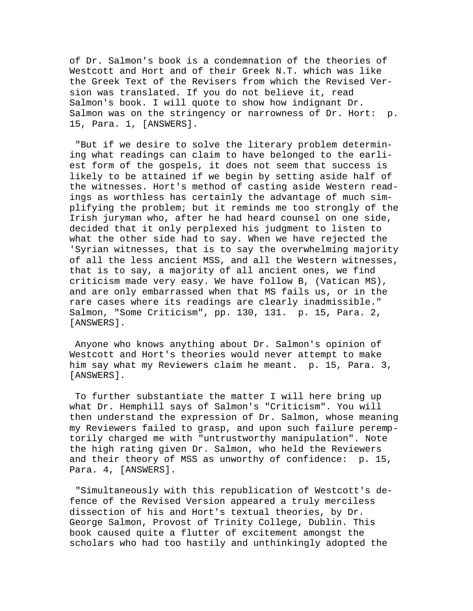of Dr. Salmon's book is a condemnation of the theories of Westcott and Hort and of their Greek N.T. which was like the Greek Text of the Revisers from which the Revised Version was translated. If you do not believe it, read Salmon's book. I will quote to show how indignant Dr. Salmon was on the stringency or narrowness of Dr. Hort: p. 15, Para. 1, [ANSWERS].

 "But if we desire to solve the literary problem determining what readings can claim to have belonged to the earliest form of the gospels, it does not seem that success is likely to be attained if we begin by setting aside half of the witnesses. Hort's method of casting aside Western readings as worthless has certainly the advantage of much simplifying the problem; but it reminds me too strongly of the Irish juryman who, after he had heard counsel on one side, decided that it only perplexed his judgment to listen to what the other side had to say. When we have rejected the 'Syrian witnesses, that is to say the overwhelming majority of all the less ancient MSS, and all the Western witnesses, that is to say, a majority of all ancient ones, we find criticism made very easy. We have follow B, (Vatican MS), and are only embarrassed when that MS fails us, or in the rare cases where its readings are clearly inadmissible." Salmon, "Some Criticism", pp. 130, 131. p. 15, Para. 2, [ANSWERS].

 Anyone who knows anything about Dr. Salmon's opinion of Westcott and Hort's theories would never attempt to make him say what my Reviewers claim he meant. p. 15, Para. 3, [ANSWERS].

 To further substantiate the matter I will here bring up what Dr. Hemphill says of Salmon's "Criticism". You will then understand the expression of Dr. Salmon, whose meaning my Reviewers failed to grasp, and upon such failure peremptorily charged me with "untrustworthy manipulation". Note the high rating given Dr. Salmon, who held the Reviewers and their theory of MSS as unworthy of confidence: p. 15, Para. 4, [ANSWERS].

 "Simultaneously with this republication of Westcott's defence of the Revised Version appeared a truly merciless dissection of his and Hort's textual theories, by Dr. George Salmon, Provost of Trinity College, Dublin. This book caused quite a flutter of excitement amongst the scholars who had too hastily and unthinkingly adopted the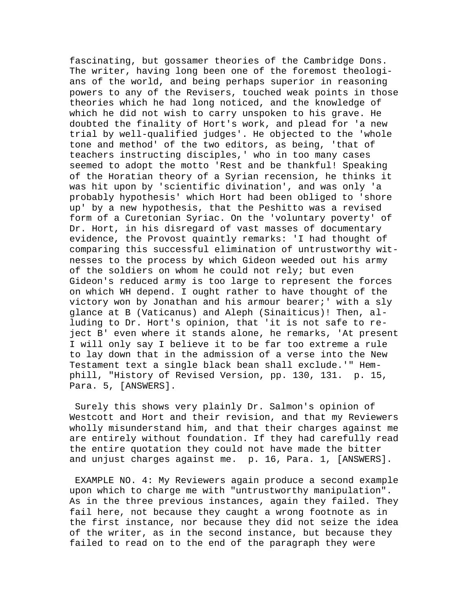fascinating, but gossamer theories of the Cambridge Dons. The writer, having long been one of the foremost theologians of the world, and being perhaps superior in reasoning powers to any of the Revisers, touched weak points in those theories which he had long noticed, and the knowledge of which he did not wish to carry unspoken to his grave. He doubted the finality of Hort's work, and plead for 'a new trial by well-qualified judges'. He objected to the 'whole tone and method' of the two editors, as being, 'that of teachers instructing disciples,' who in too many cases seemed to adopt the motto 'Rest and be thankful! Speaking of the Horatian theory of a Syrian recension, he thinks it was hit upon by 'scientific divination', and was only 'a probably hypothesis' which Hort had been obliged to 'shore up' by a new hypothesis, that the Peshitto was a revised form of a Curetonian Syriac. On the 'voluntary poverty' of Dr. Hort, in his disregard of vast masses of documentary evidence, the Provost quaintly remarks: 'I had thought of comparing this successful elimination of untrustworthy witnesses to the process by which Gideon weeded out his army of the soldiers on whom he could not rely; but even Gideon's reduced army is too large to represent the forces on which WH depend. I ought rather to have thought of the victory won by Jonathan and his armour bearer;' with a sly glance at B (Vaticanus) and Aleph (Sinaiticus)! Then, alluding to Dr. Hort's opinion, that 'it is not safe to reject B' even where it stands alone, he remarks, 'At present I will only say I believe it to be far too extreme a rule to lay down that in the admission of a verse into the New Testament text a single black bean shall exclude.'" Hemphill, "History of Revised Version, pp. 130, 131. p. 15, Para. 5, [ANSWERS].

 Surely this shows very plainly Dr. Salmon's opinion of Westcott and Hort and their revision, and that my Reviewers wholly misunderstand him, and that their charges against me are entirely without foundation. If they had carefully read the entire quotation they could not have made the bitter and unjust charges against me. p. 16, Para. 1, [ANSWERS].

 EXAMPLE NO. 4: My Reviewers again produce a second example upon which to charge me with "untrustworthy manipulation". As in the three previous instances, again they failed. They fail here, not because they caught a wrong footnote as in the first instance, nor because they did not seize the idea of the writer, as in the second instance, but because they failed to read on to the end of the paragraph they were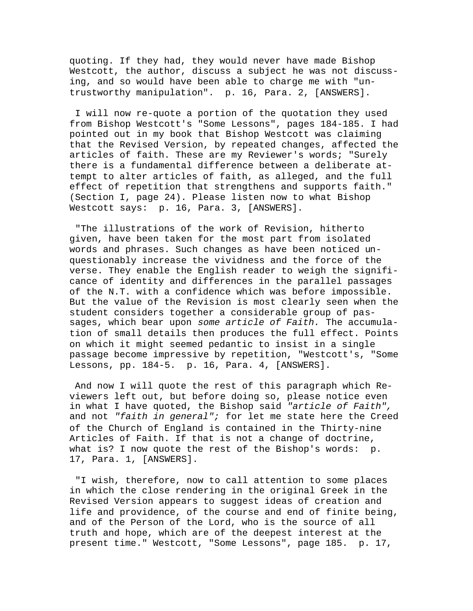quoting. If they had, they would never have made Bishop Westcott, the author, discuss a subject he was not discussing, and so would have been able to charge me with "untrustworthy manipulation". p. 16, Para. 2, [ANSWERS].

 I will now re-quote a portion of the quotation they used from Bishop Westcott's "Some Lessons", pages 184-185. I had pointed out in my book that Bishop Westcott was claiming that the Revised Version, by repeated changes, affected the articles of faith. These are my Reviewer's words; "Surely there is a fundamental difference between a deliberate attempt to alter articles of faith, as alleged, and the full effect of repetition that strengthens and supports faith." (Section I, page 24). Please listen now to what Bishop Westcott says: p. 16, Para. 3, [ANSWERS].

 "The illustrations of the work of Revision, hitherto given, have been taken for the most part from isolated words and phrases. Such changes as have been noticed unquestionably increase the vividness and the force of the verse. They enable the English reader to weigh the significance of identity and differences in the parallel passages of the N.T. with a confidence which was before impossible. But the value of the Revision is most clearly seen when the student considers together a considerable group of passages, which bear upon *some article of Faith.* The accumulation of small details then produces the full effect. Points on which it might seemed pedantic to insist in a single passage become impressive by repetition, "Westcott's, "Some Lessons, pp. 184-5. p. 16, Para. 4, [ANSWERS].

 And now I will quote the rest of this paragraph which Reviewers left out, but before doing so, please notice even in what I have quoted, the Bishop said *"article of Faith",* and not *"faith in general";* for let me state here the Creed of the Church of England is contained in the Thirty-nine Articles of Faith. If that is not a change of doctrine, what is? I now quote the rest of the Bishop's words: p. 17, Para. 1, [ANSWERS].

 "I wish, therefore, now to call attention to some places in which the close rendering in the original Greek in the Revised Version appears to suggest ideas of creation and life and providence, of the course and end of finite being, and of the Person of the Lord, who is the source of all truth and hope, which are of the deepest interest at the present time." Westcott, "Some Lessons", page 185. p. 17,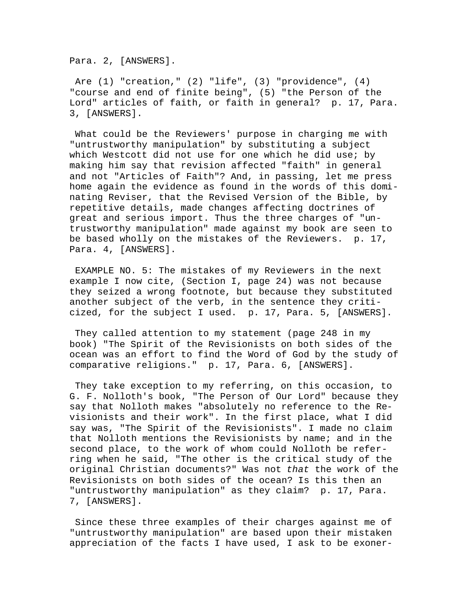Para. 2, [ANSWERS].

 Are (1) "creation," (2) "life", (3) "providence", (4) "course and end of finite being", (5) "the Person of the Lord" articles of faith, or faith in general? p. 17, Para. 3, [ANSWERS].

 What could be the Reviewers' purpose in charging me with "untrustworthy manipulation" by substituting a subject which Westcott did not use for one which he did use; by making him say that revision affected "faith" in general and not "Articles of Faith"? And, in passing, let me press home again the evidence as found in the words of this dominating Reviser, that the Revised Version of the Bible, by repetitive details, made changes affecting doctrines of great and serious import. Thus the three charges of "untrustworthy manipulation" made against my book are seen to be based wholly on the mistakes of the Reviewers. p. 17, Para. 4, [ANSWERS].

 EXAMPLE NO. 5: The mistakes of my Reviewers in the next example I now cite, (Section I, page 24) was not because they seized a wrong footnote, but because they substituted another subject of the verb, in the sentence they criticized, for the subject I used. p. 17, Para. 5, [ANSWERS].

 They called attention to my statement (page 248 in my book) "The Spirit of the Revisionists on both sides of the ocean was an effort to find the Word of God by the study of comparative religions." p. 17, Para. 6, [ANSWERS].

 They take exception to my referring, on this occasion, to G. F. Nolloth's book, "The Person of Our Lord" because they say that Nolloth makes "absolutely no reference to the Revisionists and their work". In the first place, what I did say was, "The Spirit of the Revisionists". I made no claim that Nolloth mentions the Revisionists by name; and in the second place, to the work of whom could Nolloth be referring when he said, "The other is the critical study of the original Christian documents?" Was not *that* the work of the Revisionists on both sides of the ocean? Is this then an "untrustworthy manipulation" as they claim? p. 17, Para. 7, [ANSWERS].

 Since these three examples of their charges against me of "untrustworthy manipulation" are based upon their mistaken appreciation of the facts I have used, I ask to be exoner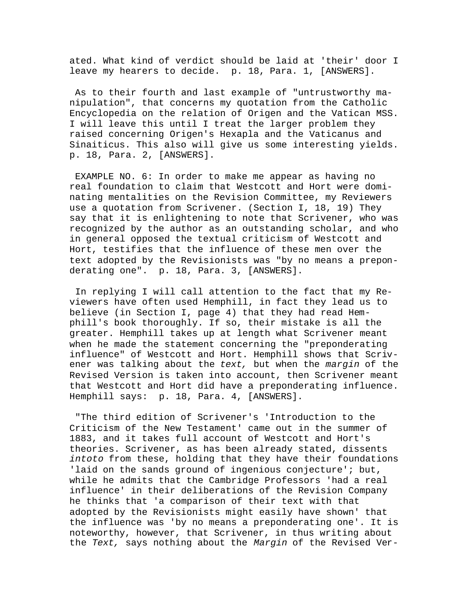ated. What kind of verdict should be laid at 'their' door I leave my hearers to decide. p. 18, Para. 1, [ANSWERS].

 As to their fourth and last example of "untrustworthy manipulation", that concerns my quotation from the Catholic Encyclopedia on the relation of Origen and the Vatican MSS. I will leave this until I treat the larger problem they raised concerning Origen's Hexapla and the Vaticanus and Sinaiticus. This also will give us some interesting yields. p. 18, Para. 2, [ANSWERS].

 EXAMPLE NO. 6: In order to make me appear as having no real foundation to claim that Westcott and Hort were dominating mentalities on the Revision Committee, my Reviewers use a quotation from Scrivener. (Section I, 18, 19) They say that it is enlightening to note that Scrivener, who was recognized by the author as an outstanding scholar, and who in general opposed the textual criticism of Westcott and Hort, testifies that the influence of these men over the text adopted by the Revisionists was "by no means a preponderating one". p. 18, Para. 3, [ANSWERS].

 In replying I will call attention to the fact that my Reviewers have often used Hemphill, in fact they lead us to believe (in Section I, page 4) that they had read Hemphill's book thoroughly. If so, their mistake is all the greater. Hemphill takes up at length what Scrivener meant when he made the statement concerning the "preponderating influence" of Westcott and Hort. Hemphill shows that Scrivener was talking about the *text,* but when the *margin* of the Revised Version is taken into account, then Scrivener meant that Westcott and Hort did have a preponderating influence. Hemphill says: p. 18, Para. 4, [ANSWERS].

 "The third edition of Scrivener's 'Introduction to the Criticism of the New Testament' came out in the summer of 1883, and it takes full account of Westcott and Hort's theories. Scrivener, as has been already stated, dissents *intoto* from these, holding that they have their foundations 'laid on the sands ground of ingenious conjecture'; but, while he admits that the Cambridge Professors 'had a real influence' in their deliberations of the Revision Company he thinks that 'a comparison of their text with that adopted by the Revisionists might easily have shown' that the influence was 'by no means a preponderating one'. It is noteworthy, however, that Scrivener, in thus writing about the *Text,* says nothing about the *Margin* of the Revised Ver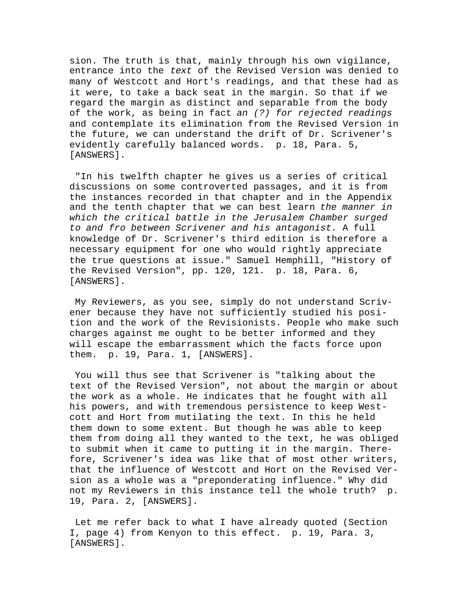sion. The truth is that, mainly through his own vigilance, entrance into the *text* of the Revised Version was denied to many of Westcott and Hort's readings, and that these had as it were, to take a back seat in the margin. So that if we regard the margin as distinct and separable from the body of the work, as being in fact *an (?) for rejected readings* and contemplate its elimination from the Revised Version in the future, we can understand the drift of Dr. Scrivener's evidently carefully balanced words. p. 18, Para. 5, [ANSWERS].

 "In his twelfth chapter he gives us a series of critical discussions on some controverted passages, and it is from the instances recorded in that chapter and in the Appendix and the tenth chapter that we can best learn *the manner in which the critical battle in the Jerusalem Chamber surged to and fro between Scrivener and his antagonist.* A full knowledge of Dr. Scrivener's third edition is therefore a necessary equipment for one who would rightly appreciate the true questions at issue." Samuel Hemphill, "History of the Revised Version", pp. 120, 121. p. 18, Para. 6, [ANSWERS].

 My Reviewers, as you see, simply do not understand Scrivener because they have not sufficiently studied his position and the work of the Revisionists. People who make such charges against me ought to be better informed and they will escape the embarrassment which the facts force upon them. p. 19, Para. 1, [ANSWERS].

 You will thus see that Scrivener is "talking about the text of the Revised Version", not about the margin or about the work as a whole. He indicates that he fought with all his powers, and with tremendous persistence to keep Westcott and Hort from mutilating the text. In this he held them down to some extent. But though he was able to keep them from doing all they wanted to the text, he was obliged to submit when it came to putting it in the margin. Therefore, Scrivener's idea was like that of most other writers, that the influence of Westcott and Hort on the Revised Version as a whole was a "preponderating influence." Why did not my Reviewers in this instance tell the whole truth? p. 19, Para. 2, [ANSWERS].

 Let me refer back to what I have already quoted (Section I, page 4) from Kenyon to this effect. p. 19, Para. 3, [ANSWERS].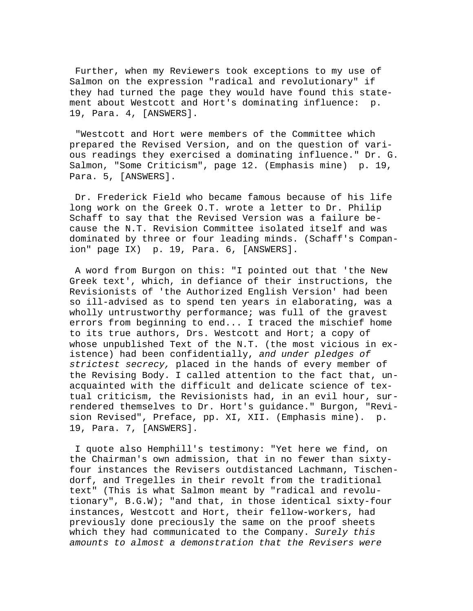Further, when my Reviewers took exceptions to my use of Salmon on the expression "radical and revolutionary" if they had turned the page they would have found this statement about Westcott and Hort's dominating influence: p. 19, Para. 4, [ANSWERS].

 "Westcott and Hort were members of the Committee which prepared the Revised Version, and on the question of various readings they exercised a dominating influence." Dr. G. Salmon, "Some Criticism", page 12. (Emphasis mine) p. 19, Para. 5, [ANSWERS].

 Dr. Frederick Field who became famous because of his life long work on the Greek O.T. wrote a letter to Dr. Philip Schaff to say that the Revised Version was a failure because the N.T. Revision Committee isolated itself and was dominated by three or four leading minds. (Schaff's Companion" page IX) p. 19, Para. 6, [ANSWERS].

 A word from Burgon on this: "I pointed out that 'the New Greek text', which, in defiance of their instructions, the Revisionists of 'the Authorized English Version' had been so ill-advised as to spend ten years in elaborating, was a wholly untrustworthy performance; was full of the gravest errors from beginning to end... I traced the mischief home to its true authors, Drs. Westcott and Hort; a copy of whose unpublished Text of the N.T. (the most vicious in existence) had been confidentially, *and under pledges of strictest secrecy,* placed in the hands of every member of the Revising Body. I called attention to the fact that, unacquainted with the difficult and delicate science of textual criticism, the Revisionists had, in an evil hour, surrendered themselves to Dr. Hort's guidance." Burgon, "Revision Revised", Preface, pp. XI, XII. (Emphasis mine). p. 19, Para. 7, [ANSWERS].

 I quote also Hemphill's testimony: "Yet here we find, on the Chairman's own admission, that in no fewer than sixtyfour instances the Revisers outdistanced Lachmann, Tischendorf, and Tregelles in their revolt from the traditional text" (This is what Salmon meant by "radical and revolutionary", B.G.W); "and that, in those identical sixty-four instances, Westcott and Hort, their fellow-workers, had previously done preciously the same on the proof sheets which they had communicated to the Company. *Surely this amounts to almost a demonstration that the Revisers were*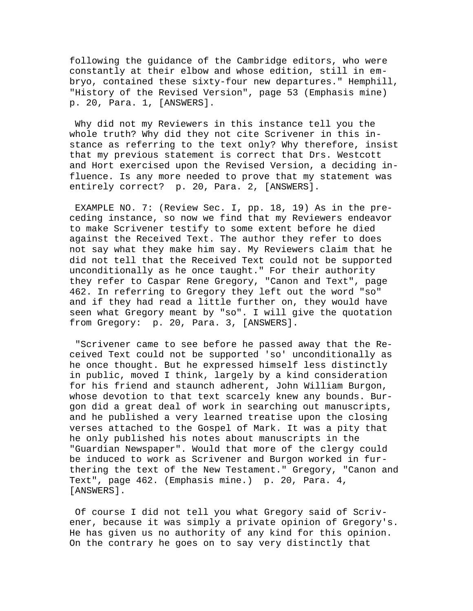following the guidance of the Cambridge editors, who were constantly at their elbow and whose edition, still in embryo, contained these sixty-four new departures." Hemphill, "History of the Revised Version", page 53 (Emphasis mine) p. 20, Para. 1, [ANSWERS].

 Why did not my Reviewers in this instance tell you the whole truth? Why did they not cite Scrivener in this instance as referring to the text only? Why therefore, insist that my previous statement is correct that Drs. Westcott and Hort exercised upon the Revised Version, a deciding influence. Is any more needed to prove that my statement was entirely correct? p. 20, Para. 2, [ANSWERS].

 EXAMPLE NO. 7: (Review Sec. I, pp. 18, 19) As in the preceding instance, so now we find that my Reviewers endeavor to make Scrivener testify to some extent before he died against the Received Text. The author they refer to does not say what they make him say. My Reviewers claim that he did not tell that the Received Text could not be supported unconditionally as he once taught." For their authority they refer to Caspar Rene Gregory, "Canon and Text", page 462. In referring to Gregory they left out the word "so" and if they had read a little further on, they would have seen what Gregory meant by "so". I will give the quotation from Gregory: p. 20, Para. 3, [ANSWERS].

 "Scrivener came to see before he passed away that the Received Text could not be supported 'so' unconditionally as he once thought. But he expressed himself less distinctly in public, moved I think, largely by a kind consideration for his friend and staunch adherent, John William Burgon, whose devotion to that text scarcely knew any bounds. Burgon did a great deal of work in searching out manuscripts, and he published a very learned treatise upon the closing verses attached to the Gospel of Mark. It was a pity that he only published his notes about manuscripts in the "Guardian Newspaper". Would that more of the clergy could be induced to work as Scrivener and Burgon worked in furthering the text of the New Testament." Gregory, "Canon and Text", page 462. (Emphasis mine.) p. 20, Para. 4, [ANSWERS].

 Of course I did not tell you what Gregory said of Scrivener, because it was simply a private opinion of Gregory's. He has given us no authority of any kind for this opinion. On the contrary he goes on to say very distinctly that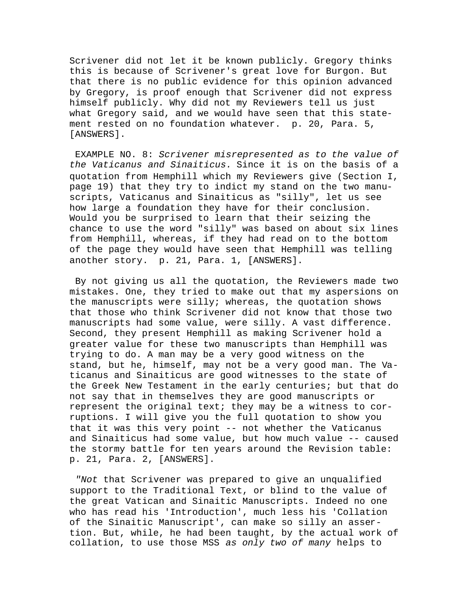Scrivener did not let it be known publicly. Gregory thinks this is because of Scrivener's great love for Burgon. But that there is no public evidence for this opinion advanced by Gregory, is proof enough that Scrivener did not express himself publicly. Why did not my Reviewers tell us just what Gregory said, and we would have seen that this statement rested on no foundation whatever. p. 20, Para. 5, [ANSWERS].

 EXAMPLE NO. 8: *Scrivener misrepresented as to the value of the Vaticanus and Sinaiticus.* Since it is on the basis of a quotation from Hemphill which my Reviewers give (Section I, page 19) that they try to indict my stand on the two manuscripts, Vaticanus and Sinaiticus as "silly", let us see how large a foundation they have for their conclusion. Would you be surprised to learn that their seizing the chance to use the word "silly" was based on about six lines from Hemphill, whereas, if they had read on to the bottom of the page they would have seen that Hemphill was telling another story. p. 21, Para. 1, [ANSWERS].

 By not giving us all the quotation, the Reviewers made two mistakes. One, they tried to make out that my aspersions on the manuscripts were silly; whereas, the quotation shows that those who think Scrivener did not know that those two manuscripts had some value, were silly. A vast difference. Second, they present Hemphill as making Scrivener hold a greater value for these two manuscripts than Hemphill was trying to do. A man may be a very good witness on the stand, but he, himself, may not be a very good man. The Vaticanus and Sinaiticus are good witnesses to the state of the Greek New Testament in the early centuries; but that do not say that in themselves they are good manuscripts or represent the original text; they may be a witness to corruptions. I will give you the full quotation to show you that it was this very point -- not whether the Vaticanus and Sinaiticus had some value, but how much value -- caused the stormy battle for ten years around the Revision table: p. 21, Para. 2, [ANSWERS].

 *"Not* that Scrivener was prepared to give an unqualified support to the Traditional Text, or blind to the value of the great Vatican and Sinaitic Manuscripts. Indeed no one who has read his 'Introduction', much less his 'Collation of the Sinaitic Manuscript', can make so silly an assertion. But, while, he had been taught, by the actual work of collation, to use those MSS *as only two of many* helps to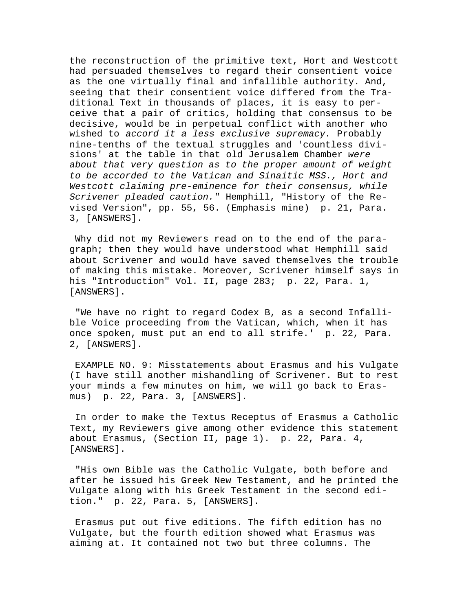the reconstruction of the primitive text, Hort and Westcott had persuaded themselves to regard their consentient voice as the one virtually final and infallible authority. And, seeing that their consentient voice differed from the Traditional Text in thousands of places, it is easy to perceive that a pair of critics, holding that consensus to be decisive, would be in perpetual conflict with another who wished to *accord it a less exclusive supremacy.* Probably nine-tenths of the textual struggles and 'countless divisions' at the table in that old Jerusalem Chamber *were about that very question as to the proper amount of weight to be accorded to the Vatican and Sinaitic MSS., Hort and Westcott claiming pre-eminence for their consensus, while Scrivener pleaded caution."* Hemphill, "History of the Revised Version", pp. 55, 56. (Emphasis mine) p. 21, Para. 3, [ANSWERS].

 Why did not my Reviewers read on to the end of the paragraph; then they would have understood what Hemphill said about Scrivener and would have saved themselves the trouble of making this mistake. Moreover, Scrivener himself says in his "Introduction" Vol. II, page 283; p. 22, Para. 1, [ANSWERS].

 "We have no right to regard Codex B, as a second Infallible Voice proceeding from the Vatican, which, when it has once spoken, must put an end to all strife.' p. 22, Para. 2, [ANSWERS].

 EXAMPLE NO. 9: Misstatements about Erasmus and his Vulgate (I have still another mishandling of Scrivener. But to rest your minds a few minutes on him, we will go back to Erasmus) p. 22, Para. 3, [ANSWERS].

 In order to make the Textus Receptus of Erasmus a Catholic Text, my Reviewers give among other evidence this statement about Erasmus, (Section II, page 1). p. 22, Para. 4, [ANSWERS].

 "His own Bible was the Catholic Vulgate, both before and after he issued his Greek New Testament, and he printed the Vulgate along with his Greek Testament in the second edition." p. 22, Para. 5, [ANSWERS].

 Erasmus put out five editions. The fifth edition has no Vulgate, but the fourth edition showed what Erasmus was aiming at. It contained not two but three columns. The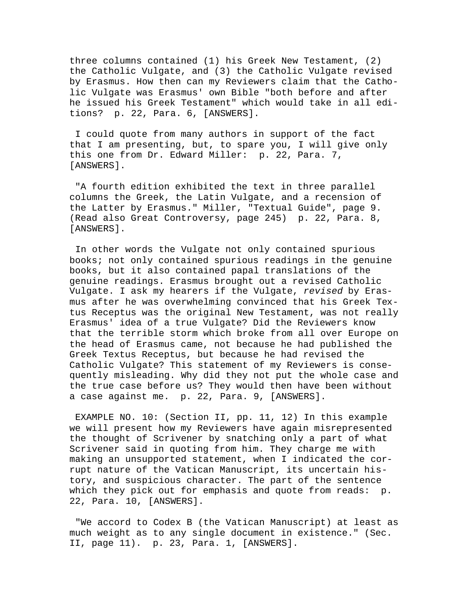three columns contained (1) his Greek New Testament, (2) the Catholic Vulgate, and (3) the Catholic Vulgate revised by Erasmus. How then can my Reviewers claim that the Catholic Vulgate was Erasmus' own Bible "both before and after he issued his Greek Testament" which would take in all editions? p. 22, Para. 6, [ANSWERS].

 I could quote from many authors in support of the fact that I am presenting, but, to spare you, I will give only this one from Dr. Edward Miller: p. 22, Para. 7, [ANSWERS].

 "A fourth edition exhibited the text in three parallel columns the Greek, the Latin Vulgate, and a recension of the Latter by Erasmus." Miller, "Textual Guide", page 9. (Read also Great Controversy, page 245) p. 22, Para. 8, [ANSWERS].

 In other words the Vulgate not only contained spurious books; not only contained spurious readings in the genuine books, but it also contained papal translations of the genuine readings. Erasmus brought out a revised Catholic Vulgate. I ask my hearers if the Vulgate, *revised* by Erasmus after he was overwhelming convinced that his Greek Textus Receptus was the original New Testament, was not really Erasmus' idea of a true Vulgate? Did the Reviewers know that the terrible storm which broke from all over Europe on the head of Erasmus came, not because he had published the Greek Textus Receptus, but because he had revised the Catholic Vulgate? This statement of my Reviewers is consequently misleading. Why did they not put the whole case and the true case before us? They would then have been without a case against me. p. 22, Para. 9, [ANSWERS].

 EXAMPLE NO. 10: (Section II, pp. 11, 12) In this example we will present how my Reviewers have again misrepresented the thought of Scrivener by snatching only a part of what Scrivener said in quoting from him. They charge me with making an unsupported statement, when I indicated the corrupt nature of the Vatican Manuscript, its uncertain history, and suspicious character. The part of the sentence which they pick out for emphasis and quote from reads: p. 22, Para. 10, [ANSWERS].

 "We accord to Codex B (the Vatican Manuscript) at least as much weight as to any single document in existence." (Sec. II, page 11). p. 23, Para. 1, [ANSWERS].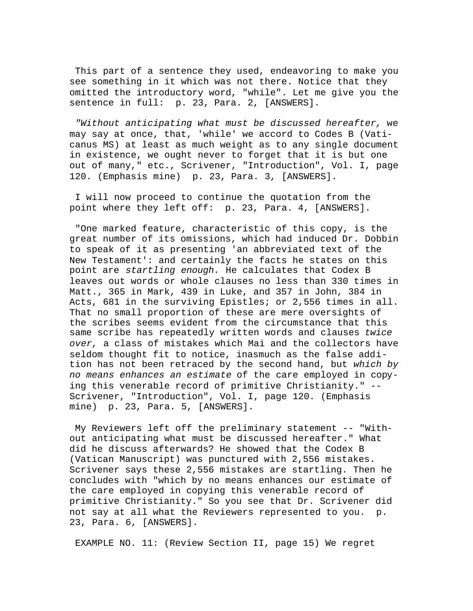This part of a sentence they used, endeavoring to make you see something in it which was not there. Notice that they omitted the introductory word, "while". Let me give you the sentence in full: p. 23, Para. 2, [ANSWERS].

 *"Without anticipating what must be discussed hereafter,* we may say at once, that, 'while' we accord to Codes B (Vaticanus MS) at least as much weight as to any single document in existence, we ought never to forget that it is but one out of many," etc., Scrivener, "Introduction", Vol. I, page 120. (Emphasis mine) p. 23, Para. 3, [ANSWERS].

 I will now proceed to continue the quotation from the point where they left off: p. 23, Para. 4, [ANSWERS].

 "One marked feature, characteristic of this copy, is the great number of its omissions, which had induced Dr. Dobbin to speak of it as presenting 'an abbreviated text of the New Testament': and certainly the facts he states on this point are *startling enough.* He calculates that Codex B leaves out words or whole clauses no less than 330 times in Matt., 365 in Mark, 439 in Luke, and 357 in John, 384 in Acts, 681 in the surviving Epistles; or 2,556 times in all. That no small proportion of these are mere oversights of the scribes seems evident from the circumstance that this same scribe has repeatedly written words and clauses *twice over,* a class of mistakes which Mai and the collectors have seldom thought fit to notice, inasmuch as the false addition has not been retraced by the second hand, but *which by no means enhances an estimate* of the care employed in copying this venerable record of primitive Christianity." -- Scrivener, "Introduction", Vol. I, page 120. (Emphasis mine) p. 23, Para. 5, [ANSWERS].

 My Reviewers left off the preliminary statement -- "Without anticipating what must be discussed hereafter." What did he discuss afterwards? He showed that the Codex B (Vatican Manuscript) was punctured with 2,556 mistakes. Scrivener says these 2,556 mistakes are startling. Then he concludes with "which by no means enhances our estimate of the care employed in copying this venerable record of primitive Christianity." So you see that Dr. Scrivener did not say at all what the Reviewers represented to you. p. 23, Para. 6, [ANSWERS].

EXAMPLE NO. 11: (Review Section II, page 15) We regret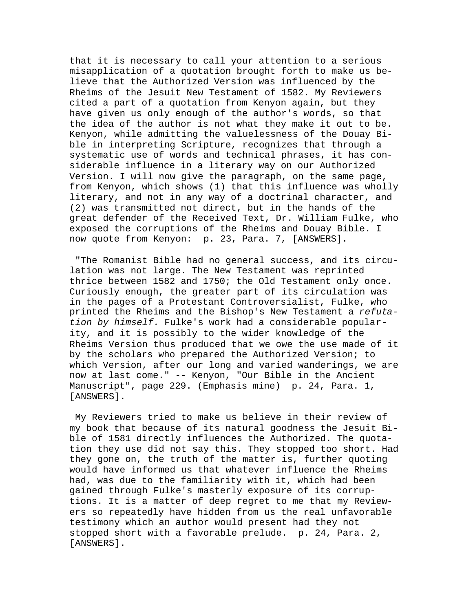that it is necessary to call your attention to a serious misapplication of a quotation brought forth to make us believe that the Authorized Version was influenced by the Rheims of the Jesuit New Testament of 1582. My Reviewers cited a part of a quotation from Kenyon again, but they have given us only enough of the author's words, so that the idea of the author is not what they make it out to be. Kenyon, while admitting the valuelessness of the Douay Bible in interpreting Scripture, recognizes that through a systematic use of words and technical phrases, it has considerable influence in a literary way on our Authorized Version. I will now give the paragraph, on the same page, from Kenyon, which shows (1) that this influence was wholly literary, and not in any way of a doctrinal character, and (2) was transmitted not direct, but in the hands of the great defender of the Received Text, Dr. William Fulke, who exposed the corruptions of the Rheims and Douay Bible. I now quote from Kenyon: p. 23, Para. 7, [ANSWERS].

 "The Romanist Bible had no general success, and its circulation was not large. The New Testament was reprinted thrice between 1582 and 1750; the Old Testament only once. Curiously enough, the greater part of its circulation was in the pages of a Protestant Controversialist, Fulke, who printed the Rheims and the Bishop's New Testament a *refutation by himself.* Fulke's work had a considerable popularity, and it is possibly to the wider knowledge of the Rheims Version thus produced that we owe the use made of it by the scholars who prepared the Authorized Version; to which Version, after our long and varied wanderings, we are now at last come." -- Kenyon, "Our Bible in the Ancient Manuscript", page 229. (Emphasis mine) p. 24, Para. 1, [ANSWERS].

 My Reviewers tried to make us believe in their review of my book that because of its natural goodness the Jesuit Bible of 1581 directly influences the Authorized. The quotation they use did not say this. They stopped too short. Had they gone on, the truth of the matter is, further quoting would have informed us that whatever influence the Rheims had, was due to the familiarity with it, which had been gained through Fulke's masterly exposure of its corruptions. It is a matter of deep regret to me that my Reviewers so repeatedly have hidden from us the real unfavorable testimony which an author would present had they not stopped short with a favorable prelude. p. 24, Para. 2, [ANSWERS].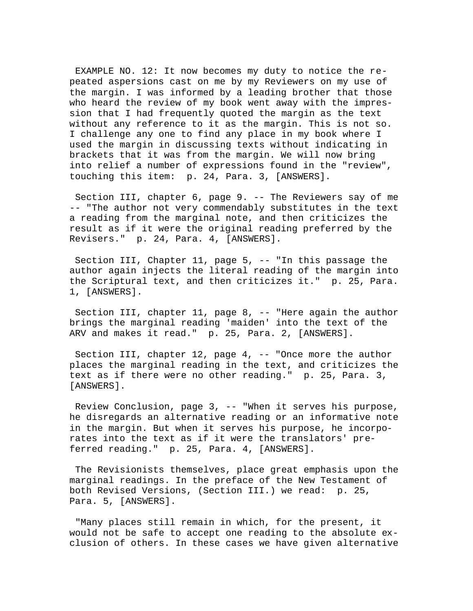EXAMPLE NO. 12: It now becomes my duty to notice the repeated aspersions cast on me by my Reviewers on my use of the margin. I was informed by a leading brother that those who heard the review of my book went away with the impression that I had frequently quoted the margin as the text without any reference to it as the margin. This is not so. I challenge any one to find any place in my book where I used the margin in discussing texts without indicating in brackets that it was from the margin. We will now bring into relief a number of expressions found in the "review", touching this item: p. 24, Para. 3, [ANSWERS].

Section III, chapter 6, page 9. -- The Reviewers say of me -- "The author not very commendably substitutes in the text a reading from the marginal note, and then criticizes the result as if it were the original reading preferred by the Revisers." p. 24, Para. 4, [ANSWERS].

 Section III, Chapter 11, page 5, -- "In this passage the author again injects the literal reading of the margin into the Scriptural text, and then criticizes it." p. 25, Para. 1, [ANSWERS].

 Section III, chapter 11, page 8, -- "Here again the author brings the marginal reading 'maiden' into the text of the ARV and makes it read." p. 25, Para. 2, [ANSWERS].

 Section III, chapter 12, page 4, -- "Once more the author places the marginal reading in the text, and criticizes the text as if there were no other reading." p. 25, Para. 3, [ANSWERS].

 Review Conclusion, page 3, -- "When it serves his purpose, he disregards an alternative reading or an informative note in the margin. But when it serves his purpose, he incorporates into the text as if it were the translators' preferred reading." p. 25, Para. 4, [ANSWERS].

 The Revisionists themselves, place great emphasis upon the marginal readings. In the preface of the New Testament of both Revised Versions, (Section III.) we read: p. 25, Para. 5, [ANSWERS].

 "Many places still remain in which, for the present, it would not be safe to accept one reading to the absolute exclusion of others. In these cases we have given alternative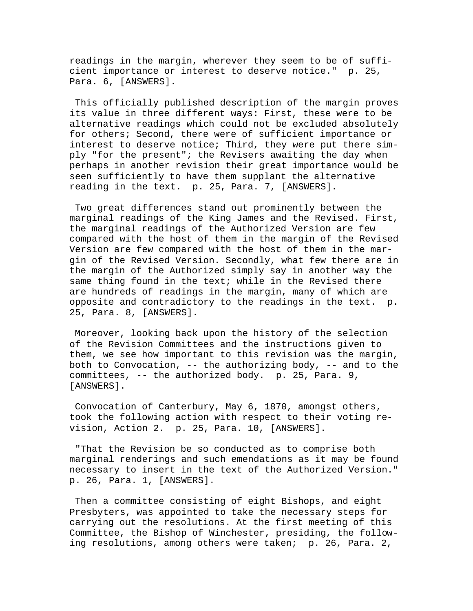readings in the margin, wherever they seem to be of sufficient importance or interest to deserve notice." p. 25, Para. 6, [ANSWERS].

 This officially published description of the margin proves its value in three different ways: First, these were to be alternative readings which could not be excluded absolutely for others; Second, there were of sufficient importance or interest to deserve notice; Third, they were put there simply "for the present"; the Revisers awaiting the day when perhaps in another revision their great importance would be seen sufficiently to have them supplant the alternative reading in the text. p. 25, Para. 7, [ANSWERS].

 Two great differences stand out prominently between the marginal readings of the King James and the Revised. First, the marginal readings of the Authorized Version are few compared with the host of them in the margin of the Revised Version are few compared with the host of them in the margin of the Revised Version. Secondly, what few there are in the margin of the Authorized simply say in another way the same thing found in the text; while in the Revised there are hundreds of readings in the margin, many of which are opposite and contradictory to the readings in the text. p. 25, Para. 8, [ANSWERS].

 Moreover, looking back upon the history of the selection of the Revision Committees and the instructions given to them, we see how important to this revision was the margin, both to Convocation, -- the authorizing body, -- and to the committees, -- the authorized body. p. 25, Para. 9, [ANSWERS].

 Convocation of Canterbury, May 6, 1870, amongst others, took the following action with respect to their voting revision, Action 2. p. 25, Para. 10, [ANSWERS].

 "That the Revision be so conducted as to comprise both marginal renderings and such emendations as it may be found necessary to insert in the text of the Authorized Version." p. 26, Para. 1, [ANSWERS].

 Then a committee consisting of eight Bishops, and eight Presbyters, was appointed to take the necessary steps for carrying out the resolutions. At the first meeting of this Committee, the Bishop of Winchester, presiding, the following resolutions, among others were taken; p. 26, Para. 2,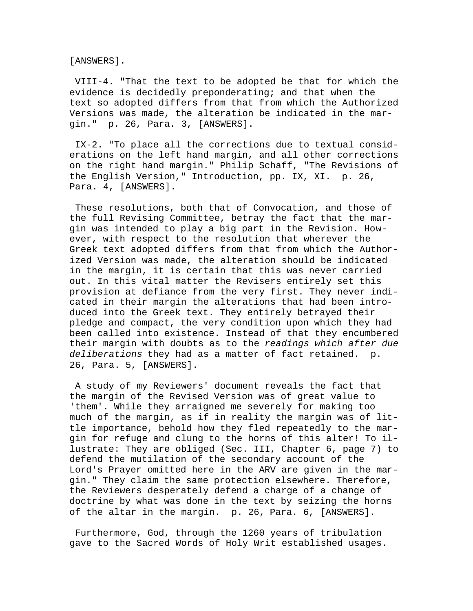[ANSWERS].

 VIII-4. "That the text to be adopted be that for which the evidence is decidedly preponderating; and that when the text so adopted differs from that from which the Authorized Versions was made, the alteration be indicated in the margin." p. 26, Para. 3, [ANSWERS].

 IX-2. "To place all the corrections due to textual considerations on the left hand margin, and all other corrections on the right hand margin." Philip Schaff, "The Revisions of the English Version," Introduction, pp. IX, XI. p. 26, Para. 4, [ANSWERS].

 These resolutions, both that of Convocation, and those of the full Revising Committee, betray the fact that the margin was intended to play a big part in the Revision. However, with respect to the resolution that wherever the Greek text adopted differs from that from which the Authorized Version was made, the alteration should be indicated in the margin, it is certain that this was never carried out. In this vital matter the Revisers entirely set this provision at defiance from the very first. They never indicated in their margin the alterations that had been introduced into the Greek text. They entirely betrayed their pledge and compact, the very condition upon which they had been called into existence. Instead of that they encumbered their margin with doubts as to the *readings which after due deliberations* they had as a matter of fact retained. p. 26, Para. 5, [ANSWERS].

 A study of my Reviewers' document reveals the fact that the margin of the Revised Version was of great value to 'them'. While they arraigned me severely for making too much of the margin, as if in reality the margin was of little importance, behold how they fled repeatedly to the margin for refuge and clung to the horns of this alter! To illustrate: They are obliged (Sec. III, Chapter 6, page 7) to defend the mutilation of the secondary account of the Lord's Prayer omitted here in the ARV are given in the margin." They claim the same protection elsewhere. Therefore, the Reviewers desperately defend a charge of a change of doctrine by what was done in the text by seizing the horns of the altar in the margin. p. 26, Para. 6, [ANSWERS].

 Furthermore, God, through the 1260 years of tribulation gave to the Sacred Words of Holy Writ established usages.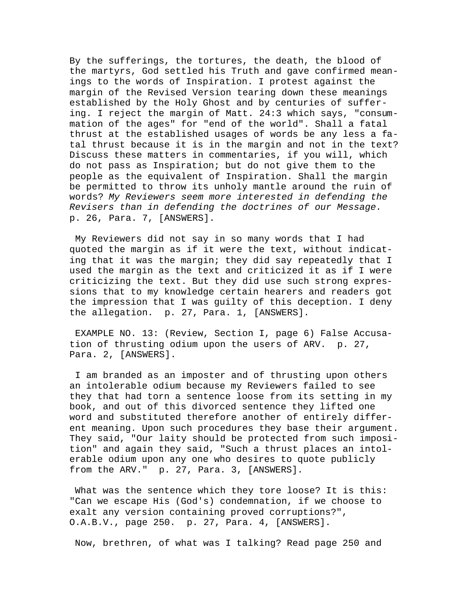By the sufferings, the tortures, the death, the blood of the martyrs, God settled his Truth and gave confirmed meanings to the words of Inspiration. I protest against the margin of the Revised Version tearing down these meanings established by the Holy Ghost and by centuries of suffering. I reject the margin of Matt. 24:3 which says, "consummation of the ages" for "end of the world". Shall a fatal thrust at the established usages of words be any less a fatal thrust because it is in the margin and not in the text? Discuss these matters in commentaries, if you will, which do not pass as Inspiration; but do not give them to the people as the equivalent of Inspiration. Shall the margin be permitted to throw its unholy mantle around the ruin of words? *My Reviewers seem more interested in defending the Revisers than in defending the doctrines of our Message.* p. 26, Para. 7, [ANSWERS].

 My Reviewers did not say in so many words that I had quoted the margin as if it were the text, without indicating that it was the margin; they did say repeatedly that I used the margin as the text and criticized it as if I were criticizing the text. But they did use such strong expressions that to my knowledge certain hearers and readers got the impression that I was guilty of this deception. I deny the allegation. p. 27, Para. 1, [ANSWERS].

 EXAMPLE NO. 13: (Review, Section I, page 6) False Accusation of thrusting odium upon the users of ARV. p. 27, Para. 2, [ANSWERS].

 I am branded as an imposter and of thrusting upon others an intolerable odium because my Reviewers failed to see they that had torn a sentence loose from its setting in my book, and out of this divorced sentence they lifted one word and substituted therefore another of entirely different meaning. Upon such procedures they base their argument. They said, "Our laity should be protected from such imposition" and again they said, "Such a thrust places an intolerable odium upon any one who desires to quote publicly from the ARV." p. 27, Para. 3, [ANSWERS].

 What was the sentence which they tore loose? It is this: "Can we escape His (God's) condemnation, if we choose to exalt any version containing proved corruptions?", O.A.B.V., page 250. p. 27, Para. 4, [ANSWERS].

Now, brethren, of what was I talking? Read page 250 and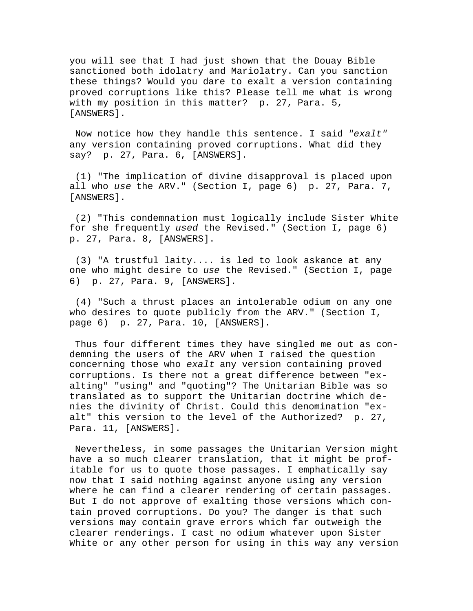you will see that I had just shown that the Douay Bible sanctioned both idolatry and Mariolatry. Can you sanction these things? Would you dare to exalt a version containing proved corruptions like this? Please tell me what is wrong with my position in this matter? p. 27, Para. 5, [ANSWERS].

 Now notice how they handle this sentence. I said *"exalt"* any version containing proved corruptions. What did they say? p. 27, Para. 6, [ANSWERS].

 (1) "The implication of divine disapproval is placed upon all who *use* the ARV." (Section I, page 6) p. 27, Para. 7, [ANSWERS].

 (2) "This condemnation must logically include Sister White for she frequently *used* the Revised." (Section I, page 6) p. 27, Para. 8, [ANSWERS].

 (3) "A trustful laity.... is led to look askance at any one who might desire to *use* the Revised." (Section I, page 6) p. 27, Para. 9, [ANSWERS].

 (4) "Such a thrust places an intolerable odium on any one who desires to quote publicly from the ARV." (Section I, page 6) p. 27, Para. 10, [ANSWERS].

 Thus four different times they have singled me out as condemning the users of the ARV when I raised the question concerning those who *exalt* any version containing proved corruptions. Is there not a great difference between "exalting" "using" and "quoting"? The Unitarian Bible was so translated as to support the Unitarian doctrine which denies the divinity of Christ. Could this denomination "exalt" this version to the level of the Authorized? p. 27, Para. 11, [ANSWERS].

 Nevertheless, in some passages the Unitarian Version might have a so much clearer translation, that it might be profitable for us to quote those passages. I emphatically say now that I said nothing against anyone using any version where he can find a clearer rendering of certain passages. But I do not approve of exalting those versions which contain proved corruptions. Do you? The danger is that such versions may contain grave errors which far outweigh the clearer renderings. I cast no odium whatever upon Sister White or any other person for using in this way any version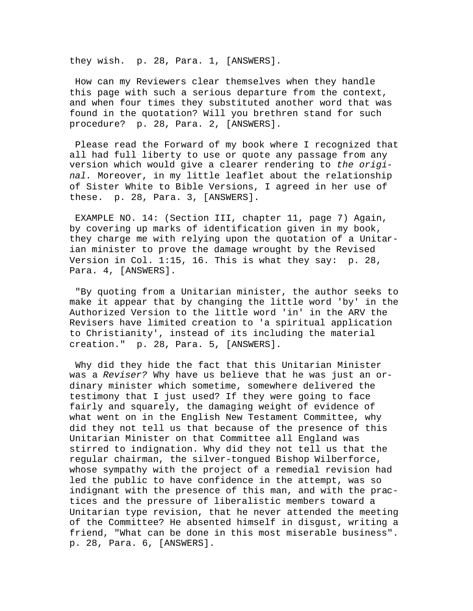they wish. p. 28, Para. 1, [ANSWERS].

 How can my Reviewers clear themselves when they handle this page with such a serious departure from the context, and when four times they substituted another word that was found in the quotation? Will you brethren stand for such procedure? p. 28, Para. 2, [ANSWERS].

 Please read the Forward of my book where I recognized that all had full liberty to use or quote any passage from any version which would give a clearer rendering to *the original.* Moreover, in my little leaflet about the relationship of Sister White to Bible Versions, I agreed in her use of these. p. 28, Para. 3, [ANSWERS].

 EXAMPLE NO. 14: (Section III, chapter 11, page 7) Again, by covering up marks of identification given in my book, they charge me with relying upon the quotation of a Unitarian minister to prove the damage wrought by the Revised Version in Col. 1:15, 16. This is what they say: p. 28, Para. 4, [ANSWERS].

 "By quoting from a Unitarian minister, the author seeks to make it appear that by changing the little word 'by' in the Authorized Version to the little word 'in' in the ARV the Revisers have limited creation to 'a spiritual application to Christianity', instead of its including the material creation." p. 28, Para. 5, [ANSWERS].

 Why did they hide the fact that this Unitarian Minister was a *Reviser?* Why have us believe that he was just an ordinary minister which sometime, somewhere delivered the testimony that I just used? If they were going to face fairly and squarely, the damaging weight of evidence of what went on in the English New Testament Committee, why did they not tell us that because of the presence of this Unitarian Minister on that Committee all England was stirred to indignation. Why did they not tell us that the regular chairman, the silver-tongued Bishop Wilberforce, whose sympathy with the project of a remedial revision had led the public to have confidence in the attempt, was so indignant with the presence of this man, and with the practices and the pressure of liberalistic members toward a Unitarian type revision, that he never attended the meeting of the Committee? He absented himself in disgust, writing a friend, "What can be done in this most miserable business". p. 28, Para. 6, [ANSWERS].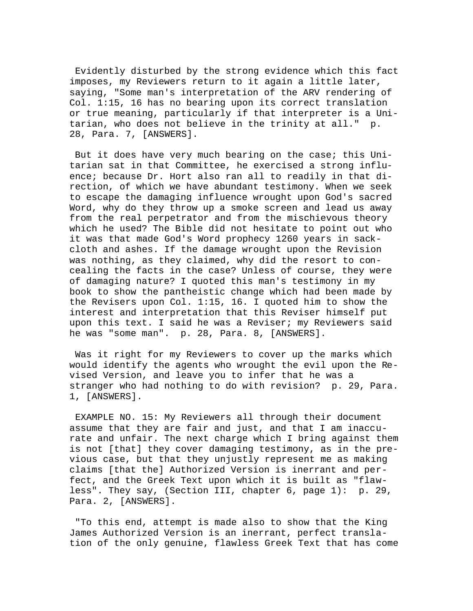Evidently disturbed by the strong evidence which this fact imposes, my Reviewers return to it again a little later, saying, "Some man's interpretation of the ARV rendering of Col. 1:15, 16 has no bearing upon its correct translation or true meaning, particularly if that interpreter is a Unitarian, who does not believe in the trinity at all." p. 28, Para. 7, [ANSWERS].

 But it does have very much bearing on the case; this Unitarian sat in that Committee, he exercised a strong influence; because Dr. Hort also ran all to readily in that direction, of which we have abundant testimony. When we seek to escape the damaging influence wrought upon God's sacred Word, why do they throw up a smoke screen and lead us away from the real perpetrator and from the mischievous theory which he used? The Bible did not hesitate to point out who it was that made God's Word prophecy 1260 years in sackcloth and ashes. If the damage wrought upon the Revision was nothing, as they claimed, why did the resort to concealing the facts in the case? Unless of course, they were of damaging nature? I quoted this man's testimony in my book to show the pantheistic change which had been made by the Revisers upon Col. 1:15, 16. I quoted him to show the interest and interpretation that this Reviser himself put upon this text. I said he was a Reviser; my Reviewers said he was "some man". p. 28, Para. 8, [ANSWERS].

 Was it right for my Reviewers to cover up the marks which would identify the agents who wrought the evil upon the Revised Version, and leave you to infer that he was a stranger who had nothing to do with revision? p. 29, Para. 1, [ANSWERS].

 EXAMPLE NO. 15: My Reviewers all through their document assume that they are fair and just, and that I am inaccurate and unfair. The next charge which I bring against them is not [that] they cover damaging testimony, as in the previous case, but that they unjustly represent me as making claims [that the] Authorized Version is inerrant and perfect, and the Greek Text upon which it is built as "flawless". They say, (Section III, chapter 6, page 1): p. 29, Para. 2, [ANSWERS].

 "To this end, attempt is made also to show that the King James Authorized Version is an inerrant, perfect translation of the only genuine, flawless Greek Text that has come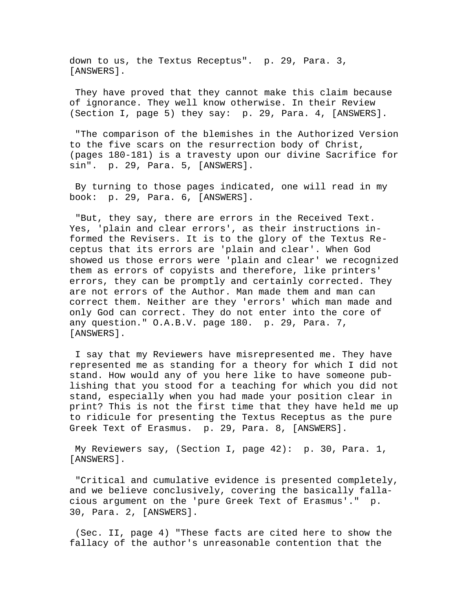down to us, the Textus Receptus". p. 29, Para. 3, [ANSWERS].

 They have proved that they cannot make this claim because of ignorance. They well know otherwise. In their Review (Section I, page 5) they say: p. 29, Para. 4, [ANSWERS].

 "The comparison of the blemishes in the Authorized Version to the five scars on the resurrection body of Christ, (pages 180-181) is a travesty upon our divine Sacrifice for sin". p. 29, Para. 5, [ANSWERS].

 By turning to those pages indicated, one will read in my book: p. 29, Para. 6, [ANSWERS].

 "But, they say, there are errors in the Received Text. Yes, 'plain and clear errors', as their instructions informed the Revisers. It is to the glory of the Textus Receptus that its errors are 'plain and clear'. When God showed us those errors were 'plain and clear' we recognized them as errors of copyists and therefore, like printers' errors, they can be promptly and certainly corrected. They are not errors of the Author. Man made them and man can correct them. Neither are they 'errors' which man made and only God can correct. They do not enter into the core of any question." O.A.B.V. page 180. p. 29, Para. 7, [ANSWERS].

 I say that my Reviewers have misrepresented me. They have represented me as standing for a theory for which I did not stand. How would any of you here like to have someone publishing that you stood for a teaching for which you did not stand, especially when you had made your position clear in print? This is not the first time that they have held me up to ridicule for presenting the Textus Receptus as the pure Greek Text of Erasmus. p. 29, Para. 8, [ANSWERS].

 My Reviewers say, (Section I, page 42): p. 30, Para. 1, [ANSWERS].

 "Critical and cumulative evidence is presented completely, and we believe conclusively, covering the basically fallacious argument on the 'pure Greek Text of Erasmus'." p. 30, Para. 2, [ANSWERS].

 (Sec. II, page 4) "These facts are cited here to show the fallacy of the author's unreasonable contention that the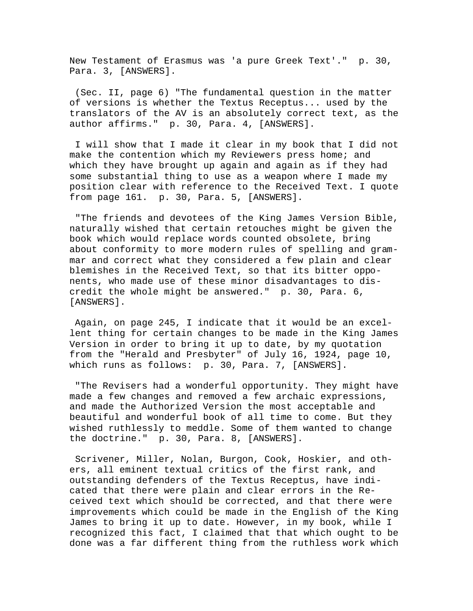New Testament of Erasmus was 'a pure Greek Text'." p. 30, Para. 3, [ANSWERS].

 (Sec. II, page 6) "The fundamental question in the matter of versions is whether the Textus Receptus... used by the translators of the AV is an absolutely correct text, as the author affirms." p. 30, Para. 4, [ANSWERS].

 I will show that I made it clear in my book that I did not make the contention which my Reviewers press home; and which they have brought up again and again as if they had some substantial thing to use as a weapon where I made my position clear with reference to the Received Text. I quote from page 161. p. 30, Para. 5, [ANSWERS].

 "The friends and devotees of the King James Version Bible, naturally wished that certain retouches might be given the book which would replace words counted obsolete, bring about conformity to more modern rules of spelling and grammar and correct what they considered a few plain and clear blemishes in the Received Text, so that its bitter opponents, who made use of these minor disadvantages to discredit the whole might be answered." p. 30, Para. 6, [ANSWERS].

 Again, on page 245, I indicate that it would be an excellent thing for certain changes to be made in the King James Version in order to bring it up to date, by my quotation from the "Herald and Presbyter" of July 16, 1924, page 10, which runs as follows: p. 30, Para. 7, [ANSWERS].

 "The Revisers had a wonderful opportunity. They might have made a few changes and removed a few archaic expressions, and made the Authorized Version the most acceptable and beautiful and wonderful book of all time to come. But they wished ruthlessly to meddle. Some of them wanted to change the doctrine." p. 30, Para. 8, [ANSWERS].

 Scrivener, Miller, Nolan, Burgon, Cook, Hoskier, and others, all eminent textual critics of the first rank, and outstanding defenders of the Textus Receptus, have indicated that there were plain and clear errors in the Received text which should be corrected, and that there were improvements which could be made in the English of the King James to bring it up to date. However, in my book, while I recognized this fact, I claimed that that which ought to be done was a far different thing from the ruthless work which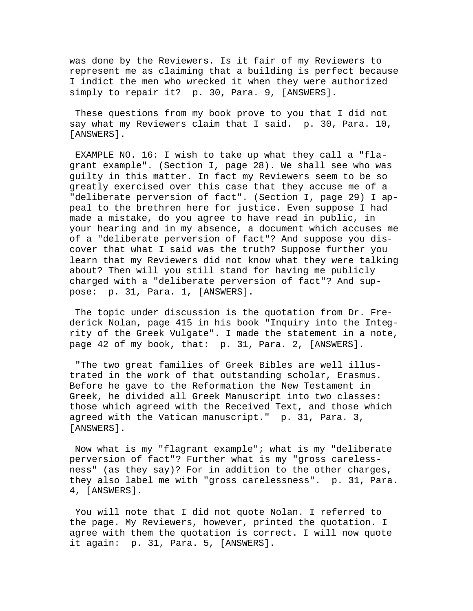was done by the Reviewers. Is it fair of my Reviewers to represent me as claiming that a building is perfect because I indict the men who wrecked it when they were authorized simply to repair it? p. 30, Para. 9, [ANSWERS].

 These questions from my book prove to you that I did not say what my Reviewers claim that I said. p. 30, Para. 10, [ANSWERS].

 EXAMPLE NO. 16: I wish to take up what they call a "flagrant example". (Section I, page 28). We shall see who was guilty in this matter. In fact my Reviewers seem to be so greatly exercised over this case that they accuse me of a "deliberate perversion of fact". (Section I, page 29) I appeal to the brethren here for justice. Even suppose I had made a mistake, do you agree to have read in public, in your hearing and in my absence, a document which accuses me of a "deliberate perversion of fact"? And suppose you discover that what I said was the truth? Suppose further you learn that my Reviewers did not know what they were talking about? Then will you still stand for having me publicly charged with a "deliberate perversion of fact"? And suppose: p. 31, Para. 1, [ANSWERS].

 The topic under discussion is the quotation from Dr. Frederick Nolan, page 415 in his book "Inquiry into the Integrity of the Greek Vulgate". I made the statement in a note, page 42 of my book, that: p. 31, Para. 2, [ANSWERS].

 "The two great families of Greek Bibles are well illustrated in the work of that outstanding scholar, Erasmus. Before he gave to the Reformation the New Testament in Greek, he divided all Greek Manuscript into two classes: those which agreed with the Received Text, and those which agreed with the Vatican manuscript." p. 31, Para. 3, [ANSWERS].

 Now what is my "flagrant example"; what is my "deliberate perversion of fact"? Further what is my "gross carelessness" (as they say)? For in addition to the other charges, they also label me with "gross carelessness". p. 31, Para. 4, [ANSWERS].

 You will note that I did not quote Nolan. I referred to the page. My Reviewers, however, printed the quotation. I agree with them the quotation is correct. I will now quote it again: p. 31, Para. 5, [ANSWERS].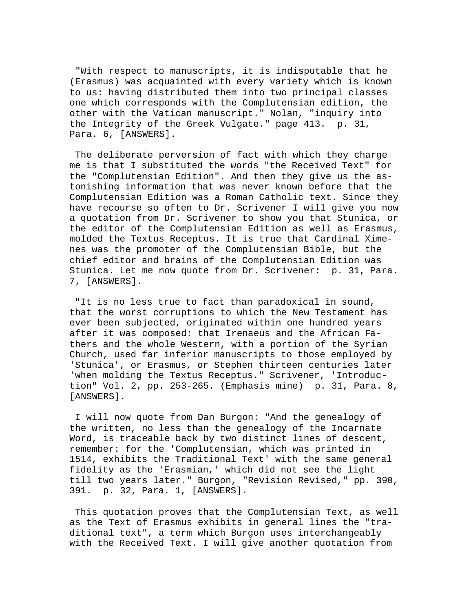"With respect to manuscripts, it is indisputable that he (Erasmus) was acquainted with every variety which is known to us: having distributed them into two principal classes one which corresponds with the Complutensian edition, the other with the Vatican manuscript." Nolan, "inquiry into the Integrity of the Greek Vulgate." page 413. p. 31, Para. 6, [ANSWERS].

 The deliberate perversion of fact with which they charge me is that I substituted the words "the Received Text" for the "Complutensian Edition". And then they give us the astonishing information that was never known before that the Complutensian Edition was a Roman Catholic text. Since they have recourse so often to Dr. Scrivener I will give you now a quotation from Dr. Scrivener to show you that Stunica, or the editor of the Complutensian Edition as well as Erasmus, molded the Textus Receptus. It is true that Cardinal Ximenes was the promoter of the Complutensian Bible, but the chief editor and brains of the Complutensian Edition was Stunica. Let me now quote from Dr. Scrivener: p. 31, Para. 7, [ANSWERS].

 "It is no less true to fact than paradoxical in sound, that the worst corruptions to which the New Testament has ever been subjected, originated within one hundred years after it was composed: that Irenaeus and the African Fathers and the whole Western, with a portion of the Syrian Church, used far inferior manuscripts to those employed by 'Stunica', or Erasmus, or Stephen thirteen centuries later 'when molding the Textus Receptus." Scrivener, 'Introduction" Vol. 2, pp. 253-265. (Emphasis mine) p. 31, Para. 8, [ANSWERS].

 I will now quote from Dan Burgon: "And the genealogy of the written, no less than the genealogy of the Incarnate Word, is traceable back by two distinct lines of descent, remember: for the 'Complutensian, which was printed in 1514, exhibits the Traditional Text' with the same general fidelity as the 'Erasmian,' which did not see the light till two years later." Burgon, "Revision Revised," pp. 390, 391. p. 32, Para. 1, [ANSWERS].

 This quotation proves that the Complutensian Text, as well as the Text of Erasmus exhibits in general lines the "traditional text", a term which Burgon uses interchangeably with the Received Text. I will give another quotation from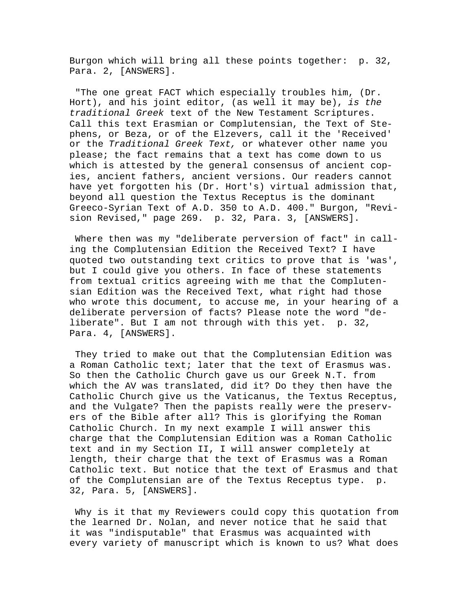Burgon which will bring all these points together: p. 32, Para. 2, [ANSWERS].

 "The one great FACT which especially troubles him, (Dr. Hort), and his joint editor, (as well it may be), *is the traditional Greek* text of the New Testament Scriptures. Call this text Erasmian or Complutensian, the Text of Stephens, or Beza, or of the Elzevers, call it the 'Received' or the *Traditional Greek Text,* or whatever other name you please; the fact remains that a text has come down to us which is attested by the general consensus of ancient copies, ancient fathers, ancient versions. Our readers cannot have yet forgotten his (Dr. Hort's) virtual admission that, beyond all question the Textus Receptus is the dominant Greeco-Syrian Text of A.D. 350 to A.D. 400." Burgon, "Revision Revised," page 269. p. 32, Para. 3, [ANSWERS].

 Where then was my "deliberate perversion of fact" in calling the Complutensian Edition the Received Text? I have quoted two outstanding text critics to prove that is 'was', but I could give you others. In face of these statements from textual critics agreeing with me that the Complutensian Edition was the Received Text, what right had those who wrote this document, to accuse me, in your hearing of a deliberate perversion of facts? Please note the word "deliberate". But I am not through with this yet. p. 32, Para. 4, [ANSWERS].

 They tried to make out that the Complutensian Edition was a Roman Catholic text; later that the text of Erasmus was. So then the Catholic Church gave us our Greek N.T. from which the AV was translated, did it? Do they then have the Catholic Church give us the Vaticanus, the Textus Receptus, and the Vulgate? Then the papists really were the preservers of the Bible after all? This is glorifying the Roman Catholic Church. In my next example I will answer this charge that the Complutensian Edition was a Roman Catholic text and in my Section II, I will answer completely at length, their charge that the text of Erasmus was a Roman Catholic text. But notice that the text of Erasmus and that of the Complutensian are of the Textus Receptus type. p. 32, Para. 5, [ANSWERS].

 Why is it that my Reviewers could copy this quotation from the learned Dr. Nolan, and never notice that he said that it was "indisputable" that Erasmus was acquainted with every variety of manuscript which is known to us? What does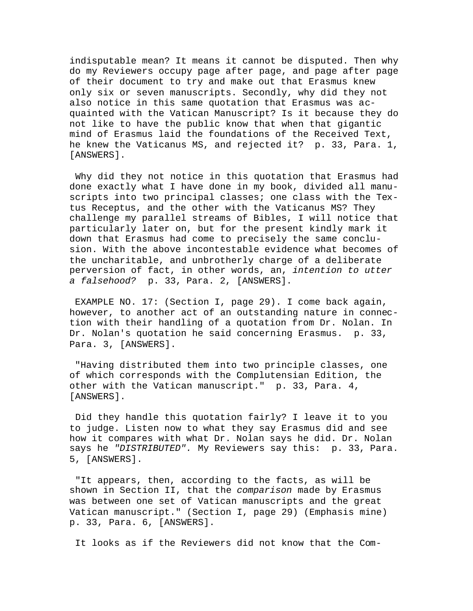indisputable mean? It means it cannot be disputed. Then why do my Reviewers occupy page after page, and page after page of their document to try and make out that Erasmus knew only six or seven manuscripts. Secondly, why did they not also notice in this same quotation that Erasmus was acquainted with the Vatican Manuscript? Is it because they do not like to have the public know that when that gigantic mind of Erasmus laid the foundations of the Received Text, he knew the Vaticanus MS, and rejected it? p. 33, Para. 1, [ANSWERS].

 Why did they not notice in this quotation that Erasmus had done exactly what I have done in my book, divided all manuscripts into two principal classes; one class with the Textus Receptus, and the other with the Vaticanus MS? They challenge my parallel streams of Bibles, I will notice that particularly later on, but for the present kindly mark it down that Erasmus had come to precisely the same conclusion. With the above incontestable evidence what becomes of the uncharitable, and unbrotherly charge of a deliberate perversion of fact, in other words, an, *intention to utter a falsehood?* p. 33, Para. 2, [ANSWERS].

 EXAMPLE NO. 17: (Section I, page 29). I come back again, however, to another act of an outstanding nature in connection with their handling of a quotation from Dr. Nolan. In Dr. Nolan's quotation he said concerning Erasmus. p. 33, Para. 3, [ANSWERS].

 "Having distributed them into two principle classes, one of which corresponds with the Complutensian Edition, the other with the Vatican manuscript." p. 33, Para. 4, [ANSWERS].

 Did they handle this quotation fairly? I leave it to you to judge. Listen now to what they say Erasmus did and see how it compares with what Dr. Nolan says he did. Dr. Nolan says he *"DISTRIBUTED".* My Reviewers say this: p. 33, Para. 5, [ANSWERS].

 "It appears, then, according to the facts, as will be shown in Section II, that the *comparison* made by Erasmus was between one set of Vatican manuscripts and the great Vatican manuscript." (Section I, page 29) (Emphasis mine) p. 33, Para. 6, [ANSWERS].

It looks as if the Reviewers did not know that the Com-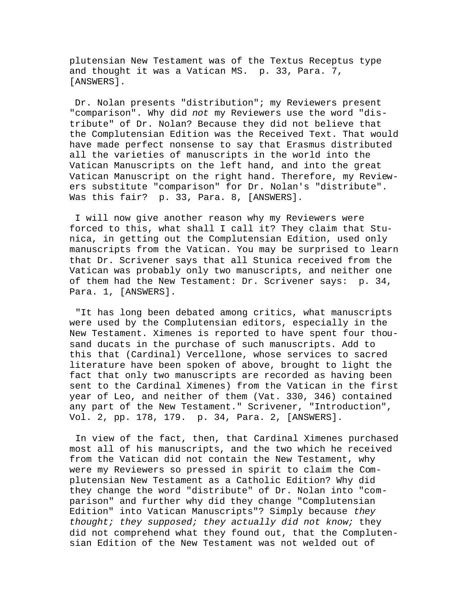plutensian New Testament was of the Textus Receptus type and thought it was a Vatican MS. p. 33, Para. 7, [ANSWERS].

 Dr. Nolan presents "distribution"; my Reviewers present "comparison". Why did *not* my Reviewers use the word "distribute" of Dr. Nolan? Because they did not believe that the Complutensian Edition was the Received Text. That would have made perfect nonsense to say that Erasmus distributed all the varieties of manuscripts in the world into the Vatican Manuscripts on the left hand, and into the great Vatican Manuscript on the right hand. Therefore, my Reviewers substitute "comparison" for Dr. Nolan's "distribute". Was this fair? p. 33, Para. 8, [ANSWERS].

 I will now give another reason why my Reviewers were forced to this, what shall I call it? They claim that Stunica, in getting out the Complutensian Edition, used only manuscripts from the Vatican. You may be surprised to learn that Dr. Scrivener says that all Stunica received from the Vatican was probably only two manuscripts, and neither one of them had the New Testament: Dr. Scrivener says: p. 34, Para. 1, [ANSWERS].

 "It has long been debated among critics, what manuscripts were used by the Complutensian editors, especially in the New Testament. Ximenes is reported to have spent four thousand ducats in the purchase of such manuscripts. Add to this that (Cardinal) Vercellone, whose services to sacred literature have been spoken of above, brought to light the fact that only two manuscripts are recorded as having been sent to the Cardinal Ximenes) from the Vatican in the first year of Leo, and neither of them (Vat. 330, 346) contained any part of the New Testament." Scrivener, "Introduction", Vol. 2, pp. 178, 179. p. 34, Para. 2, [ANSWERS].

 In view of the fact, then, that Cardinal Ximenes purchased most all of his manuscripts, and the two which he received from the Vatican did not contain the New Testament, why were my Reviewers so pressed in spirit to claim the Complutensian New Testament as a Catholic Edition? Why did they change the word "distribute" of Dr. Nolan into "comparison" and further why did they change "Complutensian Edition" into Vatican Manuscripts"? Simply because *they thought; they supposed; they actually did not know;* they did not comprehend what they found out, that the Complutensian Edition of the New Testament was not welded out of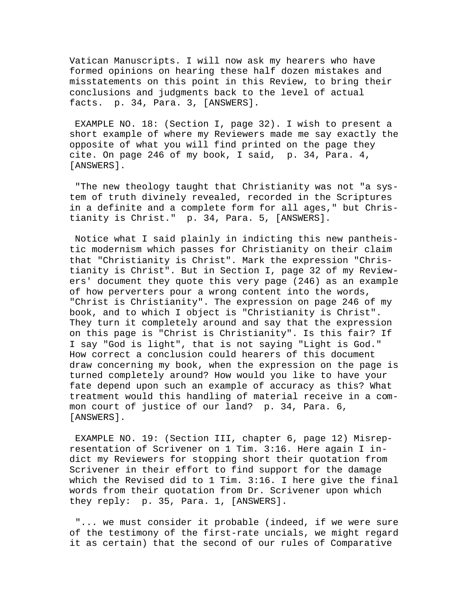Vatican Manuscripts. I will now ask my hearers who have formed opinions on hearing these half dozen mistakes and misstatements on this point in this Review, to bring their conclusions and judgments back to the level of actual facts. p. 34, Para. 3, [ANSWERS].

 EXAMPLE NO. 18: (Section I, page 32). I wish to present a short example of where my Reviewers made me say exactly the opposite of what you will find printed on the page they cite. On page 246 of my book, I said, p. 34, Para. 4, [ANSWERS].

 "The new theology taught that Christianity was not "a system of truth divinely revealed, recorded in the Scriptures in a definite and a complete form for all ages," but Christianity is Christ." p. 34, Para. 5, [ANSWERS].

 Notice what I said plainly in indicting this new pantheistic modernism which passes for Christianity on their claim that "Christianity is Christ". Mark the expression "Christianity is Christ". But in Section I, page 32 of my Reviewers' document they quote this very page (246) as an example of how perverters pour a wrong content into the words, "Christ is Christianity". The expression on page 246 of my book, and to which I object is "Christianity is Christ". They turn it completely around and say that the expression on this page is "Christ is Christianity". Is this fair? If I say "God is light", that is not saying "Light is God." How correct a conclusion could hearers of this document draw concerning my book, when the expression on the page is turned completely around? How would you like to have your fate depend upon such an example of accuracy as this? What treatment would this handling of material receive in a common court of justice of our land? p. 34, Para. 6, [ANSWERS].

 EXAMPLE NO. 19: (Section III, chapter 6, page 12) Misrepresentation of Scrivener on 1 Tim. 3:16. Here again I indict my Reviewers for stopping short their quotation from Scrivener in their effort to find support for the damage which the Revised did to 1 Tim. 3:16. I here give the final words from their quotation from Dr. Scrivener upon which they reply: p. 35, Para. 1, [ANSWERS].

 "... we must consider it probable (indeed, if we were sure of the testimony of the first-rate uncials, we might regard it as certain) that the second of our rules of Comparative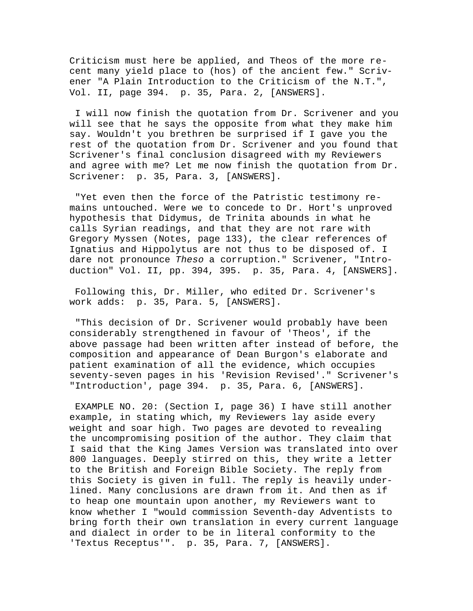Criticism must here be applied, and Theos of the more recent many yield place to (hos) of the ancient few." Scrivener "A Plain Introduction to the Criticism of the N.T.", Vol. II, page 394. p. 35, Para. 2, [ANSWERS].

 I will now finish the quotation from Dr. Scrivener and you will see that he says the opposite from what they make him say. Wouldn't you brethren be surprised if I gave you the rest of the quotation from Dr. Scrivener and you found that Scrivener's final conclusion disagreed with my Reviewers and agree with me? Let me now finish the quotation from Dr. Scrivener: p. 35, Para. 3, [ANSWERS].

 "Yet even then the force of the Patristic testimony remains untouched. Were we to concede to Dr. Hort's unproved hypothesis that Didymus, de Trinita abounds in what he calls Syrian readings, and that they are not rare with Gregory Myssen (Notes, page 133), the clear references of Ignatius and Hippolytus are not thus to be disposed of. I dare not pronounce *Theso* a corruption." Scrivener, "Introduction" Vol. II, pp. 394, 395. p. 35, Para. 4, [ANSWERS].

 Following this, Dr. Miller, who edited Dr. Scrivener's work adds: p. 35, Para. 5, [ANSWERS].

 "This decision of Dr. Scrivener would probably have been considerably strengthened in favour of 'Theos', if the above passage had been written after instead of before, the composition and appearance of Dean Burgon's elaborate and patient examination of all the evidence, which occupies seventy-seven pages in his 'Revision Revised'." Scrivener's "Introduction', page 394. p. 35, Para. 6, [ANSWERS].

 EXAMPLE NO. 20: (Section I, page 36) I have still another example, in stating which, my Reviewers lay aside every weight and soar high. Two pages are devoted to revealing the uncompromising position of the author. They claim that I said that the King James Version was translated into over 800 languages. Deeply stirred on this, they write a letter to the British and Foreign Bible Society. The reply from this Society is given in full. The reply is heavily underlined. Many conclusions are drawn from it. And then as if to heap one mountain upon another, my Reviewers want to know whether I "would commission Seventh-day Adventists to bring forth their own translation in every current language and dialect in order to be in literal conformity to the 'Textus Receptus'". p. 35, Para. 7, [ANSWERS].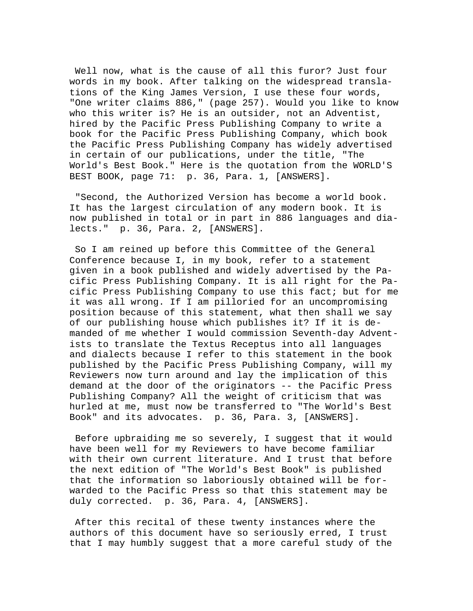Well now, what is the cause of all this furor? Just four words in my book. After talking on the widespread translations of the King James Version, I use these four words, "One writer claims 886," (page 257). Would you like to know who this writer is? He is an outsider, not an Adventist, hired by the Pacific Press Publishing Company to write a book for the Pacific Press Publishing Company, which book the Pacific Press Publishing Company has widely advertised in certain of our publications, under the title, "The World's Best Book." Here is the quotation from the WORLD'S BEST BOOK, page 71: p. 36, Para. 1, [ANSWERS].

 "Second, the Authorized Version has become a world book. It has the largest circulation of any modern book. It is now published in total or in part in 886 languages and dialects." p. 36, Para. 2, [ANSWERS].

 So I am reined up before this Committee of the General Conference because I, in my book, refer to a statement given in a book published and widely advertised by the Pacific Press Publishing Company. It is all right for the Pacific Press Publishing Company to use this fact; but for me it was all wrong. If I am pilloried for an uncompromising position because of this statement, what then shall we say of our publishing house which publishes it? If it is demanded of me whether I would commission Seventh-day Adventists to translate the Textus Receptus into all languages and dialects because I refer to this statement in the book published by the Pacific Press Publishing Company, will my Reviewers now turn around and lay the implication of this demand at the door of the originators -- the Pacific Press Publishing Company? All the weight of criticism that was hurled at me, must now be transferred to "The World's Best Book" and its advocates. p. 36, Para. 3, [ANSWERS].

 Before upbraiding me so severely, I suggest that it would have been well for my Reviewers to have become familiar with their own current literature. And I trust that before the next edition of "The World's Best Book" is published that the information so laboriously obtained will be forwarded to the Pacific Press so that this statement may be duly corrected. p. 36, Para. 4, [ANSWERS].

 After this recital of these twenty instances where the authors of this document have so seriously erred, I trust that I may humbly suggest that a more careful study of the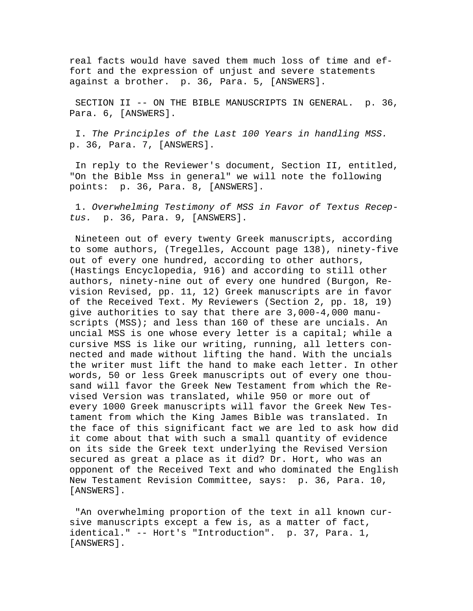real facts would have saved them much loss of time and effort and the expression of unjust and severe statements against a brother. p. 36, Para. 5, [ANSWERS].

 SECTION II -- ON THE BIBLE MANUSCRIPTS IN GENERAL. p. 36, Para. 6, [ANSWERS].

 I. *The Principles of the Last 100 Years in handling MSS.* p. 36, Para. 7, [ANSWERS].

 In reply to the Reviewer's document, Section II, entitled, "On the Bible Mss in general" we will note the following points: p. 36, Para. 8, [ANSWERS].

 1. *Overwhelming Testimony of MSS in Favor of Textus Receptus.* p. 36, Para. 9, [ANSWERS].

 Nineteen out of every twenty Greek manuscripts, according to some authors, (Tregelles, Account page 138), ninety-five out of every one hundred, according to other authors, (Hastings Encyclopedia, 916) and according to still other authors, ninety-nine out of every one hundred (Burgon, Revision Revised, pp. 11, 12) Greek manuscripts are in favor of the Received Text. My Reviewers (Section 2, pp. 18, 19) give authorities to say that there are 3,000-4,000 manuscripts (MSS); and less than 160 of these are uncials. An uncial MSS is one whose every letter is a capital; while a cursive MSS is like our writing, running, all letters connected and made without lifting the hand. With the uncials the writer must lift the hand to make each letter. In other words, 50 or less Greek manuscripts out of every one thousand will favor the Greek New Testament from which the Revised Version was translated, while 950 or more out of every 1000 Greek manuscripts will favor the Greek New Testament from which the King James Bible was translated. In the face of this significant fact we are led to ask how did it come about that with such a small quantity of evidence on its side the Greek text underlying the Revised Version secured as great a place as it did? Dr. Hort, who was an opponent of the Received Text and who dominated the English New Testament Revision Committee, says: p. 36, Para. 10, [ANSWERS].

 "An overwhelming proportion of the text in all known cursive manuscripts except a few is, as a matter of fact, identical." -- Hort's "Introduction". p. 37, Para. 1, [ANSWERS].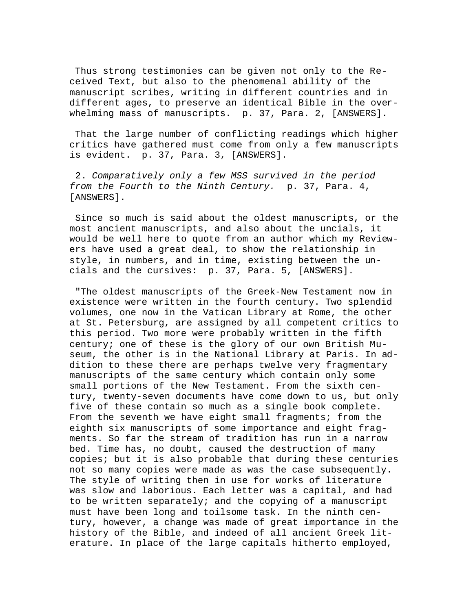Thus strong testimonies can be given not only to the Received Text, but also to the phenomenal ability of the manuscript scribes, writing in different countries and in different ages, to preserve an identical Bible in the overwhelming mass of manuscripts. p. 37, Para. 2, [ANSWERS].

 That the large number of conflicting readings which higher critics have gathered must come from only a few manuscripts is evident. p. 37, Para. 3, [ANSWERS].

 2. *Comparatively only a few MSS survived in the period from the Fourth to the Ninth Century.* p. 37, Para. 4, [ANSWERS].

 Since so much is said about the oldest manuscripts, or the most ancient manuscripts, and also about the uncials, it would be well here to quote from an author which my Reviewers have used a great deal, to show the relationship in style, in numbers, and in time, existing between the uncials and the cursives: p. 37, Para. 5, [ANSWERS].

 "The oldest manuscripts of the Greek-New Testament now in existence were written in the fourth century. Two splendid volumes, one now in the Vatican Library at Rome, the other at St. Petersburg, are assigned by all competent critics to this period. Two more were probably written in the fifth century; one of these is the glory of our own British Museum, the other is in the National Library at Paris. In addition to these there are perhaps twelve very fragmentary manuscripts of the same century which contain only some small portions of the New Testament. From the sixth century, twenty-seven documents have come down to us, but only five of these contain so much as a single book complete. From the seventh we have eight small fragments; from the eighth six manuscripts of some importance and eight fragments. So far the stream of tradition has run in a narrow bed. Time has, no doubt, caused the destruction of many copies; but it is also probable that during these centuries not so many copies were made as was the case subsequently. The style of writing then in use for works of literature was slow and laborious. Each letter was a capital, and had to be written separately; and the copying of a manuscript must have been long and toilsome task. In the ninth century, however, a change was made of great importance in the history of the Bible, and indeed of all ancient Greek literature. In place of the large capitals hitherto employed,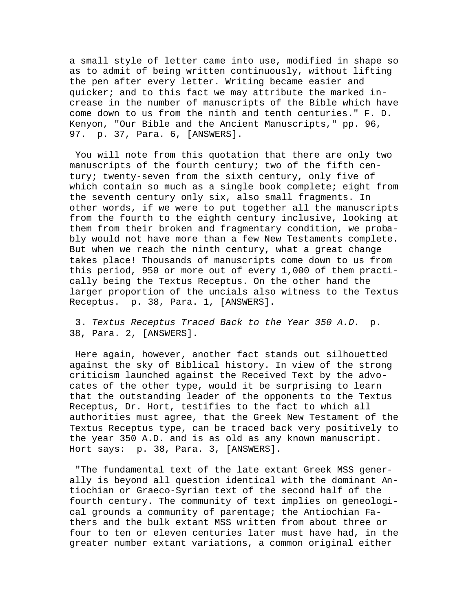a small style of letter came into use, modified in shape so as to admit of being written continuously, without lifting the pen after every letter. Writing became easier and quicker; and to this fact we may attribute the marked increase in the number of manuscripts of the Bible which have come down to us from the ninth and tenth centuries." F. D. Kenyon, "Our Bible and the Ancient Manuscripts," pp. 96, 97. p. 37, Para. 6, [ANSWERS].

 You will note from this quotation that there are only two manuscripts of the fourth century; two of the fifth century; twenty-seven from the sixth century, only five of which contain so much as a single book complete; eight from the seventh century only six, also small fragments. In other words, if we were to put together all the manuscripts from the fourth to the eighth century inclusive, looking at them from their broken and fragmentary condition, we probably would not have more than a few New Testaments complete. But when we reach the ninth century, what a great change takes place! Thousands of manuscripts come down to us from this period, 950 or more out of every 1,000 of them practically being the Textus Receptus. On the other hand the larger proportion of the uncials also witness to the Textus Receptus. p. 38, Para. 1, [ANSWERS].

 3. *Textus Receptus Traced Back to the Year 350 A.D.* p. 38, Para. 2, [ANSWERS].

 Here again, however, another fact stands out silhouetted against the sky of Biblical history. In view of the strong criticism launched against the Received Text by the advocates of the other type, would it be surprising to learn that the outstanding leader of the opponents to the Textus Receptus, Dr. Hort, testifies to the fact to which all authorities must agree, that the Greek New Testament of the Textus Receptus type, can be traced back very positively to the year 350 A.D. and is as old as any known manuscript. Hort says: p. 38, Para. 3, [ANSWERS].

 "The fundamental text of the late extant Greek MSS generally is beyond all question identical with the dominant Antiochian or Graeco-Syrian text of the second half of the fourth century. The community of text implies on geneological grounds a community of parentage; the Antiochian Fathers and the bulk extant MSS written from about three or four to ten or eleven centuries later must have had, in the greater number extant variations, a common original either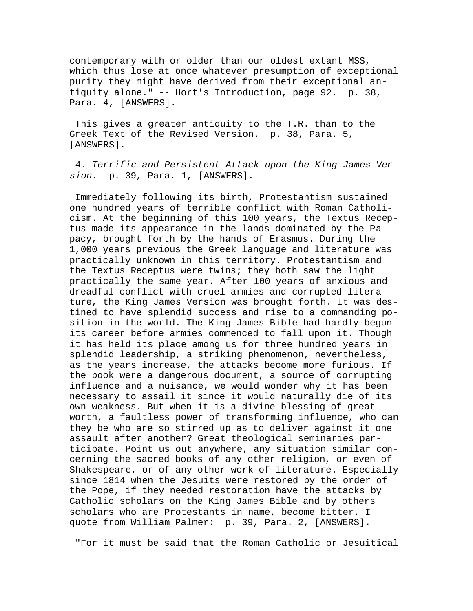contemporary with or older than our oldest extant MSS, which thus lose at once whatever presumption of exceptional purity they might have derived from their exceptional antiquity alone." -- Hort's Introduction, page 92. p. 38, Para. 4, [ANSWERS].

 This gives a greater antiquity to the T.R. than to the Greek Text of the Revised Version. p. 38, Para. 5, [ANSWERS].

 4. *Terrific and Persistent Attack upon the King James Version.* p. 39, Para. 1, [ANSWERS].

 Immediately following its birth, Protestantism sustained one hundred years of terrible conflict with Roman Catholicism. At the beginning of this 100 years, the Textus Receptus made its appearance in the lands dominated by the Papacy, brought forth by the hands of Erasmus. During the 1,000 years previous the Greek language and literature was practically unknown in this territory. Protestantism and the Textus Receptus were twins; they both saw the light practically the same year. After 100 years of anxious and dreadful conflict with cruel armies and corrupted literature, the King James Version was brought forth. It was destined to have splendid success and rise to a commanding position in the world. The King James Bible had hardly begun its career before armies commenced to fall upon it. Though it has held its place among us for three hundred years in splendid leadership, a striking phenomenon, nevertheless, as the years increase, the attacks become more furious. If the book were a dangerous document, a source of corrupting influence and a nuisance, we would wonder why it has been necessary to assail it since it would naturally die of its own weakness. But when it is a divine blessing of great worth, a faultless power of transforming influence, who can they be who are so stirred up as to deliver against it one assault after another? Great theological seminaries participate. Point us out anywhere, any situation similar concerning the sacred books of any other religion, or even of Shakespeare, or of any other work of literature. Especially since 1814 when the Jesuits were restored by the order of the Pope, if they needed restoration have the attacks by Catholic scholars on the King James Bible and by others scholars who are Protestants in name, become bitter. I quote from William Palmer: p. 39, Para. 2, [ANSWERS].

"For it must be said that the Roman Catholic or Jesuitical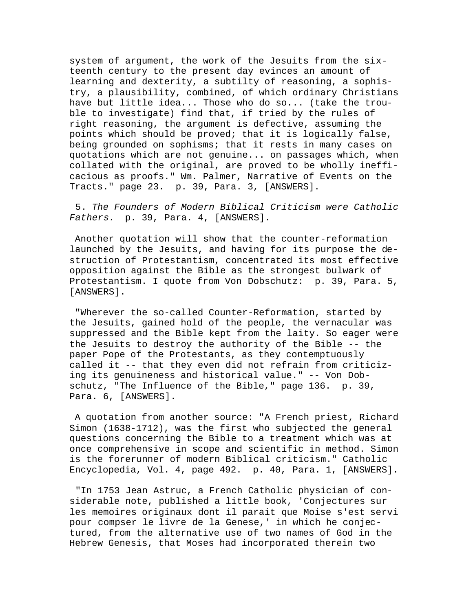system of argument, the work of the Jesuits from the sixteenth century to the present day evinces an amount of learning and dexterity, a subtilty of reasoning, a sophistry, a plausibility, combined, of which ordinary Christians have but little idea... Those who do so... (take the trouble to investigate) find that, if tried by the rules of right reasoning, the argument is defective, assuming the points which should be proved; that it is logically false, being grounded on sophisms; that it rests in many cases on quotations which are not genuine... on passages which, when collated with the original, are proved to be wholly inefficacious as proofs." Wm. Palmer, Narrative of Events on the Tracts." page 23. p. 39, Para. 3, [ANSWERS].

 5. *The Founders of Modern Biblical Criticism were Catholic Fathers.* p. 39, Para. 4, [ANSWERS].

 Another quotation will show that the counter-reformation launched by the Jesuits, and having for its purpose the destruction of Protestantism, concentrated its most effective opposition against the Bible as the strongest bulwark of Protestantism. I quote from Von Dobschutz: p. 39, Para. 5, [ANSWERS].

 "Wherever the so-called Counter-Reformation, started by the Jesuits, gained hold of the people, the vernacular was suppressed and the Bible kept from the laity. So eager were the Jesuits to destroy the authority of the Bible -- the paper Pope of the Protestants, as they contemptuously called it -- that they even did not refrain from criticizing its genuineness and historical value." -- Von Dobschutz, "The Influence of the Bible," page 136. p. 39, Para. 6, [ANSWERS].

 A quotation from another source: "A French priest, Richard Simon (1638-1712), was the first who subjected the general questions concerning the Bible to a treatment which was at once comprehensive in scope and scientific in method. Simon is the forerunner of modern Biblical criticism." Catholic Encyclopedia, Vol. 4, page 492. p. 40, Para. 1, [ANSWERS].

 "In 1753 Jean Astruc, a French Catholic physician of considerable note, published a little book, 'Conjectures sur les memoires originaux dont il parait que Moise s'est servi pour compser le livre de la Genese,' in which he conjectured, from the alternative use of two names of God in the Hebrew Genesis, that Moses had incorporated therein two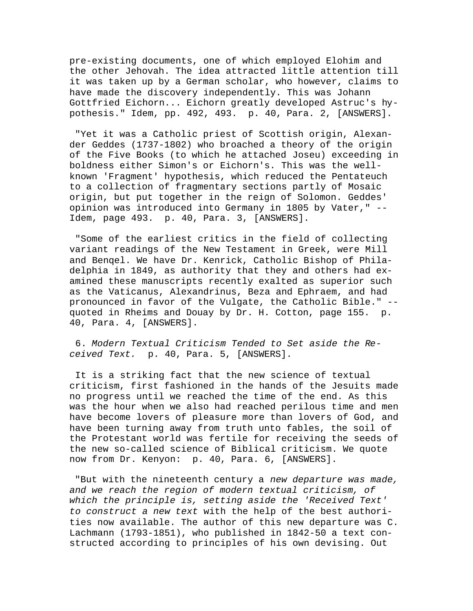pre-existing documents, one of which employed Elohim and the other Jehovah. The idea attracted little attention till it was taken up by a German scholar, who however, claims to have made the discovery independently. This was Johann Gottfried Eichorn... Eichorn greatly developed Astruc's hypothesis." Idem, pp. 492, 493. p. 40, Para. 2, [ANSWERS].

 "Yet it was a Catholic priest of Scottish origin, Alexander Geddes (1737-1802) who broached a theory of the origin of the Five Books (to which he attached Joseu) exceeding in boldness either Simon's or Eichorn's. This was the wellknown 'Fragment' hypothesis, which reduced the Pentateuch to a collection of fragmentary sections partly of Mosaic origin, but put together in the reign of Solomon. Geddes' opinion was introduced into Germany in 1805 by Vater," -- Idem, page 493. p. 40, Para. 3, [ANSWERS].

 "Some of the earliest critics in the field of collecting variant readings of the New Testament in Greek, were Mill and Benqel. We have Dr. Kenrick, Catholic Bishop of Philadelphia in 1849, as authority that they and others had examined these manuscripts recently exalted as superior such as the Vaticanus, Alexandrinus, Beza and Ephraem, and had pronounced in favor of the Vulgate, the Catholic Bible." - quoted in Rheims and Douay by Dr. H. Cotton, page 155. p. 40, Para. 4, [ANSWERS].

 6. *Modern Textual Criticism Tended to Set aside the Received Text.* p. 40, Para. 5, [ANSWERS].

 It is a striking fact that the new science of textual criticism, first fashioned in the hands of the Jesuits made no progress until we reached the time of the end. As this was the hour when we also had reached perilous time and men have become lovers of pleasure more than lovers of God, and have been turning away from truth unto fables, the soil of the Protestant world was fertile for receiving the seeds of the new so-called science of Biblical criticism. We quote now from Dr. Kenyon: p. 40, Para. 6, [ANSWERS].

 "But with the nineteenth century a *new departure was made, and we reach the region of modern textual criticism, of which the principle is, setting aside the 'Received Text' to construct a new text* with the help of the best authorities now available. The author of this new departure was C. Lachmann (1793-1851), who published in 1842-50 a text constructed according to principles of his own devising. Out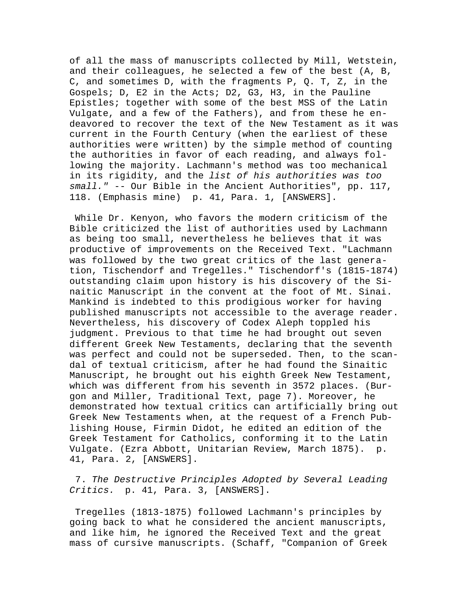of all the mass of manuscripts collected by Mill, Wetstein, and their colleagues, he selected a few of the best (A, B, C, and sometimes D, with the fragments P, Q. T, Z, in the Gospels; D, E2 in the Acts; D2, G3, H3, in the Pauline Epistles; together with some of the best MSS of the Latin Vulgate, and a few of the Fathers), and from these he endeavored to recover the text of the New Testament as it was current in the Fourth Century (when the earliest of these authorities were written) by the simple method of counting the authorities in favor of each reading, and always following the majority. Lachmann's method was too mechanical in its rigidity, and the *list of his authorities was too small."* -- Our Bible in the Ancient Authorities", pp. 117, 118. (Emphasis mine) p. 41, Para. 1, [ANSWERS].

 While Dr. Kenyon, who favors the modern criticism of the Bible criticized the list of authorities used by Lachmann as being too small, nevertheless he believes that it was productive of improvements on the Received Text. "Lachmann was followed by the two great critics of the last generation, Tischendorf and Tregelles." Tischendorf's (1815-1874) outstanding claim upon history is his discovery of the Sinaitic Manuscript in the convent at the foot of Mt. Sinai. Mankind is indebted to this prodigious worker for having published manuscripts not accessible to the average reader. Nevertheless, his discovery of Codex Aleph toppled his judgment. Previous to that time he had brought out seven different Greek New Testaments, declaring that the seventh was perfect and could not be superseded. Then, to the scandal of textual criticism, after he had found the Sinaitic Manuscript, he brought out his eighth Greek New Testament, which was different from his seventh in 3572 places. (Burgon and Miller, Traditional Text, page 7). Moreover, he demonstrated how textual critics can artificially bring out Greek New Testaments when, at the request of a French Publishing House, Firmin Didot, he edited an edition of the Greek Testament for Catholics, conforming it to the Latin Vulgate. (Ezra Abbott, Unitarian Review, March 1875). p. 41, Para. 2, [ANSWERS].

 7. *The Destructive Principles Adopted by Several Leading Critics.* p. 41, Para. 3, [ANSWERS].

 Tregelles (1813-1875) followed Lachmann's principles by going back to what he considered the ancient manuscripts, and like him, he ignored the Received Text and the great mass of cursive manuscripts. (Schaff, "Companion of Greek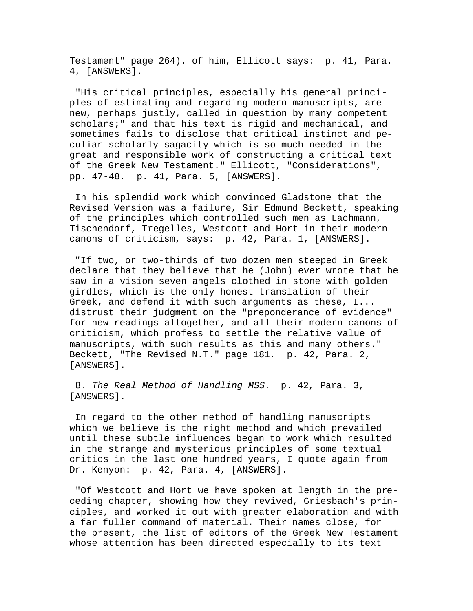Testament" page 264). of him, Ellicott says: p. 41, Para. 4, [ANSWERS].

 "His critical principles, especially his general principles of estimating and regarding modern manuscripts, are new, perhaps justly, called in question by many competent scholars;" and that his text is rigid and mechanical, and sometimes fails to disclose that critical instinct and peculiar scholarly sagacity which is so much needed in the great and responsible work of constructing a critical text of the Greek New Testament." Ellicott, "Considerations", pp. 47-48. p. 41, Para. 5, [ANSWERS].

 In his splendid work which convinced Gladstone that the Revised Version was a failure, Sir Edmund Beckett, speaking of the principles which controlled such men as Lachmann, Tischendorf, Tregelles, Westcott and Hort in their modern canons of criticism, says: p. 42, Para. 1, [ANSWERS].

 "If two, or two-thirds of two dozen men steeped in Greek declare that they believe that he (John) ever wrote that he saw in a vision seven angels clothed in stone with golden girdles, which is the only honest translation of their Greek, and defend it with such arguments as these, I... distrust their judgment on the "preponderance of evidence" for new readings altogether, and all their modern canons of criticism, which profess to settle the relative value of manuscripts, with such results as this and many others." Beckett, "The Revised N.T." page 181. p. 42, Para. 2, [ANSWERS].

 8. *The Real Method of Handling MSS.* p. 42, Para. 3, [ANSWERS].

 In regard to the other method of handling manuscripts which we believe is the right method and which prevailed until these subtle influences began to work which resulted in the strange and mysterious principles of some textual critics in the last one hundred years, I quote again from Dr. Kenyon: p. 42, Para. 4, [ANSWERS].

 "Of Westcott and Hort we have spoken at length in the preceding chapter, showing how they revived, Griesbach's principles, and worked it out with greater elaboration and with a far fuller command of material. Their names close, for the present, the list of editors of the Greek New Testament whose attention has been directed especially to its text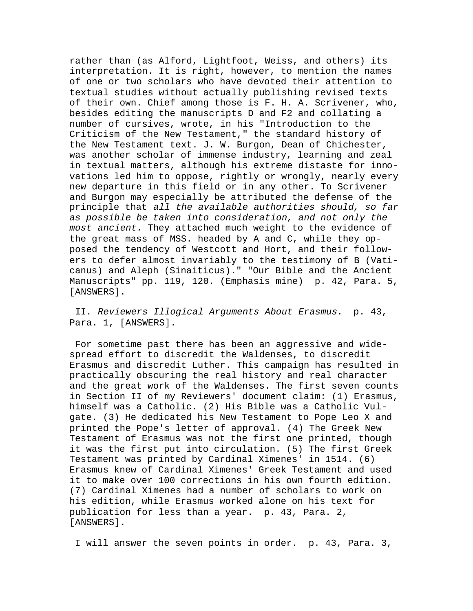rather than (as Alford, Lightfoot, Weiss, and others) its interpretation. It is right, however, to mention the names of one or two scholars who have devoted their attention to textual studies without actually publishing revised texts of their own. Chief among those is F. H. A. Scrivener, who, besides editing the manuscripts D and F2 and collating a number of cursives, wrote, in his "Introduction to the Criticism of the New Testament," the standard history of the New Testament text. J. W. Burgon, Dean of Chichester, was another scholar of immense industry, learning and zeal in textual matters, although his extreme distaste for innovations led him to oppose, rightly or wrongly, nearly every new departure in this field or in any other. To Scrivener and Burgon may especially be attributed the defense of the principle that *all the available authorities should, so far as possible be taken into consideration, and not only the most ancient.* They attached much weight to the evidence of the great mass of MSS. headed by A and C, while they opposed the tendency of Westcott and Hort, and their followers to defer almost invariably to the testimony of B (Vaticanus) and Aleph (Sinaiticus)." "Our Bible and the Ancient Manuscripts" pp. 119, 120. (Emphasis mine) p. 42, Para. 5, [ANSWERS].

 II. *Reviewers Illogical Arguments About Erasmus.* p. 43, Para. 1, [ANSWERS].

 For sometime past there has been an aggressive and widespread effort to discredit the Waldenses, to discredit Erasmus and discredit Luther. This campaign has resulted in practically obscuring the real history and real character and the great work of the Waldenses. The first seven counts in Section II of my Reviewers' document claim: (1) Erasmus, himself was a Catholic. (2) His Bible was a Catholic Vulgate. (3) He dedicated his New Testament to Pope Leo X and printed the Pope's letter of approval. (4) The Greek New Testament of Erasmus was not the first one printed, though it was the first put into circulation. (5) The first Greek Testament was printed by Cardinal Ximenes' in 1514. (6) Erasmus knew of Cardinal Ximenes' Greek Testament and used it to make over 100 corrections in his own fourth edition. (7) Cardinal Ximenes had a number of scholars to work on his edition, while Erasmus worked alone on his text for publication for less than a year. p. 43, Para. 2, [ANSWERS].

I will answer the seven points in order. p. 43, Para. 3,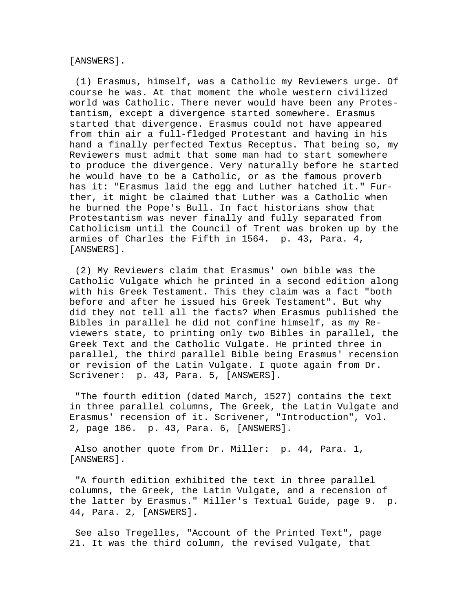[ANSWERS].

 (1) Erasmus, himself, was a Catholic my Reviewers urge. Of course he was. At that moment the whole western civilized world was Catholic. There never would have been any Protestantism, except a divergence started somewhere. Erasmus started that divergence. Erasmus could not have appeared from thin air a full-fledged Protestant and having in his hand a finally perfected Textus Receptus. That being so, my Reviewers must admit that some man had to start somewhere to produce the divergence. Very naturally before he started he would have to be a Catholic, or as the famous proverb has it: "Erasmus laid the egg and Luther hatched it." Further, it might be claimed that Luther was a Catholic when he burned the Pope's Bull. In fact historians show that Protestantism was never finally and fully separated from Catholicism until the Council of Trent was broken up by the armies of Charles the Fifth in 1564. p. 43, Para. 4, [ANSWERS].

 (2) My Reviewers claim that Erasmus' own bible was the Catholic Vulgate which he printed in a second edition along with his Greek Testament. This they claim was a fact "both before and after he issued his Greek Testament". But why did they not tell all the facts? When Erasmus published the Bibles in parallel he did not confine himself, as my Reviewers state, to printing only two Bibles in parallel, the Greek Text and the Catholic Vulgate. He printed three in parallel, the third parallel Bible being Erasmus' recension or revision of the Latin Vulgate. I quote again from Dr. Scrivener: p. 43, Para. 5, [ANSWERS].

 "The fourth edition (dated March, 1527) contains the text in three parallel columns, The Greek, the Latin Vulgate and Erasmus' recension of it. Scrivener, "Introduction", Vol. 2, page 186. p. 43, Para. 6, [ANSWERS].

 Also another quote from Dr. Miller: p. 44, Para. 1, [ANSWERS].

 "A fourth edition exhibited the text in three parallel columns, the Greek, the Latin Vulgate, and a recension of the latter by Erasmus." Miller's Textual Guide, page 9. p. 44, Para. 2, [ANSWERS].

 See also Tregelles, "Account of the Printed Text", page 21. It was the third column, the revised Vulgate, that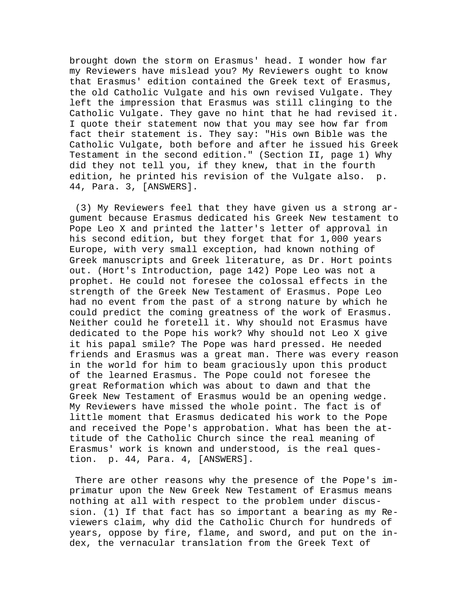brought down the storm on Erasmus' head. I wonder how far my Reviewers have mislead you? My Reviewers ought to know that Erasmus' edition contained the Greek text of Erasmus, the old Catholic Vulgate and his own revised Vulgate. They left the impression that Erasmus was still clinging to the Catholic Vulgate. They gave no hint that he had revised it. I quote their statement now that you may see how far from fact their statement is. They say: "His own Bible was the Catholic Vulgate, both before and after he issued his Greek Testament in the second edition." (Section II, page 1) Why did they not tell you, if they knew, that in the fourth edition, he printed his revision of the Vulgate also. p. 44, Para. 3, [ANSWERS].

 (3) My Reviewers feel that they have given us a strong argument because Erasmus dedicated his Greek New testament to Pope Leo X and printed the latter's letter of approval in his second edition, but they forget that for 1,000 years Europe, with very small exception, had known nothing of Greek manuscripts and Greek literature, as Dr. Hort points out. (Hort's Introduction, page 142) Pope Leo was not a prophet. He could not foresee the colossal effects in the strength of the Greek New Testament of Erasmus. Pope Leo had no event from the past of a strong nature by which he could predict the coming greatness of the work of Erasmus. Neither could he foretell it. Why should not Erasmus have dedicated to the Pope his work? Why should not Leo X give it his papal smile? The Pope was hard pressed. He needed friends and Erasmus was a great man. There was every reason in the world for him to beam graciously upon this product of the learned Erasmus. The Pope could not foresee the great Reformation which was about to dawn and that the Greek New Testament of Erasmus would be an opening wedge. My Reviewers have missed the whole point. The fact is of little moment that Erasmus dedicated his work to the Pope and received the Pope's approbation. What has been the attitude of the Catholic Church since the real meaning of Erasmus' work is known and understood, is the real question. p. 44, Para. 4, [ANSWERS].

 There are other reasons why the presence of the Pope's imprimatur upon the New Greek New Testament of Erasmus means nothing at all with respect to the problem under discussion. (1) If that fact has so important a bearing as my Reviewers claim, why did the Catholic Church for hundreds of years, oppose by fire, flame, and sword, and put on the index, the vernacular translation from the Greek Text of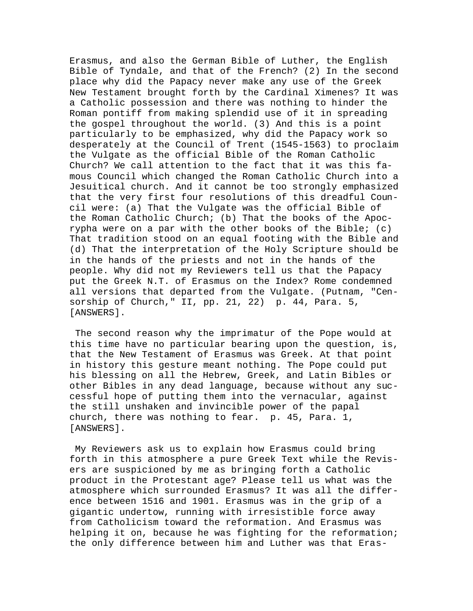Erasmus, and also the German Bible of Luther, the English Bible of Tyndale, and that of the French? (2) In the second place why did the Papacy never make any use of the Greek New Testament brought forth by the Cardinal Ximenes? It was a Catholic possession and there was nothing to hinder the Roman pontiff from making splendid use of it in spreading the gospel throughout the world. (3) And this is a point particularly to be emphasized, why did the Papacy work so desperately at the Council of Trent (1545-1563) to proclaim the Vulgate as the official Bible of the Roman Catholic Church? We call attention to the fact that it was this famous Council which changed the Roman Catholic Church into a Jesuitical church. And it cannot be too strongly emphasized that the very first four resolutions of this dreadful Council were: (a) That the Vulgate was the official Bible of the Roman Catholic Church; (b) That the books of the Apocrypha were on a par with the other books of the Bible; (c) That tradition stood on an equal footing with the Bible and (d) That the interpretation of the Holy Scripture should be in the hands of the priests and not in the hands of the people. Why did not my Reviewers tell us that the Papacy put the Greek N.T. of Erasmus on the Index? Rome condemned all versions that departed from the Vulgate. (Putnam, "Censorship of Church," II, pp. 21, 22) p. 44, Para. 5, [ANSWERS].

 The second reason why the imprimatur of the Pope would at this time have no particular bearing upon the question, is, that the New Testament of Erasmus was Greek. At that point in history this gesture meant nothing. The Pope could put his blessing on all the Hebrew, Greek, and Latin Bibles or other Bibles in any dead language, because without any successful hope of putting them into the vernacular, against the still unshaken and invincible power of the papal church, there was nothing to fear. p. 45, Para. 1, [ANSWERS].

 My Reviewers ask us to explain how Erasmus could bring forth in this atmosphere a pure Greek Text while the Revisers are suspicioned by me as bringing forth a Catholic product in the Protestant age? Please tell us what was the atmosphere which surrounded Erasmus? It was all the difference between 1516 and 1901. Erasmus was in the grip of a gigantic undertow, running with irresistible force away from Catholicism toward the reformation. And Erasmus was helping it on, because he was fighting for the reformation; the only difference between him and Luther was that Eras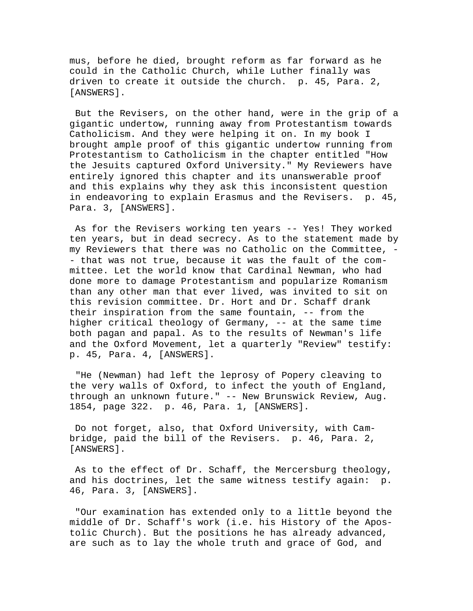mus, before he died, brought reform as far forward as he could in the Catholic Church, while Luther finally was driven to create it outside the church. p. 45, Para. 2, [ANSWERS].

 But the Revisers, on the other hand, were in the grip of a gigantic undertow, running away from Protestantism towards Catholicism. And they were helping it on. In my book I brought ample proof of this gigantic undertow running from Protestantism to Catholicism in the chapter entitled "How the Jesuits captured Oxford University." My Reviewers have entirely ignored this chapter and its unanswerable proof and this explains why they ask this inconsistent question in endeavoring to explain Erasmus and the Revisers. p. 45, Para. 3, [ANSWERS].

 As for the Revisers working ten years -- Yes! They worked ten years, but in dead secrecy. As to the statement made by my Reviewers that there was no Catholic on the Committee, - - that was not true, because it was the fault of the committee. Let the world know that Cardinal Newman, who had done more to damage Protestantism and popularize Romanism than any other man that ever lived, was invited to sit on this revision committee. Dr. Hort and Dr. Schaff drank their inspiration from the same fountain, -- from the higher critical theology of Germany, -- at the same time both pagan and papal. As to the results of Newman's life and the Oxford Movement, let a quarterly "Review" testify: p. 45, Para. 4, [ANSWERS].

 "He (Newman) had left the leprosy of Popery cleaving to the very walls of Oxford, to infect the youth of England, through an unknown future." -- New Brunswick Review, Aug. 1854, page 322. p. 46, Para. 1, [ANSWERS].

 Do not forget, also, that Oxford University, with Cambridge, paid the bill of the Revisers. p. 46, Para. 2, [ANSWERS].

 As to the effect of Dr. Schaff, the Mercersburg theology, and his doctrines, let the same witness testify again: p. 46, Para. 3, [ANSWERS].

 "Our examination has extended only to a little beyond the middle of Dr. Schaff's work (i.e. his History of the Apostolic Church). But the positions he has already advanced, are such as to lay the whole truth and grace of God, and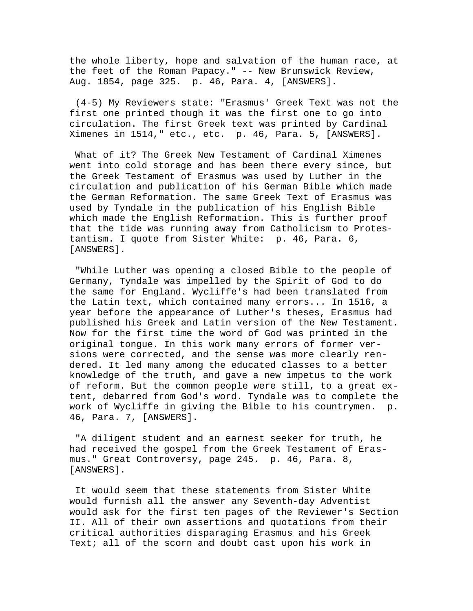the whole liberty, hope and salvation of the human race, at the feet of the Roman Papacy." -- New Brunswick Review, Aug. 1854, page 325. p. 46, Para. 4, [ANSWERS].

 (4-5) My Reviewers state: "Erasmus' Greek Text was not the first one printed though it was the first one to go into circulation. The first Greek text was printed by Cardinal Ximenes in 1514," etc., etc. p. 46, Para. 5, [ANSWERS].

 What of it? The Greek New Testament of Cardinal Ximenes went into cold storage and has been there every since, but the Greek Testament of Erasmus was used by Luther in the circulation and publication of his German Bible which made the German Reformation. The same Greek Text of Erasmus was used by Tyndale in the publication of his English Bible which made the English Reformation. This is further proof that the tide was running away from Catholicism to Protestantism. I quote from Sister White: p. 46, Para. 6, [ANSWERS].

 "While Luther was opening a closed Bible to the people of Germany, Tyndale was impelled by the Spirit of God to do the same for England. Wycliffe's had been translated from the Latin text, which contained many errors... In 1516, a year before the appearance of Luther's theses, Erasmus had published his Greek and Latin version of the New Testament. Now for the first time the word of God was printed in the original tongue. In this work many errors of former versions were corrected, and the sense was more clearly rendered. It led many among the educated classes to a better knowledge of the truth, and gave a new impetus to the work of reform. But the common people were still, to a great extent, debarred from God's word. Tyndale was to complete the work of Wycliffe in giving the Bible to his countrymen. p. 46, Para. 7, [ANSWERS].

 "A diligent student and an earnest seeker for truth, he had received the gospel from the Greek Testament of Erasmus." Great Controversy, page 245. p. 46, Para. 8, [ANSWERS].

 It would seem that these statements from Sister White would furnish all the answer any Seventh-day Adventist would ask for the first ten pages of the Reviewer's Section II. All of their own assertions and quotations from their critical authorities disparaging Erasmus and his Greek Text; all of the scorn and doubt cast upon his work in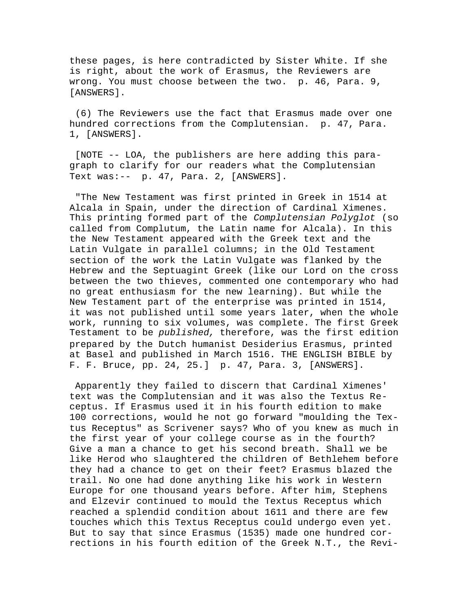these pages, is here contradicted by Sister White. If she is right, about the work of Erasmus, the Reviewers are wrong. You must choose between the two. p. 46, Para. 9, [ANSWERS].

 (6) The Reviewers use the fact that Erasmus made over one hundred corrections from the Complutensian. p. 47, Para. 1, [ANSWERS].

 [NOTE -- LOA, the publishers are here adding this paragraph to clarify for our readers what the Complutensian Text was:-- p. 47, Para. 2, [ANSWERS].

 "The New Testament was first printed in Greek in 1514 at Alcala in Spain, under the direction of Cardinal Ximenes. This printing formed part of the *Complutensian Polyglot* (so called from Complutum, the Latin name for Alcala). In this the New Testament appeared with the Greek text and the Latin Vulgate in parallel columns; in the Old Testament section of the work the Latin Vulgate was flanked by the Hebrew and the Septuagint Greek (like our Lord on the cross between the two thieves, commented one contemporary who had no great enthusiasm for the new learning). But while the New Testament part of the enterprise was printed in 1514, it was not published until some years later, when the whole work, running to six volumes, was complete. The first Greek Testament to be *published,* therefore, was the first edition prepared by the Dutch humanist Desiderius Erasmus, printed at Basel and published in March 1516. THE ENGLISH BIBLE by F. F. Bruce, pp. 24, 25.] p. 47, Para. 3, [ANSWERS].

 Apparently they failed to discern that Cardinal Ximenes' text was the Complutensian and it was also the Textus Receptus. If Erasmus used it in his fourth edition to make 100 corrections, would he not go forward "moulding the Textus Receptus" as Scrivener says? Who of you knew as much in the first year of your college course as in the fourth? Give a man a chance to get his second breath. Shall we be like Herod who slaughtered the children of Bethlehem before they had a chance to get on their feet? Erasmus blazed the trail. No one had done anything like his work in Western Europe for one thousand years before. After him, Stephens and Elzevir continued to mould the Textus Receptus which reached a splendid condition about 1611 and there are few touches which this Textus Receptus could undergo even yet. But to say that since Erasmus (1535) made one hundred corrections in his fourth edition of the Greek N.T., the Revi-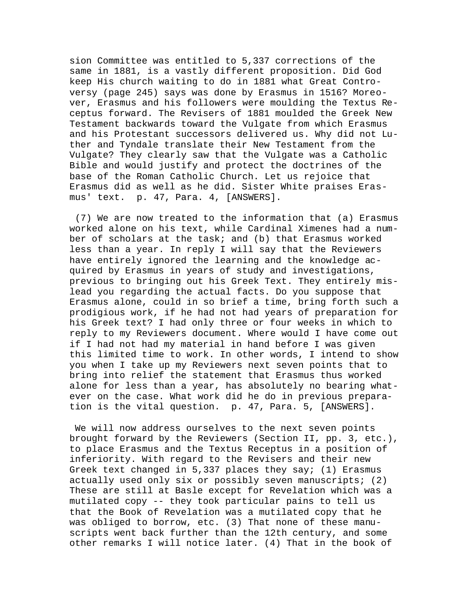sion Committee was entitled to 5,337 corrections of the same in 1881, is a vastly different proposition. Did God keep His church waiting to do in 1881 what Great Controversy (page 245) says was done by Erasmus in 1516? Moreover, Erasmus and his followers were moulding the Textus Receptus forward. The Revisers of 1881 moulded the Greek New Testament backwards toward the Vulgate from which Erasmus and his Protestant successors delivered us. Why did not Luther and Tyndale translate their New Testament from the Vulgate? They clearly saw that the Vulgate was a Catholic Bible and would justify and protect the doctrines of the base of the Roman Catholic Church. Let us rejoice that Erasmus did as well as he did. Sister White praises Erasmus' text. p. 47, Para. 4, [ANSWERS].

 (7) We are now treated to the information that (a) Erasmus worked alone on his text, while Cardinal Ximenes had a number of scholars at the task; and (b) that Erasmus worked less than a year. In reply I will say that the Reviewers have entirely ignored the learning and the knowledge acquired by Erasmus in years of study and investigations, previous to bringing out his Greek Text. They entirely mislead you regarding the actual facts. Do you suppose that Erasmus alone, could in so brief a time, bring forth such a prodigious work, if he had not had years of preparation for his Greek text? I had only three or four weeks in which to reply to my Reviewers document. Where would I have come out if I had not had my material in hand before I was given this limited time to work. In other words, I intend to show you when I take up my Reviewers next seven points that to bring into relief the statement that Erasmus thus worked alone for less than a year, has absolutely no bearing whatever on the case. What work did he do in previous preparation is the vital question. p. 47, Para. 5, [ANSWERS].

 We will now address ourselves to the next seven points brought forward by the Reviewers (Section II, pp. 3, etc.), to place Erasmus and the Textus Receptus in a position of inferiority. With regard to the Revisers and their new Greek text changed in 5,337 places they say; (1) Erasmus actually used only six or possibly seven manuscripts; (2) These are still at Basle except for Revelation which was a mutilated copy -- they took particular pains to tell us that the Book of Revelation was a mutilated copy that he was obliged to borrow, etc. (3) That none of these manuscripts went back further than the 12th century, and some other remarks I will notice later. (4) That in the book of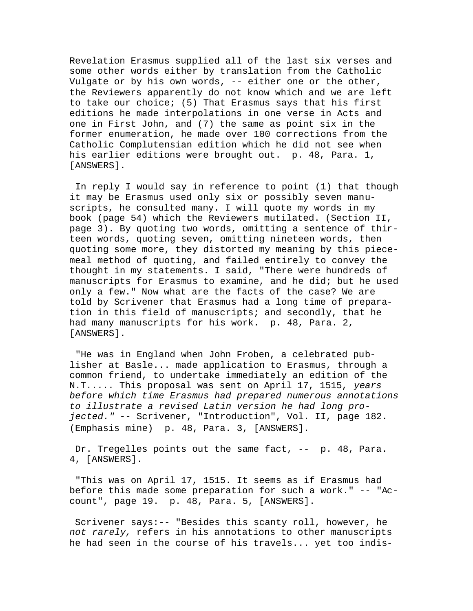Revelation Erasmus supplied all of the last six verses and some other words either by translation from the Catholic Vulgate or by his own words, -- either one or the other, the Reviewers apparently do not know which and we are left to take our choice; (5) That Erasmus says that his first editions he made interpolations in one verse in Acts and one in First John, and (7) the same as point six in the former enumeration, he made over 100 corrections from the Catholic Complutensian edition which he did not see when his earlier editions were brought out. p. 48, Para. 1, [ANSWERS].

 In reply I would say in reference to point (1) that though it may be Erasmus used only six or possibly seven manuscripts, he consulted many. I will quote my words in my book (page 54) which the Reviewers mutilated. (Section II, page 3). By quoting two words, omitting a sentence of thirteen words, quoting seven, omitting nineteen words, then quoting some more, they distorted my meaning by this piecemeal method of quoting, and failed entirely to convey the thought in my statements. I said, "There were hundreds of manuscripts for Erasmus to examine, and he did; but he used only a few." Now what are the facts of the case? We are told by Scrivener that Erasmus had a long time of preparation in this field of manuscripts; and secondly, that he had many manuscripts for his work. p. 48, Para. 2, [ANSWERS].

 "He was in England when John Froben, a celebrated publisher at Basle... made application to Erasmus, through a common friend, to undertake immediately an edition of the N.T..... This proposal was sent on April 17, 1515, *years before which time Erasmus had prepared numerous annotations to illustrate a revised Latin version he had long projected."* -- Scrivener, "Introduction", Vol. II, page 182. (Emphasis mine) p. 48, Para. 3, [ANSWERS].

 Dr. Tregelles points out the same fact, -- p. 48, Para. 4, [ANSWERS].

 "This was on April 17, 1515. It seems as if Erasmus had before this made some preparation for such a work." -- "Account", page 19. p. 48, Para. 5, [ANSWERS].

 Scrivener says:-- "Besides this scanty roll, however, he *not rarely,* refers in his annotations to other manuscripts he had seen in the course of his travels... yet too indis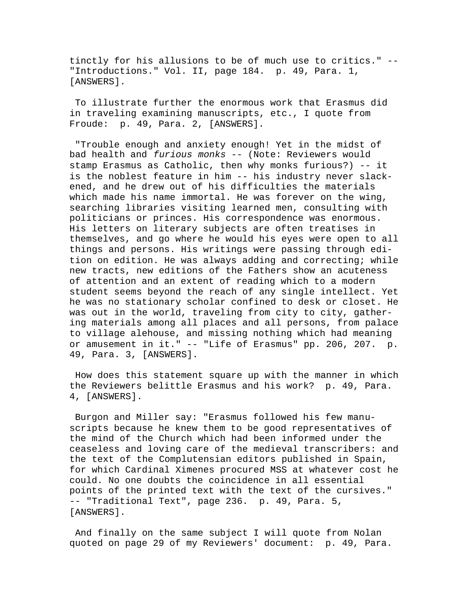tinctly for his allusions to be of much use to critics." -- "Introductions." Vol. II, page 184. p. 49, Para. 1, [ANSWERS].

 To illustrate further the enormous work that Erasmus did in traveling examining manuscripts, etc., I quote from Froude: p. 49, Para. 2, [ANSWERS].

 "Trouble enough and anxiety enough! Yet in the midst of bad health and *furious monks* -- (Note: Reviewers would stamp Erasmus as Catholic, then why monks furious?) -- it is the noblest feature in him -- his industry never slackened, and he drew out of his difficulties the materials which made his name immortal. He was forever on the wing, searching libraries visiting learned men, consulting with politicians or princes. His correspondence was enormous. His letters on literary subjects are often treatises in themselves, and go where he would his eyes were open to all things and persons. His writings were passing through edition on edition. He was always adding and correcting; while new tracts, new editions of the Fathers show an acuteness of attention and an extent of reading which to a modern student seems beyond the reach of any single intellect. Yet he was no stationary scholar confined to desk or closet. He was out in the world, traveling from city to city, gathering materials among all places and all persons, from palace to village alehouse, and missing nothing which had meaning or amusement in it." -- "Life of Erasmus" pp. 206, 207. p. 49, Para. 3, [ANSWERS].

 How does this statement square up with the manner in which the Reviewers belittle Erasmus and his work? p. 49, Para. 4, [ANSWERS].

 Burgon and Miller say: "Erasmus followed his few manuscripts because he knew them to be good representatives of the mind of the Church which had been informed under the ceaseless and loving care of the medieval transcribers: and the text of the Complutensian editors published in Spain, for which Cardinal Ximenes procured MSS at whatever cost he could. No one doubts the coincidence in all essential points of the printed text with the text of the cursives." -- "Traditional Text", page 236. p. 49, Para. 5, [ANSWERS].

 And finally on the same subject I will quote from Nolan quoted on page 29 of my Reviewers' document: p. 49, Para.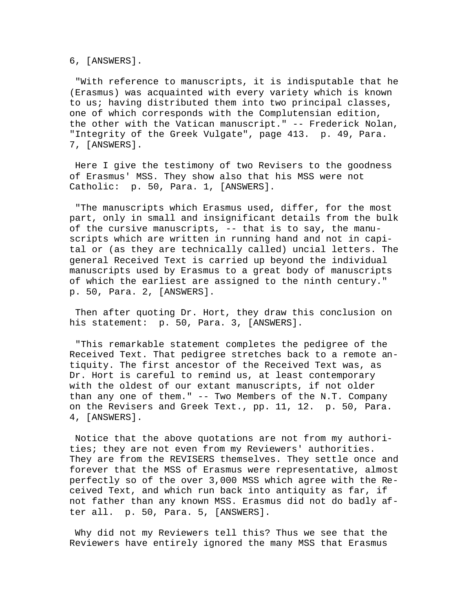6, [ANSWERS].

 "With reference to manuscripts, it is indisputable that he (Erasmus) was acquainted with every variety which is known to us; having distributed them into two principal classes, one of which corresponds with the Complutensian edition, the other with the Vatican manuscript." -- Frederick Nolan, "Integrity of the Greek Vulgate", page 413. p. 49, Para. 7, [ANSWERS].

 Here I give the testimony of two Revisers to the goodness of Erasmus' MSS. They show also that his MSS were not Catholic: p. 50, Para. 1, [ANSWERS].

 "The manuscripts which Erasmus used, differ, for the most part, only in small and insignificant details from the bulk of the cursive manuscripts, -- that is to say, the manuscripts which are written in running hand and not in capital or (as they are technically called) uncial letters. The general Received Text is carried up beyond the individual manuscripts used by Erasmus to a great body of manuscripts of which the earliest are assigned to the ninth century." p. 50, Para. 2, [ANSWERS].

 Then after quoting Dr. Hort, they draw this conclusion on his statement: p. 50, Para. 3, [ANSWERS].

 "This remarkable statement completes the pedigree of the Received Text. That pedigree stretches back to a remote antiquity. The first ancestor of the Received Text was, as Dr. Hort is careful to remind us, at least contemporary with the oldest of our extant manuscripts, if not older than any one of them." -- Two Members of the N.T. Company on the Revisers and Greek Text., pp. 11, 12. p. 50, Para. 4, [ANSWERS].

 Notice that the above quotations are not from my authorities; they are not even from my Reviewers' authorities. They are from the REVISERS themselves. They settle once and forever that the MSS of Erasmus were representative, almost perfectly so of the over 3,000 MSS which agree with the Received Text, and which run back into antiquity as far, if not father than any known MSS. Erasmus did not do badly after all. p. 50, Para. 5, [ANSWERS].

 Why did not my Reviewers tell this? Thus we see that the Reviewers have entirely ignored the many MSS that Erasmus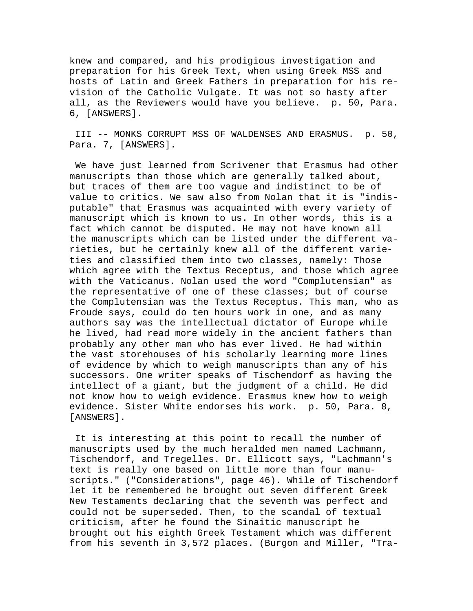knew and compared, and his prodigious investigation and preparation for his Greek Text, when using Greek MSS and hosts of Latin and Greek Fathers in preparation for his revision of the Catholic Vulgate. It was not so hasty after all, as the Reviewers would have you believe. p. 50, Para. 6, [ANSWERS].

 III -- MONKS CORRUPT MSS OF WALDENSES AND ERASMUS. p. 50, Para. 7, [ANSWERS].

 We have just learned from Scrivener that Erasmus had other manuscripts than those which are generally talked about, but traces of them are too vague and indistinct to be of value to critics. We saw also from Nolan that it is "indisputable" that Erasmus was acquainted with every variety of manuscript which is known to us. In other words, this is a fact which cannot be disputed. He may not have known all the manuscripts which can be listed under the different varieties, but he certainly knew all of the different varieties and classified them into two classes, namely: Those which agree with the Textus Receptus, and those which agree with the Vaticanus. Nolan used the word "Complutensian" as the representative of one of these classes; but of course the Complutensian was the Textus Receptus. This man, who as Froude says, could do ten hours work in one, and as many authors say was the intellectual dictator of Europe while he lived, had read more widely in the ancient fathers than probably any other man who has ever lived. He had within the vast storehouses of his scholarly learning more lines of evidence by which to weigh manuscripts than any of his successors. One writer speaks of Tischendorf as having the intellect of a giant, but the judgment of a child. He did not know how to weigh evidence. Erasmus knew how to weigh evidence. Sister White endorses his work. p. 50, Para. 8, [ANSWERS].

 It is interesting at this point to recall the number of manuscripts used by the much heralded men named Lachmann, Tischendorf, and Tregelles. Dr. Ellicott says, "Lachmann's text is really one based on little more than four manuscripts." ("Considerations", page 46). While of Tischendorf let it be remembered he brought out seven different Greek New Testaments declaring that the seventh was perfect and could not be superseded. Then, to the scandal of textual criticism, after he found the Sinaitic manuscript he brought out his eighth Greek Testament which was different from his seventh in 3,572 places. (Burgon and Miller, "Tra-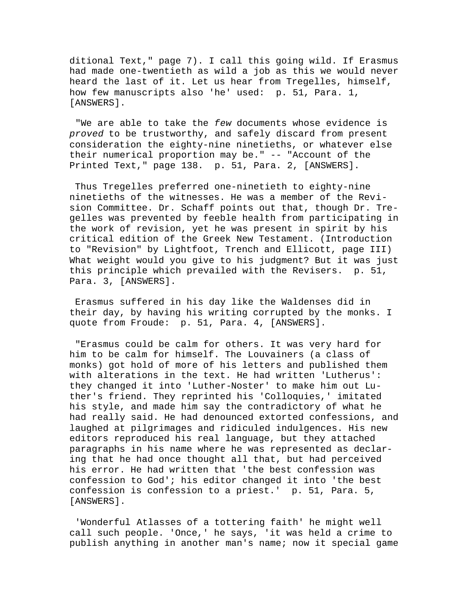ditional Text," page 7). I call this going wild. If Erasmus had made one-twentieth as wild a job as this we would never heard the last of it. Let us hear from Tregelles, himself, how few manuscripts also 'he' used: p. 51, Para. 1, [ANSWERS].

 "We are able to take the *few* documents whose evidence is *proved* to be trustworthy, and safely discard from present consideration the eighty-nine ninetieths, or whatever else their numerical proportion may be." -- "Account of the Printed Text," page 138. p. 51, Para. 2, [ANSWERS].

 Thus Tregelles preferred one-ninetieth to eighty-nine ninetieths of the witnesses. He was a member of the Revision Committee. Dr. Schaff points out that, though Dr. Tregelles was prevented by feeble health from participating in the work of revision, yet he was present in spirit by his critical edition of the Greek New Testament. (Introduction to "Revision" by Lightfoot, Trench and Ellicott, page III) What weight would you give to his judgment? But it was just this principle which prevailed with the Revisers. p. 51, Para. 3, [ANSWERS].

 Erasmus suffered in his day like the Waldenses did in their day, by having his writing corrupted by the monks. I quote from Froude: p. 51, Para. 4, [ANSWERS].

 "Erasmus could be calm for others. It was very hard for him to be calm for himself. The Louvainers (a class of monks) got hold of more of his letters and published them with alterations in the text. He had written 'Lutherus': they changed it into 'Luther-Noster' to make him out Luther's friend. They reprinted his 'Colloquies,' imitated his style, and made him say the contradictory of what he had really said. He had denounced extorted confessions, and laughed at pilgrimages and ridiculed indulgences. His new editors reproduced his real language, but they attached paragraphs in his name where he was represented as declaring that he had once thought all that, but had perceived his error. He had written that 'the best confession was confession to God'; his editor changed it into 'the best confession is confession to a priest.' p. 51, Para. 5, [ANSWERS].

 'Wonderful Atlasses of a tottering faith' he might well call such people. 'Once,' he says, 'it was held a crime to publish anything in another man's name; now it special game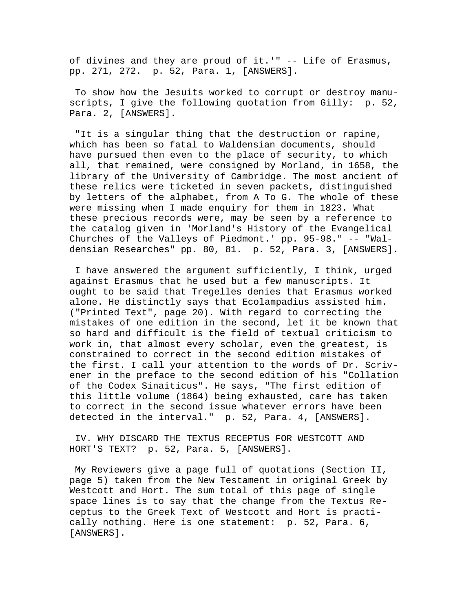of divines and they are proud of it.'" -- Life of Erasmus, pp. 271, 272. p. 52, Para. 1, [ANSWERS].

 To show how the Jesuits worked to corrupt or destroy manuscripts, I give the following quotation from Gilly: p. 52, Para. 2, [ANSWERS].

 "It is a singular thing that the destruction or rapine, which has been so fatal to Waldensian documents, should have pursued then even to the place of security, to which all, that remained, were consigned by Morland, in 1658, the library of the University of Cambridge. The most ancient of these relics were ticketed in seven packets, distinguished by letters of the alphabet, from A To G. The whole of these were missing when I made enquiry for them in 1823. What these precious records were, may be seen by a reference to the catalog given in 'Morland's History of the Evangelical Churches of the Valleys of Piedmont.' pp. 95-98." -- "Waldensian Researches" pp. 80, 81. p. 52, Para. 3, [ANSWERS].

 I have answered the argument sufficiently, I think, urged against Erasmus that he used but a few manuscripts. It ought to be said that Tregelles denies that Erasmus worked alone. He distinctly says that Ecolampadius assisted him. ("Printed Text", page 20). With regard to correcting the mistakes of one edition in the second, let it be known that so hard and difficult is the field of textual criticism to work in, that almost every scholar, even the greatest, is constrained to correct in the second edition mistakes of the first. I call your attention to the words of Dr. Scrivener in the preface to the second edition of his "Collation of the Codex Sinaiticus". He says, "The first edition of this little volume (1864) being exhausted, care has taken to correct in the second issue whatever errors have been detected in the interval." p. 52, Para. 4, [ANSWERS].

 IV. WHY DISCARD THE TEXTUS RECEPTUS FOR WESTCOTT AND HORT'S TEXT? p. 52, Para. 5, [ANSWERS].

 My Reviewers give a page full of quotations (Section II, page 5) taken from the New Testament in original Greek by Westcott and Hort. The sum total of this page of single space lines is to say that the change from the Textus Receptus to the Greek Text of Westcott and Hort is practically nothing. Here is one statement: p. 52, Para. 6, [ANSWERS].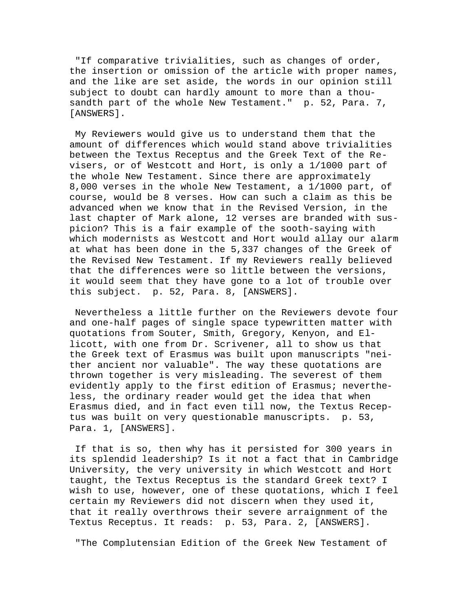"If comparative trivialities, such as changes of order, the insertion or omission of the article with proper names, and the like are set aside, the words in our opinion still subject to doubt can hardly amount to more than a thousandth part of the whole New Testament." p. 52, Para. 7, [ANSWERS].

 My Reviewers would give us to understand them that the amount of differences which would stand above trivialities between the Textus Receptus and the Greek Text of the Revisers, or of Westcott and Hort, is only a 1/1000 part of the whole New Testament. Since there are approximately 8,000 verses in the whole New Testament, a 1/1000 part, of course, would be 8 verses. How can such a claim as this be advanced when we know that in the Revised Version, in the last chapter of Mark alone, 12 verses are branded with suspicion? This is a fair example of the sooth-saying with which modernists as Westcott and Hort would allay our alarm at what has been done in the 5,337 changes of the Greek of the Revised New Testament. If my Reviewers really believed that the differences were so little between the versions, it would seem that they have gone to a lot of trouble over this subject. p. 52, Para. 8, [ANSWERS].

 Nevertheless a little further on the Reviewers devote four and one-half pages of single space typewritten matter with quotations from Souter, Smith, Gregory, Kenyon, and Ellicott, with one from Dr. Scrivener, all to show us that the Greek text of Erasmus was built upon manuscripts "neither ancient nor valuable". The way these quotations are thrown together is very misleading. The severest of them evidently apply to the first edition of Erasmus; nevertheless, the ordinary reader would get the idea that when Erasmus died, and in fact even till now, the Textus Receptus was built on very questionable manuscripts. p. 53, Para. 1, [ANSWERS].

 If that is so, then why has it persisted for 300 years in its splendid leadership? Is it not a fact that in Cambridge University, the very university in which Westcott and Hort taught, the Textus Receptus is the standard Greek text? I wish to use, however, one of these quotations, which I feel certain my Reviewers did not discern when they used it, that it really overthrows their severe arraignment of the Textus Receptus. It reads: p. 53, Para. 2, [ANSWERS].

"The Complutensian Edition of the Greek New Testament of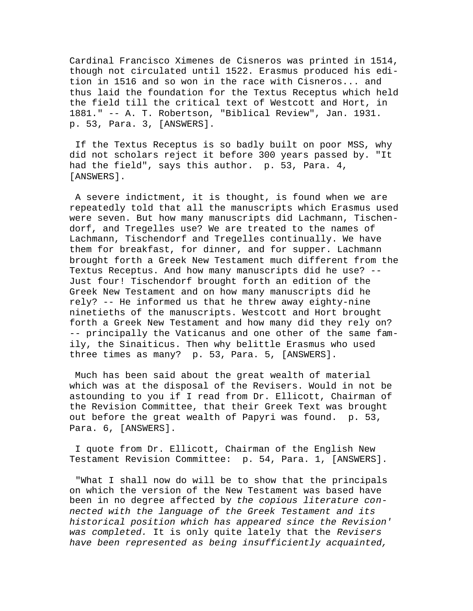Cardinal Francisco Ximenes de Cisneros was printed in 1514, though not circulated until 1522. Erasmus produced his edition in 1516 and so won in the race with Cisneros... and thus laid the foundation for the Textus Receptus which held the field till the critical text of Westcott and Hort, in 1881." -- A. T. Robertson, "Biblical Review", Jan. 1931. p. 53, Para. 3, [ANSWERS].

 If the Textus Receptus is so badly built on poor MSS, why did not scholars reject it before 300 years passed by. "It had the field", says this author. p. 53, Para. 4, [ANSWERS].

 A severe indictment, it is thought, is found when we are repeatedly told that all the manuscripts which Erasmus used were seven. But how many manuscripts did Lachmann, Tischendorf, and Tregelles use? We are treated to the names of Lachmann, Tischendorf and Tregelles continually. We have them for breakfast, for dinner, and for supper. Lachmann brought forth a Greek New Testament much different from the Textus Receptus. And how many manuscripts did he use? -- Just four! Tischendorf brought forth an edition of the Greek New Testament and on how many manuscripts did he rely? -- He informed us that he threw away eighty-nine ninetieths of the manuscripts. Westcott and Hort brought forth a Greek New Testament and how many did they rely on? -- principally the Vaticanus and one other of the same family, the Sinaiticus. Then why belittle Erasmus who used three times as many? p. 53, Para. 5, [ANSWERS].

 Much has been said about the great wealth of material which was at the disposal of the Revisers. Would in not be astounding to you if I read from Dr. Ellicott, Chairman of the Revision Committee, that their Greek Text was brought out before the great wealth of Papyri was found. p. 53, Para. 6, [ANSWERS].

 I quote from Dr. Ellicott, Chairman of the English New Testament Revision Committee: p. 54, Para. 1, [ANSWERS].

 "What I shall now do will be to show that the principals on which the version of the New Testament was based have been in no degree affected by *the copious literature connected with the language of the Greek Testament and its historical position which has appeared since the Revision' was completed.* It is only quite lately that the *Revisers have been represented as being insufficiently acquainted,*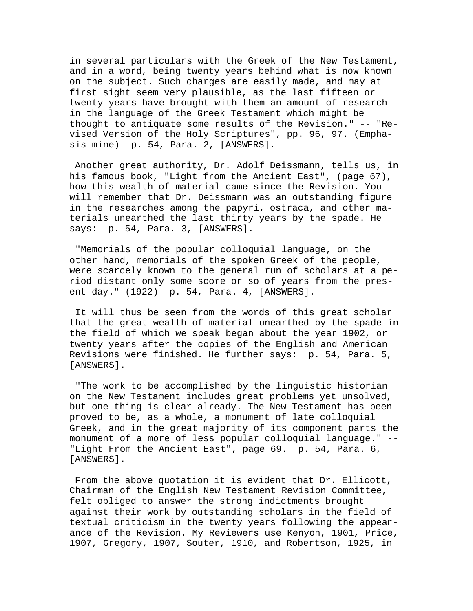in several particulars with the Greek of the New Testament, and in a word, being twenty years behind what is now known on the subject. Such charges are easily made, and may at first sight seem very plausible, as the last fifteen or twenty years have brought with them an amount of research in the language of the Greek Testament which might be thought to antiquate some results of the Revision." -- "Revised Version of the Holy Scriptures", pp. 96, 97. (Emphasis mine) p. 54, Para. 2, [ANSWERS].

 Another great authority, Dr. Adolf Deissmann, tells us, in his famous book, "Light from the Ancient East", (page 67), how this wealth of material came since the Revision. You will remember that Dr. Deissmann was an outstanding figure in the researches among the papyri, ostraca, and other materials unearthed the last thirty years by the spade. He says: p. 54, Para. 3, [ANSWERS].

 "Memorials of the popular colloquial language, on the other hand, memorials of the spoken Greek of the people, were scarcely known to the general run of scholars at a period distant only some score or so of years from the present day." (1922) p. 54, Para. 4, [ANSWERS].

 It will thus be seen from the words of this great scholar that the great wealth of material unearthed by the spade in the field of which we speak began about the year 1902, or twenty years after the copies of the English and American Revisions were finished. He further says: p. 54, Para. 5, [ANSWERS].

 "The work to be accomplished by the linguistic historian on the New Testament includes great problems yet unsolved, but one thing is clear already. The New Testament has been proved to be, as a whole, a monument of late colloquial Greek, and in the great majority of its component parts the monument of a more of less popular colloquial language." -- "Light From the Ancient East", page 69. p. 54, Para. 6, [ANSWERS].

 From the above quotation it is evident that Dr. Ellicott, Chairman of the English New Testament Revision Committee, felt obliged to answer the strong indictments brought against their work by outstanding scholars in the field of textual criticism in the twenty years following the appearance of the Revision. My Reviewers use Kenyon, 1901, Price, 1907, Gregory, 1907, Souter, 1910, and Robertson, 1925, in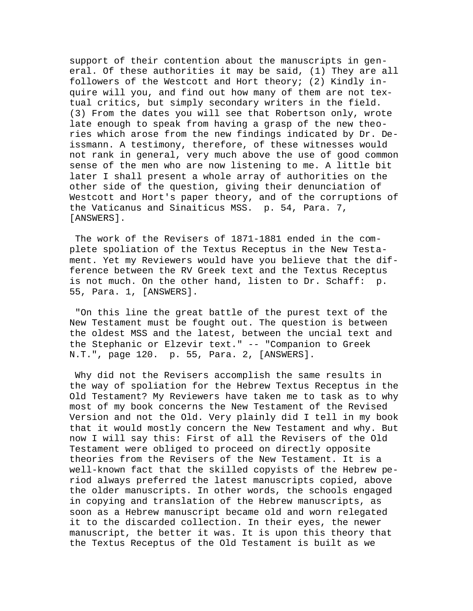support of their contention about the manuscripts in general. Of these authorities it may be said, (1) They are all followers of the Westcott and Hort theory; (2) Kindly inquire will you, and find out how many of them are not textual critics, but simply secondary writers in the field. (3) From the dates you will see that Robertson only, wrote late enough to speak from having a grasp of the new theories which arose from the new findings indicated by Dr. Deissmann. A testimony, therefore, of these witnesses would not rank in general, very much above the use of good common sense of the men who are now listening to me. A little bit later I shall present a whole array of authorities on the other side of the question, giving their denunciation of Westcott and Hort's paper theory, and of the corruptions of the Vaticanus and Sinaiticus MSS. p. 54, Para. 7, [ANSWERS].

 The work of the Revisers of 1871-1881 ended in the complete spoliation of the Textus Receptus in the New Testament. Yet my Reviewers would have you believe that the difference between the RV Greek text and the Textus Receptus is not much. On the other hand, listen to Dr. Schaff: p. 55, Para. 1, [ANSWERS].

 "On this line the great battle of the purest text of the New Testament must be fought out. The question is between the oldest MSS and the latest, between the uncial text and the Stephanic or Elzevir text." -- "Companion to Greek N.T.", page 120. p. 55, Para. 2, [ANSWERS].

 Why did not the Revisers accomplish the same results in the way of spoliation for the Hebrew Textus Receptus in the Old Testament? My Reviewers have taken me to task as to why most of my book concerns the New Testament of the Revised Version and not the Old. Very plainly did I tell in my book that it would mostly concern the New Testament and why. But now I will say this: First of all the Revisers of the Old Testament were obliged to proceed on directly opposite theories from the Revisers of the New Testament. It is a well-known fact that the skilled copyists of the Hebrew period always preferred the latest manuscripts copied, above the older manuscripts. In other words, the schools engaged in copying and translation of the Hebrew manuscripts, as soon as a Hebrew manuscript became old and worn relegated it to the discarded collection. In their eyes, the newer manuscript, the better it was. It is upon this theory that the Textus Receptus of the Old Testament is built as we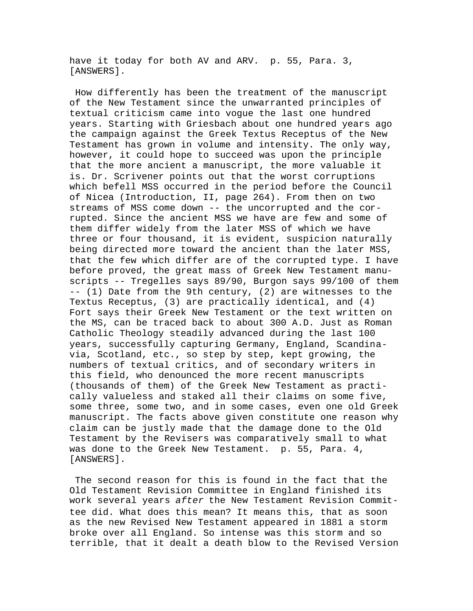have it today for both AV and ARV. p. 55, Para. 3, [ANSWERS].

 How differently has been the treatment of the manuscript of the New Testament since the unwarranted principles of textual criticism came into vogue the last one hundred years. Starting with Griesbach about one hundred years ago the campaign against the Greek Textus Receptus of the New Testament has grown in volume and intensity. The only way, however, it could hope to succeed was upon the principle that the more ancient a manuscript, the more valuable it is. Dr. Scrivener points out that the worst corruptions which befell MSS occurred in the period before the Council of Nicea (Introduction, II, page 264). From then on two streams of MSS come down -- the uncorrupted and the corrupted. Since the ancient MSS we have are few and some of them differ widely from the later MSS of which we have three or four thousand, it is evident, suspicion naturally being directed more toward the ancient than the later MSS, that the few which differ are of the corrupted type. I have before proved, the great mass of Greek New Testament manuscripts -- Tregelles says 89/90, Burgon says 99/100 of them -- (1) Date from the 9th century, (2) are witnesses to the Textus Receptus, (3) are practically identical, and (4) Fort says their Greek New Testament or the text written on the MS, can be traced back to about 300 A.D. Just as Roman Catholic Theology steadily advanced during the last 100 years, successfully capturing Germany, England, Scandinavia, Scotland, etc., so step by step, kept growing, the numbers of textual critics, and of secondary writers in this field, who denounced the more recent manuscripts (thousands of them) of the Greek New Testament as practically valueless and staked all their claims on some five, some three, some two, and in some cases, even one old Greek manuscript. The facts above given constitute one reason why claim can be justly made that the damage done to the Old Testament by the Revisers was comparatively small to what was done to the Greek New Testament. p. 55, Para. 4, [ANSWERS].

 The second reason for this is found in the fact that the Old Testament Revision Committee in England finished its work several years *after* the New Testament Revision Committee did. What does this mean? It means this, that as soon as the new Revised New Testament appeared in 1881 a storm broke over all England. So intense was this storm and so terrible, that it dealt a death blow to the Revised Version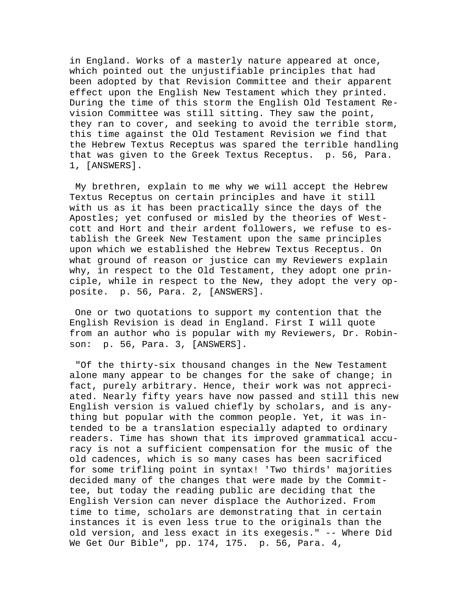in England. Works of a masterly nature appeared at once, which pointed out the unjustifiable principles that had been adopted by that Revision Committee and their apparent effect upon the English New Testament which they printed. During the time of this storm the English Old Testament Revision Committee was still sitting. They saw the point, they ran to cover, and seeking to avoid the terrible storm, this time against the Old Testament Revision we find that the Hebrew Textus Receptus was spared the terrible handling that was given to the Greek Textus Receptus. p. 56, Para. 1, [ANSWERS].

 My brethren, explain to me why we will accept the Hebrew Textus Receptus on certain principles and have it still with us as it has been practically since the days of the Apostles; yet confused or misled by the theories of Westcott and Hort and their ardent followers, we refuse to establish the Greek New Testament upon the same principles upon which we established the Hebrew Textus Receptus. On what ground of reason or justice can my Reviewers explain why, in respect to the Old Testament, they adopt one principle, while in respect to the New, they adopt the very opposite. p. 56, Para. 2, [ANSWERS].

 One or two quotations to support my contention that the English Revision is dead in England. First I will quote from an author who is popular with my Reviewers, Dr. Robinson: p. 56, Para. 3, [ANSWERS].

 "Of the thirty-six thousand changes in the New Testament alone many appear to be changes for the sake of change; in fact, purely arbitrary. Hence, their work was not appreciated. Nearly fifty years have now passed and still this new English version is valued chiefly by scholars, and is anything but popular with the common people. Yet, it was intended to be a translation especially adapted to ordinary readers. Time has shown that its improved grammatical accuracy is not a sufficient compensation for the music of the old cadences, which is so many cases has been sacrificed for some trifling point in syntax! 'Two thirds' majorities decided many of the changes that were made by the Committee, but today the reading public are deciding that the English Version can never displace the Authorized. From time to time, scholars are demonstrating that in certain instances it is even less true to the originals than the old version, and less exact in its exegesis." -- Where Did We Get Our Bible", pp. 174, 175. p. 56, Para. 4,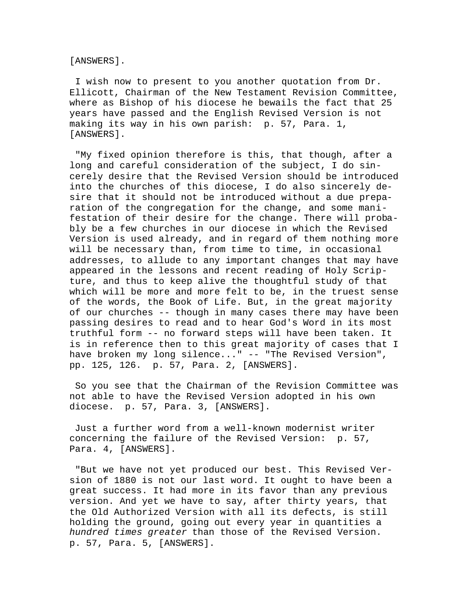[ANSWERS].

 I wish now to present to you another quotation from Dr. Ellicott, Chairman of the New Testament Revision Committee, where as Bishop of his diocese he bewails the fact that 25 years have passed and the English Revised Version is not making its way in his own parish: p. 57, Para. 1, [ANSWERS].

 "My fixed opinion therefore is this, that though, after a long and careful consideration of the subject, I do sincerely desire that the Revised Version should be introduced into the churches of this diocese, I do also sincerely desire that it should not be introduced without a due preparation of the congregation for the change, and some manifestation of their desire for the change. There will probably be a few churches in our diocese in which the Revised Version is used already, and in regard of them nothing more will be necessary than, from time to time, in occasional addresses, to allude to any important changes that may have appeared in the lessons and recent reading of Holy Scripture, and thus to keep alive the thoughtful study of that which will be more and more felt to be, in the truest sense of the words, the Book of Life. But, in the great majority of our churches -- though in many cases there may have been passing desires to read and to hear God's Word in its most truthful form -- no forward steps will have been taken. It is in reference then to this great majority of cases that I have broken my long silence..." -- "The Revised Version", pp. 125, 126. p. 57, Para. 2, [ANSWERS].

 So you see that the Chairman of the Revision Committee was not able to have the Revised Version adopted in his own diocese. p. 57, Para. 3, [ANSWERS].

 Just a further word from a well-known modernist writer concerning the failure of the Revised Version: p. 57, Para. 4, [ANSWERS].

 "But we have not yet produced our best. This Revised Version of 1880 is not our last word. It ought to have been a great success. It had more in its favor than any previous version. And yet we have to say, after thirty years, that the Old Authorized Version with all its defects, is still holding the ground, going out every year in quantities a *hundred times greater* than those of the Revised Version. p. 57, Para. 5, [ANSWERS].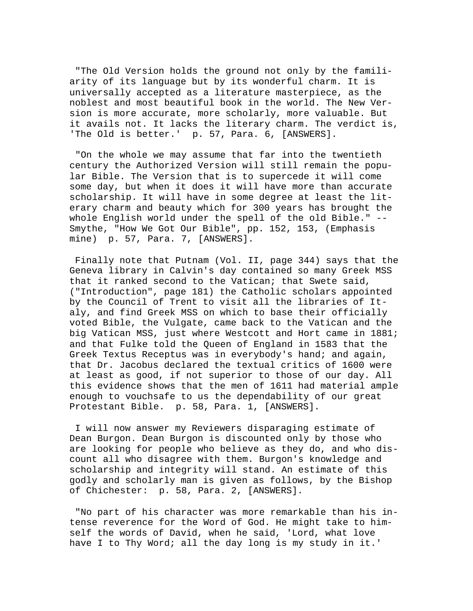"The Old Version holds the ground not only by the familiarity of its language but by its wonderful charm. It is universally accepted as a literature masterpiece, as the noblest and most beautiful book in the world. The New Version is more accurate, more scholarly, more valuable. But it avails not. It lacks the literary charm. The verdict is, 'The Old is better.' p. 57, Para. 6, [ANSWERS].

 "On the whole we may assume that far into the twentieth century the Authorized Version will still remain the popular Bible. The Version that is to supercede it will come some day, but when it does it will have more than accurate scholarship. It will have in some degree at least the literary charm and beauty which for 300 years has brought the whole English world under the spell of the old Bible." -- Smythe, "How We Got Our Bible", pp. 152, 153, (Emphasis mine) p. 57, Para. 7, [ANSWERS].

 Finally note that Putnam (Vol. II, page 344) says that the Geneva library in Calvin's day contained so many Greek MSS that it ranked second to the Vatican; that Swete said, ("Introduction", page 181) the Catholic scholars appointed by the Council of Trent to visit all the libraries of Italy, and find Greek MSS on which to base their officially voted Bible, the Vulgate, came back to the Vatican and the big Vatican MSS, just where Westcott and Hort came in 1881; and that Fulke told the Queen of England in 1583 that the Greek Textus Receptus was in everybody's hand; and again, that Dr. Jacobus declared the textual critics of 1600 were at least as good, if not superior to those of our day. All this evidence shows that the men of 1611 had material ample enough to vouchsafe to us the dependability of our great Protestant Bible. p. 58, Para. 1, [ANSWERS].

 I will now answer my Reviewers disparaging estimate of Dean Burgon. Dean Burgon is discounted only by those who are looking for people who believe as they do, and who discount all who disagree with them. Burgon's knowledge and scholarship and integrity will stand. An estimate of this godly and scholarly man is given as follows, by the Bishop of Chichester: p. 58, Para. 2, [ANSWERS].

 "No part of his character was more remarkable than his intense reverence for the Word of God. He might take to himself the words of David, when he said, 'Lord, what love have I to Thy Word; all the day long is my study in it.'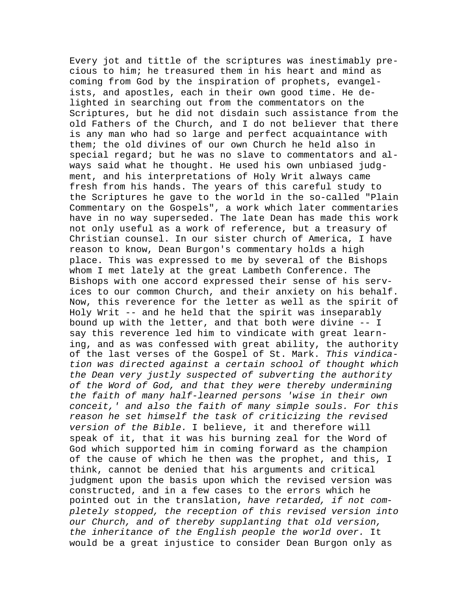Every jot and tittle of the scriptures was inestimably precious to him; he treasured them in his heart and mind as coming from God by the inspiration of prophets, evangelists, and apostles, each in their own good time. He delighted in searching out from the commentators on the Scriptures, but he did not disdain such assistance from the old Fathers of the Church, and I do not believer that there is any man who had so large and perfect acquaintance with them; the old divines of our own Church he held also in special regard; but he was no slave to commentators and always said what he thought. He used his own unbiased judgment, and his interpretations of Holy Writ always came fresh from his hands. The years of this careful study to the Scriptures he gave to the world in the so-called "Plain Commentary on the Gospels", a work which later commentaries have in no way superseded. The late Dean has made this work not only useful as a work of reference, but a treasury of Christian counsel. In our sister church of America, I have reason to know, Dean Burgon's commentary holds a high place. This was expressed to me by several of the Bishops whom I met lately at the great Lambeth Conference. The Bishops with one accord expressed their sense of his services to our common Church, and their anxiety on his behalf. Now, this reverence for the letter as well as the spirit of Holy Writ -- and he held that the spirit was inseparably bound up with the letter, and that both were divine -- I say this reverence led him to vindicate with great learning, and as was confessed with great ability, the authority of the last verses of the Gospel of St. Mark. *This vindication was directed against a certain school of thought which the Dean very justly suspected of subverting the authority of the Word of God, and that they were thereby undermining the faith of many half-learned persons 'wise in their own conceit,' and also the faith of many simple souls. For this reason he set himself the task of criticizing the revised version of the Bible.* I believe, it and therefore will speak of it, that it was his burning zeal for the Word of God which supported him in coming forward as the champion of the cause of which he then was the prophet, and this, I think, cannot be denied that his arguments and critical judgment upon the basis upon which the revised version was constructed, and in a few cases to the errors which he pointed out in the translation, *have retarded, if not completely stopped, the reception of this revised version into our Church, and of thereby supplanting that old version, the inheritance of the English people the world over.* It would be a great injustice to consider Dean Burgon only as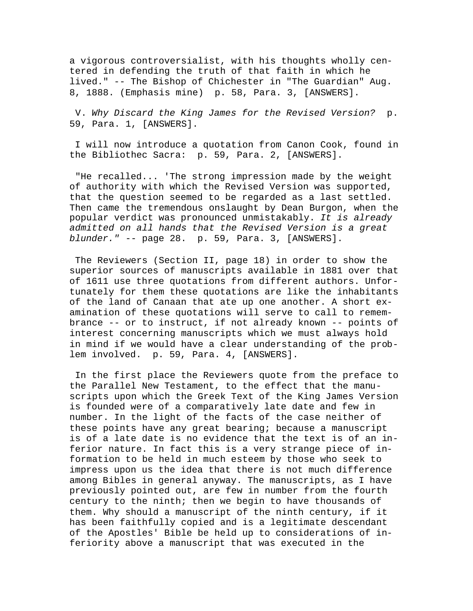a vigorous controversialist, with his thoughts wholly centered in defending the truth of that faith in which he lived." -- The Bishop of Chichester in "The Guardian" Aug. 8, 1888. (Emphasis mine) p. 58, Para. 3, [ANSWERS].

 V. *Why Discard the King James for the Revised Version?* p. 59, Para. 1, [ANSWERS].

 I will now introduce a quotation from Canon Cook, found in the Bibliothec Sacra: p. 59, Para. 2, [ANSWERS].

 "He recalled... 'The strong impression made by the weight of authority with which the Revised Version was supported, that the question seemed to be regarded as a last settled. Then came the tremendous onslaught by Dean Burgon, when the popular verdict was pronounced unmistakably. *It is already admitted on all hands that the Revised Version is a great blunder."* -- page 28. p. 59, Para. 3, [ANSWERS].

 The Reviewers (Section II, page 18) in order to show the superior sources of manuscripts available in 1881 over that of 1611 use three quotations from different authors. Unfortunately for them these quotations are like the inhabitants of the land of Canaan that ate up one another. A short examination of these quotations will serve to call to remembrance -- or to instruct, if not already known -- points of interest concerning manuscripts which we must always hold in mind if we would have a clear understanding of the problem involved. p. 59, Para. 4, [ANSWERS].

 In the first place the Reviewers quote from the preface to the Parallel New Testament, to the effect that the manuscripts upon which the Greek Text of the King James Version is founded were of a comparatively late date and few in number. In the light of the facts of the case neither of these points have any great bearing; because a manuscript is of a late date is no evidence that the text is of an inferior nature. In fact this is a very strange piece of information to be held in much esteem by those who seek to impress upon us the idea that there is not much difference among Bibles in general anyway. The manuscripts, as I have previously pointed out, are few in number from the fourth century to the ninth; then we begin to have thousands of them. Why should a manuscript of the ninth century, if it has been faithfully copied and is a legitimate descendant of the Apostles' Bible be held up to considerations of inferiority above a manuscript that was executed in the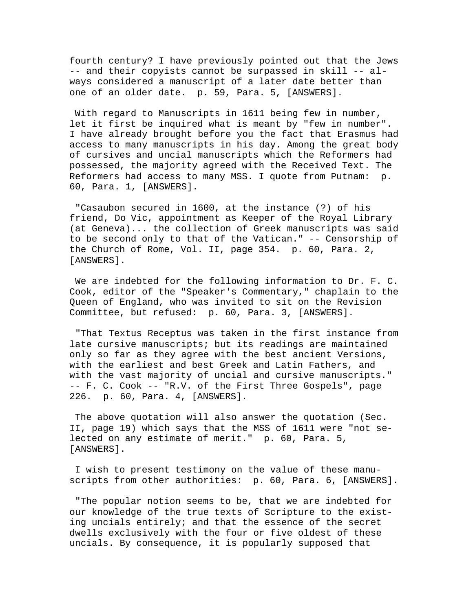fourth century? I have previously pointed out that the Jews -- and their copyists cannot be surpassed in skill -- always considered a manuscript of a later date better than one of an older date. p. 59, Para. 5, [ANSWERS].

With regard to Manuscripts in 1611 being few in number, let it first be inquired what is meant by "few in number". I have already brought before you the fact that Erasmus had access to many manuscripts in his day. Among the great body of cursives and uncial manuscripts which the Reformers had possessed, the majority agreed with the Received Text. The Reformers had access to many MSS. I quote from Putnam: p. 60, Para. 1, [ANSWERS].

 "Casaubon secured in 1600, at the instance (?) of his friend, Do Vic, appointment as Keeper of the Royal Library (at Geneva)... the collection of Greek manuscripts was said to be second only to that of the Vatican." -- Censorship of the Church of Rome, Vol. II, page 354. p. 60, Para. 2, [ANSWERS].

 We are indebted for the following information to Dr. F. C. Cook, editor of the "Speaker's Commentary," chaplain to the Queen of England, who was invited to sit on the Revision Committee, but refused: p. 60, Para. 3, [ANSWERS].

 "That Textus Receptus was taken in the first instance from late cursive manuscripts; but its readings are maintained only so far as they agree with the best ancient Versions, with the earliest and best Greek and Latin Fathers, and with the vast majority of uncial and cursive manuscripts." -- F. C. Cook -- "R.V. of the First Three Gospels", page 226. p. 60, Para. 4, [ANSWERS].

 The above quotation will also answer the quotation (Sec. II, page 19) which says that the MSS of 1611 were "not selected on any estimate of merit." p. 60, Para. 5, [ANSWERS].

 I wish to present testimony on the value of these manuscripts from other authorities: p. 60, Para. 6, [ANSWERS].

 "The popular notion seems to be, that we are indebted for our knowledge of the true texts of Scripture to the existing uncials entirely; and that the essence of the secret dwells exclusively with the four or five oldest of these uncials. By consequence, it is popularly supposed that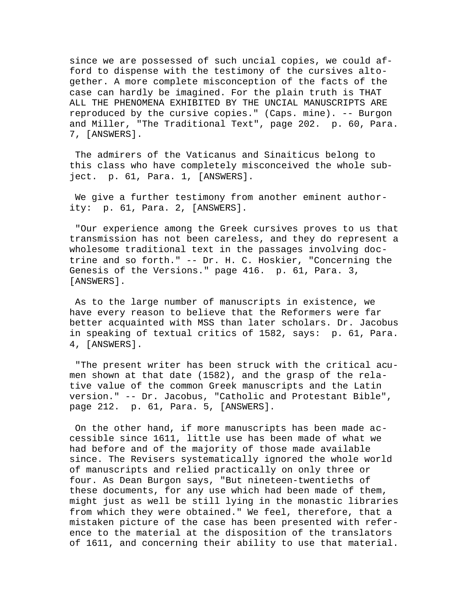since we are possessed of such uncial copies, we could afford to dispense with the testimony of the cursives altogether. A more complete misconception of the facts of the case can hardly be imagined. For the plain truth is THAT ALL THE PHENOMENA EXHIBITED BY THE UNCIAL MANUSCRIPTS ARE reproduced by the cursive copies." (Caps. mine). -- Burgon and Miller, "The Traditional Text", page 202. p. 60, Para. 7, [ANSWERS].

 The admirers of the Vaticanus and Sinaiticus belong to this class who have completely misconceived the whole subject. p. 61, Para. 1, [ANSWERS].

We give a further testimony from another eminent authority: p. 61, Para. 2, [ANSWERS].

 "Our experience among the Greek cursives proves to us that transmission has not been careless, and they do represent a wholesome traditional text in the passages involving doctrine and so forth." -- Dr. H. C. Hoskier, "Concerning the Genesis of the Versions." page 416. p. 61, Para. 3, [ANSWERS].

 As to the large number of manuscripts in existence, we have every reason to believe that the Reformers were far better acquainted with MSS than later scholars. Dr. Jacobus in speaking of textual critics of 1582, says: p. 61, Para. 4, [ANSWERS].

 "The present writer has been struck with the critical acumen shown at that date (1582), and the grasp of the relative value of the common Greek manuscripts and the Latin version." -- Dr. Jacobus, "Catholic and Protestant Bible", page 212. p. 61, Para. 5, [ANSWERS].

 On the other hand, if more manuscripts has been made accessible since 1611, little use has been made of what we had before and of the majority of those made available since. The Revisers systematically ignored the whole world of manuscripts and relied practically on only three or four. As Dean Burgon says, "But nineteen-twentieths of these documents, for any use which had been made of them, might just as well be still lying in the monastic libraries from which they were obtained." We feel, therefore, that a mistaken picture of the case has been presented with reference to the material at the disposition of the translators of 1611, and concerning their ability to use that material.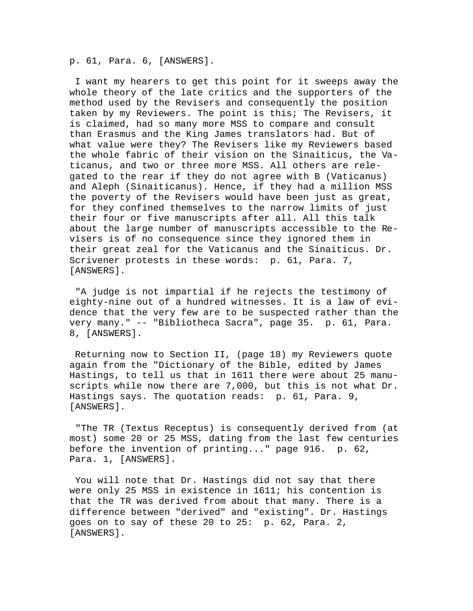p. 61, Para. 6, [ANSWERS].

 I want my hearers to get this point for it sweeps away the whole theory of the late critics and the supporters of the method used by the Revisers and consequently the position taken by my Reviewers. The point is this; The Revisers, it is claimed, had so many more MSS to compare and consult than Erasmus and the King James translators had. But of what value were they? The Revisers like my Reviewers based the whole fabric of their vision on the Sinaiticus, the Vaticanus, and two or three more MSS. All others are relegated to the rear if they do not agree with B (Vaticanus) and Aleph (Sinaiticanus). Hence, if they had a million MSS the poverty of the Revisers would have been just as great, for they confined themselves to the narrow limits of just their four or five manuscripts after all. All this talk about the large number of manuscripts accessible to the Revisers is of no consequence since they ignored them in their great zeal for the Vaticanus and the Sinaiticus. Dr. Scrivener protests in these words: p. 61, Para. 7, [ANSWERS].

 "A judge is not impartial if he rejects the testimony of eighty-nine out of a hundred witnesses. It is a law of evidence that the very few are to be suspected rather than the very many." -- "Bibliotheca Sacra", page 35. p. 61, Para. 8, [ANSWERS].

 Returning now to Section II, (page 18) my Reviewers quote again from the "Dictionary of the Bible, edited by James Hastings, to tell us that in 1611 there were about 25 manuscripts while now there are 7,000, but this is not what Dr. Hastings says. The quotation reads: p. 61, Para. 9, [ANSWERS].

 "The TR (Textus Receptus) is consequently derived from (at most) some 20 or 25 MSS, dating from the last few centuries before the invention of printing..." page 916. p. 62, Para. 1, [ANSWERS].

 You will note that Dr. Hastings did not say that there were only 25 MSS in existence in 1611; his contention is that the TR was derived from about that many. There is a difference between "derived" and "existing". Dr. Hastings goes on to say of these 20 to 25: p. 62, Para. 2, [ANSWERS].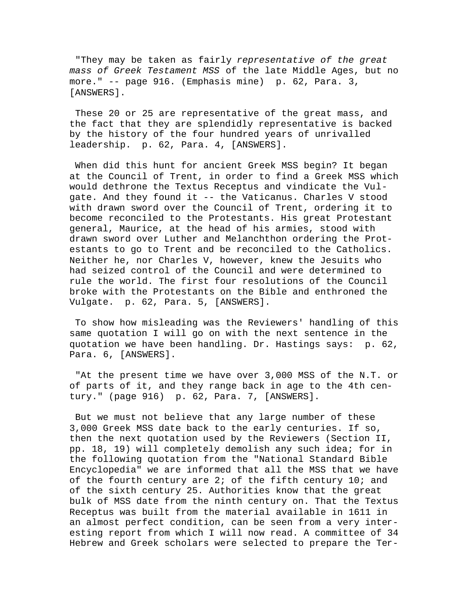"They may be taken as fairly *representative of the great mass of Greek Testament MSS* of the late Middle Ages, but no more." -- page 916. (Emphasis mine) p. 62, Para. 3, [ANSWERS].

 These 20 or 25 are representative of the great mass, and the fact that they are splendidly representative is backed by the history of the four hundred years of unrivalled leadership. p. 62, Para. 4, [ANSWERS].

 When did this hunt for ancient Greek MSS begin? It began at the Council of Trent, in order to find a Greek MSS which would dethrone the Textus Receptus and vindicate the Vulgate. And they found it -- the Vaticanus. Charles V stood with drawn sword over the Council of Trent, ordering it to become reconciled to the Protestants. His great Protestant general, Maurice, at the head of his armies, stood with drawn sword over Luther and Melanchthon ordering the Protestants to go to Trent and be reconciled to the Catholics. Neither he, nor Charles V, however, knew the Jesuits who had seized control of the Council and were determined to rule the world. The first four resolutions of the Council broke with the Protestants on the Bible and enthroned the Vulgate. p. 62, Para. 5, [ANSWERS].

 To show how misleading was the Reviewers' handling of this same quotation I will go on with the next sentence in the quotation we have been handling. Dr. Hastings says: p. 62, Para. 6, [ANSWERS].

 "At the present time we have over 3,000 MSS of the N.T. or of parts of it, and they range back in age to the 4th century." (page 916) p. 62, Para. 7, [ANSWERS].

 But we must not believe that any large number of these 3,000 Greek MSS date back to the early centuries. If so, then the next quotation used by the Reviewers (Section II, pp. 18, 19) will completely demolish any such idea; for in the following quotation from the "National Standard Bible Encyclopedia" we are informed that all the MSS that we have of the fourth century are 2; of the fifth century 10; and of the sixth century 25. Authorities know that the great bulk of MSS date from the ninth century on. That the Textus Receptus was built from the material available in 1611 in an almost perfect condition, can be seen from a very interesting report from which I will now read. A committee of 34 Hebrew and Greek scholars were selected to prepare the Ter-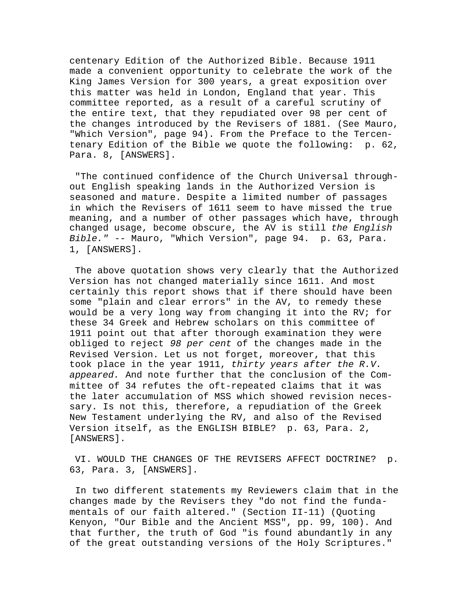centenary Edition of the Authorized Bible. Because 1911 made a convenient opportunity to celebrate the work of the King James Version for 300 years, a great exposition over this matter was held in London, England that year. This committee reported, as a result of a careful scrutiny of the entire text, that they repudiated over 98 per cent of the changes introduced by the Revisers of 1881. (See Mauro, "Which Version", page 94). From the Preface to the Tercentenary Edition of the Bible we quote the following: p. 62, Para. 8, [ANSWERS].

 "The continued confidence of the Church Universal throughout English speaking lands in the Authorized Version is seasoned and mature. Despite a limited number of passages in which the Revisers of 1611 seem to have missed the true meaning, and a number of other passages which have, through changed usage, become obscure, the AV is still *the English Bible."* -- Mauro, "Which Version", page 94. p. 63, Para. 1, [ANSWERS].

 The above quotation shows very clearly that the Authorized Version has not changed materially since 1611. And most certainly this report shows that if there should have been some "plain and clear errors" in the AV, to remedy these would be a very long way from changing it into the RV; for these 34 Greek and Hebrew scholars on this committee of 1911 point out that after thorough examination they were obliged to reject *98 per cent* of the changes made in the Revised Version. Let us not forget, moreover, that this took place in the year 1911, *thirty years after the R.V. appeared.* And note further that the conclusion of the Committee of 34 refutes the oft-repeated claims that it was the later accumulation of MSS which showed revision necessary. Is not this, therefore, a repudiation of the Greek New Testament underlying the RV, and also of the Revised Version itself, as the ENGLISH BIBLE? p. 63, Para. 2, [ANSWERS].

 VI. WOULD THE CHANGES OF THE REVISERS AFFECT DOCTRINE? p. 63, Para. 3, [ANSWERS].

 In two different statements my Reviewers claim that in the changes made by the Revisers they "do not find the fundamentals of our faith altered." (Section II-11) (Quoting Kenyon, "Our Bible and the Ancient MSS", pp. 99, 100). And that further, the truth of God "is found abundantly in any of the great outstanding versions of the Holy Scriptures."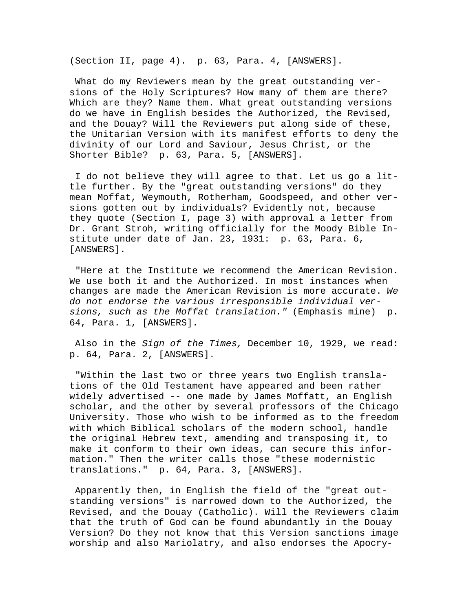(Section II, page 4). p. 63, Para. 4, [ANSWERS].

What do my Reviewers mean by the great outstanding versions of the Holy Scriptures? How many of them are there? Which are they? Name them. What great outstanding versions do we have in English besides the Authorized, the Revised, and the Douay? Will the Reviewers put along side of these, the Unitarian Version with its manifest efforts to deny the divinity of our Lord and Saviour, Jesus Christ, or the Shorter Bible? p. 63, Para. 5, [ANSWERS].

 I do not believe they will agree to that. Let us go a little further. By the "great outstanding versions" do they mean Moffat, Weymouth, Rotherham, Goodspeed, and other versions gotten out by individuals? Evidently not, because they quote (Section I, page 3) with approval a letter from Dr. Grant Stroh, writing officially for the Moody Bible Institute under date of Jan. 23, 1931: p. 63, Para. 6, [ANSWERS].

 "Here at the Institute we recommend the American Revision. We use both it and the Authorized. In most instances when changes are made the American Revision is more accurate. *We do not endorse the various irresponsible individual versions, such as the Moffat translation."* (Emphasis mine) p. 64, Para. 1, [ANSWERS].

 Also in the *Sign of the Times,* December 10, 1929, we read: p. 64, Para. 2, [ANSWERS].

 "Within the last two or three years two English translations of the Old Testament have appeared and been rather widely advertised -- one made by James Moffatt, an English scholar, and the other by several professors of the Chicago University. Those who wish to be informed as to the freedom with which Biblical scholars of the modern school, handle the original Hebrew text, amending and transposing it, to make it conform to their own ideas, can secure this information." Then the writer calls those "these modernistic translations." p. 64, Para. 3, [ANSWERS].

 Apparently then, in English the field of the "great outstanding versions" is narrowed down to the Authorized, the Revised, and the Douay (Catholic). Will the Reviewers claim that the truth of God can be found abundantly in the Douay Version? Do they not know that this Version sanctions image worship and also Mariolatry, and also endorses the Apocry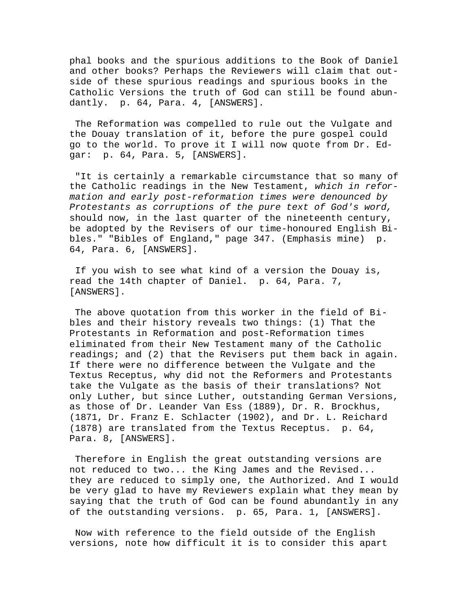phal books and the spurious additions to the Book of Daniel and other books? Perhaps the Reviewers will claim that outside of these spurious readings and spurious books in the Catholic Versions the truth of God can still be found abundantly. p. 64, Para. 4, [ANSWERS].

 The Reformation was compelled to rule out the Vulgate and the Douay translation of it, before the pure gospel could go to the world. To prove it I will now quote from Dr. Edgar: p. 64, Para. 5, [ANSWERS].

 "It is certainly a remarkable circumstance that so many of the Catholic readings in the New Testament, *which in reformation and early post-reformation times were denounced by Protestants as corruptions of the pure text of God's word,* should now, in the last quarter of the nineteenth century, be adopted by the Revisers of our time-honoured English Bibles." "Bibles of England," page 347. (Emphasis mine) p. 64, Para. 6, [ANSWERS].

 If you wish to see what kind of a version the Douay is, read the 14th chapter of Daniel. p. 64, Para. 7, [ANSWERS].

 The above quotation from this worker in the field of Bibles and their history reveals two things: (1) That the Protestants in Reformation and post-Reformation times eliminated from their New Testament many of the Catholic readings; and (2) that the Revisers put them back in again. If there were no difference between the Vulgate and the Textus Receptus, why did not the Reformers and Protestants take the Vulgate as the basis of their translations? Not only Luther, but since Luther, outstanding German Versions, as those of Dr. Leander Van Ess (1889), Dr. R. Brockhus, (1871, Dr. Franz E. Schlacter (1902), and Dr. L. Reichard (1878) are translated from the Textus Receptus. p. 64, Para. 8, [ANSWERS].

 Therefore in English the great outstanding versions are not reduced to two... the King James and the Revised... they are reduced to simply one, the Authorized. And I would be very glad to have my Reviewers explain what they mean by saying that the truth of God can be found abundantly in any of the outstanding versions. p. 65, Para. 1, [ANSWERS].

 Now with reference to the field outside of the English versions, note how difficult it is to consider this apart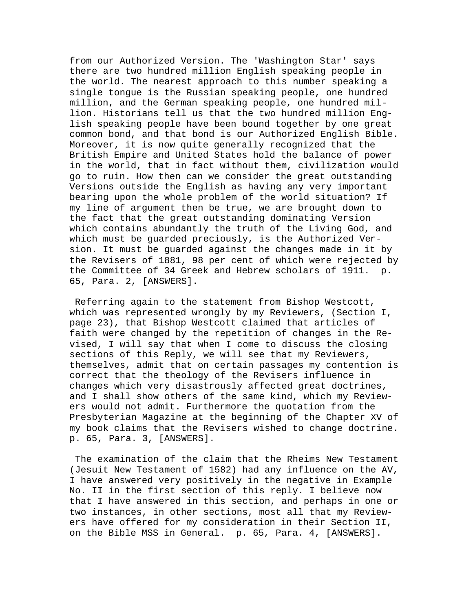from our Authorized Version. The 'Washington Star' says there are two hundred million English speaking people in the world. The nearest approach to this number speaking a single tongue is the Russian speaking people, one hundred million, and the German speaking people, one hundred million. Historians tell us that the two hundred million English speaking people have been bound together by one great common bond, and that bond is our Authorized English Bible. Moreover, it is now quite generally recognized that the British Empire and United States hold the balance of power in the world, that in fact without them, civilization would go to ruin. How then can we consider the great outstanding Versions outside the English as having any very important bearing upon the whole problem of the world situation? If my line of argument then be true, we are brought down to the fact that the great outstanding dominating Version which contains abundantly the truth of the Living God, and which must be guarded preciously, is the Authorized Version. It must be guarded against the changes made in it by the Revisers of 1881, 98 per cent of which were rejected by the Committee of 34 Greek and Hebrew scholars of 1911. p. 65, Para. 2, [ANSWERS].

 Referring again to the statement from Bishop Westcott, which was represented wrongly by my Reviewers, (Section I, page 23), that Bishop Westcott claimed that articles of faith were changed by the repetition of changes in the Revised, I will say that when I come to discuss the closing sections of this Reply, we will see that my Reviewers, themselves, admit that on certain passages my contention is correct that the theology of the Revisers influence in changes which very disastrously affected great doctrines, and I shall show others of the same kind, which my Reviewers would not admit. Furthermore the quotation from the Presbyterian Magazine at the beginning of the Chapter XV of my book claims that the Revisers wished to change doctrine. p. 65, Para. 3, [ANSWERS].

 The examination of the claim that the Rheims New Testament (Jesuit New Testament of 1582) had any influence on the AV, I have answered very positively in the negative in Example No. II in the first section of this reply. I believe now that I have answered in this section, and perhaps in one or two instances, in other sections, most all that my Reviewers have offered for my consideration in their Section II, on the Bible MSS in General. p. 65, Para. 4, [ANSWERS].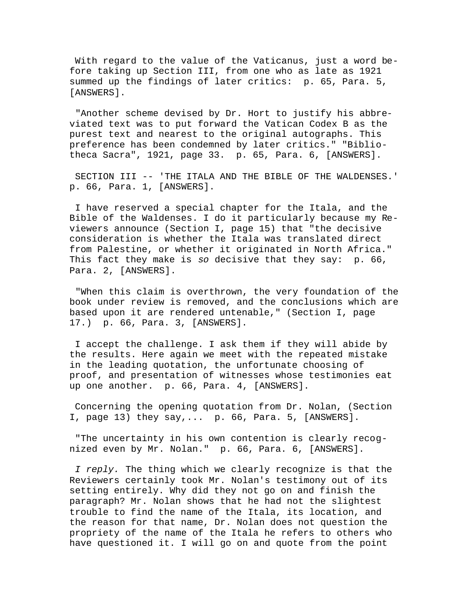With regard to the value of the Vaticanus, just a word before taking up Section III, from one who as late as 1921 summed up the findings of later critics: p. 65, Para. 5, [ANSWERS].

 "Another scheme devised by Dr. Hort to justify his abbreviated text was to put forward the Vatican Codex B as the purest text and nearest to the original autographs. This preference has been condemned by later critics." "Bibliotheca Sacra", 1921, page 33. p. 65, Para. 6, [ANSWERS].

 SECTION III -- 'THE ITALA AND THE BIBLE OF THE WALDENSES.' p. 66, Para. 1, [ANSWERS].

 I have reserved a special chapter for the Itala, and the Bible of the Waldenses. I do it particularly because my Reviewers announce (Section I, page 15) that "the decisive consideration is whether the Itala was translated direct from Palestine, or whether it originated in North Africa." This fact they make is *so* decisive that they say: p. 66, Para. 2, [ANSWERS].

 "When this claim is overthrown, the very foundation of the book under review is removed, and the conclusions which are based upon it are rendered untenable," (Section I, page 17.) p. 66, Para. 3, [ANSWERS].

 I accept the challenge. I ask them if they will abide by the results. Here again we meet with the repeated mistake in the leading quotation, the unfortunate choosing of proof, and presentation of witnesses whose testimonies eat up one another. p. 66, Para. 4, [ANSWERS].

 Concerning the opening quotation from Dr. Nolan, (Section I, page 13) they say,... p. 66, Para. 5, [ANSWERS].

 "The uncertainty in his own contention is clearly recognized even by Mr. Nolan." p. 66, Para. 6, [ANSWERS].

 *I reply.* The thing which we clearly recognize is that the Reviewers certainly took Mr. Nolan's testimony out of its setting entirely. Why did they not go on and finish the paragraph? Mr. Nolan shows that he had not the slightest trouble to find the name of the Itala, its location, and the reason for that name, Dr. Nolan does not question the propriety of the name of the Itala he refers to others who have questioned it. I will go on and quote from the point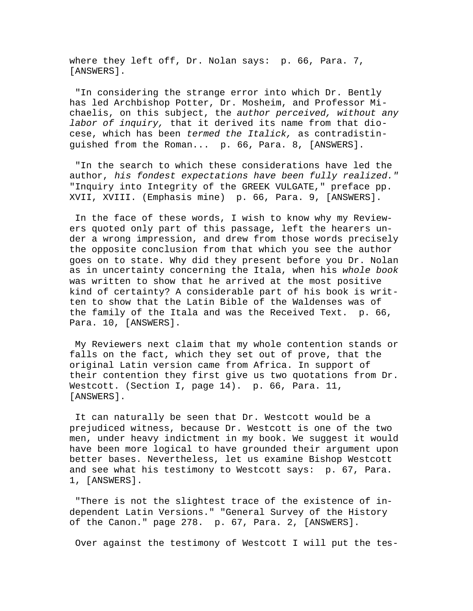where they left off, Dr. Nolan says: p. 66, Para. 7, [ANSWERS].

 "In considering the strange error into which Dr. Bently has led Archbishop Potter, Dr. Mosheim, and Professor Michaelis, on this subject, the *author perceived, without any labor of inquiry,* that it derived its name from that diocese, which has been *termed the Italick,* as contradistinguished from the Roman... p. 66, Para. 8, [ANSWERS].

 "In the search to which these considerations have led the author, *his fondest expectations have been fully realized."* "Inquiry into Integrity of the GREEK VULGATE," preface pp. XVII, XVIII. (Emphasis mine) p. 66, Para. 9, [ANSWERS].

 In the face of these words, I wish to know why my Reviewers quoted only part of this passage, left the hearers under a wrong impression, and drew from those words precisely the opposite conclusion from that which you see the author goes on to state. Why did they present before you Dr. Nolan as in uncertainty concerning the Itala, when his *whole book* was written to show that he arrived at the most positive kind of certainty? A considerable part of his book is written to show that the Latin Bible of the Waldenses was of the family of the Itala and was the Received Text. p. 66, Para. 10, [ANSWERS].

 My Reviewers next claim that my whole contention stands or falls on the fact, which they set out of prove, that the original Latin version came from Africa. In support of their contention they first give us two quotations from Dr. Westcott. (Section I, page 14). p. 66, Para. 11, [ANSWERS].

 It can naturally be seen that Dr. Westcott would be a prejudiced witness, because Dr. Westcott is one of the two men, under heavy indictment in my book. We suggest it would have been more logical to have grounded their argument upon better bases. Nevertheless, let us examine Bishop Westcott and see what his testimony to Westcott says: p. 67, Para. 1, [ANSWERS].

 "There is not the slightest trace of the existence of independent Latin Versions." "General Survey of the History of the Canon." page 278. p. 67, Para. 2, [ANSWERS].

Over against the testimony of Westcott I will put the tes-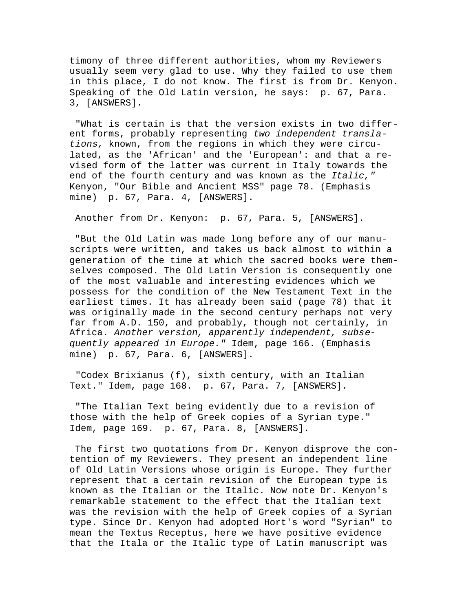timony of three different authorities, whom my Reviewers usually seem very glad to use. Why they failed to use them in this place, I do not know. The first is from Dr. Kenyon. Speaking of the Old Latin version, he says: p. 67, Para. 3, [ANSWERS].

 "What is certain is that the version exists in two different forms, probably representing *two independent translations,* known, from the regions in which they were circulated, as the 'African' and the 'European': and that a revised form of the latter was current in Italy towards the end of the fourth century and was known as the *Italic,"* Kenyon, "Our Bible and Ancient MSS" page 78. (Emphasis mine) p. 67, Para. 4, [ANSWERS].

Another from Dr. Kenyon: p. 67, Para. 5, [ANSWERS].

 "But the Old Latin was made long before any of our manuscripts were written, and takes us back almost to within a generation of the time at which the sacred books were themselves composed. The Old Latin Version is consequently one of the most valuable and interesting evidences which we possess for the condition of the New Testament Text in the earliest times. It has already been said (page 78) that it was originally made in the second century perhaps not very far from A.D. 150, and probably, though not certainly, in Africa. *Another version, apparently independent, subsequently appeared in Europe."* Idem, page 166. (Emphasis mine) p. 67, Para. 6, [ANSWERS].

 "Codex Brixianus (f), sixth century, with an Italian Text." Idem, page 168. p. 67, Para. 7, [ANSWERS].

 "The Italian Text being evidently due to a revision of those with the help of Greek copies of a Syrian type." Idem, page 169. p. 67, Para. 8, [ANSWERS].

 The first two quotations from Dr. Kenyon disprove the contention of my Reviewers. They present an independent line of Old Latin Versions whose origin is Europe. They further represent that a certain revision of the European type is known as the Italian or the Italic. Now note Dr. Kenyon's remarkable statement to the effect that the Italian text was the revision with the help of Greek copies of a Syrian type. Since Dr. Kenyon had adopted Hort's word "Syrian" to mean the Textus Receptus, here we have positive evidence that the Itala or the Italic type of Latin manuscript was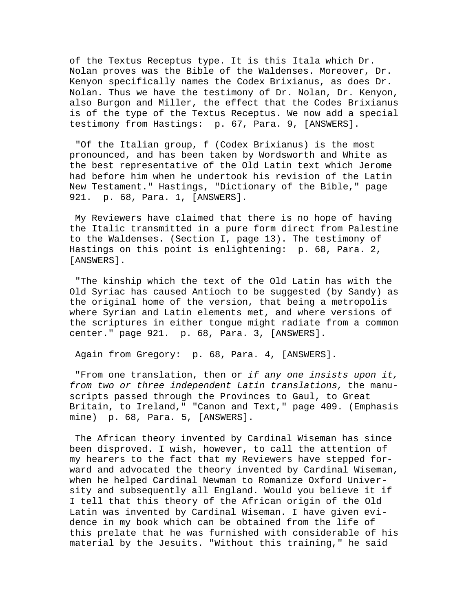of the Textus Receptus type. It is this Itala which Dr. Nolan proves was the Bible of the Waldenses. Moreover, Dr. Kenyon specifically names the Codex Brixianus, as does Dr. Nolan. Thus we have the testimony of Dr. Nolan, Dr. Kenyon, also Burgon and Miller, the effect that the Codes Brixianus is of the type of the Textus Receptus. We now add a special testimony from Hastings: p. 67, Para. 9, [ANSWERS].

 "Of the Italian group, f (Codex Brixianus) is the most pronounced, and has been taken by Wordsworth and White as the best representative of the Old Latin text which Jerome had before him when he undertook his revision of the Latin New Testament." Hastings, "Dictionary of the Bible," page 921. p. 68, Para. 1, [ANSWERS].

 My Reviewers have claimed that there is no hope of having the Italic transmitted in a pure form direct from Palestine to the Waldenses. (Section I, page 13). The testimony of Hastings on this point is enlightening: p. 68, Para. 2, [ANSWERS].

 "The kinship which the text of the Old Latin has with the Old Syriac has caused Antioch to be suggested (by Sandy) as the original home of the version, that being a metropolis where Syrian and Latin elements met, and where versions of the scriptures in either tongue might radiate from a common center." page 921. p. 68, Para. 3, [ANSWERS].

Again from Gregory: p. 68, Para. 4, [ANSWERS].

 "From one translation, then or *if any one insists upon it, from two or three independent Latin translations,* the manuscripts passed through the Provinces to Gaul, to Great Britain, to Ireland," "Canon and Text," page 409. (Emphasis mine) p. 68, Para. 5, [ANSWERS].

 The African theory invented by Cardinal Wiseman has since been disproved. I wish, however, to call the attention of my hearers to the fact that my Reviewers have stepped forward and advocated the theory invented by Cardinal Wiseman, when he helped Cardinal Newman to Romanize Oxford University and subsequently all England. Would you believe it if I tell that this theory of the African origin of the Old Latin was invented by Cardinal Wiseman. I have given evidence in my book which can be obtained from the life of this prelate that he was furnished with considerable of his material by the Jesuits. "Without this training," he said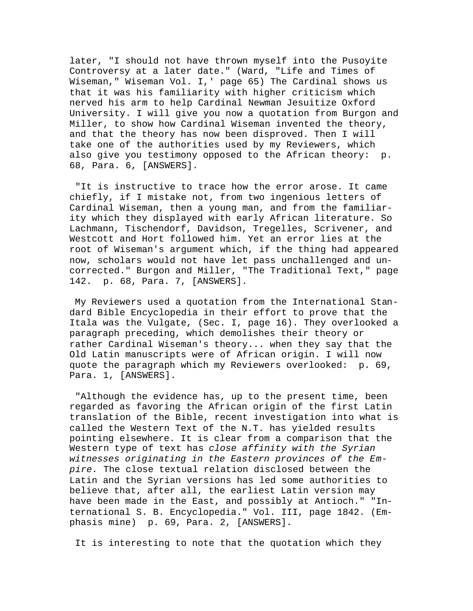later, "I should not have thrown myself into the Pusoyite Controversy at a later date." (Ward, "Life and Times of Wiseman," Wiseman Vol. I,' page 65) The Cardinal shows us that it was his familiarity with higher criticism which nerved his arm to help Cardinal Newman Jesuitize Oxford University. I will give you now a quotation from Burgon and Miller, to show how Cardinal Wiseman invented the theory, and that the theory has now been disproved. Then I will take one of the authorities used by my Reviewers, which also give you testimony opposed to the African theory: p. 68, Para. 6, [ANSWERS].

 "It is instructive to trace how the error arose. It came chiefly, if I mistake not, from two ingenious letters of Cardinal Wiseman, then a young man, and from the familiarity which they displayed with early African literature. So Lachmann, Tischendorf, Davidson, Tregelles, Scrivener, and Westcott and Hort followed him. Yet an error lies at the root of Wiseman's argument which, if the thing had appeared now, scholars would not have let pass unchallenged and uncorrected." Burgon and Miller, "The Traditional Text," page 142. p. 68, Para. 7, [ANSWERS].

 My Reviewers used a quotation from the International Standard Bible Encyclopedia in their effort to prove that the Itala was the Vulgate, (Sec. I, page 16). They overlooked a paragraph preceding, which demolishes their theory or rather Cardinal Wiseman's theory... when they say that the Old Latin manuscripts were of African origin. I will now quote the paragraph which my Reviewers overlooked: p. 69, Para. 1, [ANSWERS].

 "Although the evidence has, up to the present time, been regarded as favoring the African origin of the first Latin translation of the Bible, recent investigation into what is called the Western Text of the N.T. has yielded results pointing elsewhere. It is clear from a comparison that the Western type of text has *close affinity with the Syrian witnesses originating in the Eastern provinces of the Empire.* The close textual relation disclosed between the Latin and the Syrian versions has led some authorities to believe that, after all, the earliest Latin version may have been made in the East, and possibly at Antioch." "International S. B. Encyclopedia." Vol. III, page 1842. (Emphasis mine) p. 69, Para. 2, [ANSWERS].

It is interesting to note that the quotation which they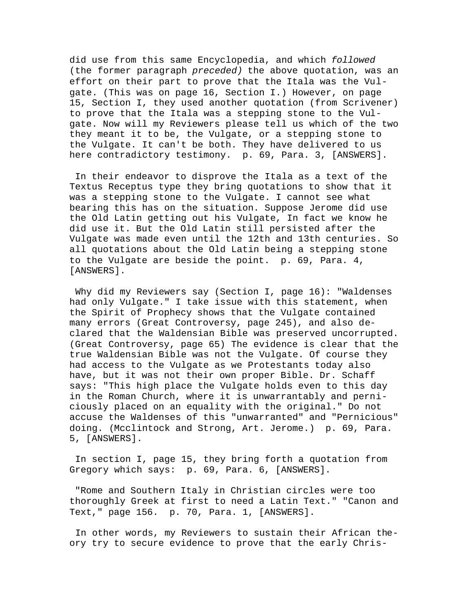did use from this same Encyclopedia, and which *followed* (the former paragraph *preceded)* the above quotation, was an effort on their part to prove that the Itala was the Vulgate. (This was on page 16, Section I.) However, on page 15, Section I, they used another quotation (from Scrivener) to prove that the Itala was a stepping stone to the Vulgate. Now will my Reviewers please tell us which of the two they meant it to be, the Vulgate, or a stepping stone to the Vulgate. It can't be both. They have delivered to us here contradictory testimony. p. 69, Para. 3, [ANSWERS].

 In their endeavor to disprove the Itala as a text of the Textus Receptus type they bring quotations to show that it was a stepping stone to the Vulgate. I cannot see what bearing this has on the situation. Suppose Jerome did use the Old Latin getting out his Vulgate, In fact we know he did use it. But the Old Latin still persisted after the Vulgate was made even until the 12th and 13th centuries. So all quotations about the Old Latin being a stepping stone to the Vulgate are beside the point. p. 69, Para. 4, [ANSWERS].

 Why did my Reviewers say (Section I, page 16): "Waldenses had only Vulgate." I take issue with this statement, when the Spirit of Prophecy shows that the Vulgate contained many errors (Great Controversy, page 245), and also declared that the Waldensian Bible was preserved uncorrupted. (Great Controversy, page 65) The evidence is clear that the true Waldensian Bible was not the Vulgate. Of course they had access to the Vulgate as we Protestants today also have, but it was not their own proper Bible. Dr. Schaff says: "This high place the Vulgate holds even to this day in the Roman Church, where it is unwarrantably and perniciously placed on an equality with the original." Do not accuse the Waldenses of this "unwarranted" and "Pernicious" doing. (Mcclintock and Strong, Art. Jerome.) p. 69, Para. 5, [ANSWERS].

 In section I, page 15, they bring forth a quotation from Gregory which says: p. 69, Para. 6, [ANSWERS].

 "Rome and Southern Italy in Christian circles were too thoroughly Greek at first to need a Latin Text." "Canon and Text," page 156. p. 70, Para. 1, [ANSWERS].

 In other words, my Reviewers to sustain their African theory try to secure evidence to prove that the early Chris-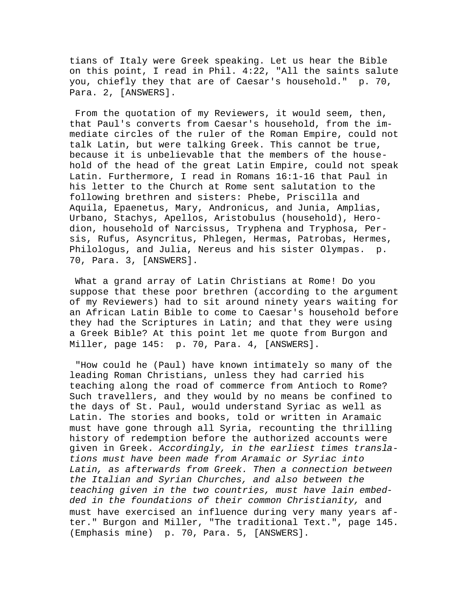tians of Italy were Greek speaking. Let us hear the Bible on this point, I read in Phil. 4:22, "All the saints salute you, chiefly they that are of Caesar's household." p. 70, Para. 2, [ANSWERS].

 From the quotation of my Reviewers, it would seem, then, that Paul's converts from Caesar's household, from the immediate circles of the ruler of the Roman Empire, could not talk Latin, but were talking Greek. This cannot be true, because it is unbelievable that the members of the household of the head of the great Latin Empire, could not speak Latin. Furthermore, I read in Romans 16:1-16 that Paul in his letter to the Church at Rome sent salutation to the following brethren and sisters: Phebe, Priscilla and Aquila, Epaenetus, Mary, Andronicus, and Junia, Amplias, Urbano, Stachys, Apellos, Aristobulus (household), Herodion, household of Narcissus, Tryphena and Tryphosa, Persis, Rufus, Asyncritus, Phlegen, Hermas, Patrobas, Hermes, Philologus, and Julia, Nereus and his sister Olympas. p. 70, Para. 3, [ANSWERS].

 What a grand array of Latin Christians at Rome! Do you suppose that these poor brethren (according to the argument of my Reviewers) had to sit around ninety years waiting for an African Latin Bible to come to Caesar's household before they had the Scriptures in Latin; and that they were using a Greek Bible? At this point let me quote from Burgon and Miller, page 145: p. 70, Para. 4, [ANSWERS].

 "How could he (Paul) have known intimately so many of the leading Roman Christians, unless they had carried his teaching along the road of commerce from Antioch to Rome? Such travellers, and they would by no means be confined to the days of St. Paul, would understand Syriac as well as Latin. The stories and books, told or written in Aramaic must have gone through all Syria, recounting the thrilling history of redemption before the authorized accounts were given in Greek. *Accordingly, in the earliest times translations must have been made from Aramaic or Syriac into Latin, as afterwards from Greek. Then a connection between the Italian and Syrian Churches, and also between the teaching given in the two countries, must have lain embedded in the foundations of their common Christianity,* and must have exercised an influence during very many years after." Burgon and Miller, "The traditional Text.", page 145. (Emphasis mine) p. 70, Para. 5, [ANSWERS].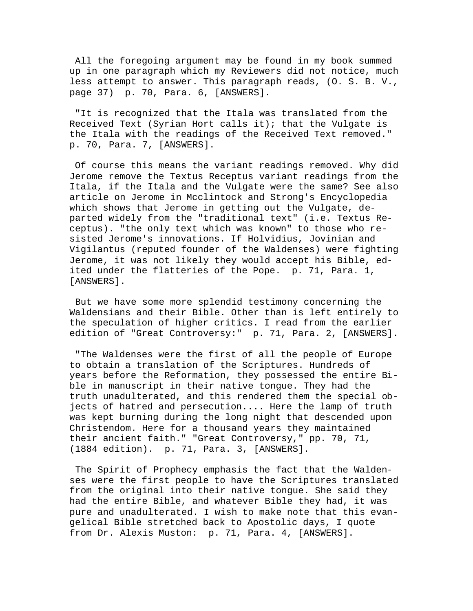All the foregoing argument may be found in my book summed up in one paragraph which my Reviewers did not notice, much less attempt to answer. This paragraph reads, (O. S. B. V., page 37) p. 70, Para. 6, [ANSWERS].

 "It is recognized that the Itala was translated from the Received Text (Syrian Hort calls it); that the Vulgate is the Itala with the readings of the Received Text removed." p. 70, Para. 7, [ANSWERS].

 Of course this means the variant readings removed. Why did Jerome remove the Textus Receptus variant readings from the Itala, if the Itala and the Vulgate were the same? See also article on Jerome in Mcclintock and Strong's Encyclopedia which shows that Jerome in getting out the Vulgate, departed widely from the "traditional text" (i.e. Textus Receptus). "the only text which was known" to those who resisted Jerome's innovations. If Holvidius, Jovinian and Vigilantus (reputed founder of the Waldenses) were fighting Jerome, it was not likely they would accept his Bible, edited under the flatteries of the Pope. p. 71, Para. 1, [ANSWERS].

 But we have some more splendid testimony concerning the Waldensians and their Bible. Other than is left entirely to the speculation of higher critics. I read from the earlier edition of "Great Controversy:" p. 71, Para. 2, [ANSWERS].

 "The Waldenses were the first of all the people of Europe to obtain a translation of the Scriptures. Hundreds of years before the Reformation, they possessed the entire Bible in manuscript in their native tongue. They had the truth unadulterated, and this rendered them the special objects of hatred and persecution.... Here the lamp of truth was kept burning during the long night that descended upon Christendom. Here for a thousand years they maintained their ancient faith." "Great Controversy," pp. 70, 71, (1884 edition). p. 71, Para. 3, [ANSWERS].

 The Spirit of Prophecy emphasis the fact that the Waldenses were the first people to have the Scriptures translated from the original into their native tongue. She said they had the entire Bible, and whatever Bible they had, it was pure and unadulterated. I wish to make note that this evangelical Bible stretched back to Apostolic days, I quote from Dr. Alexis Muston: p. 71, Para. 4, [ANSWERS].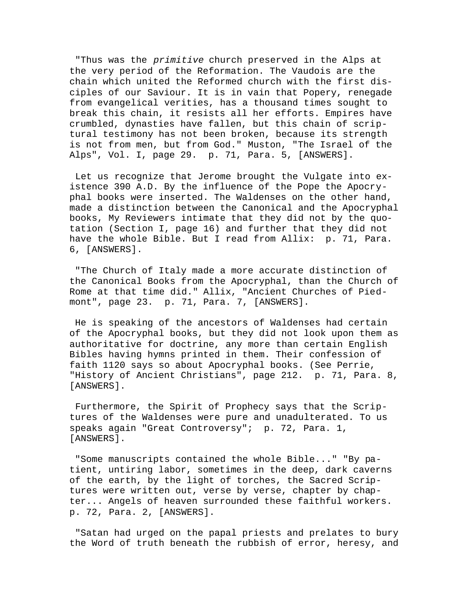"Thus was the *primitive* church preserved in the Alps at the very period of the Reformation. The Vaudois are the chain which united the Reformed church with the first disciples of our Saviour. It is in vain that Popery, renegade from evangelical verities, has a thousand times sought to break this chain, it resists all her efforts. Empires have crumbled, dynasties have fallen, but this chain of scriptural testimony has not been broken, because its strength is not from men, but from God." Muston, "The Israel of the Alps", Vol. I, page 29. p. 71, Para. 5, [ANSWERS].

 Let us recognize that Jerome brought the Vulgate into existence 390 A.D. By the influence of the Pope the Apocryphal books were inserted. The Waldenses on the other hand, made a distinction between the Canonical and the Apocryphal books, My Reviewers intimate that they did not by the quotation (Section I, page 16) and further that they did not have the whole Bible. But I read from Allix: p. 71, Para. 6, [ANSWERS].

 "The Church of Italy made a more accurate distinction of the Canonical Books from the Apocryphal, than the Church of Rome at that time did." Allix, "Ancient Churches of Piedmont", page 23. p. 71, Para. 7, [ANSWERS].

 He is speaking of the ancestors of Waldenses had certain of the Apocryphal books, but they did not look upon them as authoritative for doctrine, any more than certain English Bibles having hymns printed in them. Their confession of faith 1120 says so about Apocryphal books. (See Perrie, "History of Ancient Christians", page 212. p. 71, Para. 8, [ANSWERS].

 Furthermore, the Spirit of Prophecy says that the Scriptures of the Waldenses were pure and unadulterated. To us speaks again "Great Controversy"; p. 72, Para. 1, [ANSWERS].

 "Some manuscripts contained the whole Bible..." "By patient, untiring labor, sometimes in the deep, dark caverns of the earth, by the light of torches, the Sacred Scriptures were written out, verse by verse, chapter by chapter... Angels of heaven surrounded these faithful workers. p. 72, Para. 2, [ANSWERS].

 "Satan had urged on the papal priests and prelates to bury the Word of truth beneath the rubbish of error, heresy, and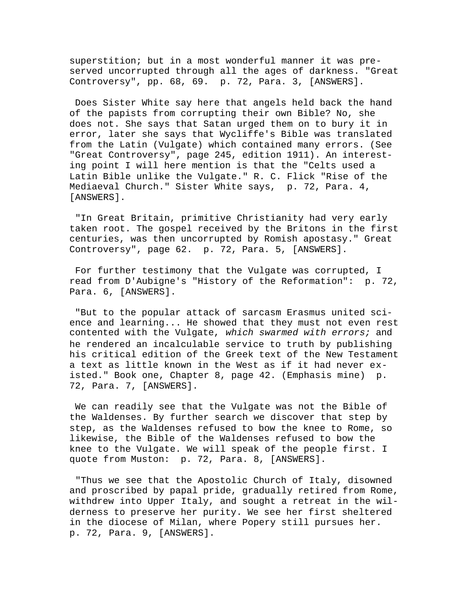superstition; but in a most wonderful manner it was preserved uncorrupted through all the ages of darkness. "Great Controversy", pp. 68, 69. p. 72, Para. 3, [ANSWERS].

 Does Sister White say here that angels held back the hand of the papists from corrupting their own Bible? No, she does not. She says that Satan urged them on to bury it in error, later she says that Wycliffe's Bible was translated from the Latin (Vulgate) which contained many errors. (See "Great Controversy", page 245, edition 1911). An interesting point I will here mention is that the "Celts used a Latin Bible unlike the Vulgate." R. C. Flick "Rise of the Mediaeval Church." Sister White says, p. 72, Para. 4, [ANSWERS].

 "In Great Britain, primitive Christianity had very early taken root. The gospel received by the Britons in the first centuries, was then uncorrupted by Romish apostasy." Great Controversy", page 62. p. 72, Para. 5, [ANSWERS].

 For further testimony that the Vulgate was corrupted, I read from D'Aubigne's "History of the Reformation": p. 72, Para. 6, [ANSWERS].

 "But to the popular attack of sarcasm Erasmus united science and learning... He showed that they must not even rest contented with the Vulgate, *which swarmed with errors;* and he rendered an incalculable service to truth by publishing his critical edition of the Greek text of the New Testament a text as little known in the West as if it had never existed." Book one, Chapter 8, page 42. (Emphasis mine) p. 72, Para. 7, [ANSWERS].

 We can readily see that the Vulgate was not the Bible of the Waldenses. By further search we discover that step by step, as the Waldenses refused to bow the knee to Rome, so likewise, the Bible of the Waldenses refused to bow the knee to the Vulgate. We will speak of the people first. I quote from Muston: p. 72, Para. 8, [ANSWERS].

 "Thus we see that the Apostolic Church of Italy, disowned and proscribed by papal pride, gradually retired from Rome, withdrew into Upper Italy, and sought a retreat in the wilderness to preserve her purity. We see her first sheltered in the diocese of Milan, where Popery still pursues her. p. 72, Para. 9, [ANSWERS].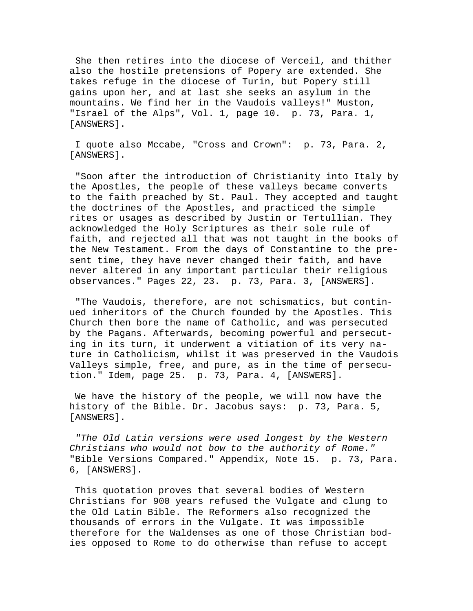She then retires into the diocese of Verceil, and thither also the hostile pretensions of Popery are extended. She takes refuge in the diocese of Turin, but Popery still gains upon her, and at last she seeks an asylum in the mountains. We find her in the Vaudois valleys!" Muston, "Israel of the Alps", Vol. 1, page 10. p. 73, Para. 1, [ANSWERS].

 I quote also Mccabe, "Cross and Crown": p. 73, Para. 2, [ANSWERS].

 "Soon after the introduction of Christianity into Italy by the Apostles, the people of these valleys became converts to the faith preached by St. Paul. They accepted and taught the doctrines of the Apostles, and practiced the simple rites or usages as described by Justin or Tertullian. They acknowledged the Holy Scriptures as their sole rule of faith, and rejected all that was not taught in the books of the New Testament. From the days of Constantine to the present time, they have never changed their faith, and have never altered in any important particular their religious observances." Pages 22, 23. p. 73, Para. 3, [ANSWERS].

 "The Vaudois, therefore, are not schismatics, but continued inheritors of the Church founded by the Apostles. This Church then bore the name of Catholic, and was persecuted by the Pagans. Afterwards, becoming powerful and persecuting in its turn, it underwent a vitiation of its very nature in Catholicism, whilst it was preserved in the Vaudois Valleys simple, free, and pure, as in the time of persecution." Idem, page 25. p. 73, Para. 4, [ANSWERS].

 We have the history of the people, we will now have the history of the Bible. Dr. Jacobus says: p. 73, Para. 5, [ANSWERS].

 *"The Old Latin versions were used longest by the Western Christians who would not bow to the authority of Rome."* "Bible Versions Compared." Appendix, Note 15. p. 73, Para. 6, [ANSWERS].

 This quotation proves that several bodies of Western Christians for 900 years refused the Vulgate and clung to the Old Latin Bible. The Reformers also recognized the thousands of errors in the Vulgate. It was impossible therefore for the Waldenses as one of those Christian bodies opposed to Rome to do otherwise than refuse to accept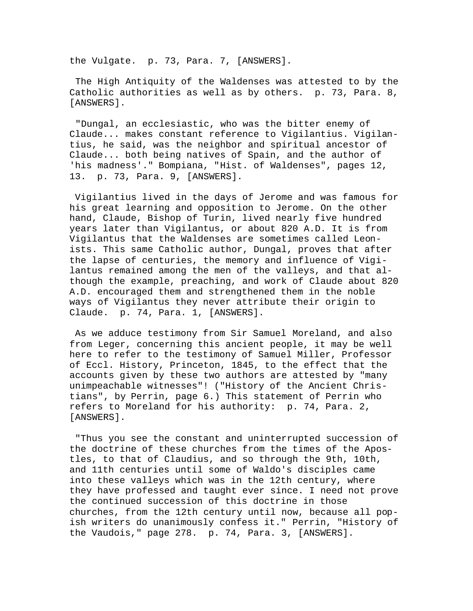the Vulgate. p. 73, Para. 7, [ANSWERS].

 The High Antiquity of the Waldenses was attested to by the Catholic authorities as well as by others. p. 73, Para. 8, [ANSWERS].

 "Dungal, an ecclesiastic, who was the bitter enemy of Claude... makes constant reference to Vigilantius. Vigilantius, he said, was the neighbor and spiritual ancestor of Claude... both being natives of Spain, and the author of 'his madness'." Bompiana, "Hist. of Waldenses", pages 12, 13. p. 73, Para. 9, [ANSWERS].

 Vigilantius lived in the days of Jerome and was famous for his great learning and opposition to Jerome. On the other hand, Claude, Bishop of Turin, lived nearly five hundred years later than Vigilantus, or about 820 A.D. It is from Vigilantus that the Waldenses are sometimes called Leonists. This same Catholic author, Dungal, proves that after the lapse of centuries, the memory and influence of Vigilantus remained among the men of the valleys, and that although the example, preaching, and work of Claude about 820 A.D. encouraged them and strengthened them in the noble ways of Vigilantus they never attribute their origin to Claude. p. 74, Para. 1, [ANSWERS].

 As we adduce testimony from Sir Samuel Moreland, and also from Leger, concerning this ancient people, it may be well here to refer to the testimony of Samuel Miller, Professor of Eccl. History, Princeton, 1845, to the effect that the accounts given by these two authors are attested by "many unimpeachable witnesses"! ("History of the Ancient Christians", by Perrin, page 6.) This statement of Perrin who refers to Moreland for his authority: p. 74, Para. 2, [ANSWERS].

 "Thus you see the constant and uninterrupted succession of the doctrine of these churches from the times of the Apostles, to that of Claudius, and so through the 9th, 10th, and 11th centuries until some of Waldo's disciples came into these valleys which was in the 12th century, where they have professed and taught ever since. I need not prove the continued succession of this doctrine in those churches, from the 12th century until now, because all popish writers do unanimously confess it." Perrin, "History of the Vaudois," page 278. p. 74, Para. 3, [ANSWERS].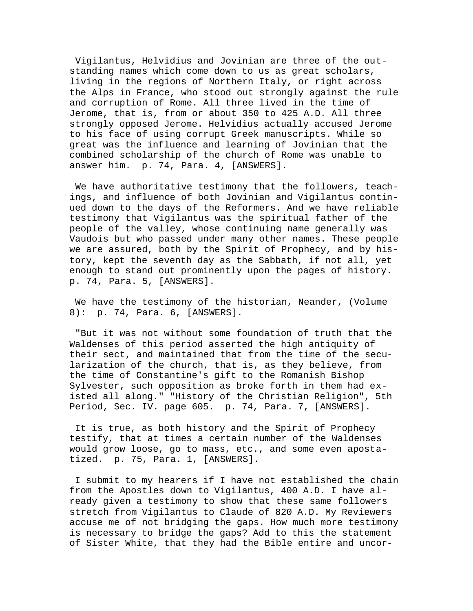Vigilantus, Helvidius and Jovinian are three of the outstanding names which come down to us as great scholars, living in the regions of Northern Italy, or right across the Alps in France, who stood out strongly against the rule and corruption of Rome. All three lived in the time of Jerome, that is, from or about 350 to 425 A.D. All three strongly opposed Jerome. Helvidius actually accused Jerome to his face of using corrupt Greek manuscripts. While so great was the influence and learning of Jovinian that the combined scholarship of the church of Rome was unable to answer him. p. 74, Para. 4, [ANSWERS].

 We have authoritative testimony that the followers, teachings, and influence of both Jovinian and Vigilantus continued down to the days of the Reformers. And we have reliable testimony that Vigilantus was the spiritual father of the people of the valley, whose continuing name generally was Vaudois but who passed under many other names. These people we are assured, both by the Spirit of Prophecy, and by history, kept the seventh day as the Sabbath, if not all, yet enough to stand out prominently upon the pages of history. p. 74, Para. 5, [ANSWERS].

 We have the testimony of the historian, Neander, (Volume 8): p. 74, Para. 6, [ANSWERS].

 "But it was not without some foundation of truth that the Waldenses of this period asserted the high antiquity of their sect, and maintained that from the time of the secularization of the church, that is, as they believe, from the time of Constantine's gift to the Romanish Bishop Sylvester, such opposition as broke forth in them had existed all along." "History of the Christian Religion", 5th Period, Sec. IV. page 605. p. 74, Para. 7, [ANSWERS].

 It is true, as both history and the Spirit of Prophecy testify, that at times a certain number of the Waldenses would grow loose, go to mass, etc., and some even apostatized. p. 75, Para. 1, [ANSWERS].

 I submit to my hearers if I have not established the chain from the Apostles down to Vigilantus, 400 A.D. I have already given a testimony to show that these same followers stretch from Vigilantus to Claude of 820 A.D. My Reviewers accuse me of not bridging the gaps. How much more testimony is necessary to bridge the gaps? Add to this the statement of Sister White, that they had the Bible entire and uncor-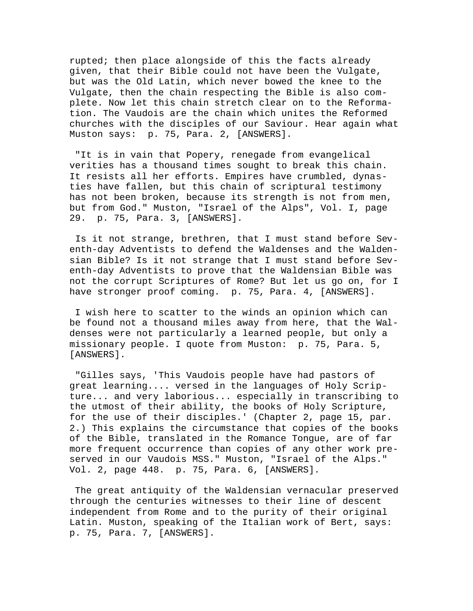rupted; then place alongside of this the facts already given, that their Bible could not have been the Vulgate, but was the Old Latin, which never bowed the knee to the Vulgate, then the chain respecting the Bible is also complete. Now let this chain stretch clear on to the Reformation. The Vaudois are the chain which unites the Reformed churches with the disciples of our Saviour. Hear again what Muston says: p. 75, Para. 2, [ANSWERS].

 "It is in vain that Popery, renegade from evangelical verities has a thousand times sought to break this chain. It resists all her efforts. Empires have crumbled, dynasties have fallen, but this chain of scriptural testimony has not been broken, because its strength is not from men, but from God." Muston, "Israel of the Alps", Vol. I, page 29. p. 75, Para. 3, [ANSWERS].

 Is it not strange, brethren, that I must stand before Seventh-day Adventists to defend the Waldenses and the Waldensian Bible? Is it not strange that I must stand before Seventh-day Adventists to prove that the Waldensian Bible was not the corrupt Scriptures of Rome? But let us go on, for I have stronger proof coming. p. 75, Para. 4, [ANSWERS].

 I wish here to scatter to the winds an opinion which can be found not a thousand miles away from here, that the Waldenses were not particularly a learned people, but only a missionary people. I quote from Muston: p. 75, Para. 5, [ANSWERS].

 "Gilles says, 'This Vaudois people have had pastors of great learning.... versed in the languages of Holy Scripture... and very laborious... especially in transcribing to the utmost of their ability, the books of Holy Scripture, for the use of their disciples.' (Chapter 2, page 15, par. 2.) This explains the circumstance that copies of the books of the Bible, translated in the Romance Tongue, are of far more frequent occurrence than copies of any other work preserved in our Vaudois MSS." Muston, "Israel of the Alps." Vol. 2, page 448. p. 75, Para. 6, [ANSWERS].

 The great antiquity of the Waldensian vernacular preserved through the centuries witnesses to their line of descent independent from Rome and to the purity of their original Latin. Muston, speaking of the Italian work of Bert, says: p. 75, Para. 7, [ANSWERS].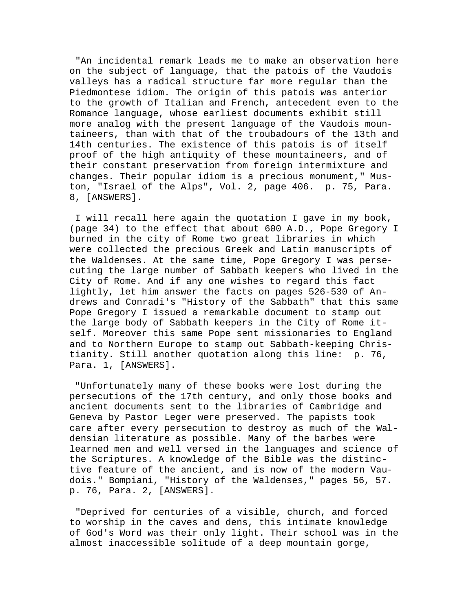"An incidental remark leads me to make an observation here on the subject of language, that the patois of the Vaudois valleys has a radical structure far more regular than the Piedmontese idiom. The origin of this patois was anterior to the growth of Italian and French, antecedent even to the Romance language, whose earliest documents exhibit still more analog with the present language of the Vaudois mountaineers, than with that of the troubadours of the 13th and 14th centuries. The existence of this patois is of itself proof of the high antiquity of these mountaineers, and of their constant preservation from foreign intermixture and changes. Their popular idiom is a precious monument," Muston, "Israel of the Alps", Vol. 2, page 406. p. 75, Para. 8, [ANSWERS].

 I will recall here again the quotation I gave in my book, (page 34) to the effect that about 600 A.D., Pope Gregory I burned in the city of Rome two great libraries in which were collected the precious Greek and Latin manuscripts of the Waldenses. At the same time, Pope Gregory I was persecuting the large number of Sabbath keepers who lived in the City of Rome. And if any one wishes to regard this fact lightly, let him answer the facts on pages 526-530 of Andrews and Conradi's "History of the Sabbath" that this same Pope Gregory I issued a remarkable document to stamp out the large body of Sabbath keepers in the City of Rome itself. Moreover this same Pope sent missionaries to England and to Northern Europe to stamp out Sabbath-keeping Christianity. Still another quotation along this line: p. 76, Para. 1, [ANSWERS].

 "Unfortunately many of these books were lost during the persecutions of the 17th century, and only those books and ancient documents sent to the libraries of Cambridge and Geneva by Pastor Leger were preserved. The papists took care after every persecution to destroy as much of the Waldensian literature as possible. Many of the barbes were learned men and well versed in the languages and science of the Scriptures. A knowledge of the Bible was the distinctive feature of the ancient, and is now of the modern Vaudois." Bompiani, "History of the Waldenses," pages 56, 57. p. 76, Para. 2, [ANSWERS].

 "Deprived for centuries of a visible, church, and forced to worship in the caves and dens, this intimate knowledge of God's Word was their only light. Their school was in the almost inaccessible solitude of a deep mountain gorge,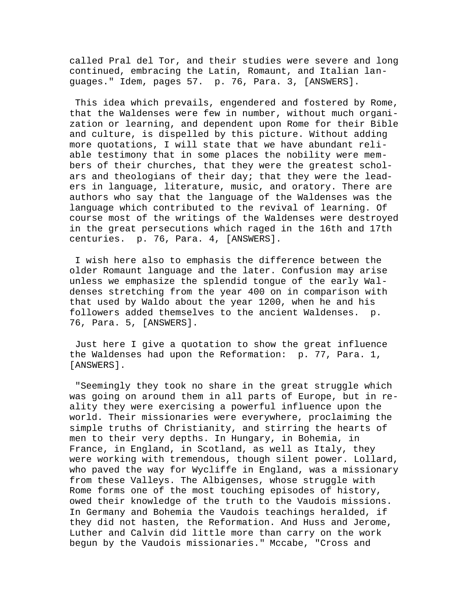called Pral del Tor, and their studies were severe and long continued, embracing the Latin, Romaunt, and Italian languages." Idem, pages 57. p. 76, Para. 3, [ANSWERS].

 This idea which prevails, engendered and fostered by Rome, that the Waldenses were few in number, without much organization or learning, and dependent upon Rome for their Bible and culture, is dispelled by this picture. Without adding more quotations, I will state that we have abundant reliable testimony that in some places the nobility were members of their churches, that they were the greatest scholars and theologians of their day; that they were the leaders in language, literature, music, and oratory. There are authors who say that the language of the Waldenses was the language which contributed to the revival of learning. Of course most of the writings of the Waldenses were destroyed in the great persecutions which raged in the 16th and 17th centuries. p. 76, Para. 4, [ANSWERS].

 I wish here also to emphasis the difference between the older Romaunt language and the later. Confusion may arise unless we emphasize the splendid tongue of the early Waldenses stretching from the year 400 on in comparison with that used by Waldo about the year 1200, when he and his followers added themselves to the ancient Waldenses. p. 76, Para. 5, [ANSWERS].

 Just here I give a quotation to show the great influence the Waldenses had upon the Reformation: p. 77, Para. 1, [ANSWERS].

 "Seemingly they took no share in the great struggle which was going on around them in all parts of Europe, but in reality they were exercising a powerful influence upon the world. Their missionaries were everywhere, proclaiming the simple truths of Christianity, and stirring the hearts of men to their very depths. In Hungary, in Bohemia, in France, in England, in Scotland, as well as Italy, they were working with tremendous, though silent power. Lollard, who paved the way for Wycliffe in England, was a missionary from these Valleys. The Albigenses, whose struggle with Rome forms one of the most touching episodes of history, owed their knowledge of the truth to the Vaudois missions. In Germany and Bohemia the Vaudois teachings heralded, if they did not hasten, the Reformation. And Huss and Jerome, Luther and Calvin did little more than carry on the work begun by the Vaudois missionaries." Mccabe, "Cross and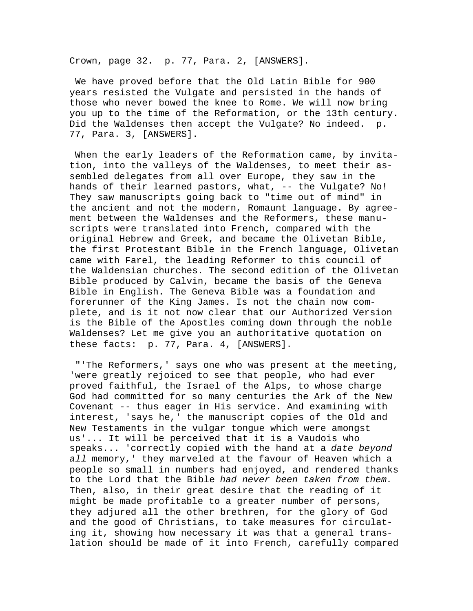Crown, page 32. p. 77, Para. 2, [ANSWERS].

 We have proved before that the Old Latin Bible for 900 years resisted the Vulgate and persisted in the hands of those who never bowed the knee to Rome. We will now bring you up to the time of the Reformation, or the 13th century. Did the Waldenses then accept the Vulgate? No indeed. p. 77, Para. 3, [ANSWERS].

When the early leaders of the Reformation came, by invitation, into the valleys of the Waldenses, to meet their assembled delegates from all over Europe, they saw in the hands of their learned pastors, what, -- the Vulgate? No! They saw manuscripts going back to "time out of mind" in the ancient and not the modern, Romaunt language. By agreement between the Waldenses and the Reformers, these manuscripts were translated into French, compared with the original Hebrew and Greek, and became the Olivetan Bible, the first Protestant Bible in the French language, Olivetan came with Farel, the leading Reformer to this council of the Waldensian churches. The second edition of the Olivetan Bible produced by Calvin, became the basis of the Geneva Bible in English. The Geneva Bible was a foundation and forerunner of the King James. Is not the chain now complete, and is it not now clear that our Authorized Version is the Bible of the Apostles coming down through the noble Waldenses? Let me give you an authoritative quotation on these facts: p. 77, Para. 4, [ANSWERS].

 "'The Reformers,' says one who was present at the meeting, 'were greatly rejoiced to see that people, who had ever proved faithful, the Israel of the Alps, to whose charge God had committed for so many centuries the Ark of the New Covenant -- thus eager in His service. And examining with interest, 'says he,' the manuscript copies of the Old and New Testaments in the vulgar tongue which were amongst us'... It will be perceived that it is a Vaudois who speaks... 'correctly copied with the hand at a *date beyond all* memory,' they marveled at the favour of Heaven which a people so small in numbers had enjoyed, and rendered thanks to the Lord that the Bible *had never been taken from them.* Then, also, in their great desire that the reading of it might be made profitable to a greater number of persons, they adjured all the other brethren, for the glory of God and the good of Christians, to take measures for circulating it, showing how necessary it was that a general translation should be made of it into French, carefully compared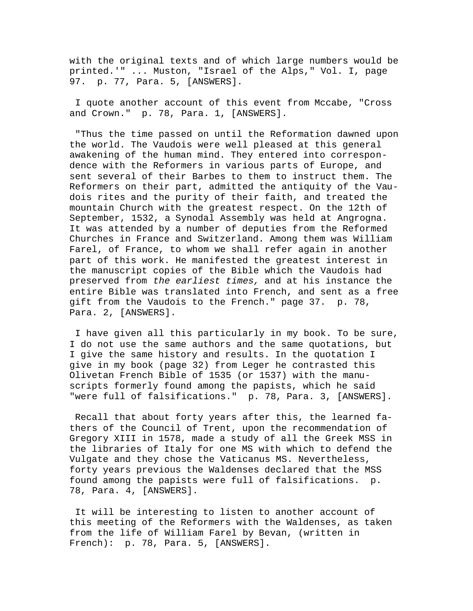with the original texts and of which large numbers would be printed.'" ... Muston, "Israel of the Alps," Vol. I, page 97. p. 77, Para. 5, [ANSWERS].

 I quote another account of this event from Mccabe, "Cross and Crown." p. 78, Para. 1, [ANSWERS].

 "Thus the time passed on until the Reformation dawned upon the world. The Vaudois were well pleased at this general awakening of the human mind. They entered into correspondence with the Reformers in various parts of Europe, and sent several of their Barbes to them to instruct them. The Reformers on their part, admitted the antiquity of the Vaudois rites and the purity of their faith, and treated the mountain Church with the greatest respect. On the 12th of September, 1532, a Synodal Assembly was held at Angrogna. It was attended by a number of deputies from the Reformed Churches in France and Switzerland. Among them was William Farel, of France, to whom we shall refer again in another part of this work. He manifested the greatest interest in the manuscript copies of the Bible which the Vaudois had preserved from *the earliest times,* and at his instance the entire Bible was translated into French, and sent as a free gift from the Vaudois to the French." page 37. p. 78, Para. 2, [ANSWERS].

 I have given all this particularly in my book. To be sure, I do not use the same authors and the same quotations, but I give the same history and results. In the quotation I give in my book (page 32) from Leger he contrasted this Olivetan French Bible of 1535 (or 1537) with the manuscripts formerly found among the papists, which he said "were full of falsifications." p. 78, Para. 3, [ANSWERS].

 Recall that about forty years after this, the learned fathers of the Council of Trent, upon the recommendation of Gregory XIII in 1578, made a study of all the Greek MSS in the libraries of Italy for one MS with which to defend the Vulgate and they chose the Vaticanus MS. Nevertheless, forty years previous the Waldenses declared that the MSS found among the papists were full of falsifications. p. 78, Para. 4, [ANSWERS].

 It will be interesting to listen to another account of this meeting of the Reformers with the Waldenses, as taken from the life of William Farel by Bevan, (written in French): p. 78, Para. 5, [ANSWERS].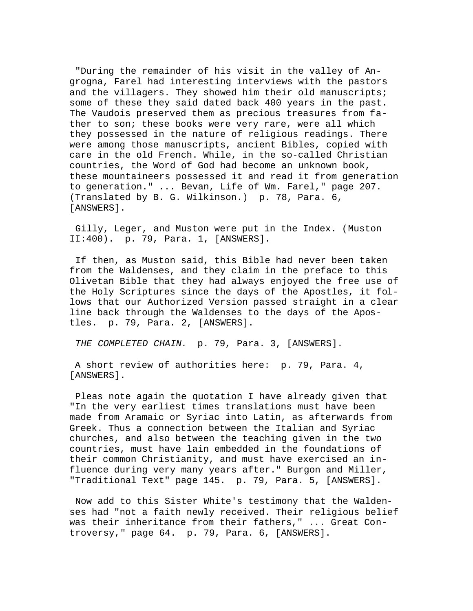"During the remainder of his visit in the valley of Angrogna, Farel had interesting interviews with the pastors and the villagers. They showed him their old manuscripts; some of these they said dated back 400 years in the past. The Vaudois preserved them as precious treasures from father to son; these books were very rare, were all which they possessed in the nature of religious readings. There were among those manuscripts, ancient Bibles, copied with care in the old French. While, in the so-called Christian countries, the Word of God had become an unknown book, these mountaineers possessed it and read it from generation to generation." ... Bevan, Life of Wm. Farel," page 207. (Translated by B. G. Wilkinson.) p. 78, Para. 6, [ANSWERS].

 Gilly, Leger, and Muston were put in the Index. (Muston II:400). p. 79, Para. 1, [ANSWERS].

 If then, as Muston said, this Bible had never been taken from the Waldenses, and they claim in the preface to this Olivetan Bible that they had always enjoyed the free use of the Holy Scriptures since the days of the Apostles, it follows that our Authorized Version passed straight in a clear line back through the Waldenses to the days of the Apostles. p. 79, Para. 2, [ANSWERS].

 *THE COMPLETED CHAIN.* p. 79, Para. 3, [ANSWERS].

 A short review of authorities here: p. 79, Para. 4, [ANSWERS].

 Pleas note again the quotation I have already given that "In the very earliest times translations must have been made from Aramaic or Syriac into Latin, as afterwards from Greek. Thus a connection between the Italian and Syriac churches, and also between the teaching given in the two countries, must have lain embedded in the foundations of their common Christianity, and must have exercised an influence during very many years after." Burgon and Miller, "Traditional Text" page 145. p. 79, Para. 5, [ANSWERS].

 Now add to this Sister White's testimony that the Waldenses had "not a faith newly received. Their religious belief was their inheritance from their fathers," ... Great Controversy," page 64. p. 79, Para. 6, [ANSWERS].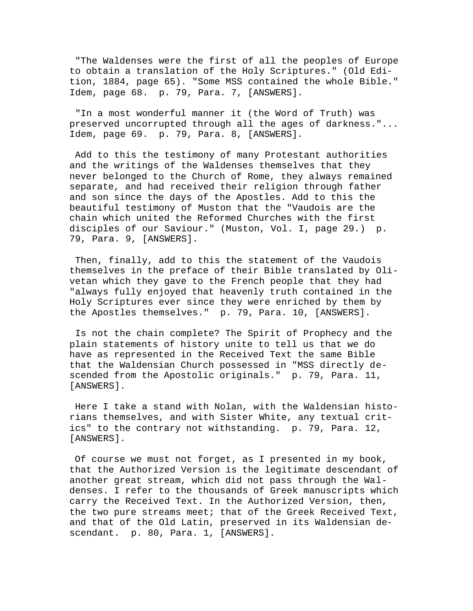"The Waldenses were the first of all the peoples of Europe to obtain a translation of the Holy Scriptures." (Old Edition, 1884, page 65). "Some MSS contained the whole Bible." Idem, page 68. p. 79, Para. 7, [ANSWERS].

 "In a most wonderful manner it (the Word of Truth) was preserved uncorrupted through all the ages of darkness."... Idem, page 69. p. 79, Para. 8, [ANSWERS].

 Add to this the testimony of many Protestant authorities and the writings of the Waldenses themselves that they never belonged to the Church of Rome, they always remained separate, and had received their religion through father and son since the days of the Apostles. Add to this the beautiful testimony of Muston that the "Vaudois are the chain which united the Reformed Churches with the first disciples of our Saviour." (Muston, Vol. I, page 29.) p. 79, Para. 9, [ANSWERS].

 Then, finally, add to this the statement of the Vaudois themselves in the preface of their Bible translated by Olivetan which they gave to the French people that they had "always fully enjoyed that heavenly truth contained in the Holy Scriptures ever since they were enriched by them by the Apostles themselves." p. 79, Para. 10, [ANSWERS].

 Is not the chain complete? The Spirit of Prophecy and the plain statements of history unite to tell us that we do have as represented in the Received Text the same Bible that the Waldensian Church possessed in "MSS directly descended from the Apostolic originals." p. 79, Para. 11, [ANSWERS].

 Here I take a stand with Nolan, with the Waldensian historians themselves, and with Sister White, any textual critics" to the contrary not withstanding. p. 79, Para. 12, [ANSWERS].

 Of course we must not forget, as I presented in my book, that the Authorized Version is the legitimate descendant of another great stream, which did not pass through the Waldenses. I refer to the thousands of Greek manuscripts which carry the Received Text. In the Authorized Version, then, the two pure streams meet; that of the Greek Received Text, and that of the Old Latin, preserved in its Waldensian descendant. p. 80, Para. 1, [ANSWERS].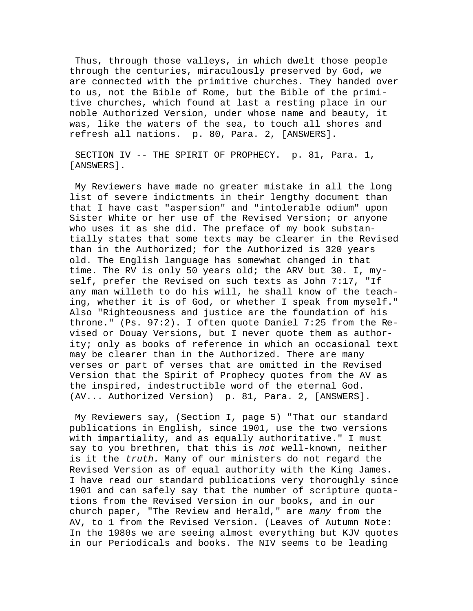Thus, through those valleys, in which dwelt those people through the centuries, miraculously preserved by God, we are connected with the primitive churches. They handed over to us, not the Bible of Rome, but the Bible of the primitive churches, which found at last a resting place in our noble Authorized Version, under whose name and beauty, it was, like the waters of the sea, to touch all shores and refresh all nations. p. 80, Para. 2, [ANSWERS].

 SECTION IV -- THE SPIRIT OF PROPHECY. p. 81, Para. 1, [ANSWERS].

 My Reviewers have made no greater mistake in all the long list of severe indictments in their lengthy document than that I have cast "aspersion" and "intolerable odium" upon Sister White or her use of the Revised Version; or anyone who uses it as she did. The preface of my book substantially states that some texts may be clearer in the Revised than in the Authorized; for the Authorized is 320 years old. The English language has somewhat changed in that time. The RV is only 50 years old; the ARV but 30. I, myself, prefer the Revised on such texts as John 7:17, "If any man willeth to do his will, he shall know of the teaching, whether it is of God, or whether I speak from myself." Also "Righteousness and justice are the foundation of his throne." (Ps. 97:2). I often quote Daniel 7:25 from the Revised or Douay Versions, but I never quote them as authority; only as books of reference in which an occasional text may be clearer than in the Authorized. There are many verses or part of verses that are omitted in the Revised Version that the Spirit of Prophecy quotes from the AV as the inspired, indestructible word of the eternal God. (AV... Authorized Version) p. 81, Para. 2, [ANSWERS].

 My Reviewers say, (Section I, page 5) "That our standard publications in English, since 1901, use the two versions with impartiality, and as equally authoritative." I must say to you brethren, that this is *not* well-known, neither is it the *truth.* Many of our ministers do not regard the Revised Version as of equal authority with the King James. I have read our standard publications very thoroughly since 1901 and can safely say that the number of scripture quotations from the Revised Version in our books, and in our church paper, "The Review and Herald," are *many* from the AV, to 1 from the Revised Version. (Leaves of Autumn Note: In the 1980s we are seeing almost everything but KJV quotes in our Periodicals and books. The NIV seems to be leading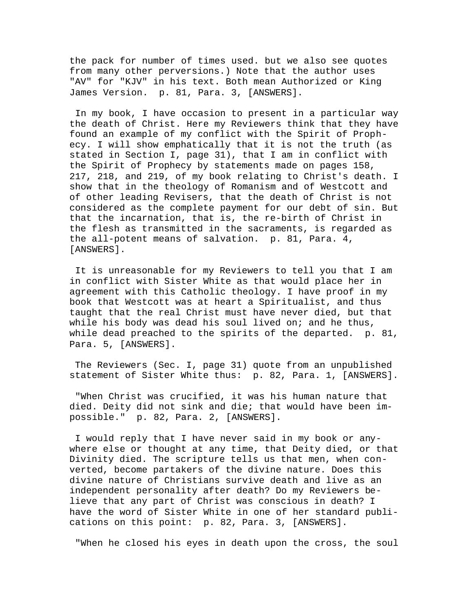the pack for number of times used. but we also see quotes from many other perversions.) Note that the author uses "AV" for "KJV" in his text. Both mean Authorized or King James Version. p. 81, Para. 3, [ANSWERS].

 In my book, I have occasion to present in a particular way the death of Christ. Here my Reviewers think that they have found an example of my conflict with the Spirit of Prophecy. I will show emphatically that it is not the truth (as stated in Section I, page 31), that I am in conflict with the Spirit of Prophecy by statements made on pages 158, 217, 218, and 219, of my book relating to Christ's death. I show that in the theology of Romanism and of Westcott and of other leading Revisers, that the death of Christ is not considered as the complete payment for our debt of sin. But that the incarnation, that is, the re-birth of Christ in the flesh as transmitted in the sacraments, is regarded as the all-potent means of salvation. p. 81, Para. 4, [ANSWERS].

 It is unreasonable for my Reviewers to tell you that I am in conflict with Sister White as that would place her in agreement with this Catholic theology. I have proof in my book that Westcott was at heart a Spiritualist, and thus taught that the real Christ must have never died, but that while his body was dead his soul lived on; and he thus, while dead preached to the spirits of the departed. p. 81, Para. 5, [ANSWERS].

 The Reviewers (Sec. I, page 31) quote from an unpublished statement of Sister White thus: p. 82, Para. 1, [ANSWERS].

 "When Christ was crucified, it was his human nature that died. Deity did not sink and die; that would have been impossible." p. 82, Para. 2, [ANSWERS].

 I would reply that I have never said in my book or anywhere else or thought at any time, that Deity died, or that Divinity died. The scripture tells us that men, when converted, become partakers of the divine nature. Does this divine nature of Christians survive death and live as an independent personality after death? Do my Reviewers believe that any part of Christ was conscious in death? I have the word of Sister White in one of her standard publications on this point: p. 82, Para. 3, [ANSWERS].

"When he closed his eyes in death upon the cross, the soul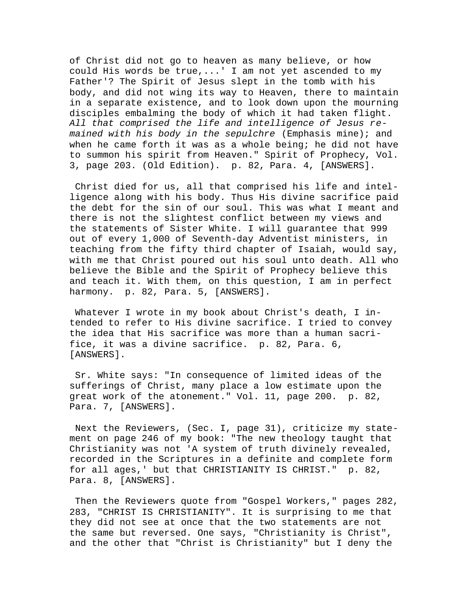of Christ did not go to heaven as many believe, or how could His words be true,...' I am not yet ascended to my Father'? The Spirit of Jesus slept in the tomb with his body, and did not wing its way to Heaven, there to maintain in a separate existence, and to look down upon the mourning disciples embalming the body of which it had taken flight. *All that comprised the life and intelligence of Jesus remained with his body in the sepulchre* (Emphasis mine); and when he came forth it was as a whole being; he did not have to summon his spirit from Heaven." Spirit of Prophecy, Vol. 3, page 203. (Old Edition). p. 82, Para. 4, [ANSWERS].

 Christ died for us, all that comprised his life and intelligence along with his body. Thus His divine sacrifice paid the debt for the sin of our soul. This was what I meant and there is not the slightest conflict between my views and the statements of Sister White. I will guarantee that 999 out of every 1,000 of Seventh-day Adventist ministers, in teaching from the fifty third chapter of Isaiah, would say, with me that Christ poured out his soul unto death. All who believe the Bible and the Spirit of Prophecy believe this and teach it. With them, on this question, I am in perfect harmony. p. 82, Para. 5, [ANSWERS].

 Whatever I wrote in my book about Christ's death, I intended to refer to His divine sacrifice. I tried to convey the idea that His sacrifice was more than a human sacrifice, it was a divine sacrifice. p. 82, Para. 6, [ANSWERS].

 Sr. White says: "In consequence of limited ideas of the sufferings of Christ, many place a low estimate upon the great work of the atonement." Vol. 11, page 200. p. 82, Para. 7, [ANSWERS].

 Next the Reviewers, (Sec. I, page 31), criticize my statement on page 246 of my book: "The new theology taught that Christianity was not 'A system of truth divinely revealed, recorded in the Scriptures in a definite and complete form for all ages,' but that CHRISTIANITY IS CHRIST." p. 82, Para. 8, [ANSWERS].

 Then the Reviewers quote from "Gospel Workers," pages 282, 283, "CHRIST IS CHRISTIANITY". It is surprising to me that they did not see at once that the two statements are not the same but reversed. One says, "Christianity is Christ", and the other that "Christ is Christianity" but I deny the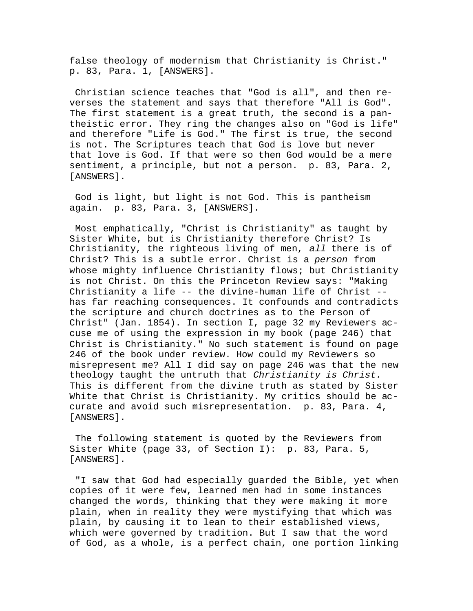false theology of modernism that Christianity is Christ." p. 83, Para. 1, [ANSWERS].

 Christian science teaches that "God is all", and then reverses the statement and says that therefore "All is God". The first statement is a great truth, the second is a pantheistic error. They ring the changes also on "God is life" and therefore "Life is God." The first is true, the second is not. The Scriptures teach that God is love but never that love is God. If that were so then God would be a mere sentiment, a principle, but not a person. p. 83, Para. 2, [ANSWERS].

 God is light, but light is not God. This is pantheism again. p. 83, Para. 3, [ANSWERS].

 Most emphatically, "Christ is Christianity" as taught by Sister White, but is Christianity therefore Christ? Is Christianity, the righteous living of men, *all* there is of Christ? This is a subtle error. Christ is a *person* from whose mighty influence Christianity flows; but Christianity is not Christ. On this the Princeton Review says: "Making Christianity a life -- the divine-human life of Christ - has far reaching consequences. It confounds and contradicts the scripture and church doctrines as to the Person of Christ" (Jan. 1854). In section I, page 32 my Reviewers accuse me of using the expression in my book (page 246) that Christ is Christianity." No such statement is found on page 246 of the book under review. How could my Reviewers so misrepresent me? All I did say on page 246 was that the new theology taught the untruth that *Christianity is Christ.* This is different from the divine truth as stated by Sister White that Christ is Christianity. My critics should be accurate and avoid such misrepresentation. p. 83, Para. 4, [ANSWERS].

 The following statement is quoted by the Reviewers from Sister White (page 33, of Section I): p. 83, Para. 5, [ANSWERS].

 "I saw that God had especially guarded the Bible, yet when copies of it were few, learned men had in some instances changed the words, thinking that they were making it more plain, when in reality they were mystifying that which was plain, by causing it to lean to their established views, which were governed by tradition. But I saw that the word of God, as a whole, is a perfect chain, one portion linking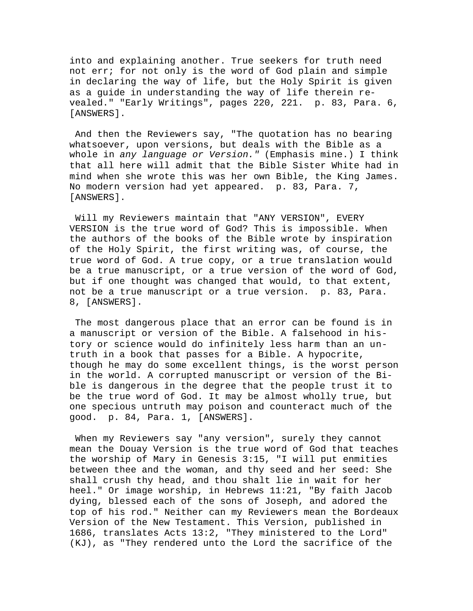into and explaining another. True seekers for truth need not err; for not only is the word of God plain and simple in declaring the way of life, but the Holy Spirit is given as a guide in understanding the way of life therein revealed." "Early Writings", pages 220, 221. p. 83, Para. 6, [ANSWERS].

 And then the Reviewers say, "The quotation has no bearing whatsoever, upon versions, but deals with the Bible as a whole in *any language or Version."* (Emphasis mine.) I think that all here will admit that the Bible Sister White had in mind when she wrote this was her own Bible, the King James. No modern version had yet appeared. p. 83, Para. 7, [ANSWERS].

 Will my Reviewers maintain that "ANY VERSION", EVERY VERSION is the true word of God? This is impossible. When the authors of the books of the Bible wrote by inspiration of the Holy Spirit, the first writing was, of course, the true word of God. A true copy, or a true translation would be a true manuscript, or a true version of the word of God, but if one thought was changed that would, to that extent, not be a true manuscript or a true version. p. 83, Para. 8, [ANSWERS].

 The most dangerous place that an error can be found is in a manuscript or version of the Bible. A falsehood in history or science would do infinitely less harm than an untruth in a book that passes for a Bible. A hypocrite, though he may do some excellent things, is the worst person in the world. A corrupted manuscript or version of the Bible is dangerous in the degree that the people trust it to be the true word of God. It may be almost wholly true, but one specious untruth may poison and counteract much of the good. p. 84, Para. 1, [ANSWERS].

 When my Reviewers say "any version", surely they cannot mean the Douay Version is the true word of God that teaches the worship of Mary in Genesis 3:15, "I will put enmities between thee and the woman, and thy seed and her seed: She shall crush thy head, and thou shalt lie in wait for her heel." Or image worship, in Hebrews 11:21, "By faith Jacob dying, blessed each of the sons of Joseph, and adored the top of his rod." Neither can my Reviewers mean the Bordeaux Version of the New Testament. This Version, published in 1686, translates Acts 13:2, "They ministered to the Lord" (KJ), as "They rendered unto the Lord the sacrifice of the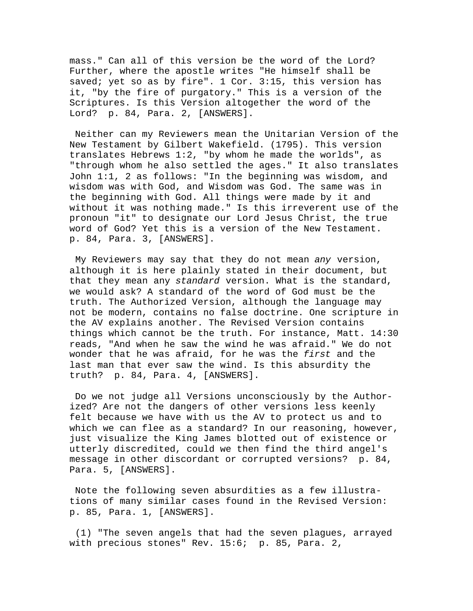mass." Can all of this version be the word of the Lord? Further, where the apostle writes "He himself shall be saved; yet so as by fire". 1 Cor. 3:15, this version has it, "by the fire of purgatory." This is a version of the Scriptures. Is this Version altogether the word of the Lord? p. 84, Para. 2, [ANSWERS].

 Neither can my Reviewers mean the Unitarian Version of the New Testament by Gilbert Wakefield. (1795). This version translates Hebrews 1:2, "by whom he made the worlds", as "through whom he also settled the ages." It also translates John 1:1, 2 as follows: "In the beginning was wisdom, and wisdom was with God, and Wisdom was God. The same was in the beginning with God. All things were made by it and without it was nothing made." Is this irreverent use of the pronoun "it" to designate our Lord Jesus Christ, the true word of God? Yet this is a version of the New Testament. p. 84, Para. 3, [ANSWERS].

 My Reviewers may say that they do not mean *any* version, although it is here plainly stated in their document, but that they mean any *standard* version. What is the standard, we would ask? A standard of the word of God must be the truth. The Authorized Version, although the language may not be modern, contains no false doctrine. One scripture in the AV explains another. The Revised Version contains things which cannot be the truth. For instance, Matt. 14:30 reads, "And when he saw the wind he was afraid." We do not wonder that he was afraid, for he was the *first* and the last man that ever saw the wind. Is this absurdity the truth? p. 84, Para. 4, [ANSWERS].

 Do we not judge all Versions unconsciously by the Authorized? Are not the dangers of other versions less keenly felt because we have with us the AV to protect us and to which we can flee as a standard? In our reasoning, however, just visualize the King James blotted out of existence or utterly discredited, could we then find the third angel's message in other discordant or corrupted versions? p. 84, Para. 5, [ANSWERS].

 Note the following seven absurdities as a few illustrations of many similar cases found in the Revised Version: p. 85, Para. 1, [ANSWERS].

 (1) "The seven angels that had the seven plagues, arrayed with precious stones" Rev. 15:6; p. 85, Para. 2,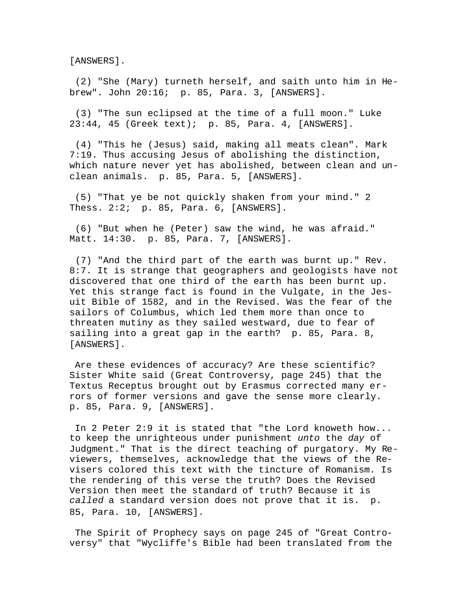[ANSWERS].

 (2) "She (Mary) turneth herself, and saith unto him in Hebrew". John 20:16; p. 85, Para. 3, [ANSWERS].

 (3) "The sun eclipsed at the time of a full moon." Luke 23:44, 45 (Greek text); p. 85, Para. 4, [ANSWERS].

 (4) "This he (Jesus) said, making all meats clean". Mark 7:19. Thus accusing Jesus of abolishing the distinction, which nature never yet has abolished, between clean and unclean animals. p. 85, Para. 5, [ANSWERS].

 (5) "That ye be not quickly shaken from your mind." 2 Thess. 2:2; p. 85, Para. 6, [ANSWERS].

 (6) "But when he (Peter) saw the wind, he was afraid." Matt. 14:30. p. 85, Para. 7, [ANSWERS].

 (7) "And the third part of the earth was burnt up." Rev. 8:7. It is strange that geographers and geologists have not discovered that one third of the earth has been burnt up. Yet this strange fact is found in the Vulgate, in the Jesuit Bible of 1582, and in the Revised. Was the fear of the sailors of Columbus, which led them more than once to threaten mutiny as they sailed westward, due to fear of sailing into a great gap in the earth? p. 85, Para. 8, [ANSWERS].

 Are these evidences of accuracy? Are these scientific? Sister White said (Great Controversy, page 245) that the Textus Receptus brought out by Erasmus corrected many errors of former versions and gave the sense more clearly. p. 85, Para. 9, [ANSWERS].

 In 2 Peter 2:9 it is stated that "the Lord knoweth how... to keep the unrighteous under punishment *unto* the *day* of Judgment." That is the direct teaching of purgatory. My Reviewers, themselves, acknowledge that the views of the Revisers colored this text with the tincture of Romanism. Is the rendering of this verse the truth? Does the Revised Version then meet the standard of truth? Because it is *called* a standard version does not prove that it is. p. 85, Para. 10, [ANSWERS].

 The Spirit of Prophecy says on page 245 of "Great Controversy" that "Wycliffe's Bible had been translated from the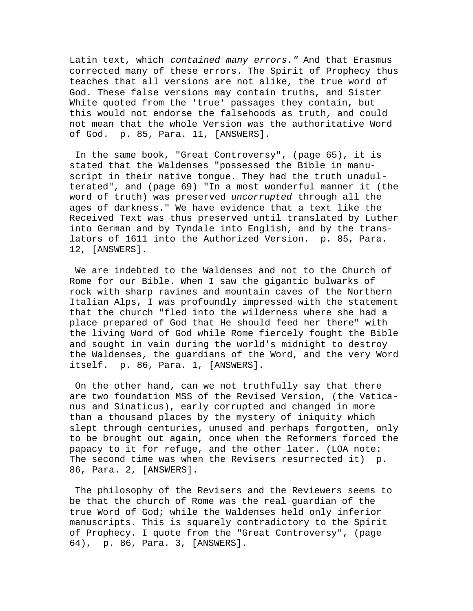Latin text, which *contained many errors."* And that Erasmus corrected many of these errors. The Spirit of Prophecy thus teaches that all versions are not alike, the true word of God. These false versions may contain truths, and Sister White quoted from the 'true' passages they contain, but this would not endorse the falsehoods as truth, and could not mean that the whole Version was the authoritative Word of God. p. 85, Para. 11, [ANSWERS].

 In the same book, "Great Controversy", (page 65), it is stated that the Waldenses "possessed the Bible in manuscript in their native tongue. They had the truth unadulterated", and (page 69) "In a most wonderful manner it (the word of truth) was preserved *uncorrupted* through all the ages of darkness." We have evidence that a text like the Received Text was thus preserved until translated by Luther into German and by Tyndale into English, and by the translators of 1611 into the Authorized Version. p. 85, Para. 12, [ANSWERS].

 We are indebted to the Waldenses and not to the Church of Rome for our Bible. When I saw the gigantic bulwarks of rock with sharp ravines and mountain caves of the Northern Italian Alps, I was profoundly impressed with the statement that the church "fled into the wilderness where she had a place prepared of God that He should feed her there" with the living Word of God while Rome fiercely fought the Bible and sought in vain during the world's midnight to destroy the Waldenses, the guardians of the Word, and the very Word itself. p. 86, Para. 1, [ANSWERS].

 On the other hand, can we not truthfully say that there are two foundation MSS of the Revised Version, (the Vaticanus and Sinaticus), early corrupted and changed in more than a thousand places by the mystery of iniquity which slept through centuries, unused and perhaps forgotten, only to be brought out again, once when the Reformers forced the papacy to it for refuge, and the other later. (LOA note: The second time was when the Revisers resurrected it) p. 86, Para. 2, [ANSWERS].

 The philosophy of the Revisers and the Reviewers seems to be that the church of Rome was the real guardian of the true Word of God; while the Waldenses held only inferior manuscripts. This is squarely contradictory to the Spirit of Prophecy. I quote from the "Great Controversy", (page 64), p. 86, Para. 3, [ANSWERS].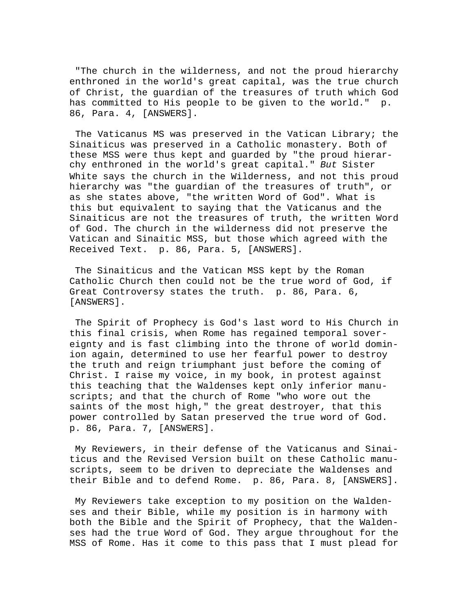"The church in the wilderness, and not the proud hierarchy enthroned in the world's great capital, was the true church of Christ, the guardian of the treasures of truth which God has committed to His people to be given to the world." p. 86, Para. 4, [ANSWERS].

 The Vaticanus MS was preserved in the Vatican Library; the Sinaiticus was preserved in a Catholic monastery. Both of these MSS were thus kept and guarded by "the proud hierarchy enthroned in the world's great capital." *But* Sister White says the church in the Wilderness, and not this proud hierarchy was "the guardian of the treasures of truth", or as she states above, "the written Word of God". What is this but equivalent to saying that the Vaticanus and the Sinaiticus are not the treasures of truth, the written Word of God. The church in the wilderness did not preserve the Vatican and Sinaitic MSS, but those which agreed with the Received Text. p. 86, Para. 5, [ANSWERS].

 The Sinaiticus and the Vatican MSS kept by the Roman Catholic Church then could not be the true word of God, if Great Controversy states the truth. p. 86, Para. 6, [ANSWERS].

 The Spirit of Prophecy is God's last word to His Church in this final crisis, when Rome has regained temporal sovereignty and is fast climbing into the throne of world dominion again, determined to use her fearful power to destroy the truth and reign triumphant just before the coming of Christ. I raise my voice, in my book, in protest against this teaching that the Waldenses kept only inferior manuscripts; and that the church of Rome "who wore out the saints of the most high," the great destroyer, that this power controlled by Satan preserved the true word of God. p. 86, Para. 7, [ANSWERS].

 My Reviewers, in their defense of the Vaticanus and Sinaiticus and the Revised Version built on these Catholic manuscripts, seem to be driven to depreciate the Waldenses and their Bible and to defend Rome. p. 86, Para. 8, [ANSWERS].

 My Reviewers take exception to my position on the Waldenses and their Bible, while my position is in harmony with both the Bible and the Spirit of Prophecy, that the Waldenses had the true Word of God. They argue throughout for the MSS of Rome. Has it come to this pass that I must plead for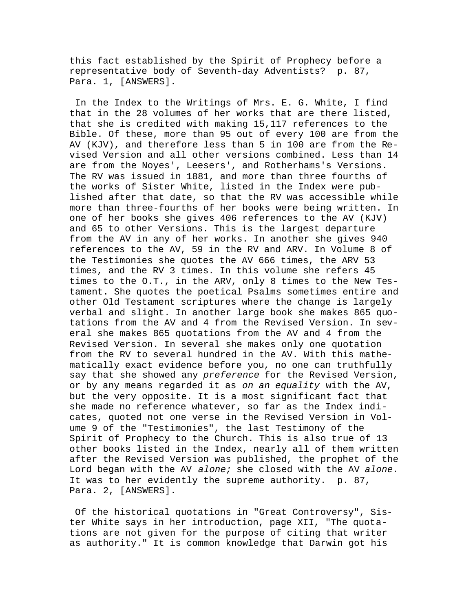this fact established by the Spirit of Prophecy before a representative body of Seventh-day Adventists? p. 87, Para. 1, [ANSWERS].

 In the Index to the Writings of Mrs. E. G. White, I find that in the 28 volumes of her works that are there listed, that she is credited with making 15,117 references to the Bible. Of these, more than 95 out of every 100 are from the AV (KJV), and therefore less than 5 in 100 are from the Revised Version and all other versions combined. Less than 14 are from the Noyes', Leesers', and Rotherhams's Versions. The RV was issued in 1881, and more than three fourths of the works of Sister White, listed in the Index were published after that date, so that the RV was accessible while more than three-fourths of her books were being written. In one of her books she gives 406 references to the AV (KJV) and 65 to other Versions. This is the largest departure from the AV in any of her works. In another she gives 940 references to the AV, 59 in the RV and ARV. In Volume 8 of the Testimonies she quotes the AV 666 times, the ARV 53 times, and the RV 3 times. In this volume she refers 45 times to the O.T., in the ARV, only 8 times to the New Testament. She quotes the poetical Psalms sometimes entire and other Old Testament scriptures where the change is largely verbal and slight. In another large book she makes 865 quotations from the AV and 4 from the Revised Version. In several she makes 865 quotations from the AV and 4 from the Revised Version. In several she makes only one quotation from the RV to several hundred in the AV. With this mathematically exact evidence before you, no one can truthfully say that she showed any *preference* for the Revised Version, or by any means regarded it as *on an equality* with the AV, but the very opposite. It is a most significant fact that she made no reference whatever, so far as the Index indicates, quoted not one verse in the Revised Version in Volume 9 of the "Testimonies", the last Testimony of the Spirit of Prophecy to the Church. This is also true of 13 other books listed in the Index, nearly all of them written after the Revised Version was published, the prophet of the Lord began with the AV *alone;* she closed with the AV *alone.* It was to her evidently the supreme authority. p. 87, Para. 2, [ANSWERS].

 Of the historical quotations in "Great Controversy", Sister White says in her introduction, page XII, "The quotations are not given for the purpose of citing that writer as authority." It is common knowledge that Darwin got his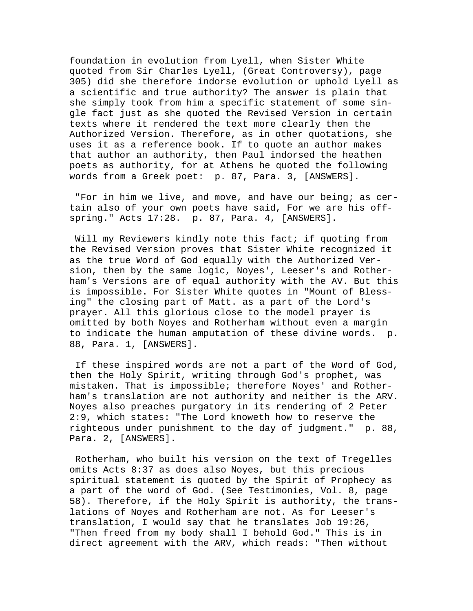foundation in evolution from Lyell, when Sister White quoted from Sir Charles Lyell, (Great Controversy), page 305) did she therefore indorse evolution or uphold Lyell as a scientific and true authority? The answer is plain that she simply took from him a specific statement of some single fact just as she quoted the Revised Version in certain texts where it rendered the text more clearly then the Authorized Version. Therefore, as in other quotations, she uses it as a reference book. If to quote an author makes that author an authority, then Paul indorsed the heathen poets as authority, for at Athens he quoted the following words from a Greek poet: p. 87, Para. 3, [ANSWERS].

 "For in him we live, and move, and have our being; as certain also of your own poets have said, For we are his offspring." Acts 17:28. p. 87, Para. 4, [ANSWERS].

Will my Reviewers kindly note this fact; if quoting from the Revised Version proves that Sister White recognized it as the true Word of God equally with the Authorized Version, then by the same logic, Noyes', Leeser's and Rotherham's Versions are of equal authority with the AV. But this is impossible. For Sister White quotes in "Mount of Blessing" the closing part of Matt. as a part of the Lord's prayer. All this glorious close to the model prayer is omitted by both Noyes and Rotherham without even a margin to indicate the human amputation of these divine words. p. 88, Para. 1, [ANSWERS].

 If these inspired words are not a part of the Word of God, then the Holy Spirit, writing through God's prophet, was mistaken. That is impossible; therefore Noyes' and Rotherham's translation are not authority and neither is the ARV. Noyes also preaches purgatory in its rendering of 2 Peter 2:9, which states: "The Lord knoweth how to reserve the righteous under punishment to the day of judgment." p. 88, Para. 2, [ANSWERS].

Rotherham, who built his version on the text of Tregelles omits Acts 8:37 as does also Noyes, but this precious spiritual statement is quoted by the Spirit of Prophecy as a part of the word of God. (See Testimonies, Vol. 8, page 58). Therefore, if the Holy Spirit is authority, the translations of Noyes and Rotherham are not. As for Leeser's translation, I would say that he translates Job 19:26, "Then freed from my body shall I behold God." This is in direct agreement with the ARV, which reads: "Then without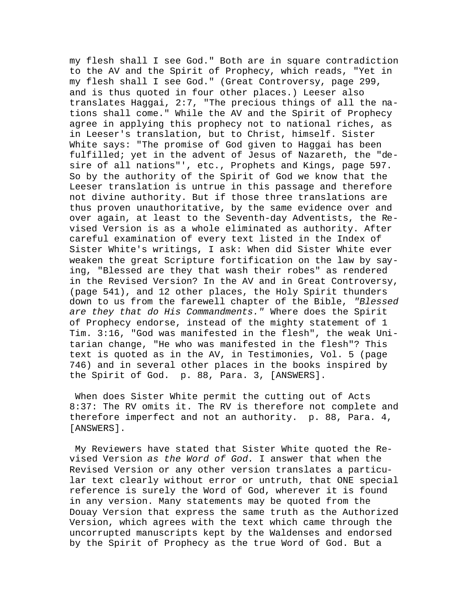my flesh shall I see God." Both are in square contradiction to the AV and the Spirit of Prophecy, which reads, "Yet in my flesh shall I see God." (Great Controversy, page 299, and is thus quoted in four other places.) Leeser also translates Haggai, 2:7, "The precious things of all the nations shall come." While the AV and the Spirit of Prophecy agree in applying this prophecy not to national riches, as in Leeser's translation, but to Christ, himself. Sister White says: "The promise of God given to Haggai has been fulfilled; yet in the advent of Jesus of Nazareth, the "desire of all nations"', etc., Prophets and Kings, page 597. So by the authority of the Spirit of God we know that the Leeser translation is untrue in this passage and therefore not divine authority. But if those three translations are thus proven unauthoritative, by the same evidence over and over again, at least to the Seventh-day Adventists, the Revised Version is as a whole eliminated as authority. After careful examination of every text listed in the Index of Sister White's writings, I ask: When did Sister White ever weaken the great Scripture fortification on the law by saying, "Blessed are they that wash their robes" as rendered in the Revised Version? In the AV and in Great Controversy, (page 541), and 12 other places, the Holy Spirit thunders down to us from the farewell chapter of the Bible, *"Blessed are they that do His Commandments."* Where does the Spirit of Prophecy endorse, instead of the mighty statement of 1 Tim. 3:16, "God was manifested in the flesh", the weak Unitarian change, "He who was manifested in the flesh"? This text is quoted as in the AV, in Testimonies, Vol. 5 (page 746) and in several other places in the books inspired by the Spirit of God. p. 88, Para. 3, [ANSWERS].

 When does Sister White permit the cutting out of Acts 8:37: The RV omits it. The RV is therefore not complete and therefore imperfect and not an authority. p. 88, Para. 4, [ANSWERS].

 My Reviewers have stated that Sister White quoted the Revised Version *as the Word of God.* I answer that when the Revised Version or any other version translates a particular text clearly without error or untruth, that ONE special reference is surely the Word of God, wherever it is found in any version. Many statements may be quoted from the Douay Version that express the same truth as the Authorized Version, which agrees with the text which came through the uncorrupted manuscripts kept by the Waldenses and endorsed by the Spirit of Prophecy as the true Word of God. But a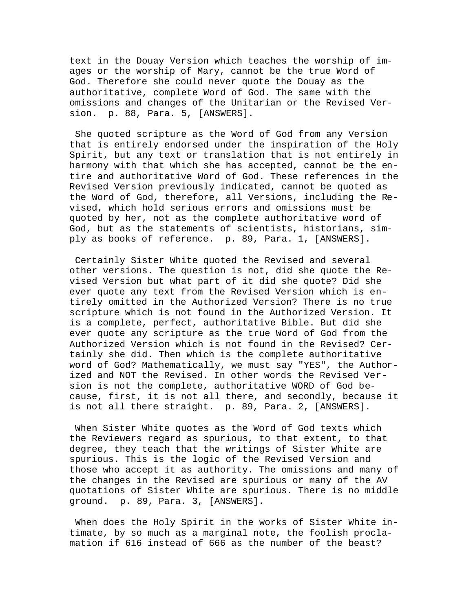text in the Douay Version which teaches the worship of images or the worship of Mary, cannot be the true Word of God. Therefore she could never quote the Douay as the authoritative, complete Word of God. The same with the omissions and changes of the Unitarian or the Revised Version. p. 88, Para. 5, [ANSWERS].

 She quoted scripture as the Word of God from any Version that is entirely endorsed under the inspiration of the Holy Spirit, but any text or translation that is not entirely in harmony with that which she has accepted, cannot be the entire and authoritative Word of God. These references in the Revised Version previously indicated, cannot be quoted as the Word of God, therefore, all Versions, including the Revised, which hold serious errors and omissions must be quoted by her, not as the complete authoritative word of God, but as the statements of scientists, historians, simply as books of reference. p. 89, Para. 1, [ANSWERS].

 Certainly Sister White quoted the Revised and several other versions. The question is not, did she quote the Revised Version but what part of it did she quote? Did she ever quote any text from the Revised Version which is entirely omitted in the Authorized Version? There is no true scripture which is not found in the Authorized Version. It is a complete, perfect, authoritative Bible. But did she ever quote any scripture as the true Word of God from the Authorized Version which is not found in the Revised? Certainly she did. Then which is the complete authoritative word of God? Mathematically, we must say "YES", the Authorized and NOT the Revised. In other words the Revised Version is not the complete, authoritative WORD of God because, first, it is not all there, and secondly, because it is not all there straight. p. 89, Para. 2, [ANSWERS].

 When Sister White quotes as the Word of God texts which the Reviewers regard as spurious, to that extent, to that degree, they teach that the writings of Sister White are spurious. This is the logic of the Revised Version and those who accept it as authority. The omissions and many of the changes in the Revised are spurious or many of the AV quotations of Sister White are spurious. There is no middle ground. p. 89, Para. 3, [ANSWERS].

 When does the Holy Spirit in the works of Sister White intimate, by so much as a marginal note, the foolish proclamation if 616 instead of 666 as the number of the beast?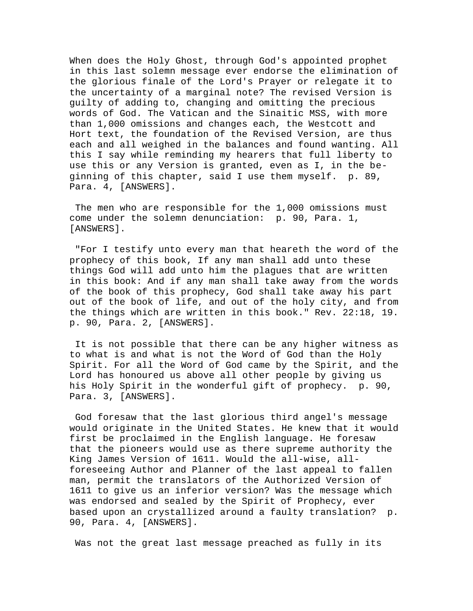When does the Holy Ghost, through God's appointed prophet in this last solemn message ever endorse the elimination of the glorious finale of the Lord's Prayer or relegate it to the uncertainty of a marginal note? The revised Version is guilty of adding to, changing and omitting the precious words of God. The Vatican and the Sinaitic MSS, with more than 1,000 omissions and changes each, the Westcott and Hort text, the foundation of the Revised Version, are thus each and all weighed in the balances and found wanting. All this I say while reminding my hearers that full liberty to use this or any Version is granted, even as I, in the beginning of this chapter, said I use them myself. p. 89, Para. 4, [ANSWERS].

 The men who are responsible for the 1,000 omissions must come under the solemn denunciation: p. 90, Para. 1, [ANSWERS].

 "For I testify unto every man that heareth the word of the prophecy of this book, If any man shall add unto these things God will add unto him the plagues that are written in this book: And if any man shall take away from the words of the book of this prophecy, God shall take away his part out of the book of life, and out of the holy city, and from the things which are written in this book." Rev. 22:18, 19. p. 90, Para. 2, [ANSWERS].

 It is not possible that there can be any higher witness as to what is and what is not the Word of God than the Holy Spirit. For all the Word of God came by the Spirit, and the Lord has honoured us above all other people by giving us his Holy Spirit in the wonderful gift of prophecy. p. 90, Para. 3, [ANSWERS].

 God foresaw that the last glorious third angel's message would originate in the United States. He knew that it would first be proclaimed in the English language. He foresaw that the pioneers would use as there supreme authority the King James Version of 1611. Would the all-wise, allforeseeing Author and Planner of the last appeal to fallen man, permit the translators of the Authorized Version of 1611 to give us an inferior version? Was the message which was endorsed and sealed by the Spirit of Prophecy, ever based upon an crystallized around a faulty translation? p. 90, Para. 4, [ANSWERS].

Was not the great last message preached as fully in its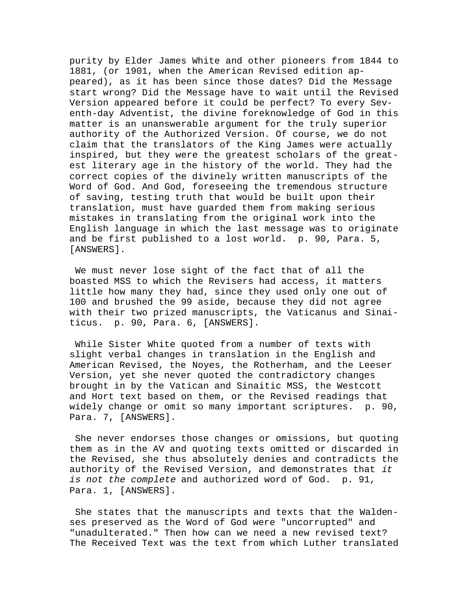purity by Elder James White and other pioneers from 1844 to 1881, (or 1901, when the American Revised edition appeared), as it has been since those dates? Did the Message start wrong? Did the Message have to wait until the Revised Version appeared before it could be perfect? To every Seventh-day Adventist, the divine foreknowledge of God in this matter is an unanswerable argument for the truly superior authority of the Authorized Version. Of course, we do not claim that the translators of the King James were actually inspired, but they were the greatest scholars of the greatest literary age in the history of the world. They had the correct copies of the divinely written manuscripts of the Word of God. And God, foreseeing the tremendous structure of saving, testing truth that would be built upon their translation, must have guarded them from making serious mistakes in translating from the original work into the English language in which the last message was to originate and be first published to a lost world. p. 90, Para. 5, [ANSWERS].

 We must never lose sight of the fact that of all the boasted MSS to which the Revisers had access, it matters little how many they had, since they used only one out of 100 and brushed the 99 aside, because they did not agree with their two prized manuscripts, the Vaticanus and Sinaiticus. p. 90, Para. 6, [ANSWERS].

 While Sister White quoted from a number of texts with slight verbal changes in translation in the English and American Revised, the Noyes, the Rotherham, and the Leeser Version, yet she never quoted the contradictory changes brought in by the Vatican and Sinaitic MSS, the Westcott and Hort text based on them, or the Revised readings that widely change or omit so many important scriptures. p. 90, Para. 7, [ANSWERS].

 She never endorses those changes or omissions, but quoting them as in the AV and quoting texts omitted or discarded in the Revised, she thus absolutely denies and contradicts the authority of the Revised Version, and demonstrates that *it is not the complete* and authorized word of God. p. 91, Para. 1, [ANSWERS].

 She states that the manuscripts and texts that the Waldenses preserved as the Word of God were "uncorrupted" and "unadulterated." Then how can we need a new revised text? The Received Text was the text from which Luther translated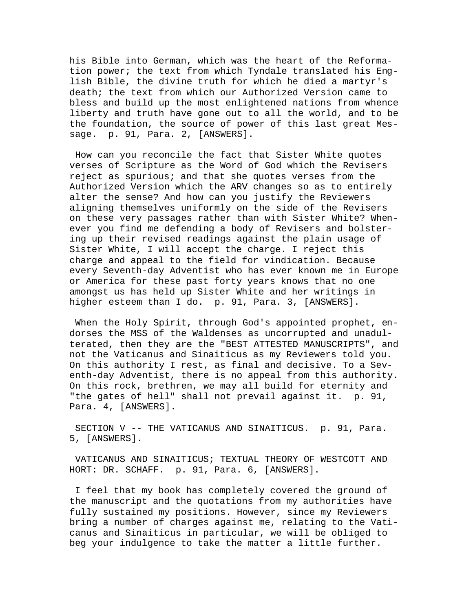his Bible into German, which was the heart of the Reformation power; the text from which Tyndale translated his English Bible, the divine truth for which he died a martyr's death; the text from which our Authorized Version came to bless and build up the most enlightened nations from whence liberty and truth have gone out to all the world, and to be the foundation, the source of power of this last great Message. p. 91, Para. 2, [ANSWERS].

 How can you reconcile the fact that Sister White quotes verses of Scripture as the Word of God which the Revisers reject as spurious; and that she quotes verses from the Authorized Version which the ARV changes so as to entirely alter the sense? And how can you justify the Reviewers aligning themselves uniformly on the side of the Revisers on these very passages rather than with Sister White? Whenever you find me defending a body of Revisers and bolstering up their revised readings against the plain usage of Sister White, I will accept the charge. I reject this charge and appeal to the field for vindication. Because every Seventh-day Adventist who has ever known me in Europe or America for these past forty years knows that no one amongst us has held up Sister White and her writings in higher esteem than I do. p. 91, Para. 3, [ANSWERS].

When the Holy Spirit, through God's appointed prophet, endorses the MSS of the Waldenses as uncorrupted and unadulterated, then they are the "BEST ATTESTED MANUSCRIPTS", and not the Vaticanus and Sinaiticus as my Reviewers told you. On this authority I rest, as final and decisive. To a Seventh-day Adventist, there is no appeal from this authority. On this rock, brethren, we may all build for eternity and "the gates of hell" shall not prevail against it. p. 91, Para. 4, [ANSWERS].

 SECTION V -- THE VATICANUS AND SINAITICUS. p. 91, Para. 5, [ANSWERS].

 VATICANUS AND SINAITICUS; TEXTUAL THEORY OF WESTCOTT AND HORT: DR. SCHAFF. p. 91, Para. 6, [ANSWERS].

 I feel that my book has completely covered the ground of the manuscript and the quotations from my authorities have fully sustained my positions. However, since my Reviewers bring a number of charges against me, relating to the Vaticanus and Sinaiticus in particular, we will be obliged to beg your indulgence to take the matter a little further.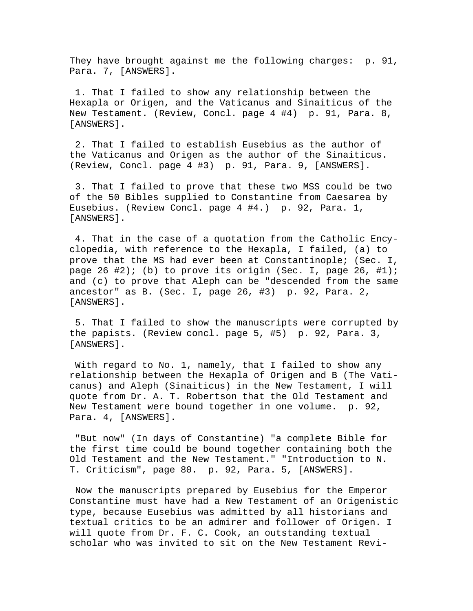They have brought against me the following charges: p. 91, Para. 7, [ANSWERS].

 1. That I failed to show any relationship between the Hexapla or Origen, and the Vaticanus and Sinaiticus of the New Testament. (Review, Concl. page 4 #4) p. 91, Para. 8, [ANSWERS].

 2. That I failed to establish Eusebius as the author of the Vaticanus and Origen as the author of the Sinaiticus. (Review, Concl. page 4 #3) p. 91, Para. 9, [ANSWERS].

 3. That I failed to prove that these two MSS could be two of the 50 Bibles supplied to Constantine from Caesarea by Eusebius. (Review Concl. page 4 #4.) p. 92, Para. 1, [ANSWERS].

 4. That in the case of a quotation from the Catholic Encyclopedia, with reference to the Hexapla, I failed, (a) to prove that the MS had ever been at Constantinople; (Sec. I, page 26 #2); (b) to prove its origin (Sec. I, page 26, #1); and (c) to prove that Aleph can be "descended from the same ancestor" as B. (Sec. I, page 26, #3) p. 92, Para. 2, [ANSWERS].

 5. That I failed to show the manuscripts were corrupted by the papists. (Review concl. page 5, #5) p. 92, Para. 3, [ANSWERS].

With regard to No. 1, namely, that I failed to show any relationship between the Hexapla of Origen and B (The Vaticanus) and Aleph (Sinaiticus) in the New Testament, I will quote from Dr. A. T. Robertson that the Old Testament and New Testament were bound together in one volume. p. 92, Para. 4, [ANSWERS].

 "But now" (In days of Constantine) "a complete Bible for the first time could be bound together containing both the Old Testament and the New Testament." "Introduction to N. T. Criticism", page 80. p. 92, Para. 5, [ANSWERS].

 Now the manuscripts prepared by Eusebius for the Emperor Constantine must have had a New Testament of an Origenistic type, because Eusebius was admitted by all historians and textual critics to be an admirer and follower of Origen. I will quote from Dr. F. C. Cook, an outstanding textual scholar who was invited to sit on the New Testament Revi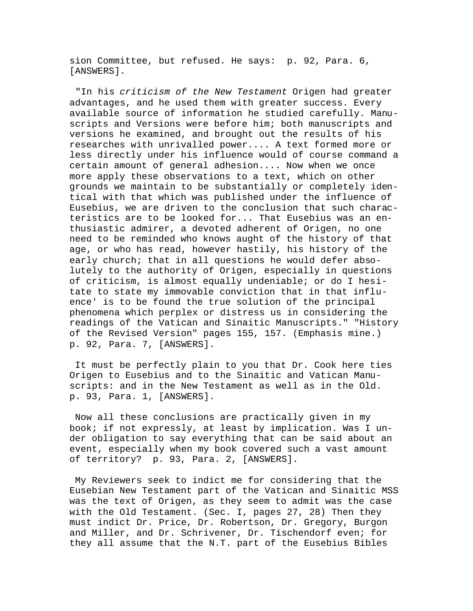sion Committee, but refused. He says: p. 92, Para. 6, [ANSWERS].

 "In his *criticism of the New Testament* Origen had greater advantages, and he used them with greater success. Every available source of information he studied carefully. Manuscripts and Versions were before him; both manuscripts and versions he examined, and brought out the results of his researches with unrivalled power.... A text formed more or less directly under his influence would of course command a certain amount of general adhesion.... Now when we once more apply these observations to a text, which on other grounds we maintain to be substantially or completely identical with that which was published under the influence of Eusebius, we are driven to the conclusion that such characteristics are to be looked for... That Eusebius was an enthusiastic admirer, a devoted adherent of Origen, no one need to be reminded who knows aught of the history of that age, or who has read, however hastily, his history of the early church; that in all questions he would defer absolutely to the authority of Origen, especially in questions of criticism, is almost equally undeniable; or do I hesitate to state my immovable conviction that in that influence' is to be found the true solution of the principal phenomena which perplex or distress us in considering the readings of the Vatican and Sinaitic Manuscripts." "History of the Revised Version" pages 155, 157. (Emphasis mine.) p. 92, Para. 7, [ANSWERS].

 It must be perfectly plain to you that Dr. Cook here ties Origen to Eusebius and to the Sinaitic and Vatican Manuscripts: and in the New Testament as well as in the Old. p. 93, Para. 1, [ANSWERS].

 Now all these conclusions are practically given in my book; if not expressly, at least by implication. Was I under obligation to say everything that can be said about an event, especially when my book covered such a vast amount of territory? p. 93, Para. 2, [ANSWERS].

 My Reviewers seek to indict me for considering that the Eusebian New Testament part of the Vatican and Sinaitic MSS was the text of Origen, as they seem to admit was the case with the Old Testament. (Sec. I, pages 27, 28) Then they must indict Dr. Price, Dr. Robertson, Dr. Gregory, Burgon and Miller, and Dr. Schrivener, Dr. Tischendorf even; for they all assume that the N.T. part of the Eusebius Bibles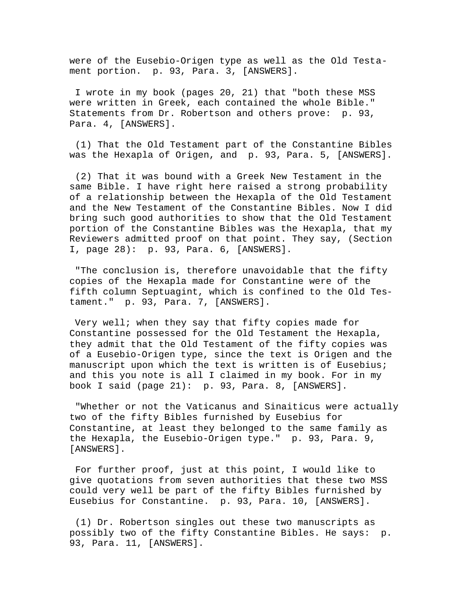were of the Eusebio-Origen type as well as the Old Testament portion. p. 93, Para. 3, [ANSWERS].

 I wrote in my book (pages 20, 21) that "both these MSS were written in Greek, each contained the whole Bible." Statements from Dr. Robertson and others prove: p. 93, Para. 4, [ANSWERS].

 (1) That the Old Testament part of the Constantine Bibles was the Hexapla of Origen, and p. 93, Para. 5, [ANSWERS].

 (2) That it was bound with a Greek New Testament in the same Bible. I have right here raised a strong probability of a relationship between the Hexapla of the Old Testament and the New Testament of the Constantine Bibles. Now I did bring such good authorities to show that the Old Testament portion of the Constantine Bibles was the Hexapla, that my Reviewers admitted proof on that point. They say, (Section I, page 28): p. 93, Para. 6, [ANSWERS].

 "The conclusion is, therefore unavoidable that the fifty copies of the Hexapla made for Constantine were of the fifth column Septuagint, which is confined to the Old Testament." p. 93, Para. 7, [ANSWERS].

 Very well; when they say that fifty copies made for Constantine possessed for the Old Testament the Hexapla, they admit that the Old Testament of the fifty copies was of a Eusebio-Origen type, since the text is Origen and the manuscript upon which the text is written is of Eusebius; and this you note is all I claimed in my book. For in my book I said (page 21): p. 93, Para. 8, [ANSWERS].

 "Whether or not the Vaticanus and Sinaiticus were actually two of the fifty Bibles furnished by Eusebius for Constantine, at least they belonged to the same family as the Hexapla, the Eusebio-Origen type." p. 93, Para. 9, [ANSWERS].

 For further proof, just at this point, I would like to give quotations from seven authorities that these two MSS could very well be part of the fifty Bibles furnished by Eusebius for Constantine. p. 93, Para. 10, [ANSWERS].

 (1) Dr. Robertson singles out these two manuscripts as possibly two of the fifty Constantine Bibles. He says: p. 93, Para. 11, [ANSWERS].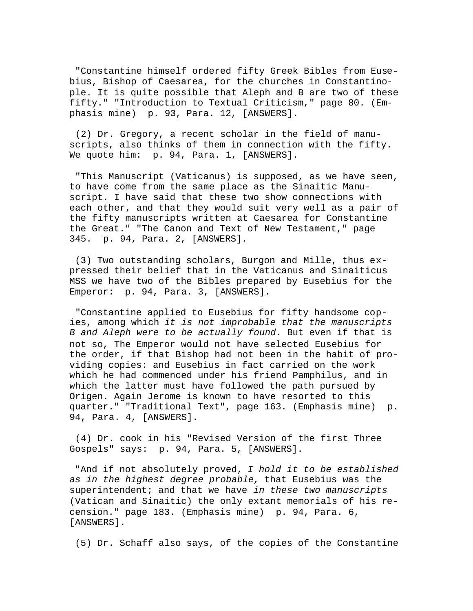"Constantine himself ordered fifty Greek Bibles from Eusebius, Bishop of Caesarea, for the churches in Constantinople. It is quite possible that Aleph and B are two of these fifty." "Introduction to Textual Criticism," page 80. (Emphasis mine) p. 93, Para. 12, [ANSWERS].

 (2) Dr. Gregory, a recent scholar in the field of manuscripts, also thinks of them in connection with the fifty. We quote him: p. 94, Para. 1, [ANSWERS].

 "This Manuscript (Vaticanus) is supposed, as we have seen, to have come from the same place as the Sinaitic Manuscript. I have said that these two show connections with each other, and that they would suit very well as a pair of the fifty manuscripts written at Caesarea for Constantine the Great." "The Canon and Text of New Testament," page 345. p. 94, Para. 2, [ANSWERS].

 (3) Two outstanding scholars, Burgon and Mille, thus expressed their belief that in the Vaticanus and Sinaiticus MSS we have two of the Bibles prepared by Eusebius for the Emperor: p. 94, Para. 3, [ANSWERS].

 "Constantine applied to Eusebius for fifty handsome copies, among which *it is not improbable that the manuscripts B and Aleph were to be actually found.* But even if that is not so, The Emperor would not have selected Eusebius for the order, if that Bishop had not been in the habit of providing copies: and Eusebius in fact carried on the work which he had commenced under his friend Pamphilus, and in which the latter must have followed the path pursued by Origen. Again Jerome is known to have resorted to this quarter." "Traditional Text", page 163. (Emphasis mine) p. 94, Para. 4, [ANSWERS].

 (4) Dr. cook in his "Revised Version of the first Three Gospels" says: p. 94, Para. 5, [ANSWERS].

 "And if not absolutely proved, *I hold it to be established as in the highest degree probable,* that Eusebius was the superintendent; and that we have *in these two manuscripts* (Vatican and Sinaitic) the only extant memorials of his recension." page 183. (Emphasis mine) p. 94, Para. 6, [ANSWERS].

(5) Dr. Schaff also says, of the copies of the Constantine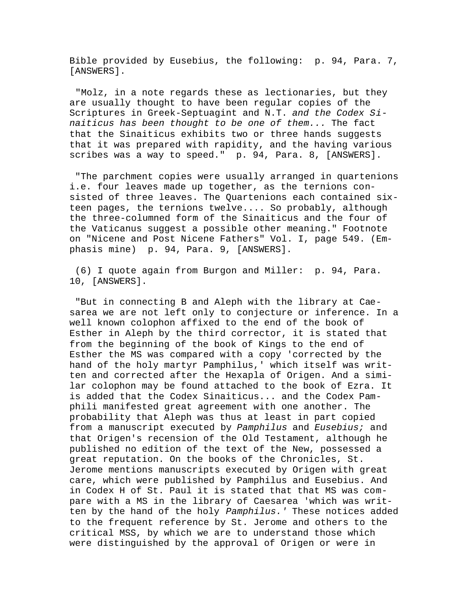Bible provided by Eusebius, the following: p. 94, Para. 7, [ANSWERS].

 "Molz, in a note regards these as lectionaries, but they are usually thought to have been regular copies of the Scriptures in Greek-Septuagint and N.T. *and the Codex Sinaiticus has been thought to be one of them...* The fact that the Sinaiticus exhibits two or three hands suggests that it was prepared with rapidity, and the having various scribes was a way to speed." p. 94, Para. 8, [ANSWERS].

 "The parchment copies were usually arranged in quartenions i.e. four leaves made up together, as the ternions consisted of three leaves. The Quartenions each contained sixteen pages, the ternions twelve.... So probably, although the three-columned form of the Sinaiticus and the four of the Vaticanus suggest a possible other meaning." Footnote on "Nicene and Post Nicene Fathers" Vol. I, page 549. (Emphasis mine) p. 94, Para. 9, [ANSWERS].

 (6) I quote again from Burgon and Miller: p. 94, Para. 10, [ANSWERS].

 "But in connecting B and Aleph with the library at Caesarea we are not left only to conjecture or inference. In a well known colophon affixed to the end of the book of Esther in Aleph by the third corrector, it is stated that from the beginning of the book of Kings to the end of Esther the MS was compared with a copy 'corrected by the hand of the holy martyr Pamphilus,' which itself was written and corrected after the Hexapla of Origen. And a similar colophon may be found attached to the book of Ezra. It is added that the Codex Sinaiticus... and the Codex Pamphili manifested great agreement with one another. The probability that Aleph was thus at least in part copied from a manuscript executed by *Pamphilus* and *Eusebius;* and that Origen's recension of the Old Testament, although he published no edition of the text of the New, possessed a great reputation. On the books of the Chronicles, St. Jerome mentions manuscripts executed by Origen with great care, which were published by Pamphilus and Eusebius. And in Codex H of St. Paul it is stated that that MS was compare with a MS in the library of Caesarea 'which was written by the hand of the holy *Pamphilus.'* These notices added to the frequent reference by St. Jerome and others to the critical MSS, by which we are to understand those which were distinguished by the approval of Origen or were in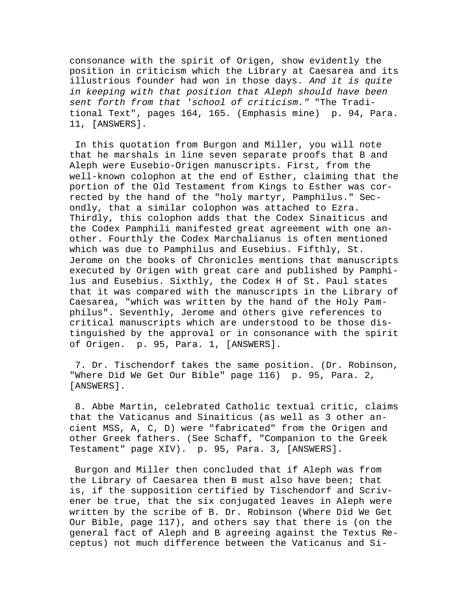consonance with the spirit of Origen, show evidently the position in criticism which the Library at Caesarea and its illustrious founder had won in those days. *And it is quite in keeping with that position that Aleph should have been sent forth from that 'school of criticism."* "The Traditional Text", pages 164, 165. (Emphasis mine) p. 94, Para. 11, [ANSWERS].

 In this quotation from Burgon and Miller, you will note that he marshals in line seven separate proofs that B and Aleph were Eusebio-Origen manuscripts. First, from the well-known colophon at the end of Esther, claiming that the portion of the Old Testament from Kings to Esther was corrected by the hand of the "holy martyr, Pamphilus." Secondly, that a similar colophon was attached to Ezra. Thirdly, this colophon adds that the Codex Sinaiticus and the Codex Pamphili manifested great agreement with one another. Fourthly the Codex Marchalianus is often mentioned which was due to Pamphilus and Eusebius. Fifthly, St. Jerome on the books of Chronicles mentions that manuscripts executed by Origen with great care and published by Pamphilus and Eusebius. Sixthly, the Codex H of St. Paul states that it was compared with the manuscripts in the Library of Caesarea, "which was written by the hand of the Holy Pamphilus". Seventhly, Jerome and others give references to critical manuscripts which are understood to be those distinguished by the approval or in consonance with the spirit of Origen. p. 95, Para. 1, [ANSWERS].

 7. Dr. Tischendorf takes the same position. (Dr. Robinson, "Where Did We Get Our Bible" page 116) p. 95, Para. 2, [ANSWERS].

 8. Abbe Martin, celebrated Catholic textual critic, claims that the Vaticanus and Sinaiticus (as well as 3 other ancient MSS, A, C, D) were "fabricated" from the Origen and other Greek fathers. (See Schaff, "Companion to the Greek Testament" page XIV). p. 95, Para. 3, [ANSWERS].

 Burgon and Miller then concluded that if Aleph was from the Library of Caesarea then B must also have been; that is, if the supposition certified by Tischendorf and Scrivener be true, that the six conjugated leaves in Aleph were written by the scribe of B. Dr. Robinson (Where Did We Get Our Bible, page 117), and others say that there is (on the general fact of Aleph and B agreeing against the Textus Receptus) not much difference between the Vaticanus and Si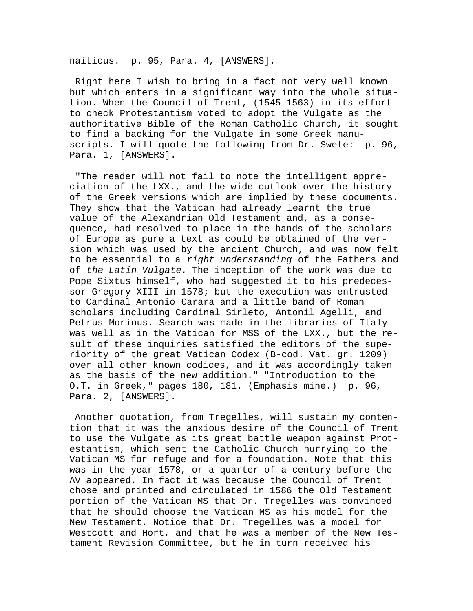naiticus. p. 95, Para. 4, [ANSWERS].

 Right here I wish to bring in a fact not very well known but which enters in a significant way into the whole situation. When the Council of Trent, (1545-1563) in its effort to check Protestantism voted to adopt the Vulgate as the authoritative Bible of the Roman Catholic Church, it sought to find a backing for the Vulgate in some Greek manuscripts. I will quote the following from Dr. Swete: p. 96, Para. 1, [ANSWERS].

 "The reader will not fail to note the intelligent appreciation of the LXX., and the wide outlook over the history of the Greek versions which are implied by these documents. They show that the Vatican had already learnt the true value of the Alexandrian Old Testament and, as a consequence, had resolved to place in the hands of the scholars of Europe as pure a text as could be obtained of the version which was used by the ancient Church, and was now felt to be essential to a *right understanding* of the Fathers and of *the Latin Vulgate.* The inception of the work was due to Pope Sixtus himself, who had suggested it to his predecessor Gregory XIII in 1578; but the execution was entrusted to Cardinal Antonio Carara and a little band of Roman scholars including Cardinal Sirleto, Antonil Agelli, and Petrus Morinus. Search was made in the libraries of Italy was well as in the Vatican for MSS of the LXX., but the result of these inquiries satisfied the editors of the superiority of the great Vatican Codex (B-cod. Vat. gr. 1209) over all other known codices, and it was accordingly taken as the basis of the new addition." "Introduction to the O.T. in Greek," pages 180, 181. (Emphasis mine.) p. 96, Para. 2, [ANSWERS].

 Another quotation, from Tregelles, will sustain my contention that it was the anxious desire of the Council of Trent to use the Vulgate as its great battle weapon against Protestantism, which sent the Catholic Church hurrying to the Vatican MS for refuge and for a foundation. Note that this was in the year 1578, or a quarter of a century before the AV appeared. In fact it was because the Council of Trent chose and printed and circulated in 1586 the Old Testament portion of the Vatican MS that Dr. Tregelles was convinced that he should choose the Vatican MS as his model for the New Testament. Notice that Dr. Tregelles was a model for Westcott and Hort, and that he was a member of the New Testament Revision Committee, but he in turn received his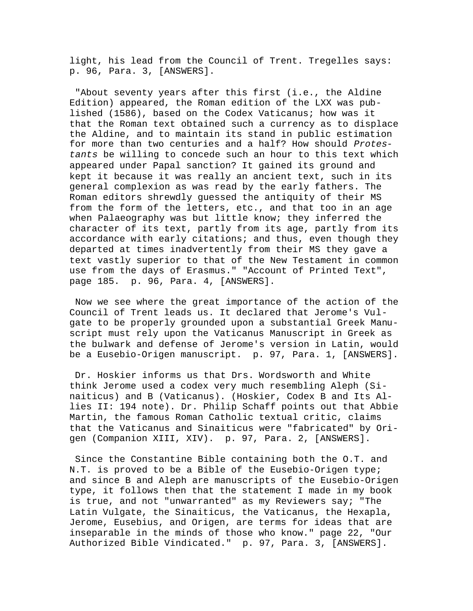light, his lead from the Council of Trent. Tregelles says: p. 96, Para. 3, [ANSWERS].

 "About seventy years after this first (i.e., the Aldine Edition) appeared, the Roman edition of the LXX was published (1586), based on the Codex Vaticanus; how was it that the Roman text obtained such a currency as to displace the Aldine, and to maintain its stand in public estimation for more than two centuries and a half? How should *Protestants* be willing to concede such an hour to this text which appeared under Papal sanction? It gained its ground and kept it because it was really an ancient text, such in its general complexion as was read by the early fathers. The Roman editors shrewdly guessed the antiquity of their MS from the form of the letters, etc., and that too in an age when Palaeography was but little know; they inferred the character of its text, partly from its age, partly from its accordance with early citations; and thus, even though they departed at times inadvertently from their MS they gave a text vastly superior to that of the New Testament in common use from the days of Erasmus." "Account of Printed Text", page 185. p. 96, Para. 4, [ANSWERS].

 Now we see where the great importance of the action of the Council of Trent leads us. It declared that Jerome's Vulgate to be properly grounded upon a substantial Greek Manuscript must rely upon the Vaticanus Manuscript in Greek as the bulwark and defense of Jerome's version in Latin, would be a Eusebio-Origen manuscript. p. 97, Para. 1, [ANSWERS].

 Dr. Hoskier informs us that Drs. Wordsworth and White think Jerome used a codex very much resembling Aleph (Sinaiticus) and B (Vaticanus). (Hoskier, Codex B and Its Allies II: 194 note). Dr. Philip Schaff points out that Abbie Martin, the famous Roman Catholic textual critic, claims that the Vaticanus and Sinaiticus were "fabricated" by Origen (Companion XIII, XIV). p. 97, Para. 2, [ANSWERS].

 Since the Constantine Bible containing both the O.T. and N.T. is proved to be a Bible of the Eusebio-Origen type; and since B and Aleph are manuscripts of the Eusebio-Origen type, it follows then that the statement I made in my book is true, and not "unwarranted" as my Reviewers say; "The Latin Vulgate, the Sinaiticus, the Vaticanus, the Hexapla, Jerome, Eusebius, and Origen, are terms for ideas that are inseparable in the minds of those who know." page 22, "Our Authorized Bible Vindicated." p. 97, Para. 3, [ANSWERS].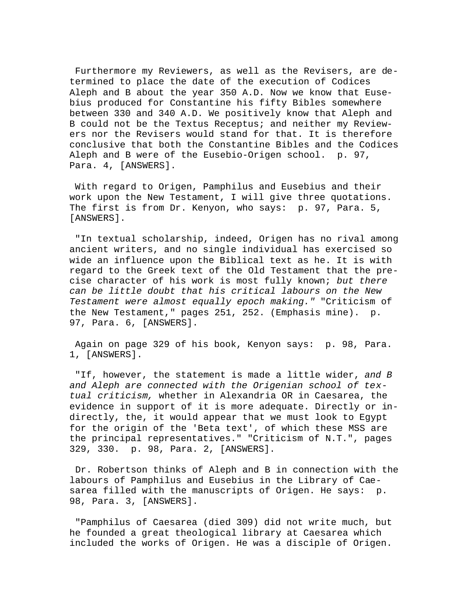Furthermore my Reviewers, as well as the Revisers, are determined to place the date of the execution of Codices Aleph and B about the year 350 A.D. Now we know that Eusebius produced for Constantine his fifty Bibles somewhere between 330 and 340 A.D. We positively know that Aleph and B could not be the Textus Receptus; and neither my Reviewers nor the Revisers would stand for that. It is therefore conclusive that both the Constantine Bibles and the Codices Aleph and B were of the Eusebio-Origen school. p. 97, Para. 4, [ANSWERS].

 With regard to Origen, Pamphilus and Eusebius and their work upon the New Testament, I will give three quotations. The first is from Dr. Kenyon, who says: p. 97, Para. 5, [ANSWERS].

 "In textual scholarship, indeed, Origen has no rival among ancient writers, and no single individual has exercised so wide an influence upon the Biblical text as he. It is with regard to the Greek text of the Old Testament that the precise character of his work is most fully known; *but there can be little doubt that his critical labours on the New Testament were almost equally epoch making."* "Criticism of the New Testament," pages 251, 252. (Emphasis mine). p. 97, Para. 6, [ANSWERS].

 Again on page 329 of his book, Kenyon says: p. 98, Para. 1, [ANSWERS].

 "If, however, the statement is made a little wider, *and B and Aleph are connected with the Origenian school of textual criticism,* whether in Alexandria OR in Caesarea, the evidence in support of it is more adequate. Directly or indirectly, the, it would appear that we must look to Egypt for the origin of the 'Beta text', of which these MSS are the principal representatives." "Criticism of N.T.", pages 329, 330. p. 98, Para. 2, [ANSWERS].

 Dr. Robertson thinks of Aleph and B in connection with the labours of Pamphilus and Eusebius in the Library of Caesarea filled with the manuscripts of Origen. He says: p. 98, Para. 3, [ANSWERS].

 "Pamphilus of Caesarea (died 309) did not write much, but he founded a great theological library at Caesarea which included the works of Origen. He was a disciple of Origen.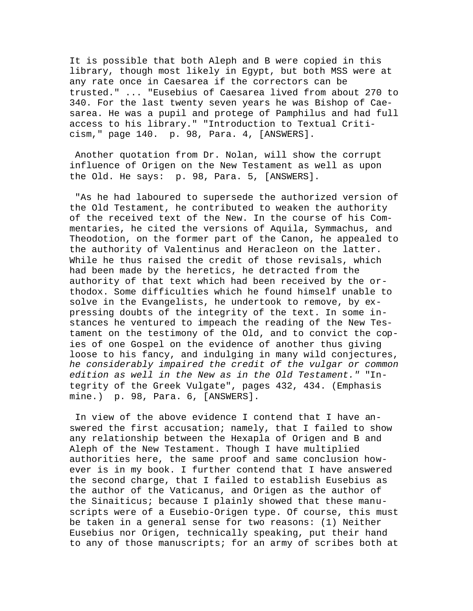It is possible that both Aleph and B were copied in this library, though most likely in Egypt, but both MSS were at any rate once in Caesarea if the correctors can be trusted." ... "Eusebius of Caesarea lived from about 270 to 340. For the last twenty seven years he was Bishop of Caesarea. He was a pupil and protege of Pamphilus and had full access to his library." "Introduction to Textual Criticism," page 140. p. 98, Para. 4, [ANSWERS].

 Another quotation from Dr. Nolan, will show the corrupt influence of Origen on the New Testament as well as upon the Old. He says: p. 98, Para. 5, [ANSWERS].

 "As he had laboured to supersede the authorized version of the Old Testament, he contributed to weaken the authority of the received text of the New. In the course of his Commentaries, he cited the versions of Aquila, Symmachus, and Theodotion, on the former part of the Canon, he appealed to the authority of Valentinus and Heracleon on the latter. While he thus raised the credit of those revisals, which had been made by the heretics, he detracted from the authority of that text which had been received by the orthodox. Some difficulties which he found himself unable to solve in the Evangelists, he undertook to remove, by expressing doubts of the integrity of the text. In some instances he ventured to impeach the reading of the New Testament on the testimony of the Old, and to convict the copies of one Gospel on the evidence of another thus giving loose to his fancy, and indulging in many wild conjectures, *he considerably impaired the credit of the vulgar or common edition as well in the New as in the Old Testament."* "Integrity of the Greek Vulgate", pages 432, 434. (Emphasis mine.) p. 98, Para. 6, [ANSWERS].

 In view of the above evidence I contend that I have answered the first accusation; namely, that I failed to show any relationship between the Hexapla of Origen and B and Aleph of the New Testament. Though I have multiplied authorities here, the same proof and same conclusion however is in my book. I further contend that I have answered the second charge, that I failed to establish Eusebius as the author of the Vaticanus, and Origen as the author of the Sinaiticus; because I plainly showed that these manuscripts were of a Eusebio-Origen type. Of course, this must be taken in a general sense for two reasons: (1) Neither Eusebius nor Origen, technically speaking, put their hand to any of those manuscripts; for an army of scribes both at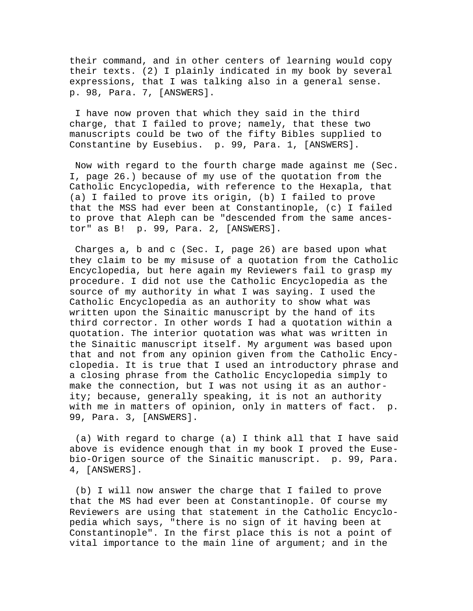their command, and in other centers of learning would copy their texts. (2) I plainly indicated in my book by several expressions, that I was talking also in a general sense. p. 98, Para. 7, [ANSWERS].

 I have now proven that which they said in the third charge, that I failed to prove; namely, that these two manuscripts could be two of the fifty Bibles supplied to Constantine by Eusebius. p. 99, Para. 1, [ANSWERS].

 Now with regard to the fourth charge made against me (Sec. I, page 26.) because of my use of the quotation from the Catholic Encyclopedia, with reference to the Hexapla, that (a) I failed to prove its origin, (b) I failed to prove that the MSS had ever been at Constantinople, (c) I failed to prove that Aleph can be "descended from the same ancestor" as B! p. 99, Para. 2, [ANSWERS].

 Charges a, b and c (Sec. I, page 26) are based upon what they claim to be my misuse of a quotation from the Catholic Encyclopedia, but here again my Reviewers fail to grasp my procedure. I did not use the Catholic Encyclopedia as the source of my authority in what I was saying. I used the Catholic Encyclopedia as an authority to show what was written upon the Sinaitic manuscript by the hand of its third corrector. In other words I had a quotation within a quotation. The interior quotation was what was written in the Sinaitic manuscript itself. My argument was based upon that and not from any opinion given from the Catholic Encyclopedia. It is true that I used an introductory phrase and a closing phrase from the Catholic Encyclopedia simply to make the connection, but I was not using it as an authority; because, generally speaking, it is not an authority with me in matters of opinion, only in matters of fact. p. 99, Para. 3, [ANSWERS].

 (a) With regard to charge (a) I think all that I have said above is evidence enough that in my book I proved the Eusebio-Origen source of the Sinaitic manuscript. p. 99, Para. 4, [ANSWERS].

 (b) I will now answer the charge that I failed to prove that the MS had ever been at Constantinople. Of course my Reviewers are using that statement in the Catholic Encyclopedia which says, "there is no sign of it having been at Constantinople". In the first place this is not a point of vital importance to the main line of argument; and in the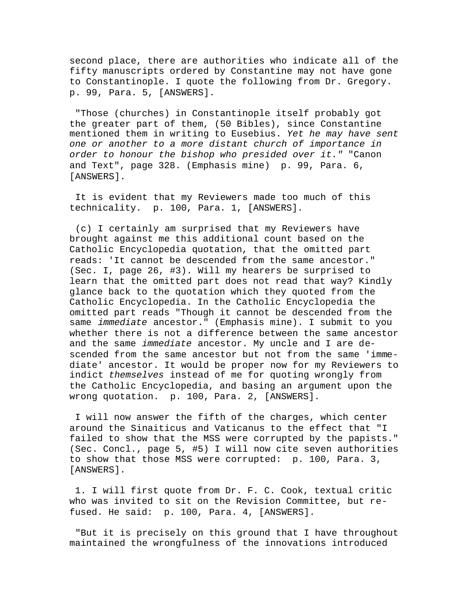second place, there are authorities who indicate all of the fifty manuscripts ordered by Constantine may not have gone to Constantinople. I quote the following from Dr. Gregory. p. 99, Para. 5, [ANSWERS].

 "Those (churches) in Constantinople itself probably got the greater part of them, (50 Bibles), since Constantine mentioned them in writing to Eusebius. *Yet he may have sent one or another to a more distant church of importance in order to honour the bishop who presided over it."* "Canon and Text", page 328. (Emphasis mine) p. 99, Para. 6, [ANSWERS].

 It is evident that my Reviewers made too much of this technicality. p. 100, Para. 1, [ANSWERS].

 (c) I certainly am surprised that my Reviewers have brought against me this additional count based on the Catholic Encyclopedia quotation, that the omitted part reads: 'It cannot be descended from the same ancestor." (Sec. I, page 26, #3). Will my hearers be surprised to learn that the omitted part does not read that way? Kindly glance back to the quotation which they quoted from the Catholic Encyclopedia. In the Catholic Encyclopedia the omitted part reads "Though it cannot be descended from the same *immediate* ancestor." (Emphasis mine). I submit to you whether there is not a difference between the same ancestor and the same *immediate* ancestor. My uncle and I are descended from the same ancestor but not from the same 'immediate' ancestor. It would be proper now for my Reviewers to indict *themselves* instead of me for quoting wrongly from the Catholic Encyclopedia, and basing an argument upon the wrong quotation. p. 100, Para. 2, [ANSWERS].

 I will now answer the fifth of the charges, which center around the Sinaiticus and Vaticanus to the effect that "I failed to show that the MSS were corrupted by the papists." (Sec. Concl., page 5, #5) I will now cite seven authorities to show that those MSS were corrupted: p. 100, Para. 3, [ANSWERS].

 1. I will first quote from Dr. F. C. Cook, textual critic who was invited to sit on the Revision Committee, but refused. He said: p. 100, Para. 4, [ANSWERS].

 "But it is precisely on this ground that I have throughout maintained the wrongfulness of the innovations introduced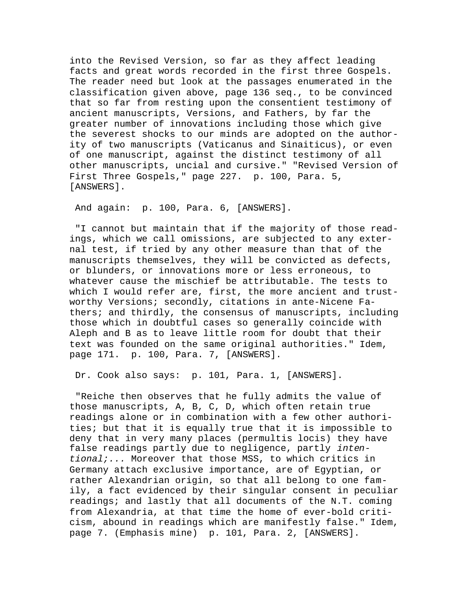into the Revised Version, so far as they affect leading facts and great words recorded in the first three Gospels. The reader need but look at the passages enumerated in the classification given above, page 136 seq., to be convinced that so far from resting upon the consentient testimony of ancient manuscripts, Versions, and Fathers, by far the greater number of innovations including those which give the severest shocks to our minds are adopted on the authority of two manuscripts (Vaticanus and Sinaiticus), or even of one manuscript, against the distinct testimony of all other manuscripts, uncial and cursive." "Revised Version of First Three Gospels," page 227. p. 100, Para. 5, [ANSWERS].

And again: p. 100, Para. 6, [ANSWERS].

 "I cannot but maintain that if the majority of those readings, which we call omissions, are subjected to any external test, if tried by any other measure than that of the manuscripts themselves, they will be convicted as defects, or blunders, or innovations more or less erroneous, to whatever cause the mischief be attributable. The tests to which I would refer are, first, the more ancient and trustworthy Versions; secondly, citations in ante-Nicene Fathers; and thirdly, the consensus of manuscripts, including those which in doubtful cases so generally coincide with Aleph and B as to leave little room for doubt that their text was founded on the same original authorities." Idem, page 171. p. 100, Para. 7, [ANSWERS].

Dr. Cook also says: p. 101, Para. 1, [ANSWERS].

 "Reiche then observes that he fully admits the value of those manuscripts, A, B, C, D, which often retain true readings alone or in combination with a few other authorities; but that it is equally true that it is impossible to deny that in very many places (permultis locis) they have false readings partly due to negligence, partly *intentional;...* Moreover that those MSS, to which critics in Germany attach exclusive importance, are of Egyptian, or rather Alexandrian origin, so that all belong to one family, a fact evidenced by their singular consent in peculiar readings; and lastly that all documents of the N.T. coming from Alexandria, at that time the home of ever-bold criticism, abound in readings which are manifestly false." Idem, page 7. (Emphasis mine) p. 101, Para. 2, [ANSWERS].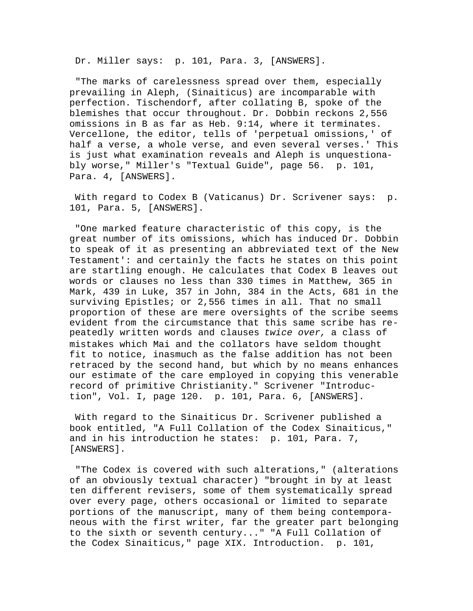Dr. Miller says: p. 101, Para. 3, [ANSWERS].

 "The marks of carelessness spread over them, especially prevailing in Aleph, (Sinaiticus) are incomparable with perfection. Tischendorf, after collating B, spoke of the blemishes that occur throughout. Dr. Dobbin reckons 2,556 omissions in B as far as Heb. 9:14, where it terminates. Vercellone, the editor, tells of 'perpetual omissions,' of half a verse, a whole verse, and even several verses.' This is just what examination reveals and Aleph is unquestionably worse," Miller's "Textual Guide", page 56. p. 101, Para. 4, [ANSWERS].

 With regard to Codex B (Vaticanus) Dr. Scrivener says: p. 101, Para. 5, [ANSWERS].

 "One marked feature characteristic of this copy, is the great number of its omissions, which has induced Dr. Dobbin to speak of it as presenting an abbreviated text of the New Testament': and certainly the facts he states on this point are startling enough. He calculates that Codex B leaves out words or clauses no less than 330 times in Matthew, 365 in Mark, 439 in Luke, 357 in John, 384 in the Acts, 681 in the surviving Epistles; or 2,556 times in all. That no small proportion of these are mere oversights of the scribe seems evident from the circumstance that this same scribe has repeatedly written words and clauses *twice over,* a class of mistakes which Mai and the collators have seldom thought fit to notice, inasmuch as the false addition has not been retraced by the second hand, but which by no means enhances our estimate of the care employed in copying this venerable record of primitive Christianity." Scrivener "Introduction", Vol. I, page 120. p. 101, Para. 6, [ANSWERS].

 With regard to the Sinaiticus Dr. Scrivener published a book entitled, "A Full Collation of the Codex Sinaiticus," and in his introduction he states: p. 101, Para. 7, [ANSWERS].

 "The Codex is covered with such alterations," (alterations of an obviously textual character) "brought in by at least ten different revisers, some of them systematically spread over every page, others occasional or limited to separate portions of the manuscript, many of them being contemporaneous with the first writer, far the greater part belonging to the sixth or seventh century..." "A Full Collation of the Codex Sinaiticus," page XIX. Introduction. p. 101,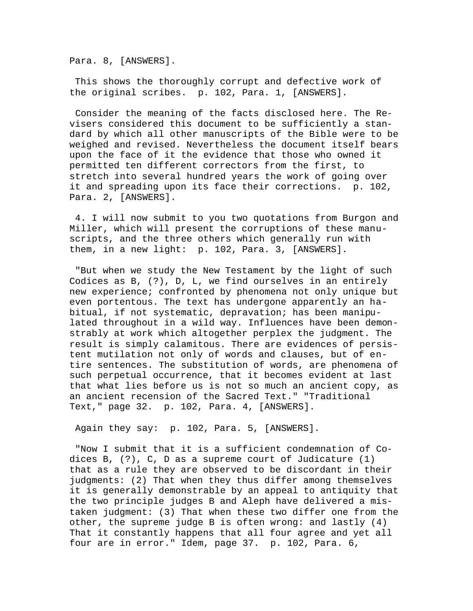Para. 8, [ANSWERS].

 This shows the thoroughly corrupt and defective work of the original scribes. p. 102, Para. 1, [ANSWERS].

 Consider the meaning of the facts disclosed here. The Revisers considered this document to be sufficiently a standard by which all other manuscripts of the Bible were to be weighed and revised. Nevertheless the document itself bears upon the face of it the evidence that those who owned it permitted ten different correctors from the first, to stretch into several hundred years the work of going over it and spreading upon its face their corrections. p. 102, Para. 2, [ANSWERS].

 4. I will now submit to you two quotations from Burgon and Miller, which will present the corruptions of these manuscripts, and the three others which generally run with them, in a new light: p. 102, Para. 3, [ANSWERS].

 "But when we study the New Testament by the light of such Codices as B, (?), D, L, we find ourselves in an entirely new experience; confronted by phenomena not only unique but even portentous. The text has undergone apparently an habitual, if not systematic, depravation; has been manipulated throughout in a wild way. Influences have been demonstrably at work which altogether perplex the judgment. The result is simply calamitous. There are evidences of persistent mutilation not only of words and clauses, but of entire sentences. The substitution of words, are phenomena of such perpetual occurrence, that it becomes evident at last that what lies before us is not so much an ancient copy, as an ancient recension of the Sacred Text." "Traditional Text," page 32. p. 102, Para. 4, [ANSWERS].

Again they say: p. 102, Para. 5, [ANSWERS].

 "Now I submit that it is a sufficient condemnation of Codices B,  $(?)$ , C, D as a supreme court of Judicature  $(1)$ that as a rule they are observed to be discordant in their judgments: (2) That when they thus differ among themselves it is generally demonstrable by an appeal to antiquity that the two principle judges B and Aleph have delivered a mistaken judgment: (3) That when these two differ one from the other, the supreme judge B is often wrong: and lastly (4) That it constantly happens that all four agree and yet all four are in error." Idem, page 37. p. 102, Para. 6,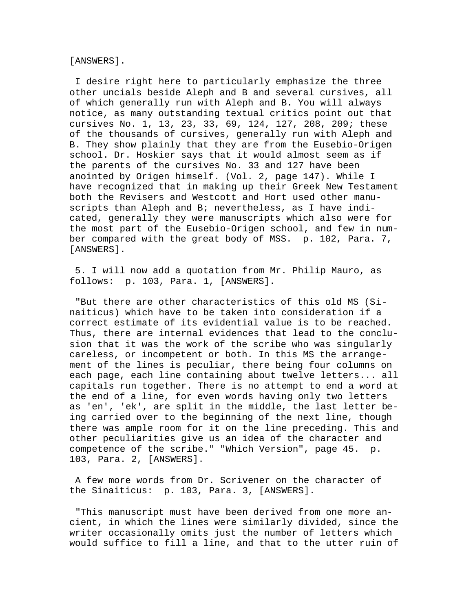[ANSWERS].

 I desire right here to particularly emphasize the three other uncials beside Aleph and B and several cursives, all of which generally run with Aleph and B. You will always notice, as many outstanding textual critics point out that cursives No. 1, 13, 23, 33, 69, 124, 127, 208, 209; these of the thousands of cursives, generally run with Aleph and B. They show plainly that they are from the Eusebio-Origen school. Dr. Hoskier says that it would almost seem as if the parents of the cursives No. 33 and 127 have been anointed by Origen himself. (Vol. 2, page 147). While I have recognized that in making up their Greek New Testament both the Revisers and Westcott and Hort used other manuscripts than Aleph and B; nevertheless, as I have indicated, generally they were manuscripts which also were for the most part of the Eusebio-Origen school, and few in number compared with the great body of MSS. p. 102, Para. 7, [ANSWERS].

 5. I will now add a quotation from Mr. Philip Mauro, as follows: p. 103, Para. 1, [ANSWERS].

 "But there are other characteristics of this old MS (Sinaiticus) which have to be taken into consideration if a correct estimate of its evidential value is to be reached. Thus, there are internal evidences that lead to the conclusion that it was the work of the scribe who was singularly careless, or incompetent or both. In this MS the arrangement of the lines is peculiar, there being four columns on each page, each line containing about twelve letters... all capitals run together. There is no attempt to end a word at the end of a line, for even words having only two letters as 'en', 'ek', are split in the middle, the last letter being carried over to the beginning of the next line, though there was ample room for it on the line preceding. This and other peculiarities give us an idea of the character and competence of the scribe." "Which Version", page 45. p. 103, Para. 2, [ANSWERS].

 A few more words from Dr. Scrivener on the character of the Sinaiticus: p. 103, Para. 3, [ANSWERS].

 "This manuscript must have been derived from one more ancient, in which the lines were similarly divided, since the writer occasionally omits just the number of letters which would suffice to fill a line, and that to the utter ruin of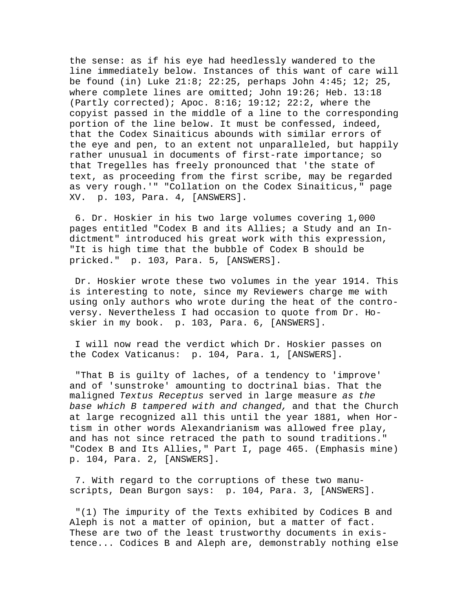the sense: as if his eye had heedlessly wandered to the line immediately below. Instances of this want of care will be found (in) Luke 21:8; 22:25, perhaps John 4:45; 12; 25, where complete lines are omitted; John 19:26; Heb. 13:18 (Partly corrected); Apoc. 8:16; 19:12; 22:2, where the copyist passed in the middle of a line to the corresponding portion of the line below. It must be confessed, indeed, that the Codex Sinaiticus abounds with similar errors of the eye and pen, to an extent not unparalleled, but happily rather unusual in documents of first-rate importance; so that Tregelles has freely pronounced that 'the state of text, as proceeding from the first scribe, may be regarded as very rough.'" "Collation on the Codex Sinaiticus," page XV. p. 103, Para. 4, [ANSWERS].

 6. Dr. Hoskier in his two large volumes covering 1,000 pages entitled "Codex B and its Allies; a Study and an Indictment" introduced his great work with this expression, "It is high time that the bubble of Codex B should be pricked." p. 103, Para. 5, [ANSWERS].

 Dr. Hoskier wrote these two volumes in the year 1914. This is interesting to note, since my Reviewers charge me with using only authors who wrote during the heat of the controversy. Nevertheless I had occasion to quote from Dr. Hoskier in my book. p. 103, Para. 6, [ANSWERS].

 I will now read the verdict which Dr. Hoskier passes on the Codex Vaticanus: p. 104, Para. 1, [ANSWERS].

 "That B is guilty of laches, of a tendency to 'improve' and of 'sunstroke' amounting to doctrinal bias. That the maligned *Textus Receptus* served in large measure *as the base which B tampered with and changed,* and that the Church at large recognized all this until the year 1881, when Hortism in other words Alexandrianism was allowed free play, and has not since retraced the path to sound traditions." "Codex B and Its Allies," Part I, page 465. (Emphasis mine) p. 104, Para. 2, [ANSWERS].

 7. With regard to the corruptions of these two manuscripts, Dean Burgon says: p. 104, Para. 3, [ANSWERS].

 "(1) The impurity of the Texts exhibited by Codices B and Aleph is not a matter of opinion, but a matter of fact. These are two of the least trustworthy documents in existence... Codices B and Aleph are, demonstrably nothing else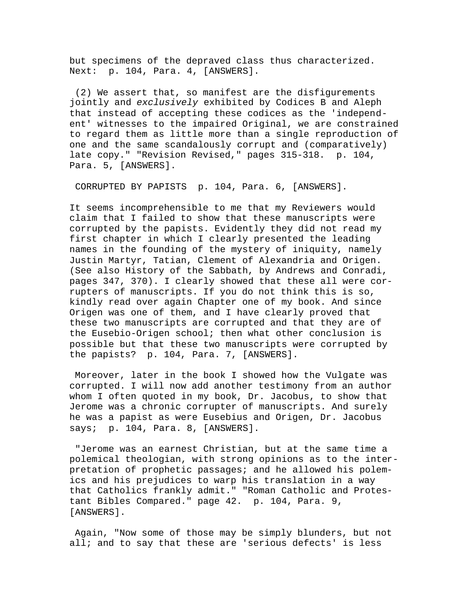but specimens of the depraved class thus characterized. Next: p. 104, Para. 4, [ANSWERS].

 (2) We assert that, so manifest are the disfigurements jointly and *exclusively* exhibited by Codices B and Aleph that instead of accepting these codices as the 'independent' witnesses to the impaired Original, we are constrained to regard them as little more than a single reproduction of one and the same scandalously corrupt and (comparatively) late copy." "Revision Revised," pages 315-318. p. 104, Para. 5, [ANSWERS].

CORRUPTED BY PAPISTS p. 104, Para. 6, [ANSWERS].

It seems incomprehensible to me that my Reviewers would claim that I failed to show that these manuscripts were corrupted by the papists. Evidently they did not read my first chapter in which I clearly presented the leading names in the founding of the mystery of iniquity, namely Justin Martyr, Tatian, Clement of Alexandria and Origen. (See also History of the Sabbath, by Andrews and Conradi, pages 347, 370). I clearly showed that these all were corrupters of manuscripts. If you do not think this is so, kindly read over again Chapter one of my book. And since Origen was one of them, and I have clearly proved that these two manuscripts are corrupted and that they are of the Eusebio-Origen school; then what other conclusion is possible but that these two manuscripts were corrupted by the papists? p. 104, Para. 7, [ANSWERS].

 Moreover, later in the book I showed how the Vulgate was corrupted. I will now add another testimony from an author whom I often quoted in my book, Dr. Jacobus, to show that Jerome was a chronic corrupter of manuscripts. And surely he was a papist as were Eusebius and Origen, Dr. Jacobus says; p. 104, Para. 8, [ANSWERS].

 "Jerome was an earnest Christian, but at the same time a polemical theologian, with strong opinions as to the interpretation of prophetic passages; and he allowed his polemics and his prejudices to warp his translation in a way that Catholics frankly admit." "Roman Catholic and Protestant Bibles Compared." page 42. p. 104, Para. 9, [ANSWERS].

 Again, "Now some of those may be simply blunders, but not all; and to say that these are 'serious defects' is less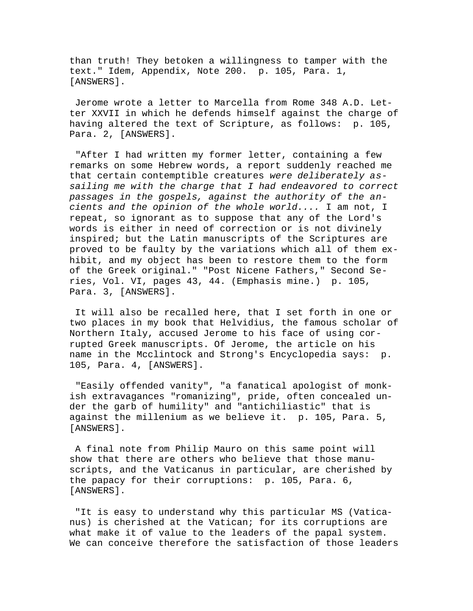than truth! They betoken a willingness to tamper with the text." Idem, Appendix, Note 200. p. 105, Para. 1, [ANSWERS].

 Jerome wrote a letter to Marcella from Rome 348 A.D. Letter XXVII in which he defends himself against the charge of having altered the text of Scripture, as follows: p. 105, Para. 2, [ANSWERS].

 "After I had written my former letter, containing a few remarks on some Hebrew words, a report suddenly reached me that certain contemptible creatures *were deliberately assailing me with the charge that I had endeavored to correct passages in the gospels, against the authority of the ancients and the opinion of the whole world....* I am not, I repeat, so ignorant as to suppose that any of the Lord's words is either in need of correction or is not divinely inspired; but the Latin manuscripts of the Scriptures are proved to be faulty by the variations which all of them exhibit, and my object has been to restore them to the form of the Greek original." "Post Nicene Fathers," Second Series, Vol. VI, pages 43, 44. (Emphasis mine.) p. 105, Para. 3, [ANSWERS].

 It will also be recalled here, that I set forth in one or two places in my book that Helvidius, the famous scholar of Northern Italy, accused Jerome to his face of using corrupted Greek manuscripts. Of Jerome, the article on his name in the Mcclintock and Strong's Encyclopedia says: p. 105, Para. 4, [ANSWERS].

 "Easily offended vanity", "a fanatical apologist of monkish extravagances "romanizing", pride, often concealed under the garb of humility" and "antichiliastic" that is against the millenium as we believe it. p. 105, Para. 5, [ANSWERS].

 A final note from Philip Mauro on this same point will show that there are others who believe that those manuscripts, and the Vaticanus in particular, are cherished by the papacy for their corruptions: p. 105, Para. 6, [ANSWERS].

 "It is easy to understand why this particular MS (Vaticanus) is cherished at the Vatican; for its corruptions are what make it of value to the leaders of the papal system. We can conceive therefore the satisfaction of those leaders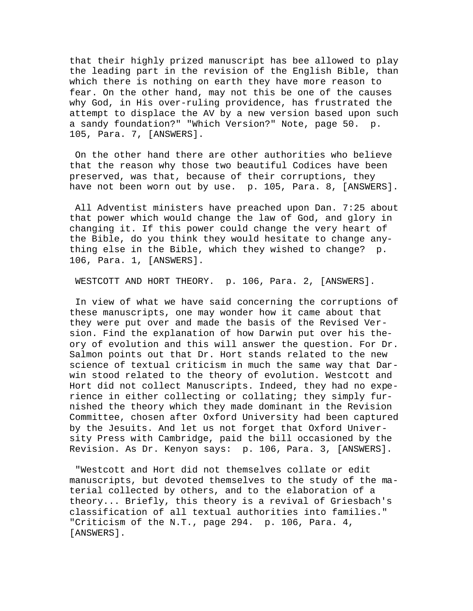that their highly prized manuscript has bee allowed to play the leading part in the revision of the English Bible, than which there is nothing on earth they have more reason to fear. On the other hand, may not this be one of the causes why God, in His over-ruling providence, has frustrated the attempt to displace the AV by a new version based upon such a sandy foundation?" "Which Version?" Note, page 50. p. 105, Para. 7, [ANSWERS].

 On the other hand there are other authorities who believe that the reason why those two beautiful Codices have been preserved, was that, because of their corruptions, they have not been worn out by use. p. 105, Para. 8, [ANSWERS].

 All Adventist ministers have preached upon Dan. 7:25 about that power which would change the law of God, and glory in changing it. If this power could change the very heart of the Bible, do you think they would hesitate to change anything else in the Bible, which they wished to change? p. 106, Para. 1, [ANSWERS].

WESTCOTT AND HORT THEORY. p. 106, Para. 2, [ANSWERS].

 In view of what we have said concerning the corruptions of these manuscripts, one may wonder how it came about that they were put over and made the basis of the Revised Version. Find the explanation of how Darwin put over his theory of evolution and this will answer the question. For Dr. Salmon points out that Dr. Hort stands related to the new science of textual criticism in much the same way that Darwin stood related to the theory of evolution. Westcott and Hort did not collect Manuscripts. Indeed, they had no experience in either collecting or collating; they simply furnished the theory which they made dominant in the Revision Committee, chosen after Oxford University had been captured by the Jesuits. And let us not forget that Oxford University Press with Cambridge, paid the bill occasioned by the Revision. As Dr. Kenyon says: p. 106, Para. 3, [ANSWERS].

 "Westcott and Hort did not themselves collate or edit manuscripts, but devoted themselves to the study of the material collected by others, and to the elaboration of a theory... Briefly, this theory is a revival of Griesbach's classification of all textual authorities into families." "Criticism of the N.T., page 294. p. 106, Para. 4, [ANSWERS].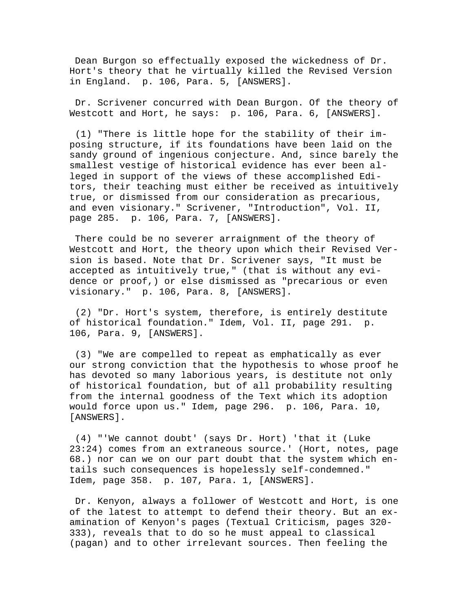Dean Burgon so effectually exposed the wickedness of Dr. Hort's theory that he virtually killed the Revised Version in England. p. 106, Para. 5, [ANSWERS].

 Dr. Scrivener concurred with Dean Burgon. Of the theory of Westcott and Hort, he says: p. 106, Para. 6, [ANSWERS].

 (1) "There is little hope for the stability of their imposing structure, if its foundations have been laid on the sandy ground of ingenious conjecture. And, since barely the smallest vestige of historical evidence has ever been alleged in support of the views of these accomplished Editors, their teaching must either be received as intuitively true, or dismissed from our consideration as precarious, and even visionary." Scrivener, "Introduction", Vol. II, page 285. p. 106, Para. 7, [ANSWERS].

 There could be no severer arraignment of the theory of Westcott and Hort, the theory upon which their Revised Version is based. Note that Dr. Scrivener says, "It must be accepted as intuitively true," (that is without any evidence or proof,) or else dismissed as "precarious or even visionary." p. 106, Para. 8, [ANSWERS].

 (2) "Dr. Hort's system, therefore, is entirely destitute of historical foundation." Idem, Vol. II, page 291. p. 106, Para. 9, [ANSWERS].

 (3) "We are compelled to repeat as emphatically as ever our strong conviction that the hypothesis to whose proof he has devoted so many laborious years, is destitute not only of historical foundation, but of all probability resulting from the internal goodness of the Text which its adoption would force upon us." Idem, page 296. p. 106, Para. 10, [ANSWERS].

 (4) "'We cannot doubt' (says Dr. Hort) 'that it (Luke 23:24) comes from an extraneous source.' (Hort, notes, page 68.) nor can we on our part doubt that the system which entails such consequences is hopelessly self-condemned." Idem, page 358. p. 107, Para. 1, [ANSWERS].

 Dr. Kenyon, always a follower of Westcott and Hort, is one of the latest to attempt to defend their theory. But an examination of Kenyon's pages (Textual Criticism, pages 320- 333), reveals that to do so he must appeal to classical (pagan) and to other irrelevant sources. Then feeling the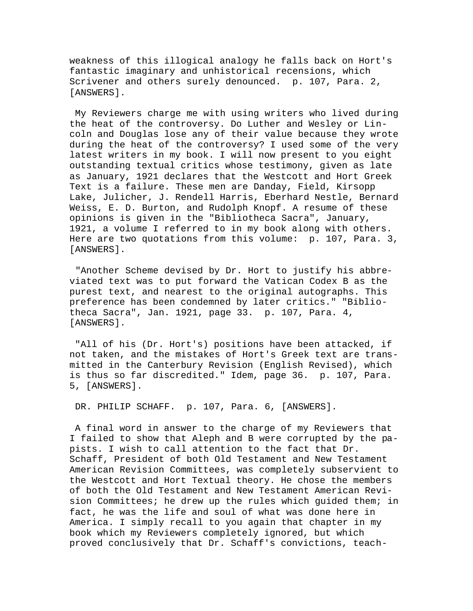weakness of this illogical analogy he falls back on Hort's fantastic imaginary and unhistorical recensions, which Scrivener and others surely denounced. p. 107, Para. 2, [ANSWERS].

 My Reviewers charge me with using writers who lived during the heat of the controversy. Do Luther and Wesley or Lincoln and Douglas lose any of their value because they wrote during the heat of the controversy? I used some of the very latest writers in my book. I will now present to you eight outstanding textual critics whose testimony, given as late as January, 1921 declares that the Westcott and Hort Greek Text is a failure. These men are Danday, Field, Kirsopp Lake, Julicher, J. Rendell Harris, Eberhard Nestle, Bernard Weiss, E. D. Burton, and Rudolph Knopf. A resume of these opinions is given in the "Bibliotheca Sacra", January, 1921, a volume I referred to in my book along with others. Here are two quotations from this volume: p. 107, Para. 3, [ANSWERS].

"Another Scheme devised by Dr. Hort to justify his abbreviated text was to put forward the Vatican Codex B as the purest text, and nearest to the original autographs. This preference has been condemned by later critics." "Bibliotheca Sacra", Jan. 1921, page 33. p. 107, Para. 4, [ANSWERS].

 "All of his (Dr. Hort's) positions have been attacked, if not taken, and the mistakes of Hort's Greek text are transmitted in the Canterbury Revision (English Revised), which is thus so far discredited." Idem, page 36. p. 107, Para. 5, [ANSWERS].

DR. PHILIP SCHAFF. p. 107, Para. 6, [ANSWERS].

 A final word in answer to the charge of my Reviewers that I failed to show that Aleph and B were corrupted by the papists. I wish to call attention to the fact that Dr. Schaff, President of both Old Testament and New Testament American Revision Committees, was completely subservient to the Westcott and Hort Textual theory. He chose the members of both the Old Testament and New Testament American Revision Committees; he drew up the rules which guided them; in fact, he was the life and soul of what was done here in America. I simply recall to you again that chapter in my book which my Reviewers completely ignored, but which proved conclusively that Dr. Schaff's convictions, teach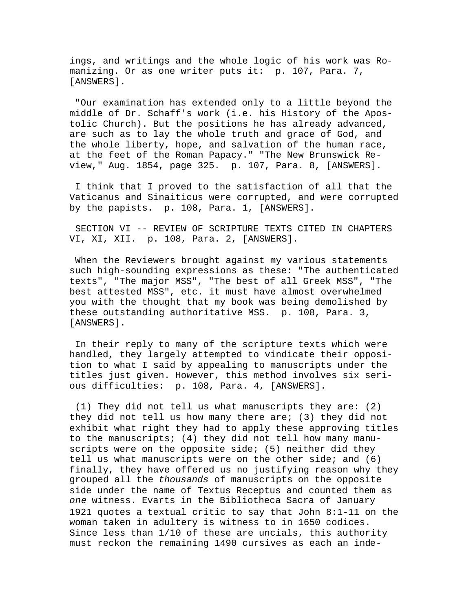ings, and writings and the whole logic of his work was Romanizing. Or as one writer puts it: p. 107, Para. 7, [ANSWERS].

 "Our examination has extended only to a little beyond the middle of Dr. Schaff's work (i.e. his History of the Apostolic Church). But the positions he has already advanced, are such as to lay the whole truth and grace of God, and the whole liberty, hope, and salvation of the human race, at the feet of the Roman Papacy." "The New Brunswick Review," Aug. 1854, page 325. p. 107, Para. 8, [ANSWERS].

 I think that I proved to the satisfaction of all that the Vaticanus and Sinaiticus were corrupted, and were corrupted by the papists. p. 108, Para. 1, [ANSWERS].

 SECTION VI -- REVIEW OF SCRIPTURE TEXTS CITED IN CHAPTERS VI, XI, XII. p. 108, Para. 2, [ANSWERS].

 When the Reviewers brought against my various statements such high-sounding expressions as these: "The authenticated texts", "The major MSS", "The best of all Greek MSS", "The best attested MSS", etc. it must have almost overwhelmed you with the thought that my book was being demolished by these outstanding authoritative MSS. p. 108, Para. 3, [ANSWERS].

 In their reply to many of the scripture texts which were handled, they largely attempted to vindicate their opposition to what I said by appealing to manuscripts under the titles just given. However, this method involves six serious difficulties: p. 108, Para. 4, [ANSWERS].

 (1) They did not tell us what manuscripts they are: (2) they did not tell us how many there are; (3) they did not exhibit what right they had to apply these approving titles to the manuscripts; (4) they did not tell how many manuscripts were on the opposite side; (5) neither did they tell us what manuscripts were on the other side; and (6) finally, they have offered us no justifying reason why they grouped all the *thousands* of manuscripts on the opposite side under the name of Textus Receptus and counted them as *one* witness. Evarts in the Bibliotheca Sacra of January 1921 quotes a textual critic to say that John 8:1-11 on the woman taken in adultery is witness to in 1650 codices. Since less than 1/10 of these are uncials, this authority must reckon the remaining 1490 cursives as each an inde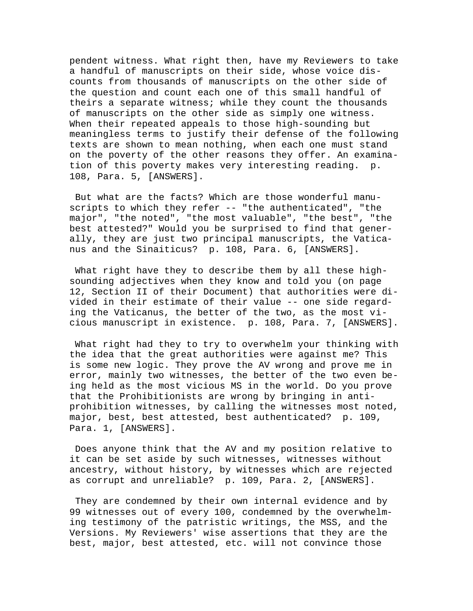pendent witness. What right then, have my Reviewers to take a handful of manuscripts on their side, whose voice discounts from thousands of manuscripts on the other side of the question and count each one of this small handful of theirs a separate witness; while they count the thousands of manuscripts on the other side as simply one witness. When their repeated appeals to those high-sounding but meaningless terms to justify their defense of the following texts are shown to mean nothing, when each one must stand on the poverty of the other reasons they offer. An examination of this poverty makes very interesting reading. p. 108, Para. 5, [ANSWERS].

 But what are the facts? Which are those wonderful manuscripts to which they refer -- "the authenticated", "the major", "the noted", "the most valuable", "the best", "the best attested?" Would you be surprised to find that generally, they are just two principal manuscripts, the Vaticanus and the Sinaiticus? p. 108, Para. 6, [ANSWERS].

 What right have they to describe them by all these highsounding adjectives when they know and told you (on page 12, Section II of their Document) that authorities were divided in their estimate of their value -- one side regarding the Vaticanus, the better of the two, as the most vicious manuscript in existence. p. 108, Para. 7, [ANSWERS].

 What right had they to try to overwhelm your thinking with the idea that the great authorities were against me? This is some new logic. They prove the AV wrong and prove me in error, mainly two witnesses, the better of the two even being held as the most vicious MS in the world. Do you prove that the Prohibitionists are wrong by bringing in antiprohibition witnesses, by calling the witnesses most noted, major, best, best attested, best authenticated? p. 109, Para. 1, [ANSWERS].

 Does anyone think that the AV and my position relative to it can be set aside by such witnesses, witnesses without ancestry, without history, by witnesses which are rejected as corrupt and unreliable? p. 109, Para. 2, [ANSWERS].

 They are condemned by their own internal evidence and by 99 witnesses out of every 100, condemned by the overwhelming testimony of the patristic writings, the MSS, and the Versions. My Reviewers' wise assertions that they are the best, major, best attested, etc. will not convince those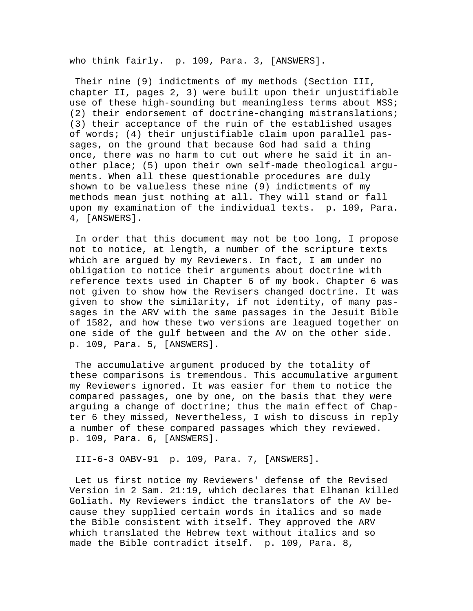who think fairly. p. 109, Para. 3, [ANSWERS].

 Their nine (9) indictments of my methods (Section III, chapter II, pages 2, 3) were built upon their unjustifiable use of these high-sounding but meaningless terms about MSS; (2) their endorsement of doctrine-changing mistranslations; (3) their acceptance of the ruin of the established usages of words; (4) their unjustifiable claim upon parallel passages, on the ground that because God had said a thing once, there was no harm to cut out where he said it in another place; (5) upon their own self-made theological arguments. When all these questionable procedures are duly shown to be valueless these nine (9) indictments of my methods mean just nothing at all. They will stand or fall upon my examination of the individual texts. p. 109, Para. 4, [ANSWERS].

 In order that this document may not be too long, I propose not to notice, at length, a number of the scripture texts which are argued by my Reviewers. In fact, I am under no obligation to notice their arguments about doctrine with reference texts used in Chapter 6 of my book. Chapter 6 was not given to show how the Revisers changed doctrine. It was given to show the similarity, if not identity, of many passages in the ARV with the same passages in the Jesuit Bible of 1582, and how these two versions are leagued together on one side of the gulf between and the AV on the other side. p. 109, Para. 5, [ANSWERS].

 The accumulative argument produced by the totality of these comparisons is tremendous. This accumulative argument my Reviewers ignored. It was easier for them to notice the compared passages, one by one, on the basis that they were arguing a change of doctrine; thus the main effect of Chapter 6 they missed, Nevertheless, I wish to discuss in reply a number of these compared passages which they reviewed. p. 109, Para. 6, [ANSWERS].

III-6-3 OABV-91 p. 109, Para. 7, [ANSWERS].

 Let us first notice my Reviewers' defense of the Revised Version in 2 Sam. 21:19, which declares that Elhanan killed Goliath. My Reviewers indict the translators of the AV because they supplied certain words in italics and so made the Bible consistent with itself. They approved the ARV which translated the Hebrew text without italics and so made the Bible contradict itself. p. 109, Para. 8,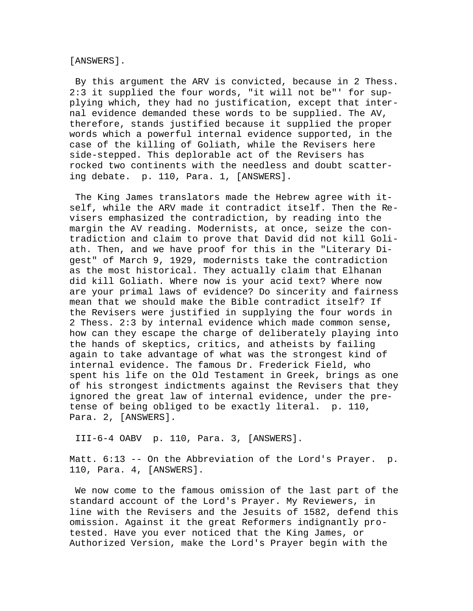[ANSWERS].

 By this argument the ARV is convicted, because in 2 Thess. 2:3 it supplied the four words, "it will not be"' for supplying which, they had no justification, except that internal evidence demanded these words to be supplied. The AV, therefore, stands justified because it supplied the proper words which a powerful internal evidence supported, in the case of the killing of Goliath, while the Revisers here side-stepped. This deplorable act of the Revisers has rocked two continents with the needless and doubt scattering debate. p. 110, Para. 1, [ANSWERS].

 The King James translators made the Hebrew agree with itself, while the ARV made it contradict itself. Then the Revisers emphasized the contradiction, by reading into the margin the AV reading. Modernists, at once, seize the contradiction and claim to prove that David did not kill Goliath. Then, and we have proof for this in the "Literary Digest" of March 9, 1929, modernists take the contradiction as the most historical. They actually claim that Elhanan did kill Goliath. Where now is your acid text? Where now are your primal laws of evidence? Do sincerity and fairness mean that we should make the Bible contradict itself? If the Revisers were justified in supplying the four words in 2 Thess. 2:3 by internal evidence which made common sense, how can they escape the charge of deliberately playing into the hands of skeptics, critics, and atheists by failing again to take advantage of what was the strongest kind of internal evidence. The famous Dr. Frederick Field, who spent his life on the Old Testament in Greek, brings as one of his strongest indictments against the Revisers that they ignored the great law of internal evidence, under the pretense of being obliged to be exactly literal. p. 110, Para. 2, [ANSWERS].

III-6-4 OABV p. 110, Para. 3, [ANSWERS].

Matt. 6:13 -- On the Abbreviation of the Lord's Prayer. p. 110, Para. 4, [ANSWERS].

 We now come to the famous omission of the last part of the standard account of the Lord's Prayer. My Reviewers, in line with the Revisers and the Jesuits of 1582, defend this omission. Against it the great Reformers indignantly protested. Have you ever noticed that the King James, or Authorized Version, make the Lord's Prayer begin with the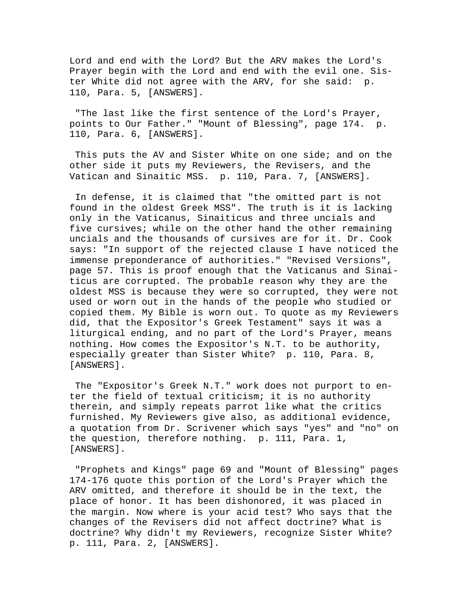Lord and end with the Lord? But the ARV makes the Lord's Prayer begin with the Lord and end with the evil one. Sister White did not agree with the ARV, for she said: p. 110, Para. 5, [ANSWERS].

 "The last like the first sentence of the Lord's Prayer, points to Our Father." "Mount of Blessing", page 174. p. 110, Para. 6, [ANSWERS].

 This puts the AV and Sister White on one side; and on the other side it puts my Reviewers, the Revisers, and the Vatican and Sinaitic MSS. p. 110, Para. 7, [ANSWERS].

 In defense, it is claimed that "the omitted part is not found in the oldest Greek MSS". The truth is it is lacking only in the Vaticanus, Sinaiticus and three uncials and five cursives; while on the other hand the other remaining uncials and the thousands of cursives are for it. Dr. Cook says: "In support of the rejected clause I have noticed the immense preponderance of authorities." "Revised Versions", page 57. This is proof enough that the Vaticanus and Sinaiticus are corrupted. The probable reason why they are the oldest MSS is because they were so corrupted, they were not used or worn out in the hands of the people who studied or copied them. My Bible is worn out. To quote as my Reviewers did, that the Expositor's Greek Testament" says it was a liturgical ending, and no part of the Lord's Prayer, means nothing. How comes the Expositor's N.T. to be authority, especially greater than Sister White? p. 110, Para. 8, [ANSWERS].

 The "Expositor's Greek N.T." work does not purport to enter the field of textual criticism; it is no authority therein, and simply repeats parrot like what the critics furnished. My Reviewers give also, as additional evidence, a quotation from Dr. Scrivener which says "yes" and "no" on the question, therefore nothing. p. 111, Para. 1, [ANSWERS].

 "Prophets and Kings" page 69 and "Mount of Blessing" pages 174-176 quote this portion of the Lord's Prayer which the ARV omitted, and therefore it should be in the text, the place of honor. It has been dishonored, it was placed in the margin. Now where is your acid test? Who says that the changes of the Revisers did not affect doctrine? What is doctrine? Why didn't my Reviewers, recognize Sister White? p. 111, Para. 2, [ANSWERS].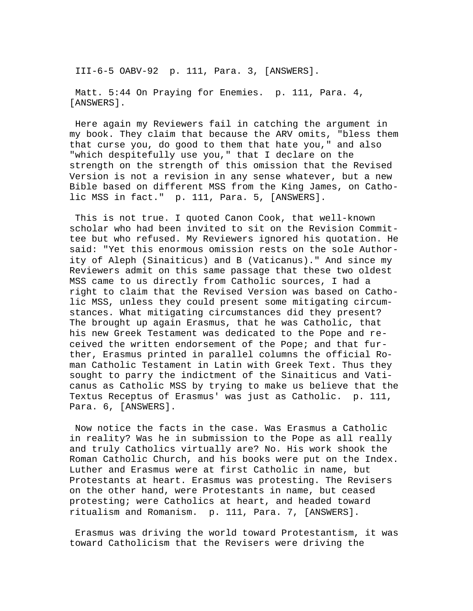III-6-5 OABV-92 p. 111, Para. 3, [ANSWERS].

 Matt. 5:44 On Praying for Enemies. p. 111, Para. 4, [ANSWERS].

 Here again my Reviewers fail in catching the argument in my book. They claim that because the ARV omits, "bless them that curse you, do good to them that hate you," and also "which despitefully use you," that I declare on the strength on the strength of this omission that the Revised Version is not a revision in any sense whatever, but a new Bible based on different MSS from the King James, on Catholic MSS in fact." p. 111, Para. 5, [ANSWERS].

 This is not true. I quoted Canon Cook, that well-known scholar who had been invited to sit on the Revision Committee but who refused. My Reviewers ignored his quotation. He said: "Yet this enormous omission rests on the sole Authority of Aleph (Sinaiticus) and B (Vaticanus)." And since my Reviewers admit on this same passage that these two oldest MSS came to us directly from Catholic sources, I had a right to claim that the Revised Version was based on Catholic MSS, unless they could present some mitigating circumstances. What mitigating circumstances did they present? The brought up again Erasmus, that he was Catholic, that his new Greek Testament was dedicated to the Pope and received the written endorsement of the Pope; and that further, Erasmus printed in parallel columns the official Roman Catholic Testament in Latin with Greek Text. Thus they sought to parry the indictment of the Sinaiticus and Vaticanus as Catholic MSS by trying to make us believe that the Textus Receptus of Erasmus' was just as Catholic. p. 111, Para. 6, [ANSWERS].

 Now notice the facts in the case. Was Erasmus a Catholic in reality? Was he in submission to the Pope as all really and truly Catholics virtually are? No. His work shook the Roman Catholic Church, and his books were put on the Index. Luther and Erasmus were at first Catholic in name, but Protestants at heart. Erasmus was protesting. The Revisers on the other hand, were Protestants in name, but ceased protesting; were Catholics at heart, and headed toward ritualism and Romanism. p. 111, Para. 7, [ANSWERS].

 Erasmus was driving the world toward Protestantism, it was toward Catholicism that the Revisers were driving the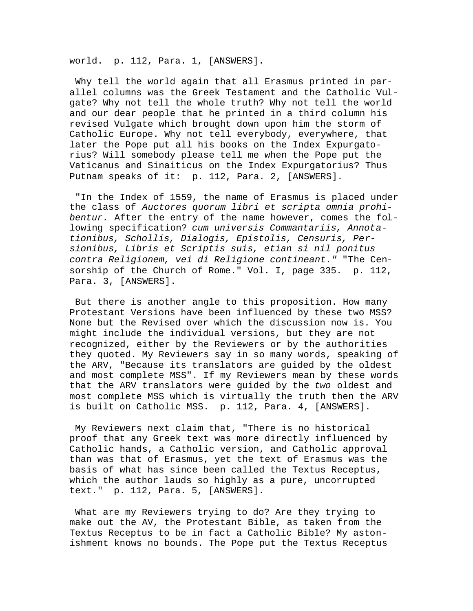world. p. 112, Para. 1, [ANSWERS].

 Why tell the world again that all Erasmus printed in parallel columns was the Greek Testament and the Catholic Vulgate? Why not tell the whole truth? Why not tell the world and our dear people that he printed in a third column his revised Vulgate which brought down upon him the storm of Catholic Europe. Why not tell everybody, everywhere, that later the Pope put all his books on the Index Expurgatorius? Will somebody please tell me when the Pope put the Vaticanus and Sinaiticus on the Index Expurgatorius? Thus Putnam speaks of it: p. 112, Para. 2, [ANSWERS].

 "In the Index of 1559, the name of Erasmus is placed under the class of *Auctores quorum libri et scripta omnia prohibentur.* After the entry of the name however, comes the following specification? *cum universis Commantariis, Annotationibus, Schollis, Dialogis, Epistolis, Censuris, Persionibus, Libris et Scriptis suis, etian si nil ponitus contra Religionem, vei di Religione contineant."* "The Censorship of the Church of Rome." Vol. I, page 335. p. 112, Para. 3, [ANSWERS].

 But there is another angle to this proposition. How many Protestant Versions have been influenced by these two MSS? None but the Revised over which the discussion now is. You might include the individual versions, but they are not recognized, either by the Reviewers or by the authorities they quoted. My Reviewers say in so many words, speaking of the ARV, "Because its translators are guided by the oldest and most complete MSS". If my Reviewers mean by these words that the ARV translators were guided by the *two* oldest and most complete MSS which is virtually the truth then the ARV is built on Catholic MSS. p. 112, Para. 4, [ANSWERS].

 My Reviewers next claim that, "There is no historical proof that any Greek text was more directly influenced by Catholic hands, a Catholic version, and Catholic approval than was that of Erasmus, yet the text of Erasmus was the basis of what has since been called the Textus Receptus, which the author lauds so highly as a pure, uncorrupted text." p. 112, Para. 5, [ANSWERS].

 What are my Reviewers trying to do? Are they trying to make out the AV, the Protestant Bible, as taken from the Textus Receptus to be in fact a Catholic Bible? My astonishment knows no bounds. The Pope put the Textus Receptus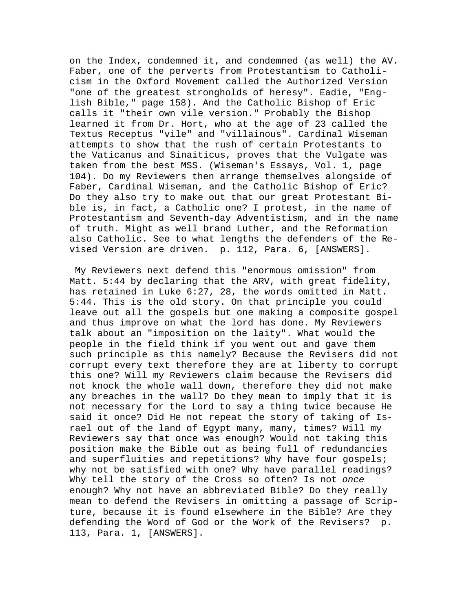on the Index, condemned it, and condemned (as well) the AV. Faber, one of the perverts from Protestantism to Catholicism in the Oxford Movement called the Authorized Version "one of the greatest strongholds of heresy". Eadie, "English Bible," page 158). And the Catholic Bishop of Eric calls it "their own vile version." Probably the Bishop learned it from Dr. Hort, who at the age of 23 called the Textus Receptus "vile" and "villainous". Cardinal Wiseman attempts to show that the rush of certain Protestants to the Vaticanus and Sinaiticus, proves that the Vulgate was taken from the best MSS. (Wiseman's Essays, Vol. 1, page 104). Do my Reviewers then arrange themselves alongside of Faber, Cardinal Wiseman, and the Catholic Bishop of Eric? Do they also try to make out that our great Protestant Bible is, in fact, a Catholic one? I protest, in the name of Protestantism and Seventh-day Adventistism, and in the name of truth. Might as well brand Luther, and the Reformation also Catholic. See to what lengths the defenders of the Revised Version are driven. p. 112, Para. 6, [ANSWERS].

 My Reviewers next defend this "enormous omission" from Matt. 5:44 by declaring that the ARV, with great fidelity, has retained in Luke 6:27, 28, the words omitted in Matt. 5:44. This is the old story. On that principle you could leave out all the gospels but one making a composite gospel and thus improve on what the lord has done. My Reviewers talk about an "imposition on the laity". What would the people in the field think if you went out and gave them such principle as this namely? Because the Revisers did not corrupt every text therefore they are at liberty to corrupt this one? Will my Reviewers claim because the Revisers did not knock the whole wall down, therefore they did not make any breaches in the wall? Do they mean to imply that it is not necessary for the Lord to say a thing twice because He said it once? Did He not repeat the story of taking of Israel out of the land of Egypt many, many, times? Will my Reviewers say that once was enough? Would not taking this position make the Bible out as being full of redundancies and superfluities and repetitions? Why have four gospels; why not be satisfied with one? Why have parallel readings? Why tell the story of the Cross so often? Is not *once* enough? Why not have an abbreviated Bible? Do they really mean to defend the Revisers in omitting a passage of Scripture, because it is found elsewhere in the Bible? Are they defending the Word of God or the Work of the Revisers? p. 113, Para. 1, [ANSWERS].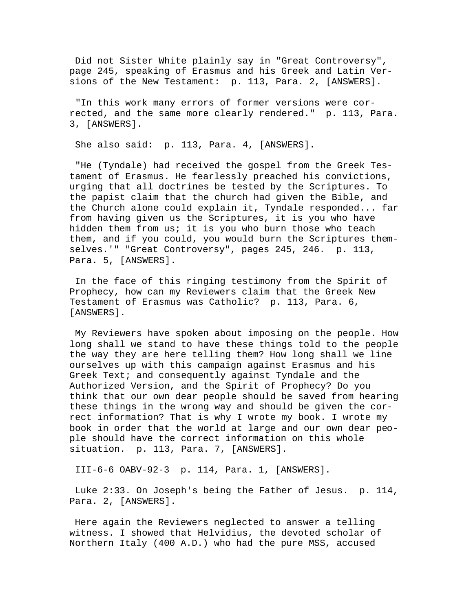Did not Sister White plainly say in "Great Controversy", page 245, speaking of Erasmus and his Greek and Latin Versions of the New Testament: p. 113, Para. 2, [ANSWERS].

 "In this work many errors of former versions were corrected, and the same more clearly rendered." p. 113, Para. 3, [ANSWERS].

She also said: p. 113, Para. 4, [ANSWERS].

 "He (Tyndale) had received the gospel from the Greek Testament of Erasmus. He fearlessly preached his convictions, urging that all doctrines be tested by the Scriptures. To the papist claim that the church had given the Bible, and the Church alone could explain it, Tyndale responded... far from having given us the Scriptures, it is you who have hidden them from us; it is you who burn those who teach them, and if you could, you would burn the Scriptures themselves.'" "Great Controversy", pages 245, 246. p. 113, Para. 5, [ANSWERS].

 In the face of this ringing testimony from the Spirit of Prophecy, how can my Reviewers claim that the Greek New Testament of Erasmus was Catholic? p. 113, Para. 6, [ANSWERS].

 My Reviewers have spoken about imposing on the people. How long shall we stand to have these things told to the people the way they are here telling them? How long shall we line ourselves up with this campaign against Erasmus and his Greek Text; and consequently against Tyndale and the Authorized Version, and the Spirit of Prophecy? Do you think that our own dear people should be saved from hearing these things in the wrong way and should be given the correct information? That is why I wrote my book. I wrote my book in order that the world at large and our own dear people should have the correct information on this whole situation. p. 113, Para. 7, [ANSWERS].

III-6-6 OABV-92-3 p. 114, Para. 1, [ANSWERS].

 Luke 2:33. On Joseph's being the Father of Jesus. p. 114, Para. 2, [ANSWERS].

 Here again the Reviewers neglected to answer a telling witness. I showed that Helvidius, the devoted scholar of Northern Italy (400 A.D.) who had the pure MSS, accused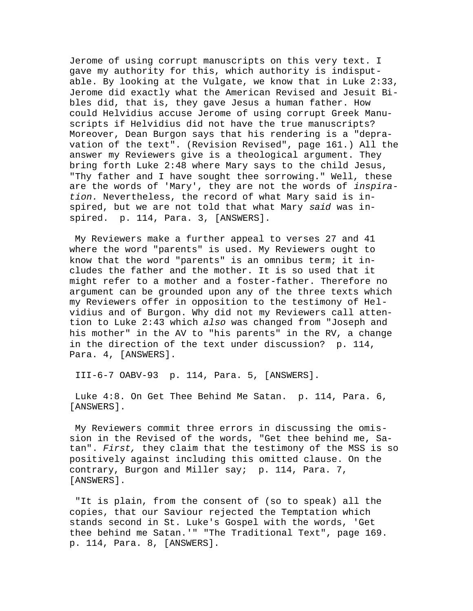Jerome of using corrupt manuscripts on this very text. I gave my authority for this, which authority is indisputable. By looking at the Vulgate, we know that in Luke 2:33, Jerome did exactly what the American Revised and Jesuit Bibles did, that is, they gave Jesus a human father. How could Helvidius accuse Jerome of using corrupt Greek Manuscripts if Helvidius did not have the true manuscripts? Moreover, Dean Burgon says that his rendering is a "depravation of the text". (Revision Revised", page 161.) All the answer my Reviewers give is a theological argument. They bring forth Luke 2:48 where Mary says to the child Jesus, "Thy father and I have sought thee sorrowing." Well, these are the words of 'Mary', they are not the words of *inspiration.* Nevertheless, the record of what Mary said is inspired, but we are not told that what Mary *said* was inspired. p. 114, Para. 3, [ANSWERS].

 My Reviewers make a further appeal to verses 27 and 41 where the word "parents" is used. My Reviewers ought to know that the word "parents" is an omnibus term; it includes the father and the mother. It is so used that it might refer to a mother and a foster-father. Therefore no argument can be grounded upon any of the three texts which my Reviewers offer in opposition to the testimony of Helvidius and of Burgon. Why did not my Reviewers call attention to Luke 2:43 which *also* was changed from "Joseph and his mother" in the AV to "his parents" in the RV, a change in the direction of the text under discussion? p. 114, Para. 4, [ANSWERS].

III-6-7 OABV-93 p. 114, Para. 5, [ANSWERS].

 Luke 4:8. On Get Thee Behind Me Satan. p. 114, Para. 6, [ANSWERS].

 My Reviewers commit three errors in discussing the omission in the Revised of the words, "Get thee behind me, Satan". *First,* they claim that the testimony of the MSS is so positively against including this omitted clause. On the contrary, Burgon and Miller say; p. 114, Para. 7, [ANSWERS].

 "It is plain, from the consent of (so to speak) all the copies, that our Saviour rejected the Temptation which stands second in St. Luke's Gospel with the words, 'Get thee behind me Satan.'" "The Traditional Text", page 169. p. 114, Para. 8, [ANSWERS].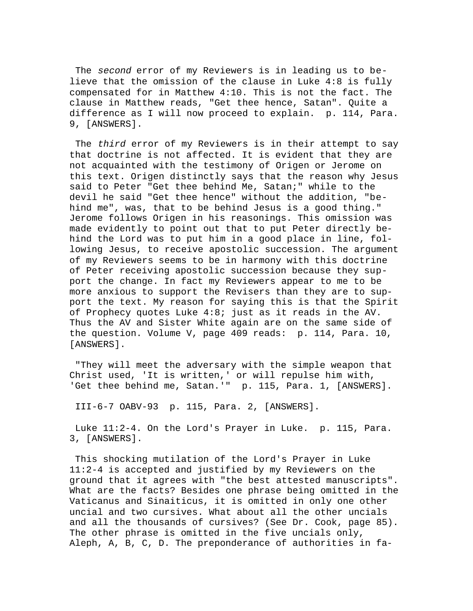The *second* error of my Reviewers is in leading us to believe that the omission of the clause in Luke 4:8 is fully compensated for in Matthew 4:10. This is not the fact. The clause in Matthew reads, "Get thee hence, Satan". Quite a difference as I will now proceed to explain. p. 114, Para. 9, [ANSWERS].

 The *third* error of my Reviewers is in their attempt to say that doctrine is not affected. It is evident that they are not acquainted with the testimony of Origen or Jerome on this text. Origen distinctly says that the reason why Jesus said to Peter "Get thee behind Me, Satan;" while to the devil he said "Get thee hence" without the addition, "behind me", was, that to be behind Jesus is a good thing." Jerome follows Origen in his reasonings. This omission was made evidently to point out that to put Peter directly behind the Lord was to put him in a good place in line, following Jesus, to receive apostolic succession. The argument of my Reviewers seems to be in harmony with this doctrine of Peter receiving apostolic succession because they support the change. In fact my Reviewers appear to me to be more anxious to support the Revisers than they are to support the text. My reason for saying this is that the Spirit of Prophecy quotes Luke 4:8; just as it reads in the AV. Thus the AV and Sister White again are on the same side of the question. Volume V, page 409 reads: p. 114, Para. 10, [ANSWERS].

 "They will meet the adversary with the simple weapon that Christ used, 'It is written,' or will repulse him with, 'Get thee behind me, Satan.'" p. 115, Para. 1, [ANSWERS].

III-6-7 OABV-93 p. 115, Para. 2, [ANSWERS].

 Luke 11:2-4. On the Lord's Prayer in Luke. p. 115, Para. 3, [ANSWERS].

 This shocking mutilation of the Lord's Prayer in Luke 11:2-4 is accepted and justified by my Reviewers on the ground that it agrees with "the best attested manuscripts". What are the facts? Besides one phrase being omitted in the Vaticanus and Sinaiticus, it is omitted in only one other uncial and two cursives. What about all the other uncials and all the thousands of cursives? (See Dr. Cook, page 85). The other phrase is omitted in the five uncials only, Aleph, A, B, C, D. The preponderance of authorities in fa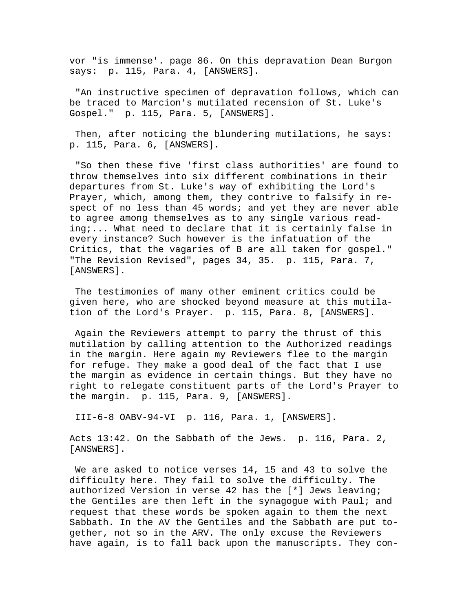vor "is immense'. page 86. On this depravation Dean Burgon says: p. 115, Para. 4, [ANSWERS].

 "An instructive specimen of depravation follows, which can be traced to Marcion's mutilated recension of St. Luke's Gospel." p. 115, Para. 5, [ANSWERS].

 Then, after noticing the blundering mutilations, he says: p. 115, Para. 6, [ANSWERS].

 "So then these five 'first class authorities' are found to throw themselves into six different combinations in their departures from St. Luke's way of exhibiting the Lord's Prayer, which, among them, they contrive to falsify in respect of no less than 45 words; and yet they are never able to agree among themselves as to any single various reading;... What need to declare that it is certainly false in every instance? Such however is the infatuation of the Critics, that the vagaries of B are all taken for gospel." "The Revision Revised", pages 34, 35. p. 115, Para. 7, [ANSWERS].

 The testimonies of many other eminent critics could be given here, who are shocked beyond measure at this mutilation of the Lord's Prayer. p. 115, Para. 8, [ANSWERS].

 Again the Reviewers attempt to parry the thrust of this mutilation by calling attention to the Authorized readings in the margin. Here again my Reviewers flee to the margin for refuge. They make a good deal of the fact that I use the margin as evidence in certain things. But they have no right to relegate constituent parts of the Lord's Prayer to the margin. p. 115, Para. 9, [ANSWERS].

III-6-8 OABV-94-VI p. 116, Para. 1, [ANSWERS].

Acts 13:42. On the Sabbath of the Jews. p. 116, Para. 2, [ANSWERS].

 We are asked to notice verses 14, 15 and 43 to solve the difficulty here. They fail to solve the difficulty. The authorized Version in verse 42 has the [\*] Jews leaving; the Gentiles are then left in the synagogue with Paul; and request that these words be spoken again to them the next Sabbath. In the AV the Gentiles and the Sabbath are put together, not so in the ARV. The only excuse the Reviewers have again, is to fall back upon the manuscripts. They con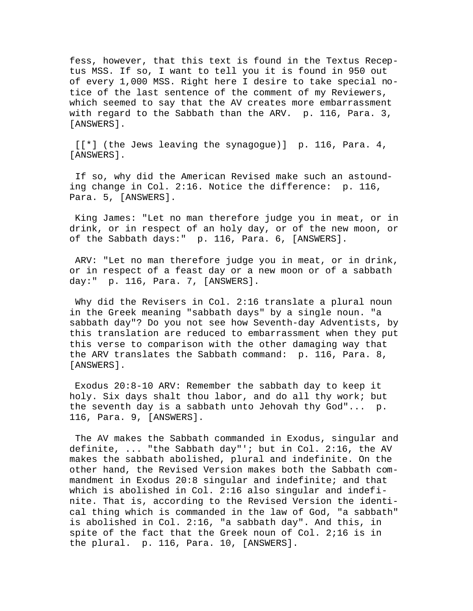fess, however, that this text is found in the Textus Receptus MSS. If so, I want to tell you it is found in 950 out of every 1,000 MSS. Right here I desire to take special notice of the last sentence of the comment of my Reviewers, which seemed to say that the AV creates more embarrassment with regard to the Sabbath than the ARV. p. 116, Para. 3, [ANSWERS].

 [[\*] (the Jews leaving the synagogue)] p. 116, Para. 4, [ANSWERS].

 If so, why did the American Revised make such an astounding change in Col. 2:16. Notice the difference: p. 116, Para. 5, [ANSWERS].

 King James: "Let no man therefore judge you in meat, or in drink, or in respect of an holy day, or of the new moon, or of the Sabbath days:" p. 116, Para. 6, [ANSWERS].

 ARV: "Let no man therefore judge you in meat, or in drink, or in respect of a feast day or a new moon or of a sabbath day:" p. 116, Para. 7, [ANSWERS].

Why did the Revisers in Col. 2:16 translate a plural noun in the Greek meaning "sabbath days" by a single noun. "a sabbath day"? Do you not see how Seventh-day Adventists, by this translation are reduced to embarrassment when they put this verse to comparison with the other damaging way that the ARV translates the Sabbath command: p. 116, Para. 8, [ANSWERS].

 Exodus 20:8-10 ARV: Remember the sabbath day to keep it holy. Six days shalt thou labor, and do all thy work; but the seventh day is a sabbath unto Jehovah thy God"... p. 116, Para. 9, [ANSWERS].

 The AV makes the Sabbath commanded in Exodus, singular and definite, ... "the Sabbath day"'; but in Col. 2:16, the AV makes the sabbath abolished, plural and indefinite. On the other hand, the Revised Version makes both the Sabbath commandment in Exodus 20:8 singular and indefinite; and that which is abolished in Col. 2:16 also singular and indefinite. That is, according to the Revised Version the identical thing which is commanded in the law of God, "a sabbath" is abolished in Col. 2:16, "a sabbath day". And this, in spite of the fact that the Greek noun of Col. 2;16 is in the plural. p. 116, Para. 10, [ANSWERS].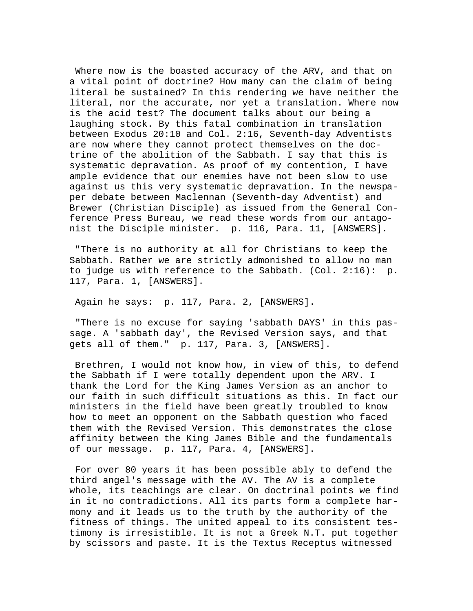Where now is the boasted accuracy of the ARV, and that on a vital point of doctrine? How many can the claim of being literal be sustained? In this rendering we have neither the literal, nor the accurate, nor yet a translation. Where now is the acid test? The document talks about our being a laughing stock. By this fatal combination in translation between Exodus 20:10 and Col. 2:16, Seventh-day Adventists are now where they cannot protect themselves on the doctrine of the abolition of the Sabbath. I say that this is systematic depravation. As proof of my contention, I have ample evidence that our enemies have not been slow to use against us this very systematic depravation. In the newspaper debate between Maclennan (Seventh-day Adventist) and Brewer (Christian Disciple) as issued from the General Conference Press Bureau, we read these words from our antagonist the Disciple minister. p. 116, Para. 11, [ANSWERS].

 "There is no authority at all for Christians to keep the Sabbath. Rather we are strictly admonished to allow no man to judge us with reference to the Sabbath. (Col. 2:16): p. 117, Para. 1, [ANSWERS].

Again he says: p. 117, Para. 2, [ANSWERS].

 "There is no excuse for saying 'sabbath DAYS' in this passage. A 'sabbath day', the Revised Version says, and that gets all of them." p. 117, Para. 3, [ANSWERS].

 Brethren, I would not know how, in view of this, to defend the Sabbath if I were totally dependent upon the ARV. I thank the Lord for the King James Version as an anchor to our faith in such difficult situations as this. In fact our ministers in the field have been greatly troubled to know how to meet an opponent on the Sabbath question who faced them with the Revised Version. This demonstrates the close affinity between the King James Bible and the fundamentals of our message. p. 117, Para. 4, [ANSWERS].

 For over 80 years it has been possible ably to defend the third angel's message with the AV. The AV is a complete whole, its teachings are clear. On doctrinal points we find in it no contradictions. All its parts form a complete harmony and it leads us to the truth by the authority of the fitness of things. The united appeal to its consistent testimony is irresistible. It is not a Greek N.T. put together by scissors and paste. It is the Textus Receptus witnessed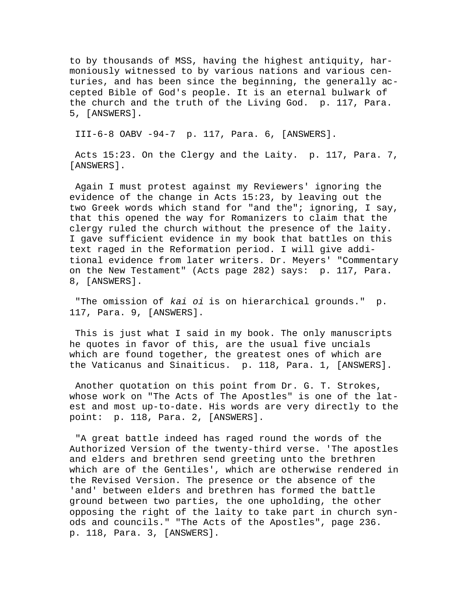to by thousands of MSS, having the highest antiquity, harmoniously witnessed to by various nations and various centuries, and has been since the beginning, the generally accepted Bible of God's people. It is an eternal bulwark of the church and the truth of the Living God. p. 117, Para. 5, [ANSWERS].

III-6-8 OABV -94-7 p. 117, Para. 6, [ANSWERS].

 Acts 15:23. On the Clergy and the Laity. p. 117, Para. 7, [ANSWERS].

 Again I must protest against my Reviewers' ignoring the evidence of the change in Acts 15:23, by leaving out the two Greek words which stand for "and the"; ignoring, I say, that this opened the way for Romanizers to claim that the clergy ruled the church without the presence of the laity. I gave sufficient evidence in my book that battles on this text raged in the Reformation period. I will give additional evidence from later writers. Dr. Meyers' "Commentary on the New Testament" (Acts page 282) says: p. 117, Para. 8, [ANSWERS].

 "The omission of *kai oi* is on hierarchical grounds." p. 117, Para. 9, [ANSWERS].

 This is just what I said in my book. The only manuscripts he quotes in favor of this, are the usual five uncials which are found together, the greatest ones of which are the Vaticanus and Sinaiticus. p. 118, Para. 1, [ANSWERS].

 Another quotation on this point from Dr. G. T. Strokes, whose work on "The Acts of The Apostles" is one of the latest and most up-to-date. His words are very directly to the point: p. 118, Para. 2, [ANSWERS].

 "A great battle indeed has raged round the words of the Authorized Version of the twenty-third verse. 'The apostles and elders and brethren send greeting unto the brethren which are of the Gentiles', which are otherwise rendered in the Revised Version. The presence or the absence of the 'and' between elders and brethren has formed the battle ground between two parties, the one upholding, the other opposing the right of the laity to take part in church synods and councils." "The Acts of the Apostles", page 236. p. 118, Para. 3, [ANSWERS].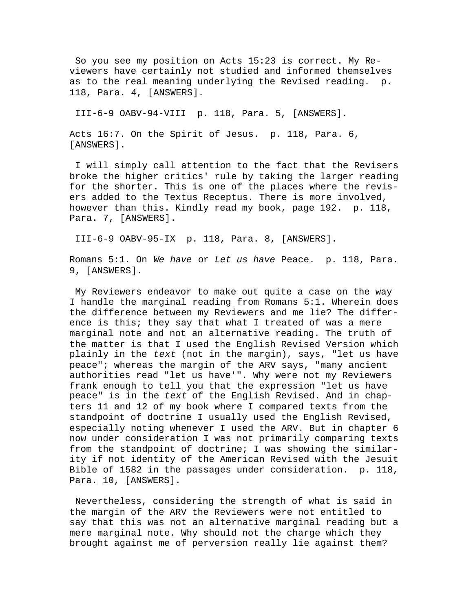So you see my position on Acts 15:23 is correct. My Reviewers have certainly not studied and informed themselves as to the real meaning underlying the Revised reading. p. 118, Para. 4, [ANSWERS].

III-6-9 OABV-94-VIII p. 118, Para. 5, [ANSWERS].

Acts 16:7. On the Spirit of Jesus. p. 118, Para. 6, [ANSWERS].

 I will simply call attention to the fact that the Revisers broke the higher critics' rule by taking the larger reading for the shorter. This is one of the places where the revisers added to the Textus Receptus. There is more involved, however than this. Kindly read my book, page 192. p. 118, Para. 7, [ANSWERS].

III-6-9 OABV-95-IX p. 118, Para. 8, [ANSWERS].

Romans 5:1. On *We have* or *Let us have* Peace. p. 118, Para. 9, [ANSWERS].

 My Reviewers endeavor to make out quite a case on the way I handle the marginal reading from Romans 5:1. Wherein does the difference between my Reviewers and me lie? The difference is this; they say that what I treated of was a mere marginal note and not an alternative reading. The truth of the matter is that I used the English Revised Version which plainly in the *text* (not in the margin), says, "let us have peace"; whereas the margin of the ARV says, "many ancient authorities read "let us have'". Why were not my Reviewers frank enough to tell you that the expression "let us have peace" is in the *text* of the English Revised. And in chapters 11 and 12 of my book where I compared texts from the standpoint of doctrine I usually used the English Revised, especially noting whenever I used the ARV. But in chapter 6 now under consideration I was not primarily comparing texts from the standpoint of doctrine; I was showing the similarity if not identity of the American Revised with the Jesuit Bible of 1582 in the passages under consideration. p. 118, Para. 10, [ANSWERS].

 Nevertheless, considering the strength of what is said in the margin of the ARV the Reviewers were not entitled to say that this was not an alternative marginal reading but a mere marginal note. Why should not the charge which they brought against me of perversion really lie against them?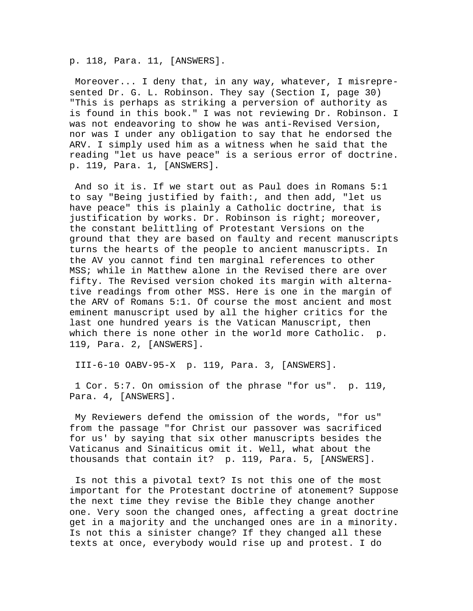p. 118, Para. 11, [ANSWERS].

 Moreover... I deny that, in any way, whatever, I misrepresented Dr. G. L. Robinson. They say (Section I, page 30) "This is perhaps as striking a perversion of authority as is found in this book." I was not reviewing Dr. Robinson. I was not endeavoring to show he was anti-Revised Version, nor was I under any obligation to say that he endorsed the ARV. I simply used him as a witness when he said that the reading "let us have peace" is a serious error of doctrine. p. 119, Para. 1, [ANSWERS].

 And so it is. If we start out as Paul does in Romans 5:1 to say "Being justified by faith:, and then add, "let us have peace" this is plainly a Catholic doctrine, that is justification by works. Dr. Robinson is right; moreover, the constant belittling of Protestant Versions on the ground that they are based on faulty and recent manuscripts turns the hearts of the people to ancient manuscripts. In the AV you cannot find ten marginal references to other MSS; while in Matthew alone in the Revised there are over fifty. The Revised version choked its margin with alternative readings from other MSS. Here is one in the margin of the ARV of Romans 5:1. Of course the most ancient and most eminent manuscript used by all the higher critics for the last one hundred years is the Vatican Manuscript, then which there is none other in the world more Catholic. p. 119, Para. 2, [ANSWERS].

III-6-10 OABV-95-X p. 119, Para. 3, [ANSWERS].

 1 Cor. 5:7. On omission of the phrase "for us". p. 119, Para. 4, [ANSWERS].

 My Reviewers defend the omission of the words, "for us" from the passage "for Christ our passover was sacrificed for us' by saying that six other manuscripts besides the Vaticanus and Sinaiticus omit it. Well, what about the thousands that contain it? p. 119, Para. 5, [ANSWERS].

 Is not this a pivotal text? Is not this one of the most important for the Protestant doctrine of atonement? Suppose the next time they revise the Bible they change another one. Very soon the changed ones, affecting a great doctrine get in a majority and the unchanged ones are in a minority. Is not this a sinister change? If they changed all these texts at once, everybody would rise up and protest. I do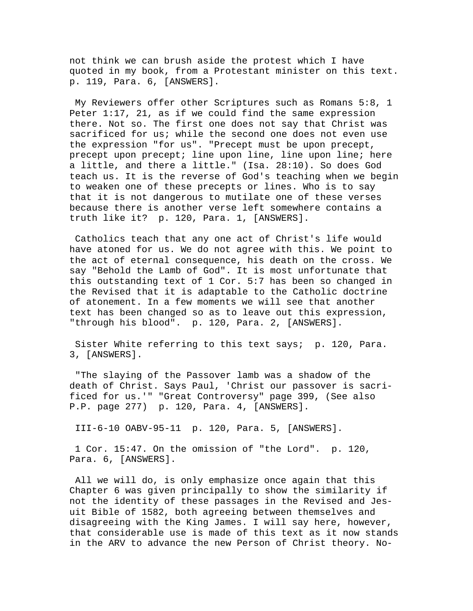not think we can brush aside the protest which I have quoted in my book, from a Protestant minister on this text. p. 119, Para. 6, [ANSWERS].

 My Reviewers offer other Scriptures such as Romans 5:8, 1 Peter 1:17, 21, as if we could find the same expression there. Not so. The first one does not say that Christ was sacrificed for us; while the second one does not even use the expression "for us". "Precept must be upon precept, precept upon precept; line upon line, line upon line; here a little, and there a little." (Isa. 28:10). So does God teach us. It is the reverse of God's teaching when we begin to weaken one of these precepts or lines. Who is to say that it is not dangerous to mutilate one of these verses because there is another verse left somewhere contains a truth like it? p. 120, Para. 1, [ANSWERS].

 Catholics teach that any one act of Christ's life would have atoned for us. We do not agree with this. We point to the act of eternal consequence, his death on the cross. We say "Behold the Lamb of God". It is most unfortunate that this outstanding text of 1 Cor. 5:7 has been so changed in the Revised that it is adaptable to the Catholic doctrine of atonement. In a few moments we will see that another text has been changed so as to leave out this expression, "through his blood". p. 120, Para. 2, [ANSWERS].

Sister White referring to this text says; p. 120, Para. 3, [ANSWERS].

 "The slaying of the Passover lamb was a shadow of the death of Christ. Says Paul, 'Christ our passover is sacrificed for us.'" "Great Controversy" page 399, (See also P.P. page 277) p. 120, Para. 4, [ANSWERS].

III-6-10 OABV-95-11 p. 120, Para. 5, [ANSWERS].

 1 Cor. 15:47. On the omission of "the Lord". p. 120, Para. 6, [ANSWERS].

 All we will do, is only emphasize once again that this Chapter 6 was given principally to show the similarity if not the identity of these passages in the Revised and Jesuit Bible of 1582, both agreeing between themselves and disagreeing with the King James. I will say here, however, that considerable use is made of this text as it now stands in the ARV to advance the new Person of Christ theory. No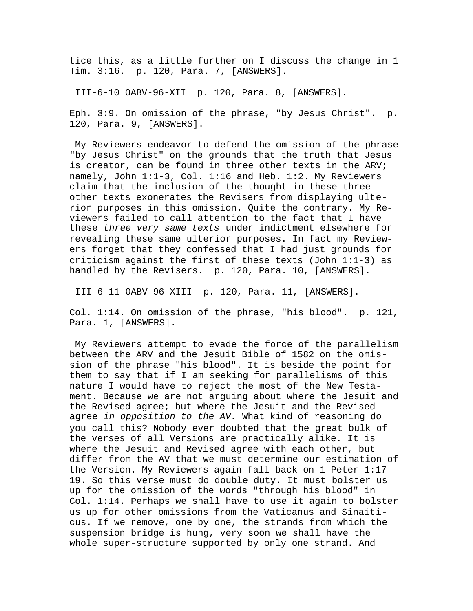tice this, as a little further on I discuss the change in 1 Tim. 3:16. p. 120, Para. 7, [ANSWERS].

III-6-10 OABV-96-XII p. 120, Para. 8, [ANSWERS].

Eph. 3:9. On omission of the phrase, "by Jesus Christ". p. 120, Para. 9, [ANSWERS].

 My Reviewers endeavor to defend the omission of the phrase "by Jesus Christ" on the grounds that the truth that Jesus is creator, can be found in three other texts in the ARV; namely, John 1:1-3, Col. 1:16 and Heb. 1:2. My Reviewers claim that the inclusion of the thought in these three other texts exonerates the Revisers from displaying ulterior purposes in this omission. Quite the contrary. My Reviewers failed to call attention to the fact that I have these *three very same texts* under indictment elsewhere for revealing these same ulterior purposes. In fact my Reviewers forget that they confessed that I had just grounds for criticism against the first of these texts (John 1:1-3) as handled by the Revisers. p. 120, Para. 10, [ANSWERS].

III-6-11 OABV-96-XIII p. 120, Para. 11, [ANSWERS].

Col. 1:14. On omission of the phrase, "his blood". p. 121, Para. 1, [ANSWERS].

 My Reviewers attempt to evade the force of the parallelism between the ARV and the Jesuit Bible of 1582 on the omission of the phrase "his blood". It is beside the point for them to say that if I am seeking for parallelisms of this nature I would have to reject the most of the New Testament. Because we are not arguing about where the Jesuit and the Revised agree; but where the Jesuit and the Revised agree *in opposition to the AV.* What kind of reasoning do you call this? Nobody ever doubted that the great bulk of the verses of all Versions are practically alike. It is where the Jesuit and Revised agree with each other, but differ from the AV that we must determine our estimation of the Version. My Reviewers again fall back on 1 Peter 1:17- 19. So this verse must do double duty. It must bolster us up for the omission of the words "through his blood" in Col. 1:14. Perhaps we shall have to use it again to bolster us up for other omissions from the Vaticanus and Sinaiticus. If we remove, one by one, the strands from which the suspension bridge is hung, very soon we shall have the whole super-structure supported by only one strand. And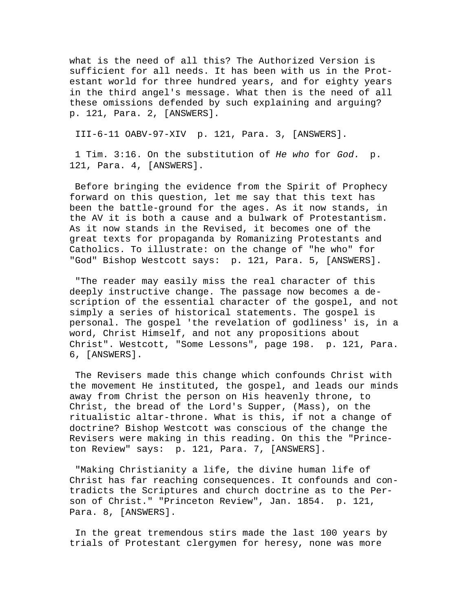what is the need of all this? The Authorized Version is sufficient for all needs. It has been with us in the Protestant world for three hundred years, and for eighty years in the third angel's message. What then is the need of all these omissions defended by such explaining and arguing? p. 121, Para. 2, [ANSWERS].

III-6-11 OABV-97-XIV p. 121, Para. 3, [ANSWERS].

 1 Tim. 3:16. On the substitution of *He who* for *God.* p. 121, Para. 4, [ANSWERS].

 Before bringing the evidence from the Spirit of Prophecy forward on this question, let me say that this text has been the battle-ground for the ages. As it now stands, in the AV it is both a cause and a bulwark of Protestantism. As it now stands in the Revised, it becomes one of the great texts for propaganda by Romanizing Protestants and Catholics. To illustrate: on the change of "he who" for "God" Bishop Westcott says: p. 121, Para. 5, [ANSWERS].

 "The reader may easily miss the real character of this deeply instructive change. The passage now becomes a description of the essential character of the gospel, and not simply a series of historical statements. The gospel is personal. The gospel 'the revelation of godliness' is, in a word, Christ Himself, and not any propositions about Christ". Westcott, "Some Lessons", page 198. p. 121, Para. 6, [ANSWERS].

 The Revisers made this change which confounds Christ with the movement He instituted, the gospel, and leads our minds away from Christ the person on His heavenly throne, to Christ, the bread of the Lord's Supper, (Mass), on the ritualistic altar-throne. What is this, if not a change of doctrine? Bishop Westcott was conscious of the change the Revisers were making in this reading. On this the "Princeton Review" says: p. 121, Para. 7, [ANSWERS].

 "Making Christianity a life, the divine human life of Christ has far reaching consequences. It confounds and contradicts the Scriptures and church doctrine as to the Person of Christ." "Princeton Review", Jan. 1854. p. 121, Para. 8, [ANSWERS].

 In the great tremendous stirs made the last 100 years by trials of Protestant clergymen for heresy, none was more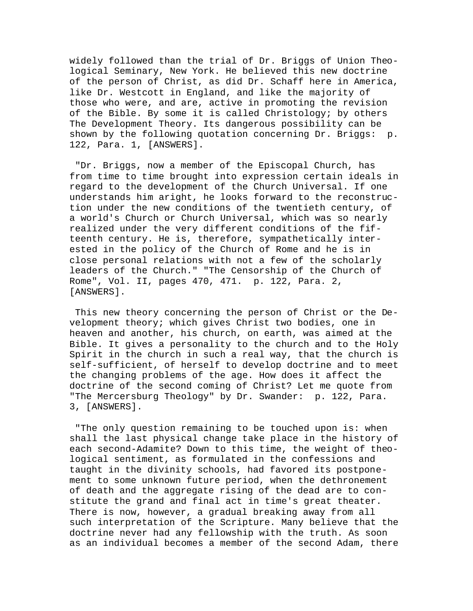widely followed than the trial of Dr. Briggs of Union Theological Seminary, New York. He believed this new doctrine of the person of Christ, as did Dr. Schaff here in America, like Dr. Westcott in England, and like the majority of those who were, and are, active in promoting the revision of the Bible. By some it is called Christology; by others The Development Theory. Its dangerous possibility can be shown by the following quotation concerning Dr. Briggs: p. 122, Para. 1, [ANSWERS].

 "Dr. Briggs, now a member of the Episcopal Church, has from time to time brought into expression certain ideals in regard to the development of the Church Universal. If one understands him aright, he looks forward to the reconstruction under the new conditions of the twentieth century, of a world's Church or Church Universal, which was so nearly realized under the very different conditions of the fifteenth century. He is, therefore, sympathetically interested in the policy of the Church of Rome and he is in close personal relations with not a few of the scholarly leaders of the Church." "The Censorship of the Church of Rome", Vol. II, pages 470, 471. p. 122, Para. 2, [ANSWERS].

 This new theory concerning the person of Christ or the Development theory; which gives Christ two bodies, one in heaven and another, his church, on earth, was aimed at the Bible. It gives a personality to the church and to the Holy Spirit in the church in such a real way, that the church is self-sufficient, of herself to develop doctrine and to meet the changing problems of the age. How does it affect the doctrine of the second coming of Christ? Let me quote from "The Mercersburg Theology" by Dr. Swander: p. 122, Para. 3, [ANSWERS].

"The only question remaining to be touched upon is: when shall the last physical change take place in the history of each second-Adamite? Down to this time, the weight of theological sentiment, as formulated in the confessions and taught in the divinity schools, had favored its postponement to some unknown future period, when the dethronement of death and the aggregate rising of the dead are to constitute the grand and final act in time's great theater. There is now, however, a gradual breaking away from all such interpretation of the Scripture. Many believe that the doctrine never had any fellowship with the truth. As soon as an individual becomes a member of the second Adam, there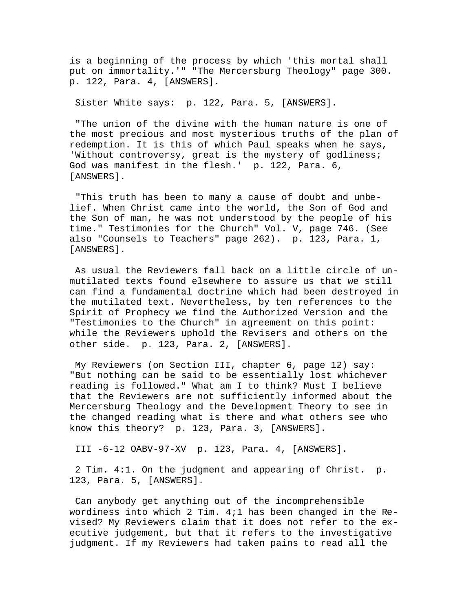is a beginning of the process by which 'this mortal shall put on immortality.'" "The Mercersburg Theology" page 300. p. 122, Para. 4, [ANSWERS].

Sister White says: p. 122, Para. 5, [ANSWERS].

 "The union of the divine with the human nature is one of the most precious and most mysterious truths of the plan of redemption. It is this of which Paul speaks when he says, 'Without controversy, great is the mystery of godliness; God was manifest in the flesh.' p. 122, Para. 6, [ANSWERS].

 "This truth has been to many a cause of doubt and unbelief. When Christ came into the world, the Son of God and the Son of man, he was not understood by the people of his time." Testimonies for the Church" Vol. V, page 746. (See also "Counsels to Teachers" page 262). p. 123, Para. 1, [ANSWERS].

 As usual the Reviewers fall back on a little circle of unmutilated texts found elsewhere to assure us that we still can find a fundamental doctrine which had been destroyed in the mutilated text. Nevertheless, by ten references to the Spirit of Prophecy we find the Authorized Version and the "Testimonies to the Church" in agreement on this point: while the Reviewers uphold the Revisers and others on the other side. p. 123, Para. 2, [ANSWERS].

 My Reviewers (on Section III, chapter 6, page 12) say: "But nothing can be said to be essentially lost whichever reading is followed." What am I to think? Must I believe that the Reviewers are not sufficiently informed about the Mercersburg Theology and the Development Theory to see in the changed reading what is there and what others see who know this theory? p. 123, Para. 3, [ANSWERS].

III -6-12 OABV-97-XV p. 123, Para. 4, [ANSWERS].

 2 Tim. 4:1. On the judgment and appearing of Christ. p. 123, Para. 5, [ANSWERS].

 Can anybody get anything out of the incomprehensible wordiness into which 2 Tim. 4;1 has been changed in the Revised? My Reviewers claim that it does not refer to the executive judgement, but that it refers to the investigative judgment. If my Reviewers had taken pains to read all the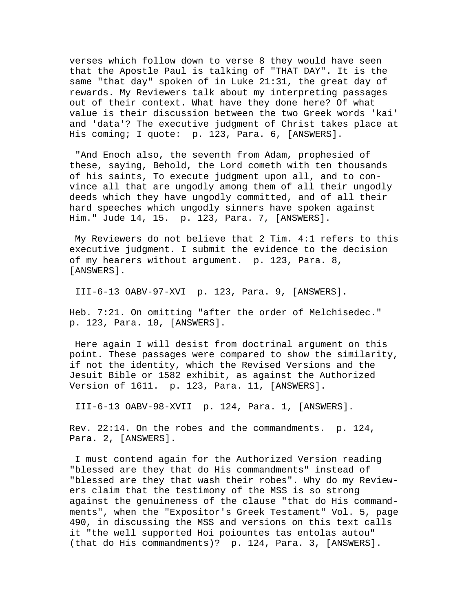verses which follow down to verse 8 they would have seen that the Apostle Paul is talking of "THAT DAY". It is the same "that day" spoken of in Luke 21:31, the great day of rewards. My Reviewers talk about my interpreting passages out of their context. What have they done here? Of what value is their discussion between the two Greek words 'kai' and 'data'? The executive judgment of Christ takes place at His coming; I quote: p. 123, Para. 6, [ANSWERS].

 "And Enoch also, the seventh from Adam, prophesied of these, saying, Behold, the Lord cometh with ten thousands of his saints, To execute judgment upon all, and to convince all that are ungodly among them of all their ungodly deeds which they have ungodly committed, and of all their hard speeches which ungodly sinners have spoken against Him." Jude 14, 15. p. 123, Para. 7, [ANSWERS].

 My Reviewers do not believe that 2 Tim. 4:1 refers to this executive judgment. I submit the evidence to the decision of my hearers without argument. p. 123, Para. 8, [ANSWERS].

III-6-13 OABV-97-XVI p. 123, Para. 9, [ANSWERS].

Heb. 7:21. On omitting "after the order of Melchisedec." p. 123, Para. 10, [ANSWERS].

 Here again I will desist from doctrinal argument on this point. These passages were compared to show the similarity, if not the identity, which the Revised Versions and the Jesuit Bible or 1582 exhibit, as against the Authorized Version of 1611. p. 123, Para. 11, [ANSWERS].

III-6-13 OABV-98-XVII p. 124, Para. 1, [ANSWERS].

Rev. 22:14. On the robes and the commandments. p. 124, Para. 2, [ANSWERS].

 I must contend again for the Authorized Version reading "blessed are they that do His commandments" instead of "blessed are they that wash their robes". Why do my Reviewers claim that the testimony of the MSS is so strong against the genuineness of the clause "that do His commandments", when the "Expositor's Greek Testament" Vol. 5, page 490, in discussing the MSS and versions on this text calls it "the well supported Hoi poiountes tas entolas autou" (that do His commandments)? p. 124, Para. 3, [ANSWERS].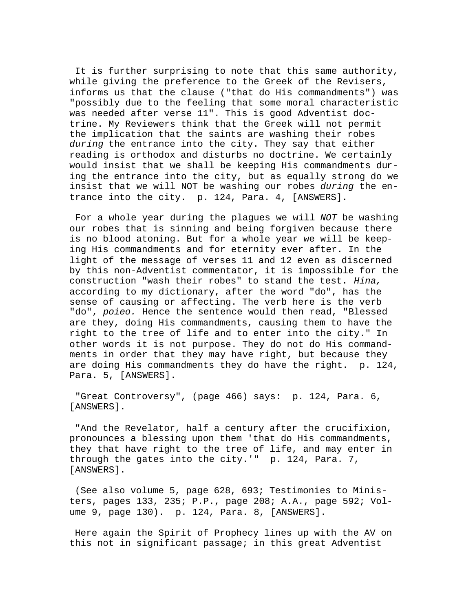It is further surprising to note that this same authority, while giving the preference to the Greek of the Revisers, informs us that the clause ("that do His commandments") was "possibly due to the feeling that some moral characteristic was needed after verse 11". This is good Adventist doctrine. My Reviewers think that the Greek will not permit the implication that the saints are washing their robes *during* the entrance into the city. They say that either reading is orthodox and disturbs no doctrine. We certainly would insist that we shall be keeping His commandments during the entrance into the city, but as equally strong do we insist that we will NOT be washing our robes *during* the entrance into the city. p. 124, Para. 4, [ANSWERS].

 For a whole year during the plagues we will *NOT* be washing our robes that is sinning and being forgiven because there is no blood atoning. But for a whole year we will be keeping His commandments and for eternity ever after. In the light of the message of verses 11 and 12 even as discerned by this non-Adventist commentator, it is impossible for the construction "wash their robes" to stand the test. *Hina,* according to my dictionary, after the word "do", has the sense of causing or affecting. The verb here is the verb "do", *poieo.* Hence the sentence would then read, "Blessed are they, doing His commandments, causing them to have the right to the tree of life and to enter into the city." In other words it is not purpose. They do not do His commandments in order that they may have right, but because they are doing His commandments they do have the right. p. 124, Para. 5, [ANSWERS].

 "Great Controversy", (page 466) says: p. 124, Para. 6, [ANSWERS].

 "And the Revelator, half a century after the crucifixion, pronounces a blessing upon them 'that do His commandments, they that have right to the tree of life, and may enter in through the gates into the city.'" p. 124, Para. 7, [ANSWERS].

 (See also volume 5, page 628, 693; Testimonies to Ministers, pages 133, 235; P.P., page 208; A.A., page 592; Volume 9, page 130). p. 124, Para. 8, [ANSWERS].

 Here again the Spirit of Prophecy lines up with the AV on this not in significant passage; in this great Adventist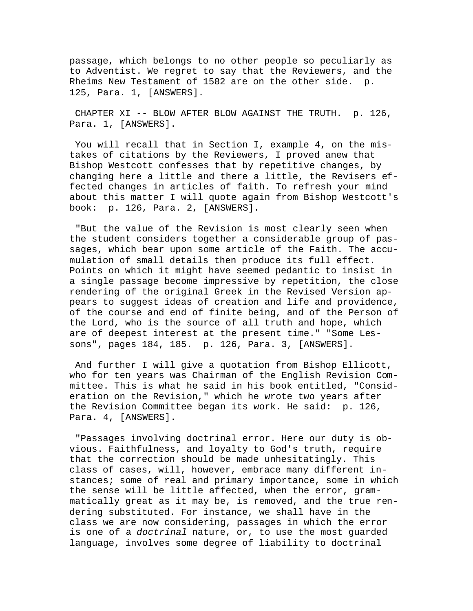passage, which belongs to no other people so peculiarly as to Adventist. We regret to say that the Reviewers, and the Rheims New Testament of 1582 are on the other side. p. 125, Para. 1, [ANSWERS].

 CHAPTER XI -- BLOW AFTER BLOW AGAINST THE TRUTH. p. 126, Para. 1, [ANSWERS].

 You will recall that in Section I, example 4, on the mistakes of citations by the Reviewers, I proved anew that Bishop Westcott confesses that by repetitive changes, by changing here a little and there a little, the Revisers effected changes in articles of faith. To refresh your mind about this matter I will quote again from Bishop Westcott's book: p. 126, Para. 2, [ANSWERS].

 "But the value of the Revision is most clearly seen when the student considers together a considerable group of passages, which bear upon some article of the Faith. The accumulation of small details then produce its full effect. Points on which it might have seemed pedantic to insist in a single passage become impressive by repetition, the close rendering of the original Greek in the Revised Version appears to suggest ideas of creation and life and providence, of the course and end of finite being, and of the Person of the Lord, who is the source of all truth and hope, which are of deepest interest at the present time." "Some Lessons", pages 184, 185. p. 126, Para. 3, [ANSWERS].

 And further I will give a quotation from Bishop Ellicott, who for ten years was Chairman of the English Revision Committee. This is what he said in his book entitled, "Consideration on the Revision," which he wrote two years after the Revision Committee began its work. He said: p. 126, Para. 4, [ANSWERS].

 "Passages involving doctrinal error. Here our duty is obvious. Faithfulness, and loyalty to God's truth, require that the correction should be made unhesitatingly. This class of cases, will, however, embrace many different instances; some of real and primary importance, some in which the sense will be little affected, when the error, grammatically great as it may be, is removed, and the true rendering substituted. For instance, we shall have in the class we are now considering, passages in which the error is one of a *doctrinal* nature, or, to use the most guarded language, involves some degree of liability to doctrinal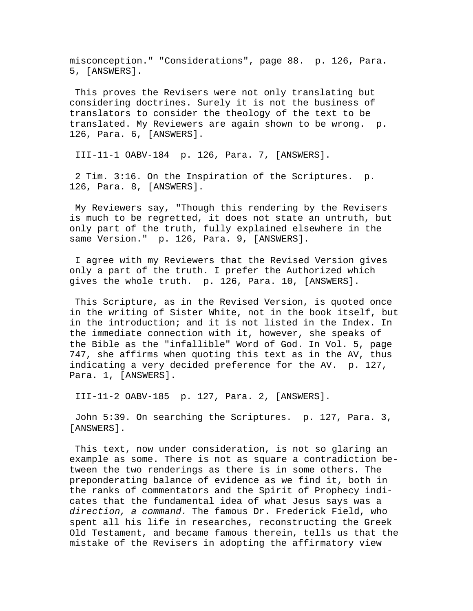misconception." "Considerations", page 88. p. 126, Para. 5, [ANSWERS].

 This proves the Revisers were not only translating but considering doctrines. Surely it is not the business of translators to consider the theology of the text to be translated. My Reviewers are again shown to be wrong. p. 126, Para. 6, [ANSWERS].

III-11-1 OABV-184 p. 126, Para. 7, [ANSWERS].

 2 Tim. 3:16. On the Inspiration of the Scriptures. p. 126, Para. 8, [ANSWERS].

 My Reviewers say, "Though this rendering by the Revisers is much to be regretted, it does not state an untruth, but only part of the truth, fully explained elsewhere in the same Version." p. 126, Para. 9, [ANSWERS].

 I agree with my Reviewers that the Revised Version gives only a part of the truth. I prefer the Authorized which gives the whole truth. p. 126, Para. 10, [ANSWERS].

 This Scripture, as in the Revised Version, is quoted once in the writing of Sister White, not in the book itself, but in the introduction; and it is not listed in the Index. In the immediate connection with it, however, she speaks of the Bible as the "infallible" Word of God. In Vol. 5, page 747, she affirms when quoting this text as in the AV, thus indicating a very decided preference for the AV. p. 127, Para. 1, [ANSWERS].

III-11-2 OABV-185 p. 127, Para. 2, [ANSWERS].

 John 5:39. On searching the Scriptures. p. 127, Para. 3, [ANSWERS].

 This text, now under consideration, is not so glaring an example as some. There is not as square a contradiction between the two renderings as there is in some others. The preponderating balance of evidence as we find it, both in the ranks of commentators and the Spirit of Prophecy indicates that the fundamental idea of what Jesus says was a *direction, a command.* The famous Dr. Frederick Field, who spent all his life in researches, reconstructing the Greek Old Testament, and became famous therein, tells us that the mistake of the Revisers in adopting the affirmatory view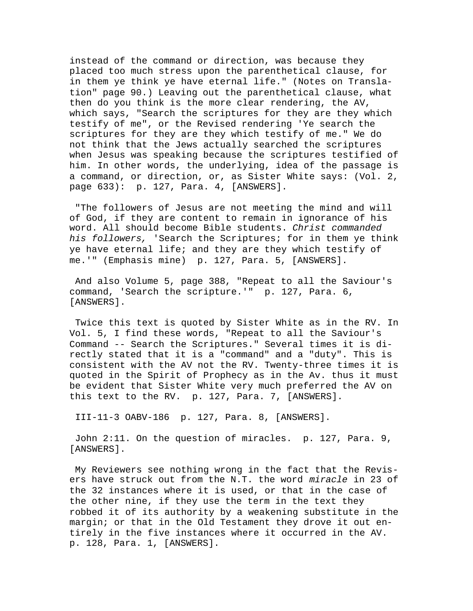instead of the command or direction, was because they placed too much stress upon the parenthetical clause, for in them ye think ye have eternal life." (Notes on Translation" page 90.) Leaving out the parenthetical clause, what then do you think is the more clear rendering, the AV, which says, "Search the scriptures for they are they which testify of me", or the Revised rendering 'Ye search the scriptures for they are they which testify of me." We do not think that the Jews actually searched the scriptures when Jesus was speaking because the scriptures testified of him. In other words, the underlying, idea of the passage is a command, or direction, or, as Sister White says: (Vol. 2, page 633): p. 127, Para. 4, [ANSWERS].

 "The followers of Jesus are not meeting the mind and will of God, if they are content to remain in ignorance of his word. All should become Bible students. *Christ commanded his followers,* 'Search the Scriptures; for in them ye think ye have eternal life; and they are they which testify of me.'" (Emphasis mine) p. 127, Para. 5, [ANSWERS].

 And also Volume 5, page 388, "Repeat to all the Saviour's command, 'Search the scripture.'" p. 127, Para. 6, [ANSWERS].

 Twice this text is quoted by Sister White as in the RV. In Vol. 5, I find these words, "Repeat to all the Saviour's Command -- Search the Scriptures." Several times it is directly stated that it is a "command" and a "duty". This is consistent with the AV not the RV. Twenty-three times it is quoted in the Spirit of Prophecy as in the Av. thus it must be evident that Sister White very much preferred the AV on this text to the RV. p. 127, Para. 7, [ANSWERS].

III-11-3 OABV-186 p. 127, Para. 8, [ANSWERS].

 John 2:11. On the question of miracles. p. 127, Para. 9, [ANSWERS].

 My Reviewers see nothing wrong in the fact that the Revisers have struck out from the N.T. the word *miracle* in 23 of the 32 instances where it is used, or that in the case of the other nine, if they use the term in the text they robbed it of its authority by a weakening substitute in the margin; or that in the Old Testament they drove it out entirely in the five instances where it occurred in the AV. p. 128, Para. 1, [ANSWERS].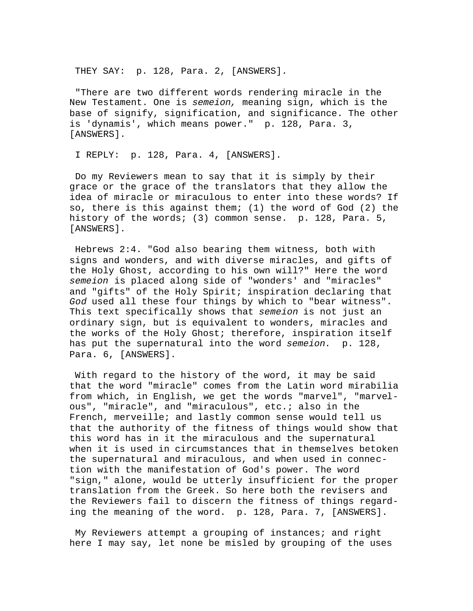THEY SAY: p. 128, Para. 2, [ANSWERS].

 "There are two different words rendering miracle in the New Testament. One is *semeion,* meaning sign, which is the base of signify, signification, and significance. The other is 'dynamis', which means power." p. 128, Para. 3, [ANSWERS].

I REPLY: p. 128, Para. 4, [ANSWERS].

 Do my Reviewers mean to say that it is simply by their grace or the grace of the translators that they allow the idea of miracle or miraculous to enter into these words? If so, there is this against them; (1) the word of God (2) the history of the words; (3) common sense. p. 128, Para. 5, [ANSWERS].

 Hebrews 2:4. "God also bearing them witness, both with signs and wonders, and with diverse miracles, and gifts of the Holy Ghost, according to his own will?" Here the word *semeion* is placed along side of "wonders' and "miracles" and "gifts" of the Holy Spirit; inspiration declaring that *God* used all these four things by which to "bear witness". This text specifically shows that *semeion* is not just an ordinary sign, but is equivalent to wonders, miracles and the works of the Holy Ghost; therefore, inspiration itself has put the supernatural into the word *semeion.* p. 128, Para. 6, [ANSWERS].

 With regard to the history of the word, it may be said that the word "miracle" comes from the Latin word mirabilia from which, in English, we get the words "marvel", "marvelous", "miracle", and "miraculous", etc.; also in the French, merveille; and lastly common sense would tell us that the authority of the fitness of things would show that this word has in it the miraculous and the supernatural when it is used in circumstances that in themselves betoken the supernatural and miraculous, and when used in connection with the manifestation of God's power. The word "sign," alone, would be utterly insufficient for the proper translation from the Greek. So here both the revisers and the Reviewers fail to discern the fitness of things regarding the meaning of the word. p. 128, Para. 7, [ANSWERS].

 My Reviewers attempt a grouping of instances; and right here I may say, let none be misled by grouping of the uses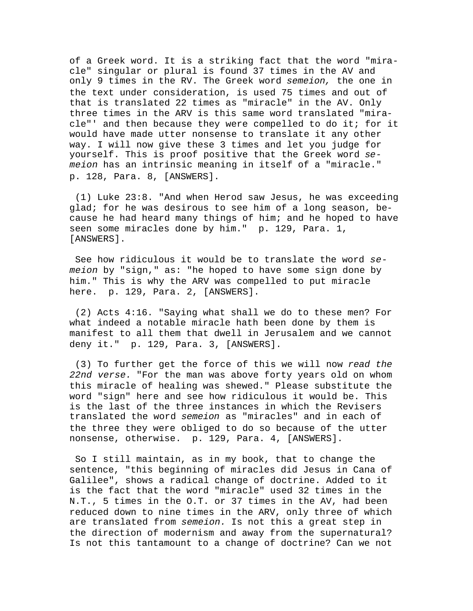of a Greek word. It is a striking fact that the word "miracle" singular or plural is found 37 times in the AV and only 9 times in the RV. The Greek word *semeion,* the one in the text under consideration, is used 75 times and out of that is translated 22 times as "miracle" in the AV. Only three times in the ARV is this same word translated "miracle"' and then because they were compelled to do it; for it would have made utter nonsense to translate it any other way. I will now give these 3 times and let you judge for yourself. This is proof positive that the Greek word *semeion* has an intrinsic meaning in itself of a "miracle." p. 128, Para. 8, [ANSWERS].

 (1) Luke 23:8. "And when Herod saw Jesus, he was exceeding glad; for he was desirous to see him of a long season, because he had heard many things of him; and he hoped to have seen some miracles done by him." p. 129, Para. 1, [ANSWERS].

 See how ridiculous it would be to translate the word *semeion* by "sign," as: "he hoped to have some sign done by him." This is why the ARV was compelled to put miracle here. p. 129, Para. 2, [ANSWERS].

 (2) Acts 4:16. "Saying what shall we do to these men? For what indeed a notable miracle hath been done by them is manifest to all them that dwell in Jerusalem and we cannot deny it." p. 129, Para. 3, [ANSWERS].

 (3) To further get the force of this we will now *read the 22nd verse.* "For the man was above forty years old on whom this miracle of healing was shewed." Please substitute the word "sign" here and see how ridiculous it would be. This is the last of the three instances in which the Revisers translated the word *semeion* as "miracles" and in each of the three they were obliged to do so because of the utter nonsense, otherwise. p. 129, Para. 4, [ANSWERS].

 So I still maintain, as in my book, that to change the sentence, "this beginning of miracles did Jesus in Cana of Galilee", shows a radical change of doctrine. Added to it is the fact that the word "miracle" used 32 times in the N.T., 5 times in the O.T. or 37 times in the AV, had been reduced down to nine times in the ARV, only three of which are translated from *semeion.* Is not this a great step in the direction of modernism and away from the supernatural? Is not this tantamount to a change of doctrine? Can we not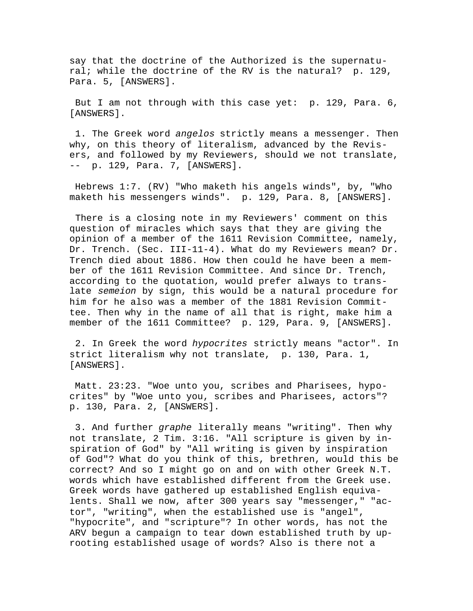say that the doctrine of the Authorized is the supernatural; while the doctrine of the RV is the natural? p. 129, Para. 5, [ANSWERS].

 But I am not through with this case yet: p. 129, Para. 6, [ANSWERS].

 1. The Greek word *angelos* strictly means a messenger. Then why, on this theory of literalism, advanced by the Revisers, and followed by my Reviewers, should we not translate, -- p. 129, Para. 7, [ANSWERS].

 Hebrews 1:7. (RV) "Who maketh his angels winds", by, "Who maketh his messengers winds". p. 129, Para. 8, [ANSWERS].

 There is a closing note in my Reviewers' comment on this question of miracles which says that they are giving the opinion of a member of the 1611 Revision Committee, namely, Dr. Trench. (Sec. III-11-4). What do my Reviewers mean? Dr. Trench died about 1886. How then could he have been a member of the 1611 Revision Committee. And since Dr. Trench, according to the quotation, would prefer always to translate *semeion* by sign, this would be a natural procedure for him for he also was a member of the 1881 Revision Committee. Then why in the name of all that is right, make him a member of the 1611 Committee? p. 129, Para. 9, [ANSWERS].

 2. In Greek the word *hypocrites* strictly means "actor". In strict literalism why not translate, p. 130, Para. 1, [ANSWERS].

 Matt. 23:23. "Woe unto you, scribes and Pharisees, hypocrites" by "Woe unto you, scribes and Pharisees, actors"? p. 130, Para. 2, [ANSWERS].

 3. And further *graphe* literally means "writing". Then why not translate, 2 Tim. 3:16. "All scripture is given by inspiration of God" by "All writing is given by inspiration of God"? What do you think of this, brethren, would this be correct? And so I might go on and on with other Greek N.T. words which have established different from the Greek use. Greek words have gathered up established English equivalents. Shall we now, after 300 years say "messenger," "actor", "writing", when the established use is "angel", "hypocrite", and "scripture"? In other words, has not the ARV begun a campaign to tear down established truth by uprooting established usage of words? Also is there not a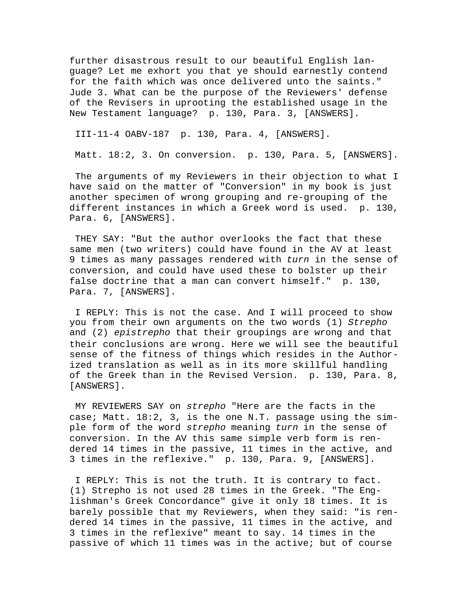further disastrous result to our beautiful English language? Let me exhort you that ye should earnestly contend for the faith which was once delivered unto the saints." Jude 3. What can be the purpose of the Reviewers' defense of the Revisers in uprooting the established usage in the New Testament language? p. 130, Para. 3, [ANSWERS].

III-11-4 OABV-187 p. 130, Para. 4, [ANSWERS].

Matt. 18:2, 3. On conversion. p. 130, Para. 5, [ANSWERS].

 The arguments of my Reviewers in their objection to what I have said on the matter of "Conversion" in my book is just another specimen of wrong grouping and re-grouping of the different instances in which a Greek word is used. p. 130, Para. 6, [ANSWERS].

 THEY SAY: "But the author overlooks the fact that these same men (two writers) could have found in the AV at least 9 times as many passages rendered with *turn* in the sense of conversion, and could have used these to bolster up their false doctrine that a man can convert himself." p. 130, Para. 7, [ANSWERS].

 I REPLY: This is not the case. And I will proceed to show you from their own arguments on the two words (1) *Strepho* and (2) *epistrepho* that their groupings are wrong and that their conclusions are wrong. Here we will see the beautiful sense of the fitness of things which resides in the Authorized translation as well as in its more skillful handling of the Greek than in the Revised Version. p. 130, Para. 8, [ANSWERS].

 MY REVIEWERS SAY on *strepho* "Here are the facts in the case; Matt.  $18:2$ , 3, is the one N.T. passage using the simple form of the word *strepho* meaning *turn* in the sense of conversion. In the AV this same simple verb form is rendered 14 times in the passive, 11 times in the active, and 3 times in the reflexive." p. 130, Para. 9, [ANSWERS].

 I REPLY: This is not the truth. It is contrary to fact. (1) Strepho is not used 28 times in the Greek. "The Englishman's Greek Concordance" give it only 18 times. It is barely possible that my Reviewers, when they said: "is rendered 14 times in the passive, 11 times in the active, and 3 times in the reflexive" meant to say. 14 times in the passive of which 11 times was in the active; but of course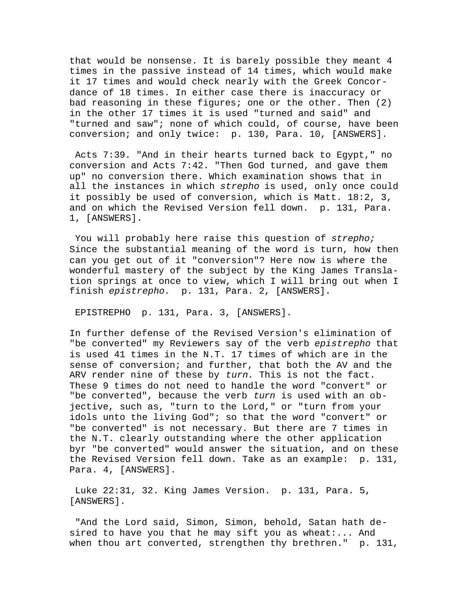that would be nonsense. It is barely possible they meant 4 times in the passive instead of 14 times, which would make it 17 times and would check nearly with the Greek Concordance of 18 times. In either case there is inaccuracy or bad reasoning in these figures; one or the other. Then (2) in the other 17 times it is used "turned and said" and "turned and saw"; none of which could, of course, have been conversion; and only twice: p. 130, Para. 10, [ANSWERS].

 Acts 7:39. "And in their hearts turned back to Egypt," no conversion and Acts 7:42. "Then God turned, and gave them up" no conversion there. Which examination shows that in all the instances in which *strepho* is used, only once could it possibly be used of conversion, which is Matt. 18:2, 3, and on which the Revised Version fell down. p. 131, Para. 1, [ANSWERS].

 You will probably here raise this question of *strepho;* Since the substantial meaning of the word is turn, how then can you get out of it "conversion"? Here now is where the wonderful mastery of the subject by the King James Translation springs at once to view, which I will bring out when I finish *epistrepho.* p. 131, Para. 2, [ANSWERS].

EPISTREPHO p. 131, Para. 3, [ANSWERS].

In further defense of the Revised Version's elimination of "be converted" my Reviewers say of the verb *epistrepho* that is used 41 times in the N.T. 17 times of which are in the sense of conversion; and further, that both the AV and the ARV render nine of these by *turn.* This is not the fact. These 9 times do not need to handle the word "convert" or "be converted", because the verb *turn* is used with an objective, such as, "turn to the Lord," or "turn from your idols unto the living God"; so that the word "convert" or "be converted" is not necessary. But there are 7 times in the N.T. clearly outstanding where the other application byr "be converted" would answer the situation, and on these the Revised Version fell down. Take as an example: p. 131, Para. 4, [ANSWERS].

 Luke 22:31, 32. King James Version. p. 131, Para. 5, [ANSWERS].

 "And the Lord said, Simon, Simon, behold, Satan hath desired to have you that he may sift you as wheat:... And when thou art converted, strengthen thy brethren." p. 131,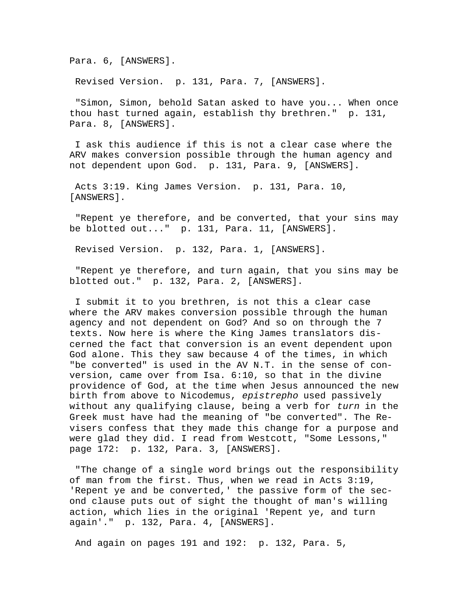Para. 6, [ANSWERS].

Revised Version. p. 131, Para. 7, [ANSWERS].

 "Simon, Simon, behold Satan asked to have you... When once thou hast turned again, establish thy brethren." p. 131, Para. 8, [ANSWERS].

 I ask this audience if this is not a clear case where the ARV makes conversion possible through the human agency and not dependent upon God. p. 131, Para. 9, [ANSWERS].

 Acts 3:19. King James Version. p. 131, Para. 10, [ANSWERS].

 "Repent ye therefore, and be converted, that your sins may be blotted out..." p. 131, Para. 11, [ANSWERS].

Revised Version. p. 132, Para. 1, [ANSWERS].

 "Repent ye therefore, and turn again, that you sins may be blotted out." p. 132, Para. 2, [ANSWERS].

 I submit it to you brethren, is not this a clear case where the ARV makes conversion possible through the human agency and not dependent on God? And so on through the 7 texts. Now here is where the King James translators discerned the fact that conversion is an event dependent upon God alone. This they saw because 4 of the times, in which "be converted" is used in the AV N.T. in the sense of conversion, came over from Isa. 6:10, so that in the divine providence of God, at the time when Jesus announced the new birth from above to Nicodemus, *epistrepho* used passively without any qualifying clause, being a verb for *turn* in the Greek must have had the meaning of "be converted". The Revisers confess that they made this change for a purpose and were glad they did. I read from Westcott, "Some Lessons," page 172: p. 132, Para. 3, [ANSWERS].

 "The change of a single word brings out the responsibility of man from the first. Thus, when we read in Acts 3:19, 'Repent ye and be converted,' the passive form of the second clause puts out of sight the thought of man's willing action, which lies in the original 'Repent ye, and turn again'." p. 132, Para. 4, [ANSWERS].

And again on pages 191 and 192: p. 132, Para. 5,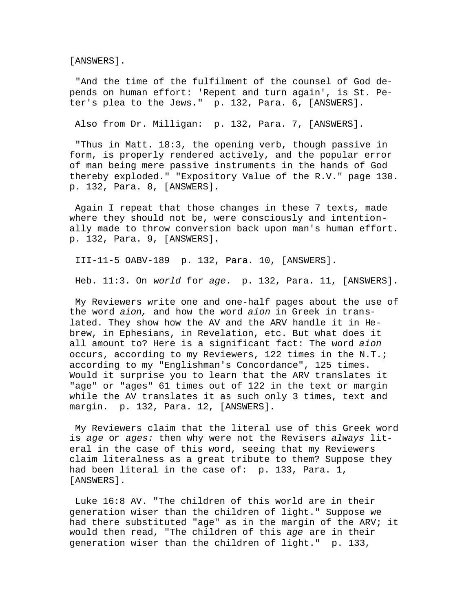[ANSWERS].

 "And the time of the fulfilment of the counsel of God depends on human effort: 'Repent and turn again', is St. Peter's plea to the Jews." p. 132, Para. 6, [ANSWERS].

Also from Dr. Milligan: p. 132, Para. 7, [ANSWERS].

 "Thus in Matt. 18:3, the opening verb, though passive in form, is properly rendered actively, and the popular error of man being mere passive instruments in the hands of God thereby exploded." "Expository Value of the R.V." page 130. p. 132, Para. 8, [ANSWERS].

 Again I repeat that those changes in these 7 texts, made where they should not be, were consciously and intentionally made to throw conversion back upon man's human effort. p. 132, Para. 9, [ANSWERS].

III-11-5 OABV-189 p. 132, Para. 10, [ANSWERS].

Heb. 11:3. On *world* for *age.* p. 132, Para. 11, [ANSWERS].

 My Reviewers write one and one-half pages about the use of the word *aion,* and how the word *aion* in Greek in translated. They show how the AV and the ARV handle it in Hebrew, in Ephesians, in Revelation, etc. But what does it all amount to? Here is a significant fact: The word *aion* occurs, according to my Reviewers, 122 times in the N.T.; according to my "Englishman's Concordance", 125 times. Would it surprise you to learn that the ARV translates it "age" or "ages" 61 times out of 122 in the text or margin while the AV translates it as such only 3 times, text and margin. p. 132, Para. 12, [ANSWERS].

 My Reviewers claim that the literal use of this Greek word is *age* or *ages:* then why were not the Revisers *always* literal in the case of this word, seeing that my Reviewers claim literalness as a great tribute to them? Suppose they had been literal in the case of: p. 133, Para. 1, [ANSWERS].

 Luke 16:8 AV. "The children of this world are in their generation wiser than the children of light." Suppose we had there substituted "age" as in the margin of the ARV; it would then read, "The children of this *age* are in their generation wiser than the children of light." p. 133,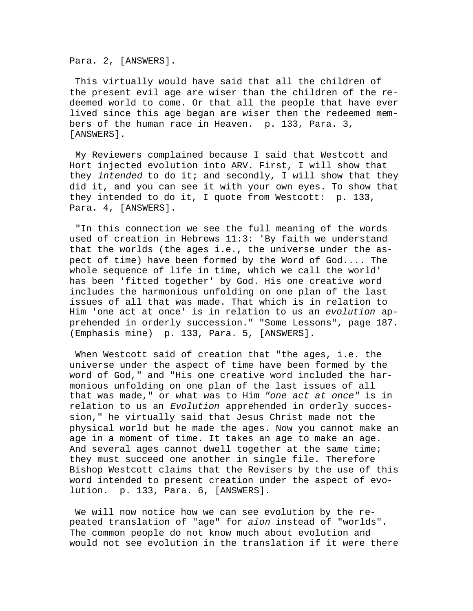Para. 2, [ANSWERS].

 This virtually would have said that all the children of the present evil age are wiser than the children of the redeemed world to come. Or that all the people that have ever lived since this age began are wiser then the redeemed members of the human race in Heaven. p. 133, Para. 3, [ANSWERS].

 My Reviewers complained because I said that Westcott and Hort injected evolution into ARV. First, I will show that they *intended* to do it; and secondly, I will show that they did it, and you can see it with your own eyes. To show that they intended to do it, I quote from Westcott: p. 133, Para. 4, [ANSWERS].

 "In this connection we see the full meaning of the words used of creation in Hebrews 11:3: 'By faith we understand that the worlds (the ages i.e., the universe under the aspect of time) have been formed by the Word of God.... The whole sequence of life in time, which we call the world' has been 'fitted together' by God. His one creative word includes the harmonious unfolding on one plan of the last issues of all that was made. That which is in relation to Him 'one act at once' is in relation to us an *evolution* apprehended in orderly succession." "Some Lessons", page 187. (Emphasis mine) p. 133, Para. 5, [ANSWERS].

 When Westcott said of creation that "the ages, i.e. the universe under the aspect of time have been formed by the word of God," and "His one creative word included the harmonious unfolding on one plan of the last issues of all that was made," or what was to Him *"one act at once"* is in relation to us an *Evolution* apprehended in orderly succession," he virtually said that Jesus Christ made not the physical world but he made the ages. Now you cannot make an age in a moment of time. It takes an age to make an age. And several ages cannot dwell together at the same time; they must succeed one another in single file. Therefore Bishop Westcott claims that the Revisers by the use of this word intended to present creation under the aspect of evolution. p. 133, Para. 6, [ANSWERS].

 We will now notice how we can see evolution by the repeated translation of "age" for *aion* instead of "worlds". The common people do not know much about evolution and would not see evolution in the translation if it were there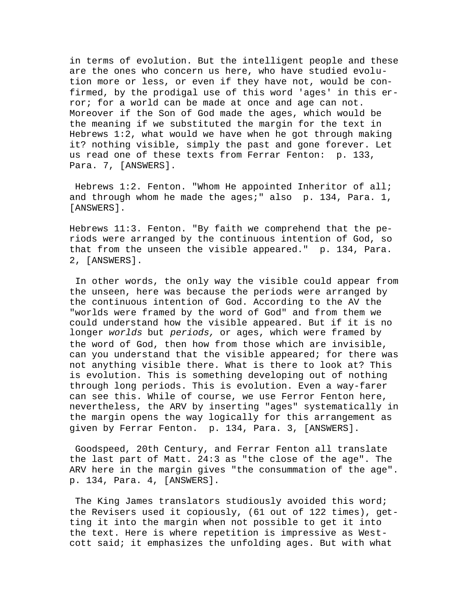in terms of evolution. But the intelligent people and these are the ones who concern us here, who have studied evolution more or less, or even if they have not, would be confirmed, by the prodigal use of this word 'ages' in this error; for a world can be made at once and age can not. Moreover if the Son of God made the ages, which would be the meaning if we substituted the margin for the text in Hebrews 1:2, what would we have when he got through making it? nothing visible, simply the past and gone forever. Let us read one of these texts from Ferrar Fenton: p. 133, Para. 7, [ANSWERS].

 Hebrews 1:2. Fenton. "Whom He appointed Inheritor of all; and through whom he made the ages;" also p. 134, Para. 1, [ANSWERS].

Hebrews 11:3. Fenton. "By faith we comprehend that the periods were arranged by the continuous intention of God, so that from the unseen the visible appeared." p. 134, Para. 2, [ANSWERS].

 In other words, the only way the visible could appear from the unseen, here was because the periods were arranged by the continuous intention of God. According to the AV the "worlds were framed by the word of God" and from them we could understand how the visible appeared. But if it is no longer *worlds* but *periods,* or ages, which were framed by the word of God, then how from those which are invisible, can you understand that the visible appeared; for there was not anything visible there. What is there to look at? This is evolution. This is something developing out of nothing through long periods. This is evolution. Even a way-farer can see this. While of course, we use Ferror Fenton here, nevertheless, the ARV by inserting "ages" systematically in the margin opens the way logically for this arrangement as given by Ferrar Fenton. p. 134, Para. 3, [ANSWERS].

 Goodspeed, 20th Century, and Ferrar Fenton all translate the last part of Matt. 24:3 as "the close of the age". The ARV here in the margin gives "the consummation of the age". p. 134, Para. 4, [ANSWERS].

 The King James translators studiously avoided this word; the Revisers used it copiously, (61 out of 122 times), getting it into the margin when not possible to get it into the text. Here is where repetition is impressive as Westcott said; it emphasizes the unfolding ages. But with what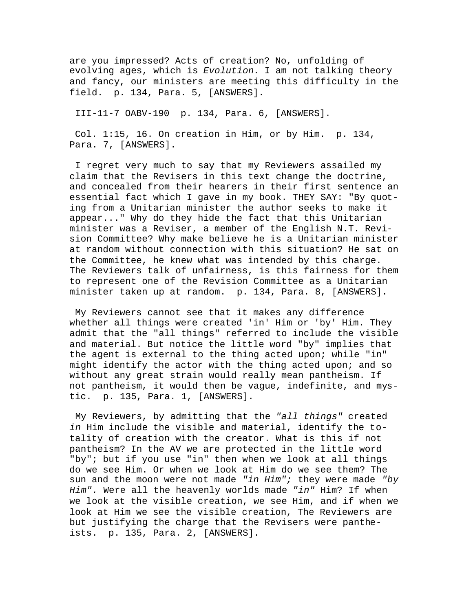are you impressed? Acts of creation? No, unfolding of evolving ages, which is *Evolution.* I am not talking theory and fancy, our ministers are meeting this difficulty in the field. p. 134, Para. 5, [ANSWERS].

III-11-7 OABV-190 p. 134, Para. 6, [ANSWERS].

 Col. 1:15, 16. On creation in Him, or by Him. p. 134, Para. 7, [ANSWERS].

 I regret very much to say that my Reviewers assailed my claim that the Revisers in this text change the doctrine, and concealed from their hearers in their first sentence an essential fact which I gave in my book. THEY SAY: "By quoting from a Unitarian minister the author seeks to make it appear..." Why do they hide the fact that this Unitarian minister was a Reviser, a member of the English N.T. Revision Committee? Why make believe he is a Unitarian minister at random without connection with this situation? He sat on the Committee, he knew what was intended by this charge. The Reviewers talk of unfairness, is this fairness for them to represent one of the Revision Committee as a Unitarian minister taken up at random. p. 134, Para. 8, [ANSWERS].

 My Reviewers cannot see that it makes any difference whether all things were created 'in' Him or 'by' Him. They admit that the "all things" referred to include the visible and material. But notice the little word "by" implies that the agent is external to the thing acted upon; while "in" might identify the actor with the thing acted upon; and so without any great strain would really mean pantheism. If not pantheism, it would then be vague, indefinite, and mystic. p. 135, Para. 1, [ANSWERS].

 My Reviewers, by admitting that the *"all things"* created *in* Him include the visible and material, identify the totality of creation with the creator. What is this if not pantheism? In the AV we are protected in the little word "by"; but if you use "in" then when we look at all things do we see Him. Or when we look at Him do we see them? The sun and the moon were not made *"in Him";* they were made *"by Him".* Were all the heavenly worlds made *"in"* Him? If when we look at the visible creation, we see Him, and if when we look at Him we see the visible creation, The Reviewers are but justifying the charge that the Revisers were pantheists. p. 135, Para. 2, [ANSWERS].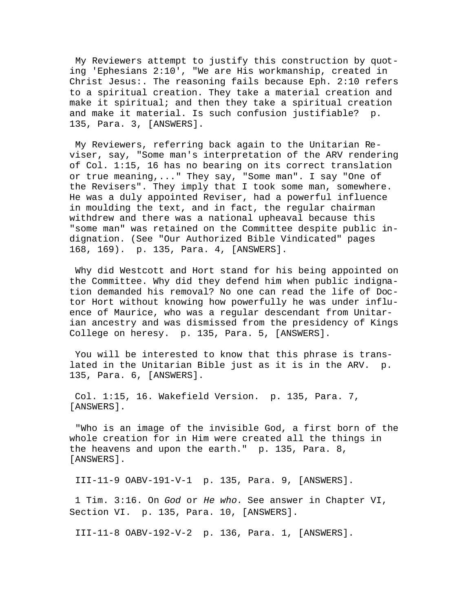My Reviewers attempt to justify this construction by quoting 'Ephesians 2:10', "We are His workmanship, created in Christ Jesus:. The reasoning fails because Eph. 2:10 refers to a spiritual creation. They take a material creation and make it spiritual; and then they take a spiritual creation and make it material. Is such confusion justifiable? p. 135, Para. 3, [ANSWERS].

 My Reviewers, referring back again to the Unitarian Reviser, say, "Some man's interpretation of the ARV rendering of Col. 1:15, 16 has no bearing on its correct translation or true meaning,..." They say, "Some man". I say "One of the Revisers". They imply that I took some man, somewhere. He was a duly appointed Reviser, had a powerful influence in moulding the text, and in fact, the regular chairman withdrew and there was a national upheaval because this "some man" was retained on the Committee despite public indignation. (See "Our Authorized Bible Vindicated" pages 168, 169). p. 135, Para. 4, [ANSWERS].

 Why did Westcott and Hort stand for his being appointed on the Committee. Why did they defend him when public indignation demanded his removal? No one can read the life of Doctor Hort without knowing how powerfully he was under influence of Maurice, who was a regular descendant from Unitarian ancestry and was dismissed from the presidency of Kings College on heresy. p. 135, Para. 5, [ANSWERS].

 You will be interested to know that this phrase is translated in the Unitarian Bible just as it is in the ARV. p. 135, Para. 6, [ANSWERS].

 Col. 1:15, 16. Wakefield Version. p. 135, Para. 7, [ANSWERS].

 "Who is an image of the invisible God, a first born of the whole creation for in Him were created all the things in the heavens and upon the earth." p. 135, Para. 8, [ANSWERS].

III-11-9 OABV-191-V-1 p. 135, Para. 9, [ANSWERS].

 1 Tim. 3:16. On *God* or *He who.* See answer in Chapter VI, Section VI. p. 135, Para. 10, [ANSWERS].

III-11-8 OABV-192-V-2 p. 136, Para. 1, [ANSWERS].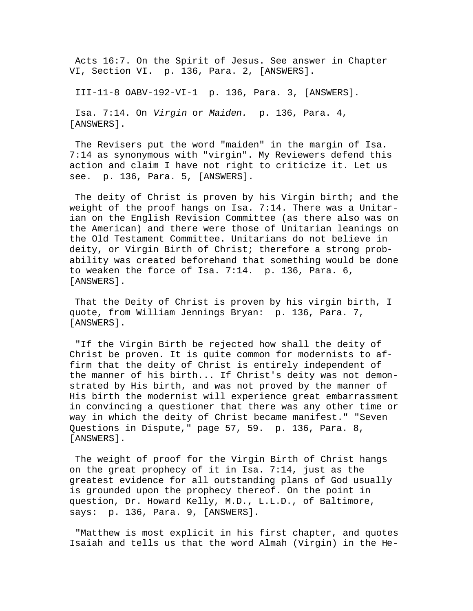Acts 16:7. On the Spirit of Jesus. See answer in Chapter VI, Section VI. p. 136, Para. 2, [ANSWERS].

III-11-8 OABV-192-VI-1 p. 136, Para. 3, [ANSWERS].

 Isa. 7:14. On *Virgin* or *Maiden.* p. 136, Para. 4, [ANSWERS].

 The Revisers put the word "maiden" in the margin of Isa. 7:14 as synonymous with "virgin". My Reviewers defend this action and claim I have not right to criticize it. Let us see. p. 136, Para. 5, [ANSWERS].

 The deity of Christ is proven by his Virgin birth; and the weight of the proof hangs on Isa. 7:14. There was a Unitarian on the English Revision Committee (as there also was on the American) and there were those of Unitarian leanings on the Old Testament Committee. Unitarians do not believe in deity, or Virgin Birth of Christ; therefore a strong probability was created beforehand that something would be done to weaken the force of Isa. 7:14. p. 136, Para. 6, [ANSWERS].

 That the Deity of Christ is proven by his virgin birth, I quote, from William Jennings Bryan: p. 136, Para. 7, [ANSWERS].

 "If the Virgin Birth be rejected how shall the deity of Christ be proven. It is quite common for modernists to affirm that the deity of Christ is entirely independent of the manner of his birth... If Christ's deity was not demonstrated by His birth, and was not proved by the manner of His birth the modernist will experience great embarrassment in convincing a questioner that there was any other time or way in which the deity of Christ became manifest." "Seven Questions in Dispute," page 57, 59. p. 136, Para. 8, [ANSWERS].

 The weight of proof for the Virgin Birth of Christ hangs on the great prophecy of it in Isa. 7:14, just as the greatest evidence for all outstanding plans of God usually is grounded upon the prophecy thereof. On the point in question, Dr. Howard Kelly, M.D., L.L.D., of Baltimore, says: p. 136, Para. 9, [ANSWERS].

 "Matthew is most explicit in his first chapter, and quotes Isaiah and tells us that the word Almah (Virgin) in the He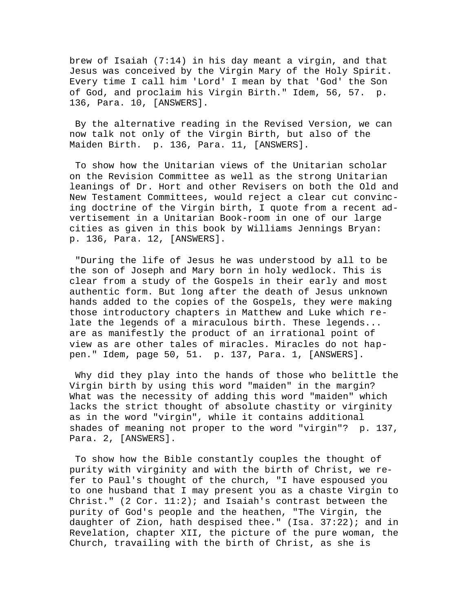brew of Isaiah (7:14) in his day meant a virgin, and that Jesus was conceived by the Virgin Mary of the Holy Spirit. Every time I call him 'Lord' I mean by that 'God' the Son of God, and proclaim his Virgin Birth." Idem, 56, 57. p. 136, Para. 10, [ANSWERS].

 By the alternative reading in the Revised Version, we can now talk not only of the Virgin Birth, but also of the Maiden Birth. p. 136, Para. 11, [ANSWERS].

 To show how the Unitarian views of the Unitarian scholar on the Revision Committee as well as the strong Unitarian leanings of Dr. Hort and other Revisers on both the Old and New Testament Committees, would reject a clear cut convincing doctrine of the Virgin birth, I quote from a recent advertisement in a Unitarian Book-room in one of our large cities as given in this book by Williams Jennings Bryan: p. 136, Para. 12, [ANSWERS].

 "During the life of Jesus he was understood by all to be the son of Joseph and Mary born in holy wedlock. This is clear from a study of the Gospels in their early and most authentic form. But long after the death of Jesus unknown hands added to the copies of the Gospels, they were making those introductory chapters in Matthew and Luke which relate the legends of a miraculous birth. These legends... are as manifestly the product of an irrational point of view as are other tales of miracles. Miracles do not happen." Idem, page 50, 51. p. 137, Para. 1, [ANSWERS].

 Why did they play into the hands of those who belittle the Virgin birth by using this word "maiden" in the margin? What was the necessity of adding this word "maiden" which lacks the strict thought of absolute chastity or virginity as in the word "virgin", while it contains additional shades of meaning not proper to the word "virgin"? p. 137, Para. 2, [ANSWERS].

 To show how the Bible constantly couples the thought of purity with virginity and with the birth of Christ, we refer to Paul's thought of the church, "I have espoused you to one husband that I may present you as a chaste Virgin to Christ." (2 Cor. 11:2); and Isaiah's contrast between the purity of God's people and the heathen, "The Virgin, the daughter of Zion, hath despised thee." (Isa. 37:22); and in Revelation, chapter XII, the picture of the pure woman, the Church, travailing with the birth of Christ, as she is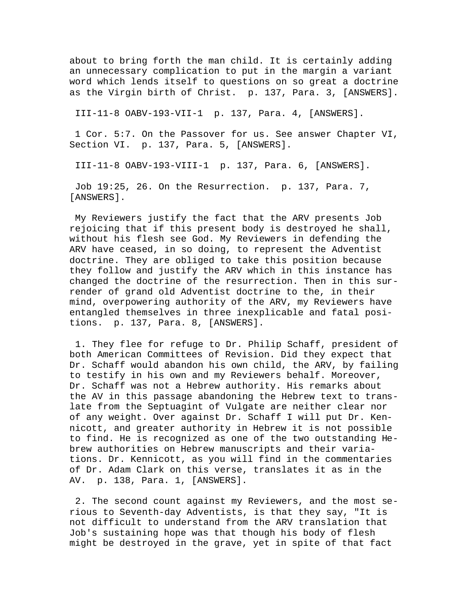about to bring forth the man child. It is certainly adding an unnecessary complication to put in the margin a variant word which lends itself to questions on so great a doctrine as the Virgin birth of Christ. p. 137, Para. 3, [ANSWERS].

III-11-8 OABV-193-VII-1 p. 137, Para. 4, [ANSWERS].

 1 Cor. 5:7. On the Passover for us. See answer Chapter VI, Section VI. p. 137, Para. 5, [ANSWERS].

III-11-8 OABV-193-VIII-1 p. 137, Para. 6, [ANSWERS].

 Job 19:25, 26. On the Resurrection. p. 137, Para. 7, [ANSWERS].

 My Reviewers justify the fact that the ARV presents Job rejoicing that if this present body is destroyed he shall, without his flesh see God. My Reviewers in defending the ARV have ceased, in so doing, to represent the Adventist doctrine. They are obliged to take this position because they follow and justify the ARV which in this instance has changed the doctrine of the resurrection. Then in this surrender of grand old Adventist doctrine to the, in their mind, overpowering authority of the ARV, my Reviewers have entangled themselves in three inexplicable and fatal positions. p. 137, Para. 8, [ANSWERS].

 1. They flee for refuge to Dr. Philip Schaff, president of both American Committees of Revision. Did they expect that Dr. Schaff would abandon his own child, the ARV, by failing to testify in his own and my Reviewers behalf. Moreover, Dr. Schaff was not a Hebrew authority. His remarks about the AV in this passage abandoning the Hebrew text to translate from the Septuagint of Vulgate are neither clear nor of any weight. Over against Dr. Schaff I will put Dr. Kennicott, and greater authority in Hebrew it is not possible to find. He is recognized as one of the two outstanding Hebrew authorities on Hebrew manuscripts and their variations. Dr. Kennicott, as you will find in the commentaries of Dr. Adam Clark on this verse, translates it as in the AV. p. 138, Para. 1, [ANSWERS].

 2. The second count against my Reviewers, and the most serious to Seventh-day Adventists, is that they say, "It is not difficult to understand from the ARV translation that Job's sustaining hope was that though his body of flesh might be destroyed in the grave, yet in spite of that fact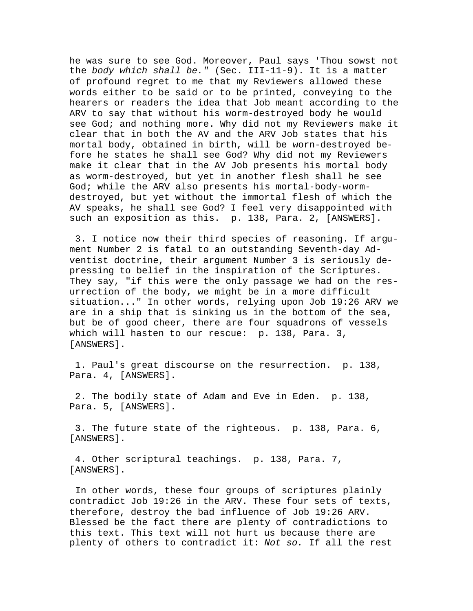he was sure to see God. Moreover, Paul says 'Thou sowst not the *body which shall be."* (Sec. III-11-9). It is a matter of profound regret to me that my Reviewers allowed these words either to be said or to be printed, conveying to the hearers or readers the idea that Job meant according to the ARV to say that without his worm-destroyed body he would see God; and nothing more. Why did not my Reviewers make it clear that in both the AV and the ARV Job states that his mortal body, obtained in birth, will be worn-destroyed before he states he shall see God? Why did not my Reviewers make it clear that in the AV Job presents his mortal body as worm-destroyed, but yet in another flesh shall he see God; while the ARV also presents his mortal-body-wormdestroyed, but yet without the immortal flesh of which the AV speaks, he shall see God? I feel very disappointed with such an exposition as this. p. 138, Para. 2, [ANSWERS].

 3. I notice now their third species of reasoning. If argument Number 2 is fatal to an outstanding Seventh-day Adventist doctrine, their argument Number 3 is seriously depressing to belief in the inspiration of the Scriptures. They say, "if this were the only passage we had on the resurrection of the body, we might be in a more difficult situation..." In other words, relying upon Job 19:26 ARV we are in a ship that is sinking us in the bottom of the sea, but be of good cheer, there are four squadrons of vessels which will hasten to our rescue: p. 138, Para. 3, [ANSWERS].

 1. Paul's great discourse on the resurrection. p. 138, Para. 4, [ANSWERS].

 2. The bodily state of Adam and Eve in Eden. p. 138, Para. 5, [ANSWERS].

 3. The future state of the righteous. p. 138, Para. 6, [ANSWERS].

 4. Other scriptural teachings. p. 138, Para. 7, [ANSWERS].

 In other words, these four groups of scriptures plainly contradict Job 19:26 in the ARV. These four sets of texts, therefore, destroy the bad influence of Job 19:26 ARV. Blessed be the fact there are plenty of contradictions to this text. This text will not hurt us because there are plenty of others to contradict it: *Not so.* If all the rest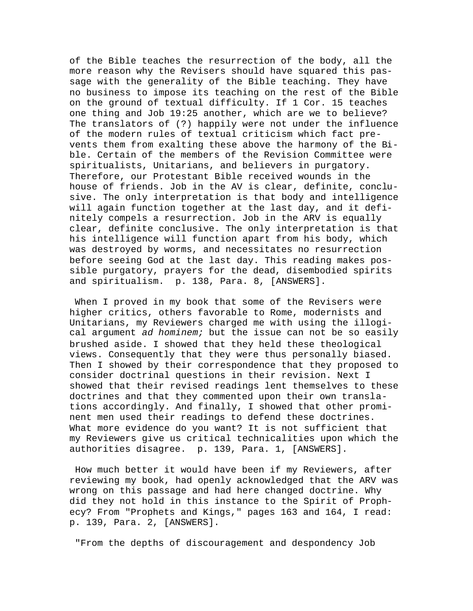of the Bible teaches the resurrection of the body, all the more reason why the Revisers should have squared this passage with the generality of the Bible teaching. They have no business to impose its teaching on the rest of the Bible on the ground of textual difficulty. If 1 Cor. 15 teaches one thing and Job 19:25 another, which are we to believe? The translators of (?) happily were not under the influence of the modern rules of textual criticism which fact prevents them from exalting these above the harmony of the Bible. Certain of the members of the Revision Committee were spiritualists, Unitarians, and believers in purgatory. Therefore, our Protestant Bible received wounds in the house of friends. Job in the AV is clear, definite, conclusive. The only interpretation is that body and intelligence will again function together at the last day, and it definitely compels a resurrection. Job in the ARV is equally clear, definite conclusive. The only interpretation is that his intelligence will function apart from his body, which was destroyed by worms, and necessitates no resurrection before seeing God at the last day. This reading makes possible purgatory, prayers for the dead, disembodied spirits and spiritualism. p. 138, Para. 8, [ANSWERS].

When I proved in my book that some of the Revisers were higher critics, others favorable to Rome, modernists and Unitarians, my Reviewers charged me with using the illogical argument *ad hominem;* but the issue can not be so easily brushed aside. I showed that they held these theological views. Consequently that they were thus personally biased. Then I showed by their correspondence that they proposed to consider doctrinal questions in their revision. Next I showed that their revised readings lent themselves to these doctrines and that they commented upon their own translations accordingly. And finally, I showed that other prominent men used their readings to defend these doctrines. What more evidence do you want? It is not sufficient that my Reviewers give us critical technicalities upon which the authorities disagree. p. 139, Para. 1, [ANSWERS].

 How much better it would have been if my Reviewers, after reviewing my book, had openly acknowledged that the ARV was wrong on this passage and had here changed doctrine. Why did they not hold in this instance to the Spirit of Prophecy? From "Prophets and Kings," pages 163 and 164, I read: p. 139, Para. 2, [ANSWERS].

"From the depths of discouragement and despondency Job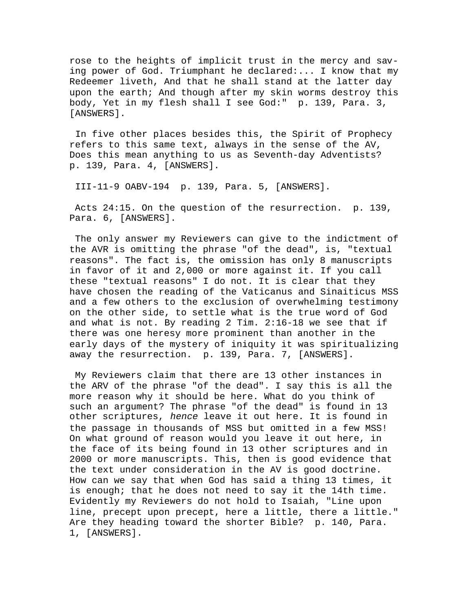rose to the heights of implicit trust in the mercy and saving power of God. Triumphant he declared:... I know that my Redeemer liveth, And that he shall stand at the latter day upon the earth; And though after my skin worms destroy this body, Yet in my flesh shall I see God:" p. 139, Para. 3, [ANSWERS].

 In five other places besides this, the Spirit of Prophecy refers to this same text, always in the sense of the AV, Does this mean anything to us as Seventh-day Adventists? p. 139, Para. 4, [ANSWERS].

III-11-9 OABV-194 p. 139, Para. 5, [ANSWERS].

 Acts 24:15. On the question of the resurrection. p. 139, Para. 6, [ANSWERS].

 The only answer my Reviewers can give to the indictment of the AVR is omitting the phrase "of the dead", is, "textual reasons". The fact is, the omission has only 8 manuscripts in favor of it and 2,000 or more against it. If you call these "textual reasons" I do not. It is clear that they have chosen the reading of the Vaticanus and Sinaiticus MSS and a few others to the exclusion of overwhelming testimony on the other side, to settle what is the true word of God and what is not. By reading 2 Tim. 2:16-18 we see that if there was one heresy more prominent than another in the early days of the mystery of iniquity it was spiritualizing away the resurrection. p. 139, Para. 7, [ANSWERS].

 My Reviewers claim that there are 13 other instances in the ARV of the phrase "of the dead". I say this is all the more reason why it should be here. What do you think of such an argument? The phrase "of the dead" is found in 13 other scriptures, *hence* leave it out here. It is found in the passage in thousands of MSS but omitted in a few MSS! On what ground of reason would you leave it out here, in the face of its being found in 13 other scriptures and in 2000 or more manuscripts. This, then is good evidence that the text under consideration in the AV is good doctrine. How can we say that when God has said a thing 13 times, it is enough; that he does not need to say it the 14th time. Evidently my Reviewers do not hold to Isaiah, "Line upon line, precept upon precept, here a little, there a little." Are they heading toward the shorter Bible? p. 140, Para. 1, [ANSWERS].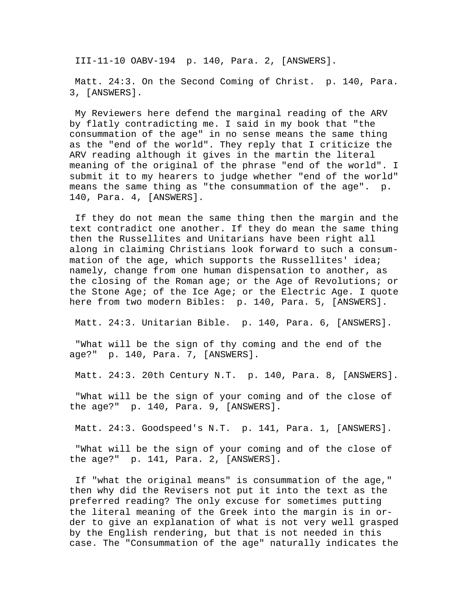III-11-10 OABV-194 p. 140, Para. 2, [ANSWERS].

 Matt. 24:3. On the Second Coming of Christ. p. 140, Para. 3, [ANSWERS].

 My Reviewers here defend the marginal reading of the ARV by flatly contradicting me. I said in my book that "the consummation of the age" in no sense means the same thing as the "end of the world". They reply that I criticize the ARV reading although it gives in the martin the literal meaning of the original of the phrase "end of the world". I submit it to my hearers to judge whether "end of the world" means the same thing as "the consummation of the age". p. 140, Para. 4, [ANSWERS].

 If they do not mean the same thing then the margin and the text contradict one another. If they do mean the same thing then the Russellites and Unitarians have been right all along in claiming Christians look forward to such a consummation of the age, which supports the Russellites' idea; namely, change from one human dispensation to another, as the closing of the Roman age; or the Age of Revolutions; or the Stone Age; of the Ice Age; or the Electric Age. I quote here from two modern Bibles: p. 140, Para. 5, [ANSWERS].

Matt. 24:3. Unitarian Bible. p. 140, Para. 6, [ANSWERS].

 "What will be the sign of thy coming and the end of the age?" p. 140, Para. 7, [ANSWERS].

Matt. 24:3. 20th Century N.T. p. 140, Para. 8, [ANSWERS].

 "What will be the sign of your coming and of the close of the age?" p. 140, Para. 9, [ANSWERS].

Matt. 24:3. Goodspeed's N.T. p. 141, Para. 1, [ANSWERS].

 "What will be the sign of your coming and of the close of the age?" p. 141, Para. 2, [ANSWERS].

 If "what the original means" is consummation of the age," then why did the Revisers not put it into the text as the preferred reading? The only excuse for sometimes putting the literal meaning of the Greek into the margin is in order to give an explanation of what is not very well grasped by the English rendering, but that is not needed in this case. The "Consummation of the age" naturally indicates the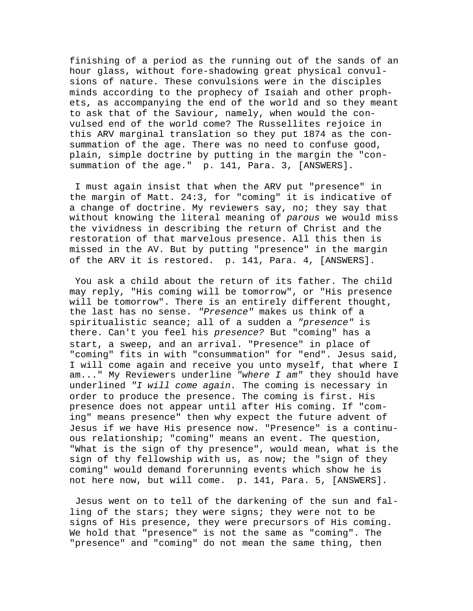finishing of a period as the running out of the sands of an hour glass, without fore-shadowing great physical convulsions of nature. These convulsions were in the disciples minds according to the prophecy of Isaiah and other prophets, as accompanying the end of the world and so they meant to ask that of the Saviour, namely, when would the convulsed end of the world come? The Russellites rejoice in this ARV marginal translation so they put 1874 as the consummation of the age. There was no need to confuse good, plain, simple doctrine by putting in the margin the "consummation of the age." p. 141, Para. 3, [ANSWERS].

 I must again insist that when the ARV put "presence" in the margin of Matt. 24:3, for "coming" it is indicative of a change of doctrine. My reviewers say, no; they say that without knowing the literal meaning of *parous* we would miss the vividness in describing the return of Christ and the restoration of that marvelous presence. All this then is missed in the AV. But by putting "presence" in the margin of the ARV it is restored. p. 141, Para. 4, [ANSWERS].

 You ask a child about the return of its father. The child may reply, "His coming will be tomorrow", or "His presence will be tomorrow". There is an entirely different thought, the last has no sense. *"Presence"* makes us think of a spiritualistic seance; all of a sudden a *"presence"* is there. Can't you feel his *presence?* But "coming" has a start, a sweep, and an arrival. "Presence" in place of "coming" fits in with "consummation" for "end". Jesus said, I will come again and receive you unto myself, that where I am..." My Reviewers underline *"where I am"* they should have underlined *"I will come again.* The coming is necessary in order to produce the presence. The coming is first. His presence does not appear until after His coming. If "coming" means presence" then why expect the future advent of Jesus if we have His presence now. "Presence" is a continuous relationship; "coming" means an event. The question, "What is the sign of thy presence", would mean, what is the sign of thy fellowship with us, as now; the "sign of they coming" would demand forerunning events which show he is not here now, but will come. p. 141, Para. 5, [ANSWERS].

 Jesus went on to tell of the darkening of the sun and falling of the stars; they were signs; they were not to be signs of His presence, they were precursors of His coming. We hold that "presence" is not the same as "coming". The "presence" and "coming" do not mean the same thing, then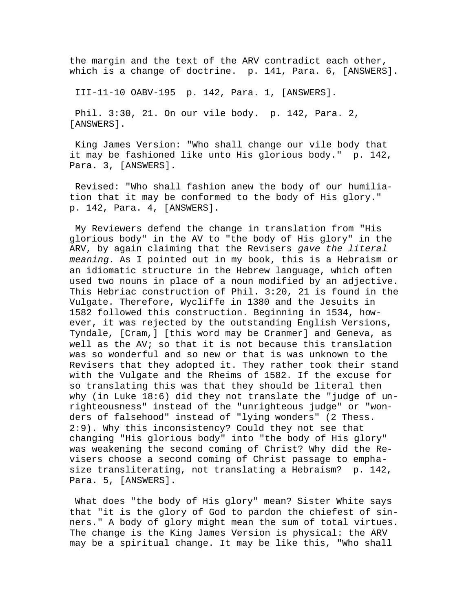the margin and the text of the ARV contradict each other, which is a change of doctrine. p. 141, Para. 6, [ANSWERS].

III-11-10 OABV-195 p. 142, Para. 1, [ANSWERS].

 Phil. 3:30, 21. On our vile body. p. 142, Para. 2, [ANSWERS].

 King James Version: "Who shall change our vile body that it may be fashioned like unto His glorious body." p. 142, Para. 3, [ANSWERS].

 Revised: "Who shall fashion anew the body of our humiliation that it may be conformed to the body of His glory." p. 142, Para. 4, [ANSWERS].

 My Reviewers defend the change in translation from "His glorious body" in the AV to "the body of His glory" in the ARV, by again claiming that the Revisers *gave the literal meaning.* As I pointed out in my book, this is a Hebraism or an idiomatic structure in the Hebrew language, which often used two nouns in place of a noun modified by an adjective. This Hebriac construction of Phil. 3:20, 21 is found in the Vulgate. Therefore, Wycliffe in 1380 and the Jesuits in 1582 followed this construction. Beginning in 1534, however, it was rejected by the outstanding English Versions, Tyndale, [Cram,] [this word may be Cranmer] and Geneva, as well as the AV; so that it is not because this translation was so wonderful and so new or that is was unknown to the Revisers that they adopted it. They rather took their stand with the Vulgate and the Rheims of 1582. If the excuse for so translating this was that they should be literal then why (in Luke 18:6) did they not translate the "judge of unrighteousness" instead of the "unrighteous judge" or "wonders of falsehood" instead of "lying wonders" (2 Thess. 2:9). Why this inconsistency? Could they not see that changing "His glorious body" into "the body of His glory" was weakening the second coming of Christ? Why did the Revisers choose a second coming of Christ passage to emphasize transliterating, not translating a Hebraism? p. 142, Para. 5, [ANSWERS].

 What does "the body of His glory" mean? Sister White says that "it is the glory of God to pardon the chiefest of sinners." A body of glory might mean the sum of total virtues. The change is the King James Version is physical: the ARV may be a spiritual change. It may be like this, "Who shall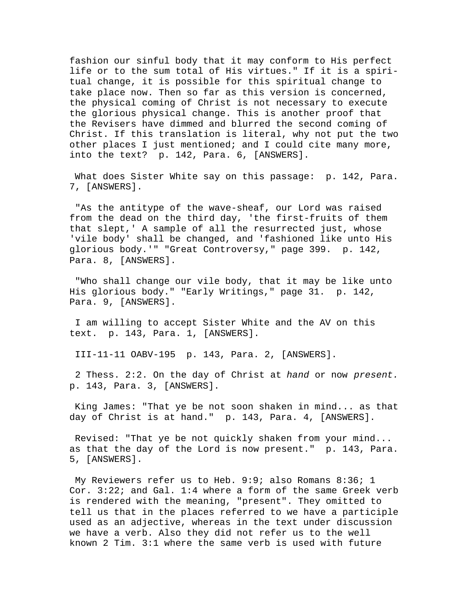fashion our sinful body that it may conform to His perfect life or to the sum total of His virtues." If it is a spiritual change, it is possible for this spiritual change to take place now. Then so far as this version is concerned, the physical coming of Christ is not necessary to execute the glorious physical change. This is another proof that the Revisers have dimmed and blurred the second coming of Christ. If this translation is literal, why not put the two other places I just mentioned; and I could cite many more, into the text? p. 142, Para. 6, [ANSWERS].

What does Sister White say on this passage: p. 142, Para. 7, [ANSWERS].

 "As the antitype of the wave-sheaf, our Lord was raised from the dead on the third day, 'the first-fruits of them that slept,' A sample of all the resurrected just, whose 'vile body' shall be changed, and 'fashioned like unto His glorious body.'" "Great Controversy," page 399. p. 142, Para. 8, [ANSWERS].

 "Who shall change our vile body, that it may be like unto His glorious body." "Early Writings," page 31. p. 142, Para. 9, [ANSWERS].

 I am willing to accept Sister White and the AV on this text. p. 143, Para. 1, [ANSWERS].

III-11-11 OABV-195 p. 143, Para. 2, [ANSWERS].

 2 Thess. 2:2. On the day of Christ at *hand* or now *present.* p. 143, Para. 3, [ANSWERS].

 King James: "That ye be not soon shaken in mind... as that day of Christ is at hand." p. 143, Para. 4, [ANSWERS].

 Revised: "That ye be not quickly shaken from your mind... as that the day of the Lord is now present." p. 143, Para. 5, [ANSWERS].

 My Reviewers refer us to Heb. 9:9; also Romans 8:36; 1 Cor. 3:22; and Gal. 1:4 where a form of the same Greek verb is rendered with the meaning, "present". They omitted to tell us that in the places referred to we have a participle used as an adjective, whereas in the text under discussion we have a verb. Also they did not refer us to the well known 2 Tim. 3:1 where the same verb is used with future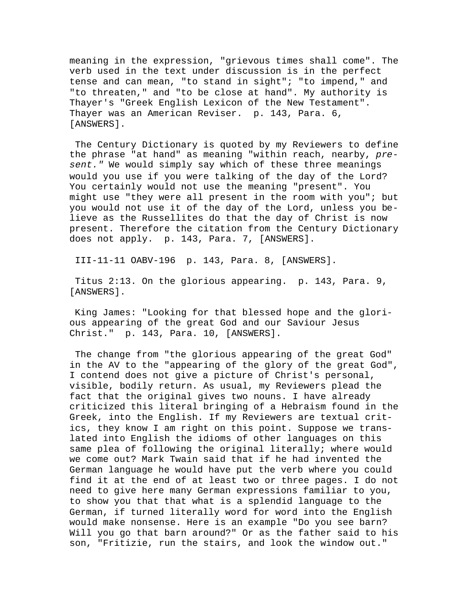meaning in the expression, "grievous times shall come". The verb used in the text under discussion is in the perfect tense and can mean, "to stand in sight"; "to impend," and "to threaten," and "to be close at hand". My authority is Thayer's "Greek English Lexicon of the New Testament". Thayer was an American Reviser. p. 143, Para. 6, [ANSWERS].

 The Century Dictionary is quoted by my Reviewers to define the phrase "at hand" as meaning "within reach, nearby, *present."* We would simply say which of these three meanings would you use if you were talking of the day of the Lord? You certainly would not use the meaning "present". You might use "they were all present in the room with you"; but you would not use it of the day of the Lord, unless you believe as the Russellites do that the day of Christ is now present. Therefore the citation from the Century Dictionary does not apply. p. 143, Para. 7, [ANSWERS].

III-11-11 OABV-196 p. 143, Para. 8, [ANSWERS].

 Titus 2:13. On the glorious appearing. p. 143, Para. 9, [ANSWERS].

 King James: "Looking for that blessed hope and the glorious appearing of the great God and our Saviour Jesus Christ." p. 143, Para. 10, [ANSWERS].

 The change from "the glorious appearing of the great God" in the AV to the "appearing of the glory of the great God", I contend does not give a picture of Christ's personal, visible, bodily return. As usual, my Reviewers plead the fact that the original gives two nouns. I have already criticized this literal bringing of a Hebraism found in the Greek, into the English. If my Reviewers are textual critics, they know I am right on this point. Suppose we translated into English the idioms of other languages on this same plea of following the original literally; where would we come out? Mark Twain said that if he had invented the German language he would have put the verb where you could find it at the end of at least two or three pages. I do not need to give here many German expressions familiar to you, to show you that that what is a splendid language to the German, if turned literally word for word into the English would make nonsense. Here is an example "Do you see barn? Will you go that barn around?" Or as the father said to his son, "Fritizie, run the stairs, and look the window out."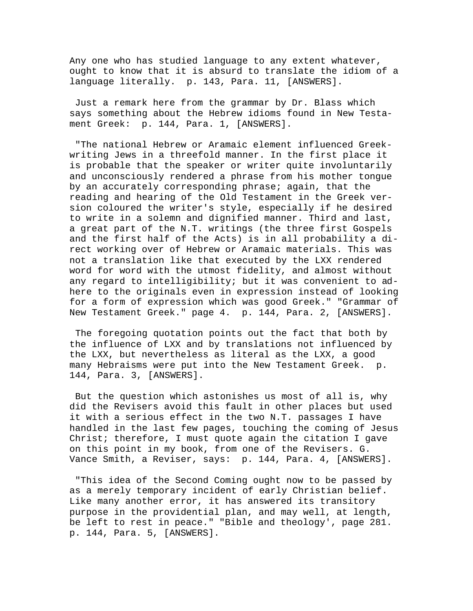Any one who has studied language to any extent whatever, ought to know that it is absurd to translate the idiom of a language literally. p. 143, Para. 11, [ANSWERS].

 Just a remark here from the grammar by Dr. Blass which says something about the Hebrew idioms found in New Testament Greek: p. 144, Para. 1, [ANSWERS].

 "The national Hebrew or Aramaic element influenced Greekwriting Jews in a threefold manner. In the first place it is probable that the speaker or writer quite involuntarily and unconsciously rendered a phrase from his mother tongue by an accurately corresponding phrase; again, that the reading and hearing of the Old Testament in the Greek version coloured the writer's style, especially if he desired to write in a solemn and dignified manner. Third and last, a great part of the N.T. writings (the three first Gospels and the first half of the Acts) is in all probability a direct working over of Hebrew or Aramaic materials. This was not a translation like that executed by the LXX rendered word for word with the utmost fidelity, and almost without any regard to intelligibility; but it was convenient to adhere to the originals even in expression instead of looking for a form of expression which was good Greek." "Grammar of New Testament Greek." page 4. p. 144, Para. 2, [ANSWERS].

 The foregoing quotation points out the fact that both by the influence of LXX and by translations not influenced by the LXX, but nevertheless as literal as the LXX, a good many Hebraisms were put into the New Testament Greek. p. 144, Para. 3, [ANSWERS].

 But the question which astonishes us most of all is, why did the Revisers avoid this fault in other places but used it with a serious effect in the two N.T. passages I have handled in the last few pages, touching the coming of Jesus Christ; therefore, I must quote again the citation I gave on this point in my book, from one of the Revisers. G. Vance Smith, a Reviser, says: p. 144, Para. 4, [ANSWERS].

 "This idea of the Second Coming ought now to be passed by as a merely temporary incident of early Christian belief. Like many another error, it has answered its transitory purpose in the providential plan, and may well, at length, be left to rest in peace." "Bible and theology', page 281. p. 144, Para. 5, [ANSWERS].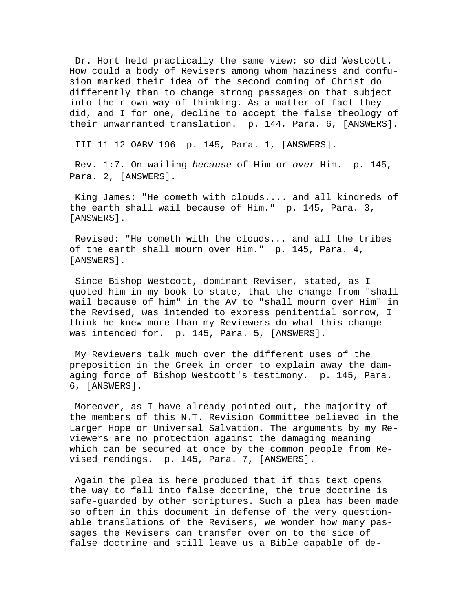Dr. Hort held practically the same view; so did Westcott. How could a body of Revisers among whom haziness and confusion marked their idea of the second coming of Christ do differently than to change strong passages on that subject into their own way of thinking. As a matter of fact they did, and I for one, decline to accept the false theology of their unwarranted translation. p. 144, Para. 6, [ANSWERS].

III-11-12 OABV-196 p. 145, Para. 1, [ANSWERS].

 Rev. 1:7. On wailing *because* of Him or *over* Him. p. 145, Para. 2, [ANSWERS].

 King James: "He cometh with clouds.... and all kindreds of the earth shall wail because of Him." p. 145, Para. 3, [ANSWERS].

 Revised: "He cometh with the clouds... and all the tribes of the earth shall mourn over Him." p. 145, Para. 4, [ANSWERS].

 Since Bishop Westcott, dominant Reviser, stated, as I quoted him in my book to state, that the change from "shall wail because of him" in the AV to "shall mourn over Him" in the Revised, was intended to express penitential sorrow, I think he knew more than my Reviewers do what this change was intended for. p. 145, Para. 5, [ANSWERS].

 My Reviewers talk much over the different uses of the preposition in the Greek in order to explain away the damaging force of Bishop Westcott's testimony. p. 145, Para. 6, [ANSWERS].

 Moreover, as I have already pointed out, the majority of the members of this N.T. Revision Committee believed in the Larger Hope or Universal Salvation. The arguments by my Reviewers are no protection against the damaging meaning which can be secured at once by the common people from Revised rendings. p. 145, Para. 7, [ANSWERS].

 Again the plea is here produced that if this text opens the way to fall into false doctrine, the true doctrine is safe-guarded by other scriptures. Such a plea has been made so often in this document in defense of the very questionable translations of the Revisers, we wonder how many passages the Revisers can transfer over on to the side of false doctrine and still leave us a Bible capable of de-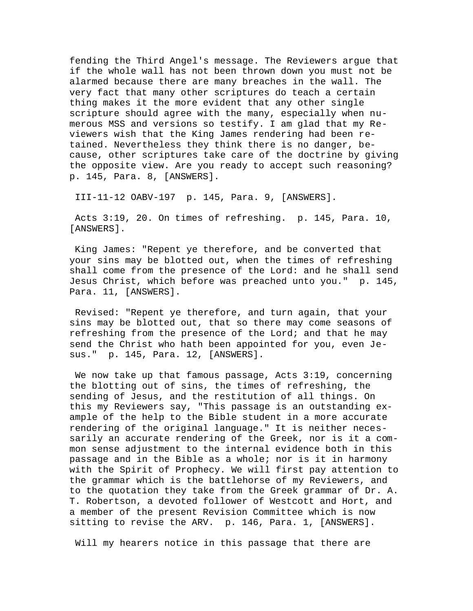fending the Third Angel's message. The Reviewers argue that if the whole wall has not been thrown down you must not be alarmed because there are many breaches in the wall. The very fact that many other scriptures do teach a certain thing makes it the more evident that any other single scripture should agree with the many, especially when numerous MSS and versions so testify. I am glad that my Reviewers wish that the King James rendering had been retained. Nevertheless they think there is no danger, because, other scriptures take care of the doctrine by giving the opposite view. Are you ready to accept such reasoning? p. 145, Para. 8, [ANSWERS].

III-11-12 OABV-197 p. 145, Para. 9, [ANSWERS].

 Acts 3:19, 20. On times of refreshing. p. 145, Para. 10, [ANSWERS].

 King James: "Repent ye therefore, and be converted that your sins may be blotted out, when the times of refreshing shall come from the presence of the Lord: and he shall send Jesus Christ, which before was preached unto you." p. 145, Para. 11, [ANSWERS].

 Revised: "Repent ye therefore, and turn again, that your sins may be blotted out, that so there may come seasons of refreshing from the presence of the Lord; and that he may send the Christ who hath been appointed for you, even Jesus." p. 145, Para. 12, [ANSWERS].

 We now take up that famous passage, Acts 3:19, concerning the blotting out of sins, the times of refreshing, the sending of Jesus, and the restitution of all things. On this my Reviewers say, "This passage is an outstanding example of the help to the Bible student in a more accurate rendering of the original language." It is neither necessarily an accurate rendering of the Greek, nor is it a common sense adjustment to the internal evidence both in this passage and in the Bible as a whole; nor is it in harmony with the Spirit of Prophecy. We will first pay attention to the grammar which is the battlehorse of my Reviewers, and to the quotation they take from the Greek grammar of Dr. A. T. Robertson, a devoted follower of Westcott and Hort, and a member of the present Revision Committee which is now sitting to revise the ARV. p. 146, Para. 1, [ANSWERS].

Will my hearers notice in this passage that there are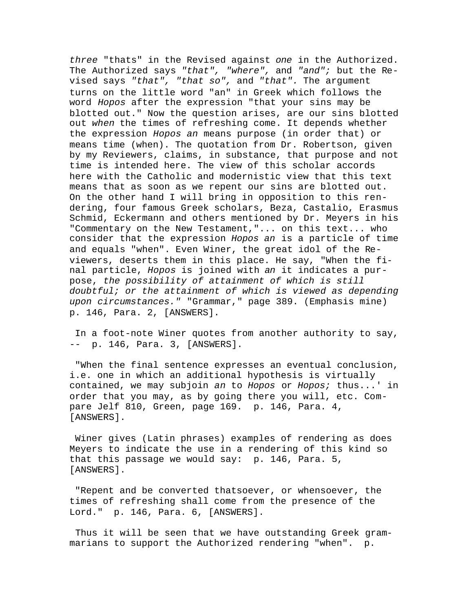*three* "thats" in the Revised against *one* in the Authorized. The Authorized says *"that", "where",* and *"and";* but the Revised says *"that", "that so",* and *"that".* The argument turns on the little word "an" in Greek which follows the word *Hopos* after the expression "that your sins may be blotted out." Now the question arises, are our sins blotted out *when* the times of refreshing come. It depends whether the expression *Hopos an* means purpose (in order that) or means time (when). The quotation from Dr. Robertson, given by my Reviewers, claims, in substance, that purpose and not time is intended here. The view of this scholar accords here with the Catholic and modernistic view that this text means that as soon as we repent our sins are blotted out. On the other hand I will bring in opposition to this rendering, four famous Greek scholars, Beza, Castalio, Erasmus Schmid, Eckermann and others mentioned by Dr. Meyers in his "Commentary on the New Testament,"... on this text... who consider that the expression *Hopos an* is a particle of time and equals "when". Even Winer, the great idol of the Reviewers, deserts them in this place. He say, "When the final particle, *Hopos* is joined with *an* it indicates a purpose, *the possibility of attainment of which is still doubtful; or the attainment of which is viewed as depending upon circumstances."* "Grammar," page 389. (Emphasis mine) p. 146, Para. 2, [ANSWERS].

 In a foot-note Winer quotes from another authority to say, -- p. 146, Para. 3, [ANSWERS].

 "When the final sentence expresses an eventual conclusion, i.e. one in which an additional hypothesis is virtually contained, we may subjoin *an* to *Hopos* or *Hopos;* thus...' in order that you may, as by going there you will, etc. Compare Jelf 810, Green, page 169. p. 146, Para. 4, [ANSWERS].

 Winer gives (Latin phrases) examples of rendering as does Meyers to indicate the use in a rendering of this kind so that this passage we would say: p. 146, Para. 5, [ANSWERS].

 "Repent and be converted thatsoever, or whensoever, the times of refreshing shall come from the presence of the Lord." p. 146, Para. 6, [ANSWERS].

 Thus it will be seen that we have outstanding Greek grammarians to support the Authorized rendering "when". p.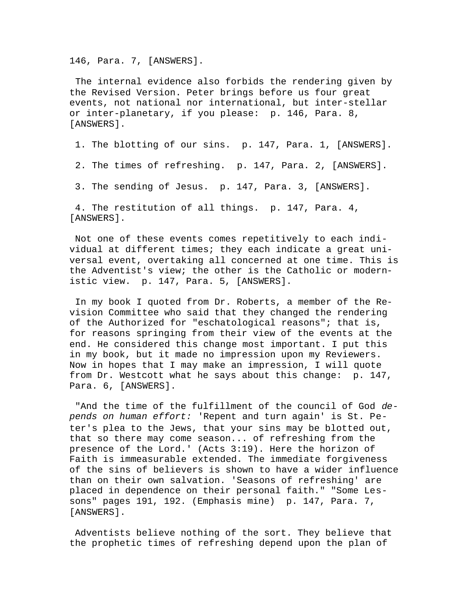146, Para. 7, [ANSWERS].

 The internal evidence also forbids the rendering given by the Revised Version. Peter brings before us four great events, not national nor international, but inter-stellar or inter-planetary, if you please: p. 146, Para. 8, [ANSWERS].

1. The blotting of our sins. p. 147, Para. 1, [ANSWERS].

2. The times of refreshing. p. 147, Para. 2, [ANSWERS].

3. The sending of Jesus. p. 147, Para. 3, [ANSWERS].

 4. The restitution of all things. p. 147, Para. 4, [ANSWERS].

 Not one of these events comes repetitively to each individual at different times; they each indicate a great universal event, overtaking all concerned at one time. This is the Adventist's view; the other is the Catholic or modernistic view. p. 147, Para. 5, [ANSWERS].

 In my book I quoted from Dr. Roberts, a member of the Revision Committee who said that they changed the rendering of the Authorized for "eschatological reasons"; that is, for reasons springing from their view of the events at the end. He considered this change most important. I put this in my book, but it made no impression upon my Reviewers. Now in hopes that I may make an impression, I will quote from Dr. Westcott what he says about this change: p. 147, Para. 6, [ANSWERS].

 "And the time of the fulfillment of the council of God *depends on human effort:* 'Repent and turn again' is St. Peter's plea to the Jews, that your sins may be blotted out, that so there may come season... of refreshing from the presence of the Lord.' (Acts 3:19). Here the horizon of Faith is immeasurable extended. The immediate forgiveness of the sins of believers is shown to have a wider influence than on their own salvation. 'Seasons of refreshing' are placed in dependence on their personal faith." "Some Lessons" pages 191, 192. (Emphasis mine) p. 147, Para. 7, [ANSWERS].

 Adventists believe nothing of the sort. They believe that the prophetic times of refreshing depend upon the plan of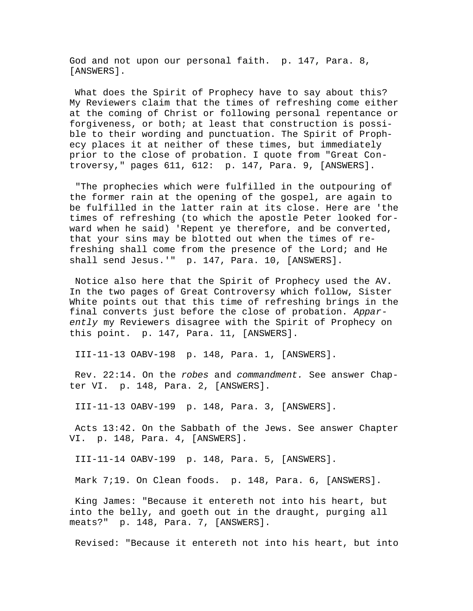God and not upon our personal faith. p. 147, Para. 8, [ANSWERS].

 What does the Spirit of Prophecy have to say about this? My Reviewers claim that the times of refreshing come either at the coming of Christ or following personal repentance or forgiveness, or both; at least that construction is possible to their wording and punctuation. The Spirit of Prophecy places it at neither of these times, but immediately prior to the close of probation. I quote from "Great Controversy," pages 611, 612: p. 147, Para. 9, [ANSWERS].

 "The prophecies which were fulfilled in the outpouring of the former rain at the opening of the gospel, are again to be fulfilled in the latter rain at its close. Here are 'the times of refreshing (to which the apostle Peter looked forward when he said) 'Repent ye therefore, and be converted, that your sins may be blotted out when the times of refreshing shall come from the presence of the Lord; and He shall send Jesus.'" p. 147, Para. 10, [ANSWERS].

 Notice also here that the Spirit of Prophecy used the AV. In the two pages of Great Controversy which follow, Sister White points out that this time of refreshing brings in the final converts just before the close of probation. *Apparently* my Reviewers disagree with the Spirit of Prophecy on this point. p. 147, Para. 11, [ANSWERS].

III-11-13 OABV-198 p. 148, Para. 1, [ANSWERS].

 Rev. 22:14. On the *robes* and *commandment.* See answer Chapter VI. p. 148, Para. 2, [ANSWERS].

III-11-13 OABV-199 p. 148, Para. 3, [ANSWERS].

 Acts 13:42. On the Sabbath of the Jews. See answer Chapter VI. p. 148, Para. 4, [ANSWERS].

III-11-14 OABV-199 p. 148, Para. 5, [ANSWERS].

Mark 7;19. On Clean foods. p. 148, Para. 6, [ANSWERS].

 King James: "Because it entereth not into his heart, but into the belly, and goeth out in the draught, purging all meats?" p. 148, Para. 7, [ANSWERS].

Revised: "Because it entereth not into his heart, but into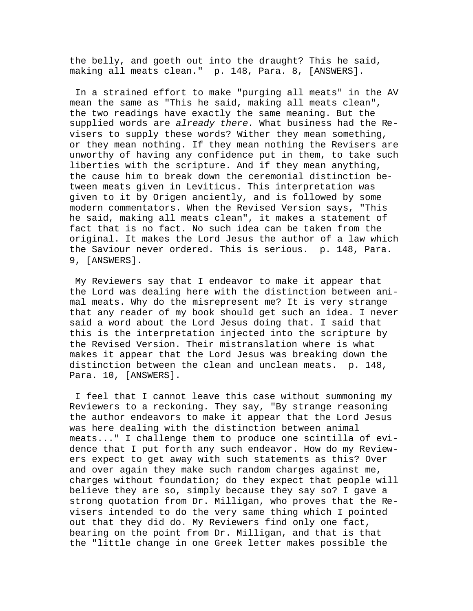the belly, and goeth out into the draught? This he said, making all meats clean." p. 148, Para. 8, [ANSWERS].

 In a strained effort to make "purging all meats" in the AV mean the same as "This he said, making all meats clean", the two readings have exactly the same meaning. But the supplied words are *already there.* What business had the Revisers to supply these words? Wither they mean something, or they mean nothing. If they mean nothing the Revisers are unworthy of having any confidence put in them, to take such liberties with the scripture. And if they mean anything, the cause him to break down the ceremonial distinction between meats given in Leviticus. This interpretation was given to it by Origen anciently, and is followed by some modern commentators. When the Revised Version says, "This he said, making all meats clean", it makes a statement of fact that is no fact. No such idea can be taken from the original. It makes the Lord Jesus the author of a law which the Saviour never ordered. This is serious. p. 148, Para. 9, [ANSWERS].

 My Reviewers say that I endeavor to make it appear that the Lord was dealing here with the distinction between animal meats. Why do the misrepresent me? It is very strange that any reader of my book should get such an idea. I never said a word about the Lord Jesus doing that. I said that this is the interpretation injected into the scripture by the Revised Version. Their mistranslation where is what makes it appear that the Lord Jesus was breaking down the distinction between the clean and unclean meats. p. 148, Para. 10, [ANSWERS].

 I feel that I cannot leave this case without summoning my Reviewers to a reckoning. They say, "By strange reasoning the author endeavors to make it appear that the Lord Jesus was here dealing with the distinction between animal meats..." I challenge them to produce one scintilla of evidence that I put forth any such endeavor. How do my Reviewers expect to get away with such statements as this? Over and over again they make such random charges against me, charges without foundation; do they expect that people will believe they are so, simply because they say so? I gave a strong quotation from Dr. Milligan, who proves that the Revisers intended to do the very same thing which I pointed out that they did do. My Reviewers find only one fact, bearing on the point from Dr. Milligan, and that is that the "little change in one Greek letter makes possible the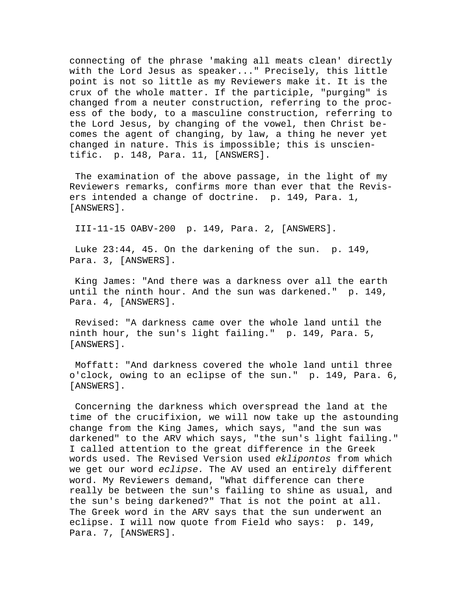connecting of the phrase 'making all meats clean' directly with the Lord Jesus as speaker..." Precisely, this little point is not so little as my Reviewers make it. It is the crux of the whole matter. If the participle, "purging" is changed from a neuter construction, referring to the process of the body, to a masculine construction, referring to the Lord Jesus, by changing of the vowel, then Christ becomes the agent of changing, by law, a thing he never yet changed in nature. This is impossible; this is unscientific. p. 148, Para. 11, [ANSWERS].

 The examination of the above passage, in the light of my Reviewers remarks, confirms more than ever that the Revisers intended a change of doctrine. p. 149, Para. 1, [ANSWERS].

III-11-15 OABV-200 p. 149, Para. 2, [ANSWERS].

 Luke 23:44, 45. On the darkening of the sun. p. 149, Para. 3, [ANSWERS].

 King James: "And there was a darkness over all the earth until the ninth hour. And the sun was darkened." p. 149, Para. 4, [ANSWERS].

 Revised: "A darkness came over the whole land until the ninth hour, the sun's light failing." p. 149, Para. 5, [ANSWERS].

 Moffatt: "And darkness covered the whole land until three o'clock, owing to an eclipse of the sun." p. 149, Para. 6, [ANSWERS].

 Concerning the darkness which overspread the land at the time of the crucifixion, we will now take up the astounding change from the King James, which says, "and the sun was darkened" to the ARV which says, "the sun's light failing." I called attention to the great difference in the Greek words used. The Revised Version used *eklipontos* from which we get our word *eclipse.* The AV used an entirely different word. My Reviewers demand, "What difference can there really be between the sun's failing to shine as usual, and the sun's being darkened?" That is not the point at all. The Greek word in the ARV says that the sun underwent an eclipse. I will now quote from Field who says: p. 149, Para. 7, [ANSWERS].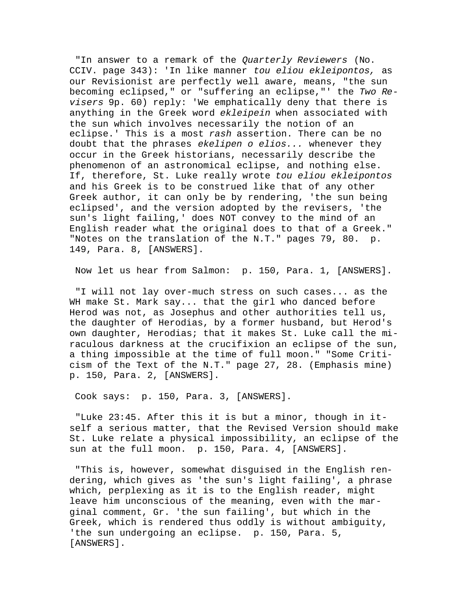"In answer to a remark of the *Quarterly Reviewers* (No. CCIV. page 343): 'In like manner *tou eliou ekleipontos,* as our Revisionist are perfectly well aware, means, "the sun becoming eclipsed," or "suffering an eclipse,"' the *Two Revisers* 9p. 60) reply: 'We emphatically deny that there is anything in the Greek word *ekleipein* when associated with the sun which involves necessarily the notion of an eclipse.' This is a most *rash* assertion. There can be no doubt that the phrases *ekelipen o elios...* whenever they occur in the Greek historians, necessarily describe the phenomenon of an astronomical eclipse, and nothing else. If, therefore, St. Luke really wrote *tou eliou ekleipontos* and his Greek is to be construed like that of any other Greek author, it can only be by rendering, 'the sun being eclipsed', and the version adopted by the revisers, 'the sun's light failing,' does NOT convey to the mind of an English reader what the original does to that of a Greek." "Notes on the translation of the N.T." pages 79, 80. p. 149, Para. 8, [ANSWERS].

Now let us hear from Salmon: p. 150, Para. 1, [ANSWERS].

 "I will not lay over-much stress on such cases... as the WH make St. Mark say... that the girl who danced before Herod was not, as Josephus and other authorities tell us, the daughter of Herodias, by a former husband, but Herod's own daughter, Herodias; that it makes St. Luke call the miraculous darkness at the crucifixion an eclipse of the sun, a thing impossible at the time of full moon." "Some Criticism of the Text of the N.T." page 27, 28. (Emphasis mine) p. 150, Para. 2, [ANSWERS].

Cook says: p. 150, Para. 3, [ANSWERS].

 "Luke 23:45. After this it is but a minor, though in itself a serious matter, that the Revised Version should make St. Luke relate a physical impossibility, an eclipse of the sun at the full moon. p. 150, Para. 4, [ANSWERS].

 "This is, however, somewhat disguised in the English rendering, which gives as 'the sun's light failing', a phrase which, perplexing as it is to the English reader, might leave him unconscious of the meaning, even with the marginal comment, Gr. 'the sun failing', but which in the Greek, which is rendered thus oddly is without ambiguity, 'the sun undergoing an eclipse. p. 150, Para. 5, [ANSWERS].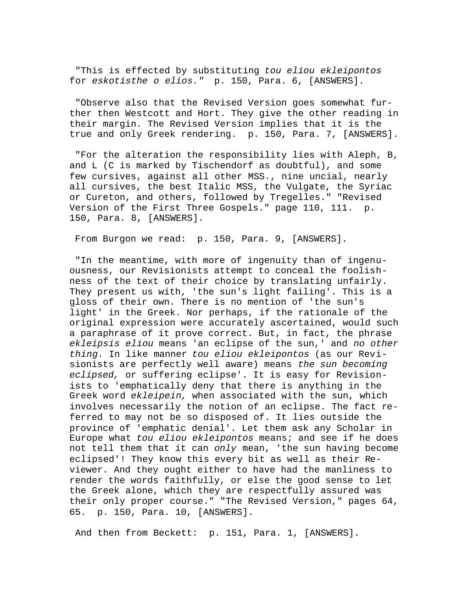"This is effected by substituting *tou eliou ekleipontos* for *eskotisthe o elios."* p. 150, Para. 6, [ANSWERS].

 "Observe also that the Revised Version goes somewhat further then Westcott and Hort. They give the other reading in their margin. The Revised Version implies that it is the true and only Greek rendering. p. 150, Para. 7, [ANSWERS].

 "For the alteration the responsibility lies with Aleph, B, and L (C is marked by Tischendorf as doubtful), and some few cursives, against all other MSS., nine uncial, nearly all cursives, the best Italic MSS, the Vulgate, the Syriac or Cureton, and others, followed by Tregelles." "Revised Version of the First Three Gospels." page 110, 111. p. 150, Para. 8, [ANSWERS].

From Burgon we read: p. 150, Para. 9, [ANSWERS].

 "In the meantime, with more of ingenuity than of ingenuousness, our Revisionists attempt to conceal the foolishness of the text of their choice by translating unfairly. They present us with, 'the sun's light failing'. This is a gloss of their own. There is no mention of 'the sun's light' in the Greek. Nor perhaps, if the rationale of the original expression were accurately ascertained, would such a paraphrase of it prove correct. But, in fact, the phrase *ekleipsis eliou* means 'an eclipse of the sun,' and *no other thing.* In like manner *tou eliou ekleipontos* (as our Revisionists are perfectly well aware) means *the sun becoming eclipsed,* or suffering eclipse'. It is easy for Revisionists to 'emphatically deny that there is anything in the Greek word *ekleipein,* when associated with the sun, which involves necessarily the notion of an eclipse. The fact referred to may not be so disposed of. It lies outside the province of 'emphatic denial'. Let them ask any Scholar in Europe what *tou eliou ekleipontos* means; and see if he does not tell them that it can *only* mean, 'the sun having become eclipsed'! They know this every bit as well as their Reviewer. And they ought either to have had the manliness to render the words faithfully, or else the good sense to let the Greek alone, which they are respectfully assured was their only proper course." "The Revised Version," pages 64, 65. p. 150, Para. 10, [ANSWERS].

And then from Beckett: p. 151, Para. 1, [ANSWERS].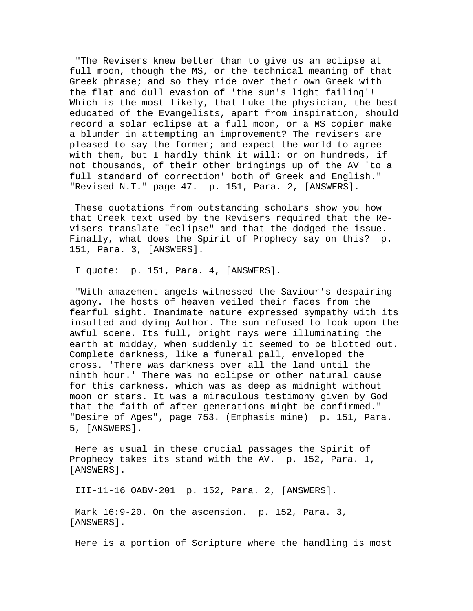"The Revisers knew better than to give us an eclipse at full moon, though the MS, or the technical meaning of that Greek phrase; and so they ride over their own Greek with the flat and dull evasion of 'the sun's light failing'! Which is the most likely, that Luke the physician, the best educated of the Evangelists, apart from inspiration, should record a solar eclipse at a full moon, or a MS copier make a blunder in attempting an improvement? The revisers are pleased to say the former; and expect the world to agree with them, but I hardly think it will: or on hundreds, if not thousands, of their other bringings up of the AV 'to a full standard of correction' both of Greek and English." "Revised N.T." page 47. p. 151, Para. 2, [ANSWERS].

 These quotations from outstanding scholars show you how that Greek text used by the Revisers required that the Revisers translate "eclipse" and that the dodged the issue. Finally, what does the Spirit of Prophecy say on this? p. 151, Para. 3, [ANSWERS].

I quote: p. 151, Para. 4, [ANSWERS].

 "With amazement angels witnessed the Saviour's despairing agony. The hosts of heaven veiled their faces from the fearful sight. Inanimate nature expressed sympathy with its insulted and dying Author. The sun refused to look upon the awful scene. Its full, bright rays were illuminating the earth at midday, when suddenly it seemed to be blotted out. Complete darkness, like a funeral pall, enveloped the cross. 'There was darkness over all the land until the ninth hour.' There was no eclipse or other natural cause for this darkness, which was as deep as midnight without moon or stars. It was a miraculous testimony given by God that the faith of after generations might be confirmed." "Desire of Ages", page 753. (Emphasis mine) p. 151, Para. 5, [ANSWERS].

 Here as usual in these crucial passages the Spirit of Prophecy takes its stand with the AV. p. 152, Para. 1, [ANSWERS].

III-11-16 OABV-201 p. 152, Para. 2, [ANSWERS].

Mark 16:9-20. On the ascension. p. 152, Para. 3, [ANSWERS].

Here is a portion of Scripture where the handling is most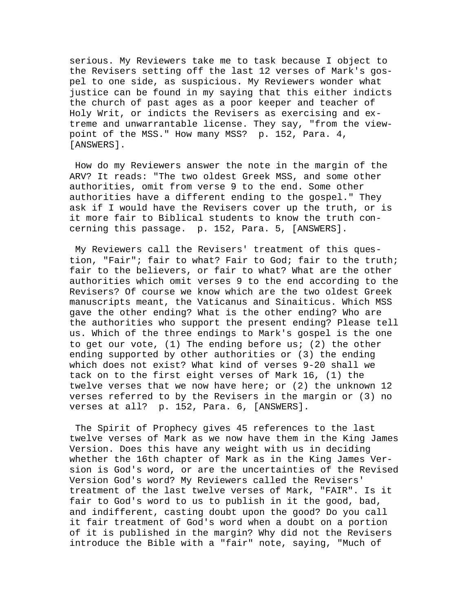serious. My Reviewers take me to task because I object to the Revisers setting off the last 12 verses of Mark's gospel to one side, as suspicious. My Reviewers wonder what justice can be found in my saying that this either indicts the church of past ages as a poor keeper and teacher of Holy Writ, or indicts the Revisers as exercising and extreme and unwarrantable license. They say, "from the viewpoint of the MSS." How many MSS? p. 152, Para. 4, [ANSWERS].

 How do my Reviewers answer the note in the margin of the ARV? It reads: "The two oldest Greek MSS, and some other authorities, omit from verse 9 to the end. Some other authorities have a different ending to the gospel." They ask if I would have the Revisers cover up the truth, or is it more fair to Biblical students to know the truth concerning this passage. p. 152, Para. 5, [ANSWERS].

 My Reviewers call the Revisers' treatment of this question, "Fair"; fair to what? Fair to God; fair to the truth; fair to the believers, or fair to what? What are the other authorities which omit verses 9 to the end according to the Revisers? Of course we know which are the two oldest Greek manuscripts meant, the Vaticanus and Sinaiticus. Which MSS gave the other ending? What is the other ending? Who are the authorities who support the present ending? Please tell us. Which of the three endings to Mark's gospel is the one to get our vote, (1) The ending before us; (2) the other ending supported by other authorities or (3) the ending which does not exist? What kind of verses 9-20 shall we tack on to the first eight verses of Mark 16, (1) the twelve verses that we now have here; or (2) the unknown 12 verses referred to by the Revisers in the margin or (3) no verses at all? p. 152, Para. 6, [ANSWERS].

 The Spirit of Prophecy gives 45 references to the last twelve verses of Mark as we now have them in the King James Version. Does this have any weight with us in deciding whether the 16th chapter of Mark as in the King James Version is God's word, or are the uncertainties of the Revised Version God's word? My Reviewers called the Revisers' treatment of the last twelve verses of Mark, "FAIR". Is it fair to God's word to us to publish in it the good, bad, and indifferent, casting doubt upon the good? Do you call it fair treatment of God's word when a doubt on a portion of it is published in the margin? Why did not the Revisers introduce the Bible with a "fair" note, saying, "Much of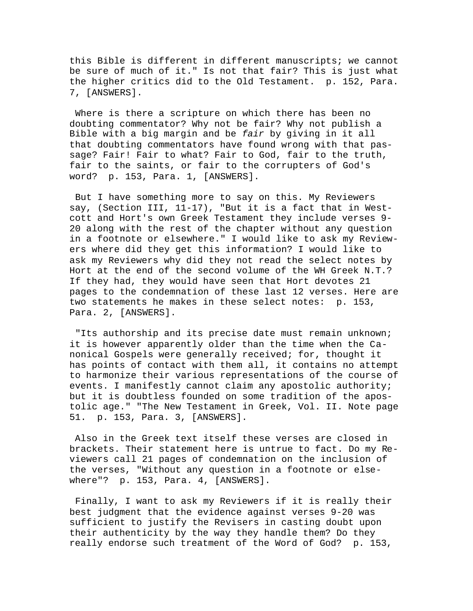this Bible is different in different manuscripts; we cannot be sure of much of it." Is not that fair? This is just what the higher critics did to the Old Testament. p. 152, Para. 7, [ANSWERS].

 Where is there a scripture on which there has been no doubting commentator? Why not be fair? Why not publish a Bible with a big margin and be *fair* by giving in it all that doubting commentators have found wrong with that passage? Fair! Fair to what? Fair to God, fair to the truth, fair to the saints, or fair to the corrupters of God's word? p. 153, Para. 1, [ANSWERS].

 But I have something more to say on this. My Reviewers say, (Section III, 11-17), "But it is a fact that in Westcott and Hort's own Greek Testament they include verses 9- 20 along with the rest of the chapter without any question in a footnote or elsewhere." I would like to ask my Reviewers where did they get this information? I would like to ask my Reviewers why did they not read the select notes by Hort at the end of the second volume of the WH Greek N.T.? If they had, they would have seen that Hort devotes 21 pages to the condemnation of these last 12 verses. Here are two statements he makes in these select notes: p. 153, Para. 2, [ANSWERS].

 "Its authorship and its precise date must remain unknown; it is however apparently older than the time when the Canonical Gospels were generally received; for, thought it has points of contact with them all, it contains no attempt to harmonize their various representations of the course of events. I manifestly cannot claim any apostolic authority; but it is doubtless founded on some tradition of the apostolic age." "The New Testament in Greek, Vol. II. Note page 51. p. 153, Para. 3, [ANSWERS].

 Also in the Greek text itself these verses are closed in brackets. Their statement here is untrue to fact. Do my Reviewers call 21 pages of condemnation on the inclusion of the verses, "Without any question in a footnote or elsewhere"? p. 153, Para. 4, [ANSWERS].

 Finally, I want to ask my Reviewers if it is really their best judgment that the evidence against verses 9-20 was sufficient to justify the Revisers in casting doubt upon their authenticity by the way they handle them? Do they really endorse such treatment of the Word of God? p. 153,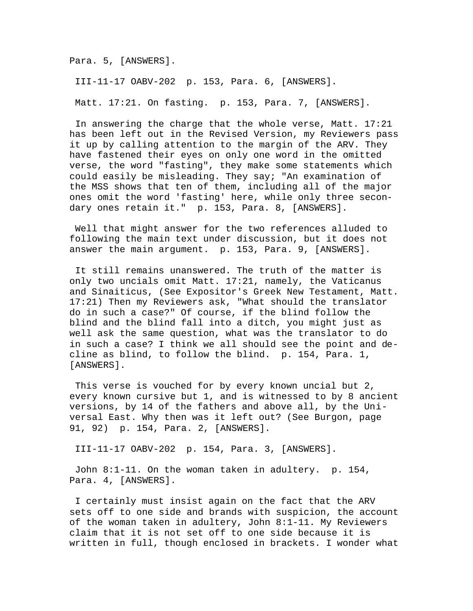Para. 5, [ANSWERS].

III-11-17 OABV-202 p. 153, Para. 6, [ANSWERS].

Matt. 17:21. On fasting. p. 153, Para. 7, [ANSWERS].

 In answering the charge that the whole verse, Matt. 17:21 has been left out in the Revised Version, my Reviewers pass it up by calling attention to the margin of the ARV. They have fastened their eyes on only one word in the omitted verse, the word "fasting", they make some statements which could easily be misleading. They say; "An examination of the MSS shows that ten of them, including all of the major ones omit the word 'fasting' here, while only three secondary ones retain it." p. 153, Para. 8, [ANSWERS].

 Well that might answer for the two references alluded to following the main text under discussion, but it does not answer the main argument. p. 153, Para. 9, [ANSWERS].

 It still remains unanswered. The truth of the matter is only two uncials omit Matt. 17:21, namely, the Vaticanus and Sinaiticus, (See Expositor's Greek New Testament, Matt. 17:21) Then my Reviewers ask, "What should the translator do in such a case?" Of course, if the blind follow the blind and the blind fall into a ditch, you might just as well ask the same question, what was the translator to do in such a case? I think we all should see the point and decline as blind, to follow the blind. p. 154, Para. 1, [ANSWERS].

 This verse is vouched for by every known uncial but 2, every known cursive but 1, and is witnessed to by 8 ancient versions, by 14 of the fathers and above all, by the Universal East. Why then was it left out? (See Burgon, page 91, 92) p. 154, Para. 2, [ANSWERS].

III-11-17 OABV-202 p. 154, Para. 3, [ANSWERS].

 John 8:1-11. On the woman taken in adultery. p. 154, Para. 4, [ANSWERS].

 I certainly must insist again on the fact that the ARV sets off to one side and brands with suspicion, the account of the woman taken in adultery, John 8:1-11. My Reviewers claim that it is not set off to one side because it is written in full, though enclosed in brackets. I wonder what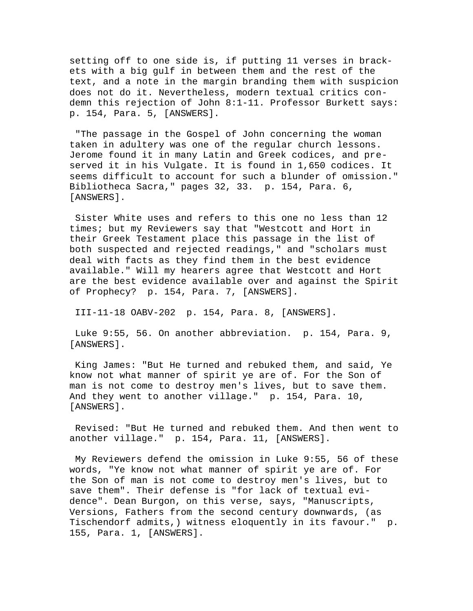setting off to one side is, if putting 11 verses in brackets with a big gulf in between them and the rest of the text, and a note in the margin branding them with suspicion does not do it. Nevertheless, modern textual critics condemn this rejection of John 8:1-11. Professor Burkett says: p. 154, Para. 5, [ANSWERS].

 "The passage in the Gospel of John concerning the woman taken in adultery was one of the regular church lessons. Jerome found it in many Latin and Greek codices, and preserved it in his Vulgate. It is found in 1,650 codices. It seems difficult to account for such a blunder of omission." Bibliotheca Sacra," pages 32, 33. p. 154, Para. 6, [ANSWERS].

 Sister White uses and refers to this one no less than 12 times; but my Reviewers say that "Westcott and Hort in their Greek Testament place this passage in the list of both suspected and rejected readings," and "scholars must deal with facts as they find them in the best evidence available." Will my hearers agree that Westcott and Hort are the best evidence available over and against the Spirit of Prophecy? p. 154, Para. 7, [ANSWERS].

III-11-18 OABV-202 p. 154, Para. 8, [ANSWERS].

 Luke 9:55, 56. On another abbreviation. p. 154, Para. 9, [ANSWERS].

 King James: "But He turned and rebuked them, and said, Ye know not what manner of spirit ye are of. For the Son of man is not come to destroy men's lives, but to save them. And they went to another village." p. 154, Para. 10, [ANSWERS].

 Revised: "But He turned and rebuked them. And then went to another village." p. 154, Para. 11, [ANSWERS].

 My Reviewers defend the omission in Luke 9:55, 56 of these words, "Ye know not what manner of spirit ye are of. For the Son of man is not come to destroy men's lives, but to save them". Their defense is "for lack of textual evidence". Dean Burgon, on this verse, says, "Manuscripts, Versions, Fathers from the second century downwards, (as Tischendorf admits,) witness eloquently in its favour." p. 155, Para. 1, [ANSWERS].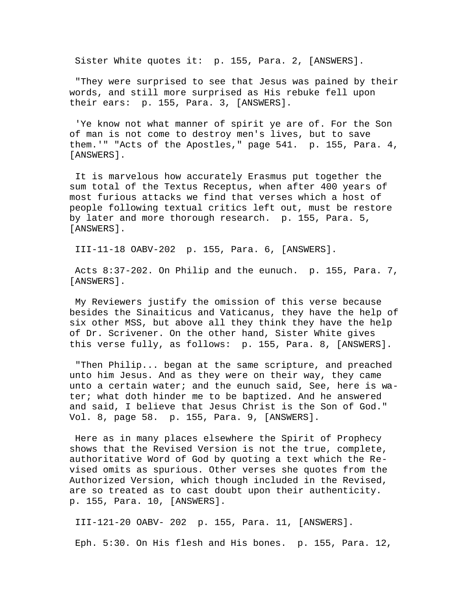Sister White quotes it: p. 155, Para. 2, [ANSWERS].

 "They were surprised to see that Jesus was pained by their words, and still more surprised as His rebuke fell upon their ears: p. 155, Para. 3, [ANSWERS].

 'Ye know not what manner of spirit ye are of. For the Son of man is not come to destroy men's lives, but to save them.'" "Acts of the Apostles," page 541. p. 155, Para. 4, [ANSWERS].

 It is marvelous how accurately Erasmus put together the sum total of the Textus Receptus, when after 400 years of most furious attacks we find that verses which a host of people following textual critics left out, must be restore by later and more thorough research. p. 155, Para. 5, [ANSWERS].

III-11-18 OABV-202 p. 155, Para. 6, [ANSWERS].

 Acts 8:37-202. On Philip and the eunuch. p. 155, Para. 7, [ANSWERS].

 My Reviewers justify the omission of this verse because besides the Sinaiticus and Vaticanus, they have the help of six other MSS, but above all they think they have the help of Dr. Scrivener. On the other hand, Sister White gives this verse fully, as follows: p. 155, Para. 8, [ANSWERS].

 "Then Philip... began at the same scripture, and preached unto him Jesus. And as they were on their way, they came unto a certain water; and the eunuch said, See, here is water; what doth hinder me to be baptized. And he answered and said, I believe that Jesus Christ is the Son of God." Vol. 8, page 58. p. 155, Para. 9, [ANSWERS].

 Here as in many places elsewhere the Spirit of Prophecy shows that the Revised Version is not the true, complete, authoritative Word of God by quoting a text which the Revised omits as spurious. Other verses she quotes from the Authorized Version, which though included in the Revised, are so treated as to cast doubt upon their authenticity. p. 155, Para. 10, [ANSWERS].

 III-121-20 OABV- 202 p. 155, Para. 11, [ANSWERS]. Eph. 5:30. On His flesh and His bones. p. 155, Para. 12,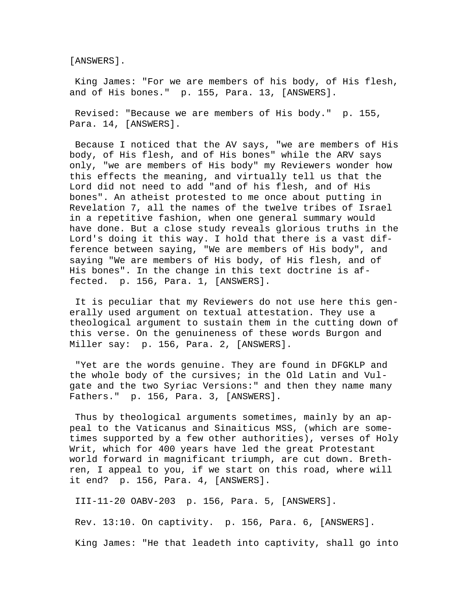[ANSWERS].

 King James: "For we are members of his body, of His flesh, and of His bones." p. 155, Para. 13, [ANSWERS].

 Revised: "Because we are members of His body." p. 155, Para. 14, [ANSWERS].

 Because I noticed that the AV says, "we are members of His body, of His flesh, and of His bones" while the ARV says only, "we are members of His body" my Reviewers wonder how this effects the meaning, and virtually tell us that the Lord did not need to add "and of his flesh, and of His bones". An atheist protested to me once about putting in Revelation 7, all the names of the twelve tribes of Israel in a repetitive fashion, when one general summary would have done. But a close study reveals glorious truths in the Lord's doing it this way. I hold that there is a vast difference between saying, "We are members of His body", and saying "We are members of His body, of His flesh, and of His bones". In the change in this text doctrine is affected. p. 156, Para. 1, [ANSWERS].

 It is peculiar that my Reviewers do not use here this generally used argument on textual attestation. They use a theological argument to sustain them in the cutting down of this verse. On the genuineness of these words Burgon and Miller say: p. 156, Para. 2, [ANSWERS].

 "Yet are the words genuine. They are found in DFGKLP and the whole body of the cursives; in the Old Latin and Vulgate and the two Syriac Versions:" and then they name many Fathers." p. 156, Para. 3, [ANSWERS].

 Thus by theological arguments sometimes, mainly by an appeal to the Vaticanus and Sinaiticus MSS, (which are sometimes supported by a few other authorities), verses of Holy Writ, which for 400 years have led the great Protestant world forward in magnificant triumph, are cut down. Brethren, I appeal to you, if we start on this road, where will it end? p. 156, Para. 4, [ANSWERS].

III-11-20 OABV-203 p. 156, Para. 5, [ANSWERS].

Rev. 13:10. On captivity. p. 156, Para. 6, [ANSWERS].

King James: "He that leadeth into captivity, shall go into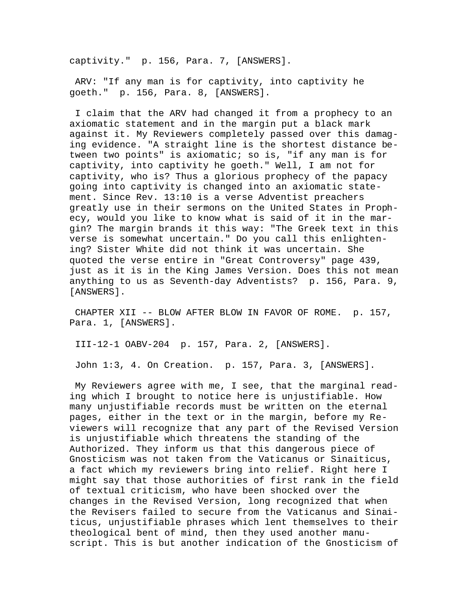captivity." p. 156, Para. 7, [ANSWERS].

 ARV: "If any man is for captivity, into captivity he goeth." p. 156, Para. 8, [ANSWERS].

 I claim that the ARV had changed it from a prophecy to an axiomatic statement and in the margin put a black mark against it. My Reviewers completely passed over this damaging evidence. "A straight line is the shortest distance between two points" is axiomatic; so is, "if any man is for captivity, into captivity he goeth." Well, I am not for captivity, who is? Thus a glorious prophecy of the papacy going into captivity is changed into an axiomatic statement. Since Rev. 13:10 is a verse Adventist preachers greatly use in their sermons on the United States in Prophecy, would you like to know what is said of it in the margin? The margin brands it this way: "The Greek text in this verse is somewhat uncertain." Do you call this enlightening? Sister White did not think it was uncertain. She quoted the verse entire in "Great Controversy" page 439, just as it is in the King James Version. Does this not mean anything to us as Seventh-day Adventists? p. 156, Para. 9, [ANSWERS].

 CHAPTER XII -- BLOW AFTER BLOW IN FAVOR OF ROME. p. 157, Para. 1, [ANSWERS].

III-12-1 OABV-204 p. 157, Para. 2, [ANSWERS].

John 1:3, 4. On Creation. p. 157, Para. 3, [ANSWERS].

 My Reviewers agree with me, I see, that the marginal reading which I brought to notice here is unjustifiable. How many unjustifiable records must be written on the eternal pages, either in the text or in the margin, before my Reviewers will recognize that any part of the Revised Version is unjustifiable which threatens the standing of the Authorized. They inform us that this dangerous piece of Gnosticism was not taken from the Vaticanus or Sinaiticus, a fact which my reviewers bring into relief. Right here I might say that those authorities of first rank in the field of textual criticism, who have been shocked over the changes in the Revised Version, long recognized that when the Revisers failed to secure from the Vaticanus and Sinaiticus, unjustifiable phrases which lent themselves to their theological bent of mind, then they used another manuscript. This is but another indication of the Gnosticism of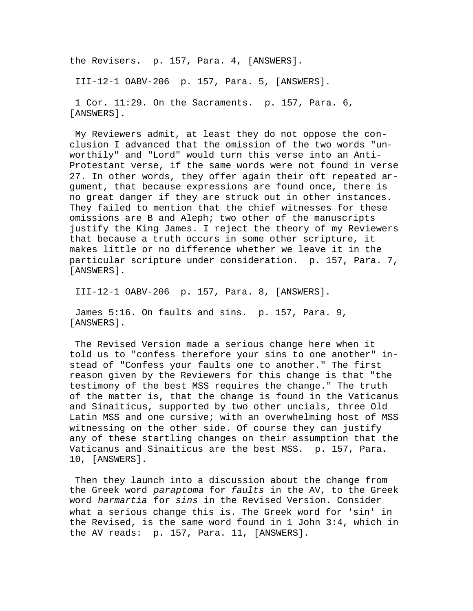the Revisers. p. 157, Para. 4, [ANSWERS].

III-12-1 OABV-206 p. 157, Para. 5, [ANSWERS].

 1 Cor. 11:29. On the Sacraments. p. 157, Para. 6, [ANSWERS].

 My Reviewers admit, at least they do not oppose the conclusion I advanced that the omission of the two words "unworthily" and "Lord" would turn this verse into an Anti-Protestant verse, if the same words were not found in verse 27. In other words, they offer again their oft repeated argument, that because expressions are found once, there is no great danger if they are struck out in other instances. They failed to mention that the chief witnesses for these omissions are B and Aleph; two other of the manuscripts justify the King James. I reject the theory of my Reviewers that because a truth occurs in some other scripture, it makes little or no difference whether we leave it in the particular scripture under consideration. p. 157, Para. 7, [ANSWERS].

III-12-1 OABV-206 p. 157, Para. 8, [ANSWERS].

 James 5:16. On faults and sins. p. 157, Para. 9, [ANSWERS].

 The Revised Version made a serious change here when it told us to "confess therefore your sins to one another" instead of "Confess your faults one to another." The first reason given by the Reviewers for this change is that "the testimony of the best MSS requires the change." The truth of the matter is, that the change is found in the Vaticanus and Sinaiticus, supported by two other uncials, three Old Latin MSS and one cursive; with an overwhelming host of MSS witnessing on the other side. Of course they can justify any of these startling changes on their assumption that the Vaticanus and Sinaiticus are the best MSS. p. 157, Para. 10, [ANSWERS].

 Then they launch into a discussion about the change from the Greek word *paraptoma* for *faults* in the AV, to the Greek word *harmartia* for *sins* in the Revised Version. Consider what a serious change this is. The Greek word for 'sin' in the Revised, is the same word found in 1 John 3:4, which in the AV reads: p. 157, Para. 11, [ANSWERS].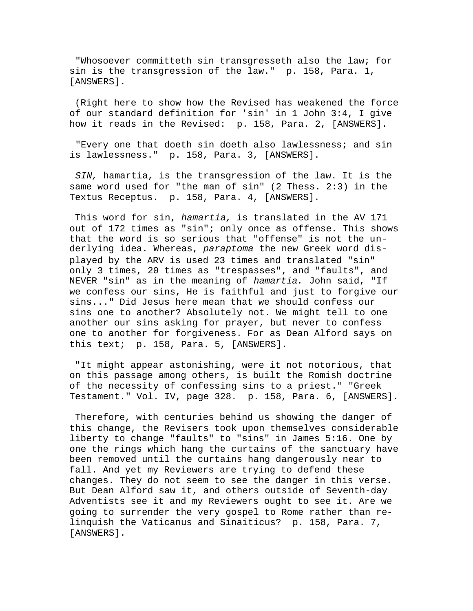"Whosoever committeth sin transgresseth also the law; for sin is the transgression of the law." p. 158, Para. 1, [ANSWERS].

 (Right here to show how the Revised has weakened the force of our standard definition for 'sin' in 1 John 3:4, I give how it reads in the Revised: p. 158, Para. 2, [ANSWERS].

 "Every one that doeth sin doeth also lawlessness; and sin is lawlessness." p. 158, Para. 3, [ANSWERS].

 *SIN,* hamartia, is the transgression of the law. It is the same word used for "the man of sin" (2 Thess. 2:3) in the Textus Receptus. p. 158, Para. 4, [ANSWERS].

 This word for sin, *hamartia,* is translated in the AV 171 out of 172 times as "sin"; only once as offense. This shows that the word is so serious that "offense" is not the underlying idea. Whereas, *paraptoma* the new Greek word displayed by the ARV is used 23 times and translated "sin" only 3 times, 20 times as "trespasses", and "faults", and NEVER "sin" as in the meaning of *hamartia.* John said, "If we confess our sins, He is faithful and just to forgive our sins..." Did Jesus here mean that we should confess our sins one to another? Absolutely not. We might tell to one another our sins asking for prayer, but never to confess one to another for forgiveness. For as Dean Alford says on this text; p. 158, Para. 5, [ANSWERS].

 "It might appear astonishing, were it not notorious, that on this passage among others, is built the Romish doctrine of the necessity of confessing sins to a priest." "Greek Testament." Vol. IV, page 328. p. 158, Para. 6, [ANSWERS].

 Therefore, with centuries behind us showing the danger of this change, the Revisers took upon themselves considerable liberty to change "faults" to "sins" in James 5:16. One by one the rings which hang the curtains of the sanctuary have been removed until the curtains hang dangerously near to fall. And yet my Reviewers are trying to defend these changes. They do not seem to see the danger in this verse. But Dean Alford saw it, and others outside of Seventh-day Adventists see it and my Reviewers ought to see it. Are we going to surrender the very gospel to Rome rather than relinquish the Vaticanus and Sinaiticus? p. 158, Para. 7, [ANSWERS].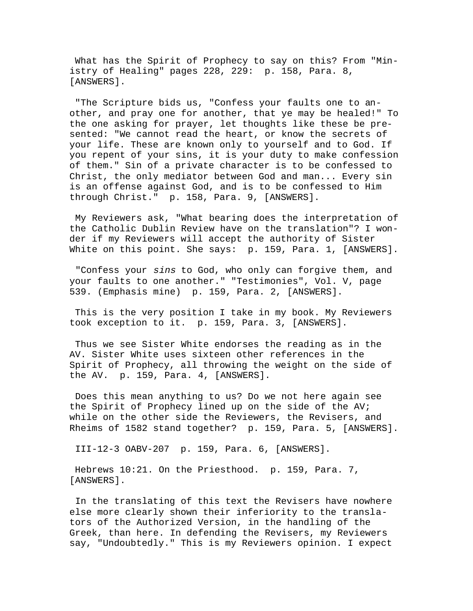What has the Spirit of Prophecy to say on this? From "Ministry of Healing" pages 228, 229: p. 158, Para. 8, [ANSWERS].

 "The Scripture bids us, "Confess your faults one to another, and pray one for another, that ye may be healed!" To the one asking for prayer, let thoughts like these be presented: "We cannot read the heart, or know the secrets of your life. These are known only to yourself and to God. If you repent of your sins, it is your duty to make confession of them." Sin of a private character is to be confessed to Christ, the only mediator between God and man... Every sin is an offense against God, and is to be confessed to Him through Christ." p. 158, Para. 9, [ANSWERS].

 My Reviewers ask, "What bearing does the interpretation of the Catholic Dublin Review have on the translation"? I wonder if my Reviewers will accept the authority of Sister White on this point. She says: p. 159, Para. 1, [ANSWERS].

 "Confess your *sins* to God, who only can forgive them, and your faults to one another." "Testimonies", Vol. V, page 539. (Emphasis mine) p. 159, Para. 2, [ANSWERS].

 This is the very position I take in my book. My Reviewers took exception to it. p. 159, Para. 3, [ANSWERS].

 Thus we see Sister White endorses the reading as in the AV. Sister White uses sixteen other references in the Spirit of Prophecy, all throwing the weight on the side of the AV. p. 159, Para. 4, [ANSWERS].

 Does this mean anything to us? Do we not here again see the Spirit of Prophecy lined up on the side of the AV; while on the other side the Reviewers, the Revisers, and Rheims of 1582 stand together? p. 159, Para. 5, [ANSWERS].

III-12-3 OABV-207 p. 159, Para. 6, [ANSWERS].

 Hebrews 10:21. On the Priesthood. p. 159, Para. 7, [ANSWERS].

 In the translating of this text the Revisers have nowhere else more clearly shown their inferiority to the translators of the Authorized Version, in the handling of the Greek, than here. In defending the Revisers, my Reviewers say, "Undoubtedly." This is my Reviewers opinion. I expect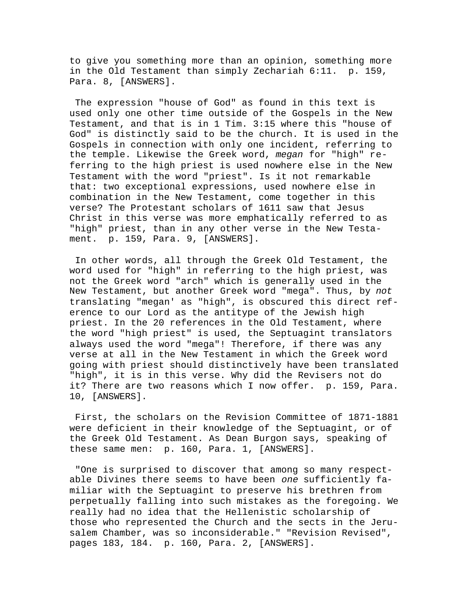to give you something more than an opinion, something more in the Old Testament than simply Zechariah 6:11. p. 159, Para. 8, [ANSWERS].

 The expression "house of God" as found in this text is used only one other time outside of the Gospels in the New Testament, and that is in 1 Tim. 3:15 where this "house of God" is distinctly said to be the church. It is used in the Gospels in connection with only one incident, referring to the temple. Likewise the Greek word, *megan* for "high" referring to the high priest is used nowhere else in the New Testament with the word "priest". Is it not remarkable that: two exceptional expressions, used nowhere else in combination in the New Testament, come together in this verse? The Protestant scholars of 1611 saw that Jesus Christ in this verse was more emphatically referred to as "high" priest, than in any other verse in the New Testament. p. 159, Para. 9, [ANSWERS].

 In other words, all through the Greek Old Testament, the word used for "high" in referring to the high priest, was not the Greek word "arch" which is generally used in the New Testament, but another Greek word "mega". Thus, by *not* translating "megan' as "high", is obscured this direct reference to our Lord as the antitype of the Jewish high priest. In the 20 references in the Old Testament, where the word "high priest" is used, the Septuagint translators always used the word "mega"! Therefore, if there was any verse at all in the New Testament in which the Greek word going with priest should distinctively have been translated "high", it is in this verse. Why did the Revisers not do it? There are two reasons which I now offer. p. 159, Para. 10, [ANSWERS].

 First, the scholars on the Revision Committee of 1871-1881 were deficient in their knowledge of the Septuagint, or of the Greek Old Testament. As Dean Burgon says, speaking of these same men: p. 160, Para. 1, [ANSWERS].

 "One is surprised to discover that among so many respectable Divines there seems to have been *one* sufficiently familiar with the Septuagint to preserve his brethren from perpetually falling into such mistakes as the foregoing. We really had no idea that the Hellenistic scholarship of those who represented the Church and the sects in the Jerusalem Chamber, was so inconsiderable." "Revision Revised", pages 183, 184. p. 160, Para. 2, [ANSWERS].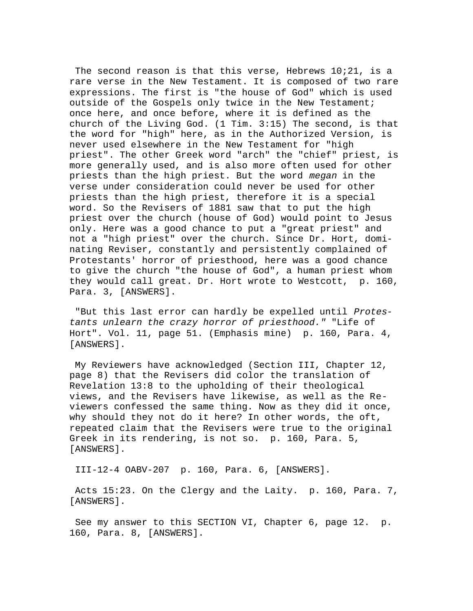The second reason is that this verse, Hebrews 10;21, is a rare verse in the New Testament. It is composed of two rare expressions. The first is "the house of God" which is used outside of the Gospels only twice in the New Testament; once here, and once before, where it is defined as the church of the Living God. (1 Tim. 3:15) The second, is that the word for "high" here, as in the Authorized Version, is never used elsewhere in the New Testament for "high priest". The other Greek word "arch" the "chief" priest, is more generally used, and is also more often used for other priests than the high priest. But the word *megan* in the verse under consideration could never be used for other priests than the high priest, therefore it is a special word. So the Revisers of 1881 saw that to put the high priest over the church (house of God) would point to Jesus only. Here was a good chance to put a "great priest" and not a "high priest" over the church. Since Dr. Hort, dominating Reviser, constantly and persistently complained of Protestants' horror of priesthood, here was a good chance to give the church "the house of God", a human priest whom they would call great. Dr. Hort wrote to Westcott, p. 160, Para. 3, [ANSWERS].

 "But this last error can hardly be expelled until *Protestants unlearn the crazy horror of priesthood."* "Life of Hort". Vol. 11, page 51. (Emphasis mine) p. 160, Para. 4, [ANSWERS].

 My Reviewers have acknowledged (Section III, Chapter 12, page 8) that the Revisers did color the translation of Revelation 13:8 to the upholding of their theological views, and the Revisers have likewise, as well as the Reviewers confessed the same thing. Now as they did it once, why should they not do it here? In other words, the oft, repeated claim that the Revisers were true to the original Greek in its rendering, is not so. p. 160, Para. 5, [ANSWERS].

III-12-4 OABV-207 p. 160, Para. 6, [ANSWERS].

 Acts 15:23. On the Clergy and the Laity. p. 160, Para. 7, [ANSWERS].

 See my answer to this SECTION VI, Chapter 6, page 12. p. 160, Para. 8, [ANSWERS].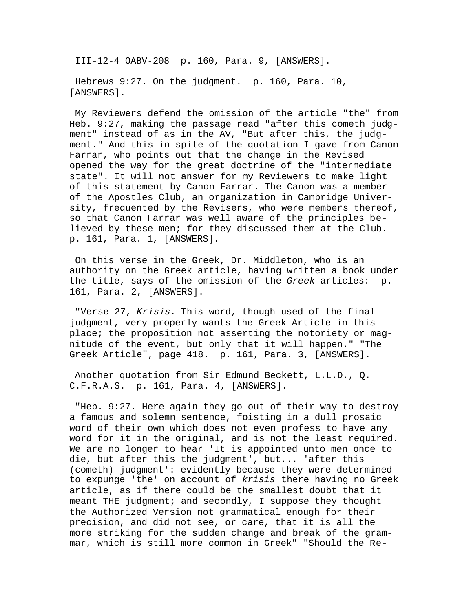III-12-4 OABV-208 p. 160, Para. 9, [ANSWERS].

 Hebrews 9:27. On the judgment. p. 160, Para. 10, [ANSWERS].

 My Reviewers defend the omission of the article "the" from Heb. 9:27, making the passage read "after this cometh judgment" instead of as in the AV, "But after this, the judgment." And this in spite of the quotation I gave from Canon Farrar, who points out that the change in the Revised opened the way for the great doctrine of the "intermediate state". It will not answer for my Reviewers to make light of this statement by Canon Farrar. The Canon was a member of the Apostles Club, an organization in Cambridge University, frequented by the Revisers, who were members thereof, so that Canon Farrar was well aware of the principles believed by these men; for they discussed them at the Club. p. 161, Para. 1, [ANSWERS].

 On this verse in the Greek, Dr. Middleton, who is an authority on the Greek article, having written a book under the title, says of the omission of the *Greek* articles: p. 161, Para. 2, [ANSWERS].

 "Verse 27, *Krisis.* This word, though used of the final judgment, very properly wants the Greek Article in this place; the proposition not asserting the notoriety or magnitude of the event, but only that it will happen." "The Greek Article", page 418. p. 161, Para. 3, [ANSWERS].

 Another quotation from Sir Edmund Beckett, L.L.D., Q. C.F.R.A.S. p. 161, Para. 4, [ANSWERS].

 "Heb. 9:27. Here again they go out of their way to destroy a famous and solemn sentence, foisting in a dull prosaic word of their own which does not even profess to have any word for it in the original, and is not the least required. We are no longer to hear 'It is appointed unto men once to die, but after this the judgment', but... 'after this (cometh) judgment': evidently because they were determined to expunge 'the' on account of *krisis* there having no Greek article, as if there could be the smallest doubt that it meant THE judgment; and secondly, I suppose they thought the Authorized Version not grammatical enough for their precision, and did not see, or care, that it is all the more striking for the sudden change and break of the grammar, which is still more common in Greek" "Should the Re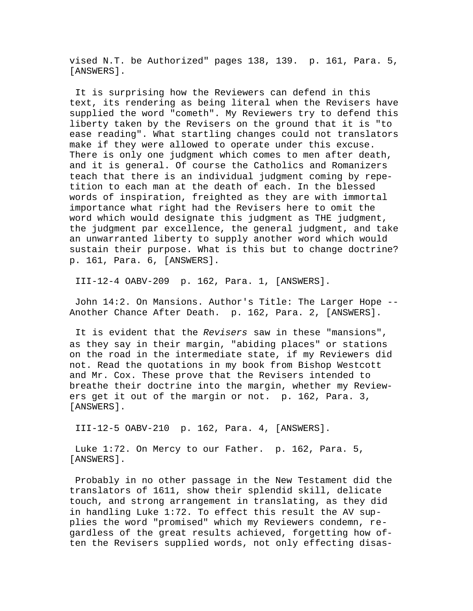vised N.T. be Authorized" pages 138, 139. p. 161, Para. 5, [ANSWERS].

 It is surprising how the Reviewers can defend in this text, its rendering as being literal when the Revisers have supplied the word "cometh". My Reviewers try to defend this liberty taken by the Revisers on the ground that it is "to ease reading". What startling changes could not translators make if they were allowed to operate under this excuse. There is only one judgment which comes to men after death, and it is general. Of course the Catholics and Romanizers teach that there is an individual judgment coming by repetition to each man at the death of each. In the blessed words of inspiration, freighted as they are with immortal importance what right had the Revisers here to omit the word which would designate this judgment as THE judgment, the judgment par excellence, the general judgment, and take an unwarranted liberty to supply another word which would sustain their purpose. What is this but to change doctrine? p. 161, Para. 6, [ANSWERS].

III-12-4 OABV-209 p. 162, Para. 1, [ANSWERS].

 John 14:2. On Mansions. Author's Title: The Larger Hope -- Another Chance After Death. p. 162, Para. 2, [ANSWERS].

 It is evident that the *Revisers* saw in these "mansions", as they say in their margin, "abiding places" or stations on the road in the intermediate state, if my Reviewers did not. Read the quotations in my book from Bishop Westcott and Mr. Cox. These prove that the Revisers intended to breathe their doctrine into the margin, whether my Reviewers get it out of the margin or not. p. 162, Para. 3, [ANSWERS].

III-12-5 OABV-210 p. 162, Para. 4, [ANSWERS].

 Luke 1:72. On Mercy to our Father. p. 162, Para. 5, [ANSWERS].

 Probably in no other passage in the New Testament did the translators of 1611, show their splendid skill, delicate touch, and strong arrangement in translating, as they did in handling Luke 1:72. To effect this result the AV supplies the word "promised" which my Reviewers condemn, regardless of the great results achieved, forgetting how often the Revisers supplied words, not only effecting disas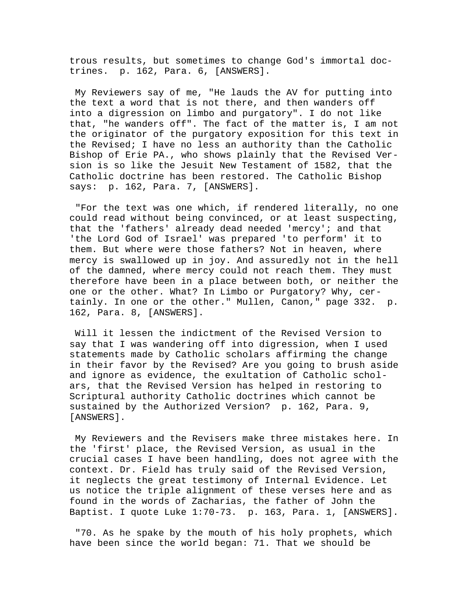trous results, but sometimes to change God's immortal doctrines. p. 162, Para. 6, [ANSWERS].

 My Reviewers say of me, "He lauds the AV for putting into the text a word that is not there, and then wanders off into a digression on limbo and purgatory". I do not like that, "he wanders off". The fact of the matter is, I am not the originator of the purgatory exposition for this text in the Revised; I have no less an authority than the Catholic Bishop of Erie PA., who shows plainly that the Revised Version is so like the Jesuit New Testament of 1582, that the Catholic doctrine has been restored. The Catholic Bishop says: p. 162, Para. 7, [ANSWERS].

 "For the text was one which, if rendered literally, no one could read without being convinced, or at least suspecting, that the 'fathers' already dead needed 'mercy'; and that 'the Lord God of Israel' was prepared 'to perform' it to them. But where were those fathers? Not in heaven, where mercy is swallowed up in joy. And assuredly not in the hell of the damned, where mercy could not reach them. They must therefore have been in a place between both, or neither the one or the other. What? In Limbo or Purgatory? Why, certainly. In one or the other." Mullen, Canon," page 332. p. 162, Para. 8, [ANSWERS].

 Will it lessen the indictment of the Revised Version to say that I was wandering off into digression, when I used statements made by Catholic scholars affirming the change in their favor by the Revised? Are you going to brush aside and ignore as evidence, the exultation of Catholic scholars, that the Revised Version has helped in restoring to Scriptural authority Catholic doctrines which cannot be sustained by the Authorized Version? p. 162, Para. 9, [ANSWERS].

 My Reviewers and the Revisers make three mistakes here. In the 'first' place, the Revised Version, as usual in the crucial cases I have been handling, does not agree with the context. Dr. Field has truly said of the Revised Version, it neglects the great testimony of Internal Evidence. Let us notice the triple alignment of these verses here and as found in the words of Zacharias, the father of John the Baptist. I quote Luke 1:70-73. p. 163, Para. 1, [ANSWERS].

 "70. As he spake by the mouth of his holy prophets, which have been since the world began: 71. That we should be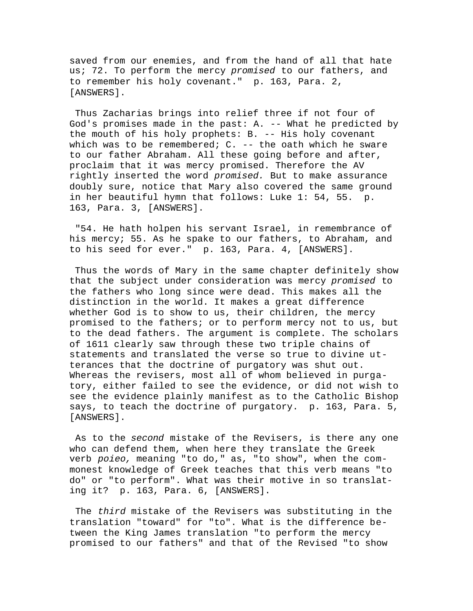saved from our enemies, and from the hand of all that hate us; 72. To perform the mercy *promised* to our fathers, and to remember his holy covenant." p. 163, Para. 2, [ANSWERS].

 Thus Zacharias brings into relief three if not four of God's promises made in the past: A. -- What he predicted by the mouth of his holy prophets: B. -- His holy covenant which was to be remembered; C. -- the oath which he sware to our father Abraham. All these going before and after, proclaim that it was mercy promised. Therefore the AV rightly inserted the word *promised.* But to make assurance doubly sure, notice that Mary also covered the same ground in her beautiful hymn that follows: Luke 1: 54, 55. p. 163, Para. 3, [ANSWERS].

 "54. He hath holpen his servant Israel, in remembrance of his mercy; 55. As he spake to our fathers, to Abraham, and to his seed for ever." p. 163, Para. 4, [ANSWERS].

 Thus the words of Mary in the same chapter definitely show that the subject under consideration was mercy *promised* to the fathers who long since were dead. This makes all the distinction in the world. It makes a great difference whether God is to show to us, their children, the mercy promised to the fathers; or to perform mercy not to us, but to the dead fathers. The argument is complete. The scholars of 1611 clearly saw through these two triple chains of statements and translated the verse so true to divine utterances that the doctrine of purgatory was shut out. Whereas the revisers, most all of whom believed in purgatory, either failed to see the evidence, or did not wish to see the evidence plainly manifest as to the Catholic Bishop says, to teach the doctrine of purgatory. p. 163, Para. 5, [ANSWERS].

 As to the *second* mistake of the Revisers, is there any one who can defend them, when here they translate the Greek verb *poieo,* meaning "to do," as, "to show", when the commonest knowledge of Greek teaches that this verb means "to do" or "to perform". What was their motive in so translating it? p. 163, Para. 6, [ANSWERS].

 The *third* mistake of the Revisers was substituting in the translation "toward" for "to". What is the difference between the King James translation "to perform the mercy promised to our fathers" and that of the Revised "to show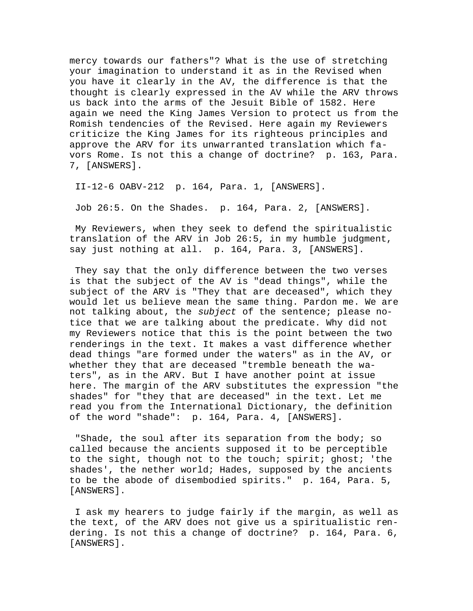mercy towards our fathers"? What is the use of stretching your imagination to understand it as in the Revised when you have it clearly in the AV, the difference is that the thought is clearly expressed in the AV while the ARV throws us back into the arms of the Jesuit Bible of 1582. Here again we need the King James Version to protect us from the Romish tendencies of the Revised. Here again my Reviewers criticize the King James for its righteous principles and approve the ARV for its unwarranted translation which favors Rome. Is not this a change of doctrine? p. 163, Para. 7, [ANSWERS].

II-12-6 OABV-212 p. 164, Para. 1, [ANSWERS].

Job 26:5. On the Shades. p. 164, Para. 2, [ANSWERS].

 My Reviewers, when they seek to defend the spiritualistic translation of the ARV in Job 26:5, in my humble judgment, say just nothing at all. p. 164, Para. 3, [ANSWERS].

 They say that the only difference between the two verses is that the subject of the AV is "dead things", while the subject of the ARV is "They that are deceased", which they would let us believe mean the same thing. Pardon me. We are not talking about, the *subject* of the sentence; please notice that we are talking about the predicate. Why did not my Reviewers notice that this is the point between the two renderings in the text. It makes a vast difference whether dead things "are formed under the waters" as in the AV, or whether they that are deceased "tremble beneath the waters", as in the ARV. But I have another point at issue here. The margin of the ARV substitutes the expression "the shades" for "they that are deceased" in the text. Let me read you from the International Dictionary, the definition of the word "shade": p. 164, Para. 4, [ANSWERS].

 "Shade, the soul after its separation from the body; so called because the ancients supposed it to be perceptible to the sight, though not to the touch; spirit; ghost; 'the shades', the nether world; Hades, supposed by the ancients to be the abode of disembodied spirits." p. 164, Para. 5, [ANSWERS].

 I ask my hearers to judge fairly if the margin, as well as the text, of the ARV does not give us a spiritualistic rendering. Is not this a change of doctrine? p. 164, Para. 6, [ANSWERS].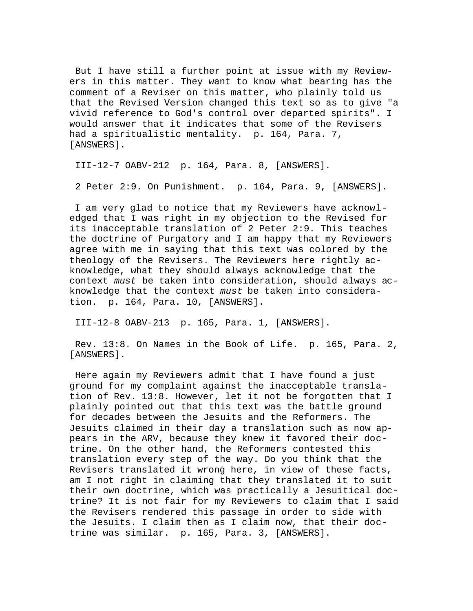But I have still a further point at issue with my Reviewers in this matter. They want to know what bearing has the comment of a Reviser on this matter, who plainly told us that the Revised Version changed this text so as to give "a vivid reference to God's control over departed spirits". I would answer that it indicates that some of the Revisers had a spiritualistic mentality. p. 164, Para. 7, [ANSWERS].

III-12-7 OABV-212 p. 164, Para. 8, [ANSWERS].

2 Peter 2:9. On Punishment. p. 164, Para. 9, [ANSWERS].

 I am very glad to notice that my Reviewers have acknowledged that I was right in my objection to the Revised for its inacceptable translation of 2 Peter 2:9. This teaches the doctrine of Purgatory and I am happy that my Reviewers agree with me in saying that this text was colored by the theology of the Revisers. The Reviewers here rightly acknowledge, what they should always acknowledge that the context *must* be taken into consideration, should always acknowledge that the context *must* be taken into consideration. p. 164, Para. 10, [ANSWERS].

III-12-8 OABV-213 p. 165, Para. 1, [ANSWERS].

 Rev. 13:8. On Names in the Book of Life. p. 165, Para. 2, [ANSWERS].

 Here again my Reviewers admit that I have found a just ground for my complaint against the inacceptable translation of Rev. 13:8. However, let it not be forgotten that I plainly pointed out that this text was the battle ground for decades between the Jesuits and the Reformers. The Jesuits claimed in their day a translation such as now appears in the ARV, because they knew it favored their doctrine. On the other hand, the Reformers contested this translation every step of the way. Do you think that the Revisers translated it wrong here, in view of these facts, am I not right in claiming that they translated it to suit their own doctrine, which was practically a Jesuitical doctrine? It is not fair for my Reviewers to claim that I said the Revisers rendered this passage in order to side with the Jesuits. I claim then as I claim now, that their doctrine was similar. p. 165, Para. 3, [ANSWERS].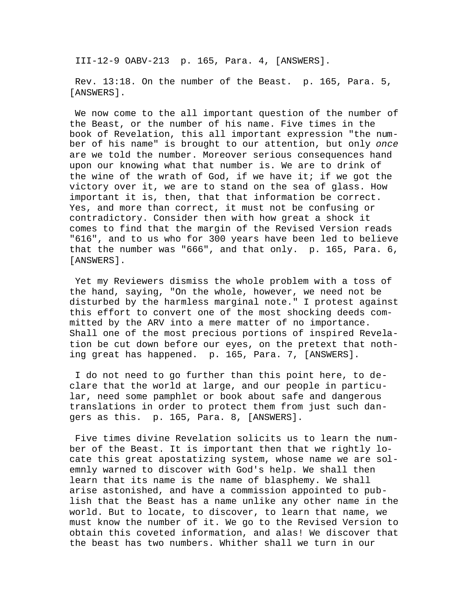III-12-9 OABV-213 p. 165, Para. 4, [ANSWERS].

 Rev. 13:18. On the number of the Beast. p. 165, Para. 5, [ANSWERS].

 We now come to the all important question of the number of the Beast, or the number of his name. Five times in the book of Revelation, this all important expression "the number of his name" is brought to our attention, but only *once* are we told the number. Moreover serious consequences hand upon our knowing what that number is. We are to drink of the wine of the wrath of God, if we have it; if we got the victory over it, we are to stand on the sea of glass. How important it is, then, that that information be correct. Yes, and more than correct, it must not be confusing or contradictory. Consider then with how great a shock it comes to find that the margin of the Revised Version reads "616", and to us who for 300 years have been led to believe that the number was "666", and that only. p. 165, Para. 6, [ANSWERS].

 Yet my Reviewers dismiss the whole problem with a toss of the hand, saying, "On the whole, however, we need not be disturbed by the harmless marginal note." I protest against this effort to convert one of the most shocking deeds committed by the ARV into a mere matter of no importance. Shall one of the most precious portions of inspired Revelation be cut down before our eyes, on the pretext that nothing great has happened. p. 165, Para. 7, [ANSWERS].

 I do not need to go further than this point here, to declare that the world at large, and our people in particular, need some pamphlet or book about safe and dangerous translations in order to protect them from just such dangers as this. p. 165, Para. 8, [ANSWERS].

 Five times divine Revelation solicits us to learn the number of the Beast. It is important then that we rightly locate this great apostatizing system, whose name we are solemnly warned to discover with God's help. We shall then learn that its name is the name of blasphemy. We shall arise astonished, and have a commission appointed to publish that the Beast has a name unlike any other name in the world. But to locate, to discover, to learn that name, we must know the number of it. We go to the Revised Version to obtain this coveted information, and alas! We discover that the beast has two numbers. Whither shall we turn in our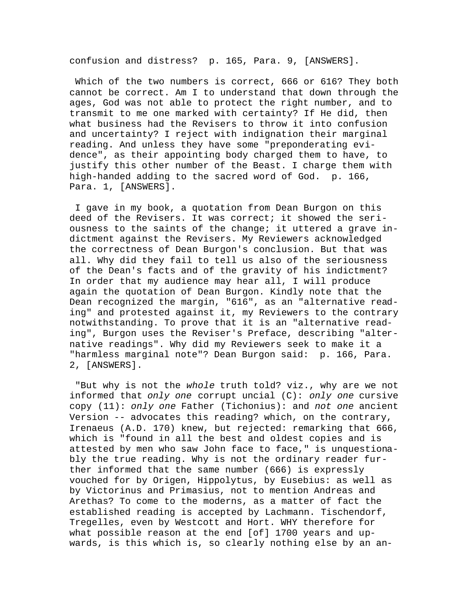confusion and distress? p. 165, Para. 9, [ANSWERS].

 Which of the two numbers is correct, 666 or 616? They both cannot be correct. Am I to understand that down through the ages, God was not able to protect the right number, and to transmit to me one marked with certainty? If He did, then what business had the Revisers to throw it into confusion and uncertainty? I reject with indignation their marginal reading. And unless they have some "preponderating evidence", as their appointing body charged them to have, to justify this other number of the Beast. I charge them with high-handed adding to the sacred word of God. p. 166, Para. 1, [ANSWERS].

 I gave in my book, a quotation from Dean Burgon on this deed of the Revisers. It was correct; it showed the seriousness to the saints of the change; it uttered a grave indictment against the Revisers. My Reviewers acknowledged the correctness of Dean Burgon's conclusion. But that was all. Why did they fail to tell us also of the seriousness of the Dean's facts and of the gravity of his indictment? In order that my audience may hear all, I will produce again the quotation of Dean Burgon. Kindly note that the Dean recognized the margin, "616", as an "alternative reading" and protested against it, my Reviewers to the contrary notwithstanding. To prove that it is an "alternative reading", Burgon uses the Reviser's Preface, describing "alternative readings". Why did my Reviewers seek to make it a "harmless marginal note"? Dean Burgon said: p. 166, Para. 2, [ANSWERS].

 "But why is not the *whole* truth told? viz., why are we not informed that *only one* corrupt uncial (C): *only one* cursive copy (11): *only one* Father (Tichonius): and *not one* ancient Version -- advocates this reading? which, on the contrary, Irenaeus (A.D. 170) knew, but rejected: remarking that 666, which is "found in all the best and oldest copies and is attested by men who saw John face to face," is unquestionably the true reading. Why is not the ordinary reader further informed that the same number (666) is expressly vouched for by Origen, Hippolytus, by Eusebius: as well as by Victorinus and Primasius, not to mention Andreas and Arethas? To come to the moderns, as a matter of fact the established reading is accepted by Lachmann. Tischendorf, Tregelles, even by Westcott and Hort. WHY therefore for what possible reason at the end [of] 1700 years and upwards, is this which is, so clearly nothing else by an an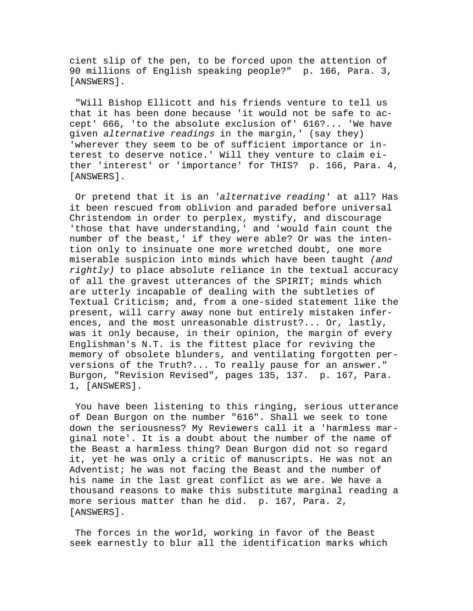cient slip of the pen, to be forced upon the attention of 90 millions of English speaking people?" p. 166, Para. 3, [ANSWERS].

 "Will Bishop Ellicott and his friends venture to tell us that it has been done because 'it would not be safe to accept' 666, 'to the absolute exclusion of' 616?... 'We have given *alternative readings* in the margin,' (say they) 'wherever they seem to be of sufficient importance or interest to deserve notice.' Will they venture to claim either 'interest' or 'importance' for THIS? p. 166, Para. 4, [ANSWERS].

 Or pretend that it is an *'alternative reading'* at all? Has it been rescued from oblivion and paraded before universal Christendom in order to perplex, mystify, and discourage 'those that have understanding,' and 'would fain count the number of the beast,' if they were able? Or was the intention only to insinuate one more wretched doubt, one more miserable suspicion into minds which have been taught *(and rightly)* to place absolute reliance in the textual accuracy of all the gravest utterances of the SPIRIT; minds which are utterly incapable of dealing with the subtleties of Textual Criticism; and, from a one-sided statement like the present, will carry away none but entirely mistaken inferences, and the most unreasonable distrust?... Or, lastly, was it only because, in their opinion, the margin of every Englishman's N.T. is the fittest place for reviving the memory of obsolete blunders, and ventilating forgotten perversions of the Truth?... To really pause for an answer." Burgon, "Revision Revised", pages 135, 137. p. 167, Para. 1, [ANSWERS].

 You have been listening to this ringing, serious utterance of Dean Burgon on the number "616". Shall we seek to tone down the seriousness? My Reviewers call it a 'harmless marginal note'. It is a doubt about the number of the name of the Beast a harmless thing? Dean Burgon did not so regard it, yet he was only a critic of manuscripts. He was not an Adventist; he was not facing the Beast and the number of his name in the last great conflict as we are. We have a thousand reasons to make this substitute marginal reading a more serious matter than he did. p. 167, Para. 2, [ANSWERS].

 The forces in the world, working in favor of the Beast seek earnestly to blur all the identification marks which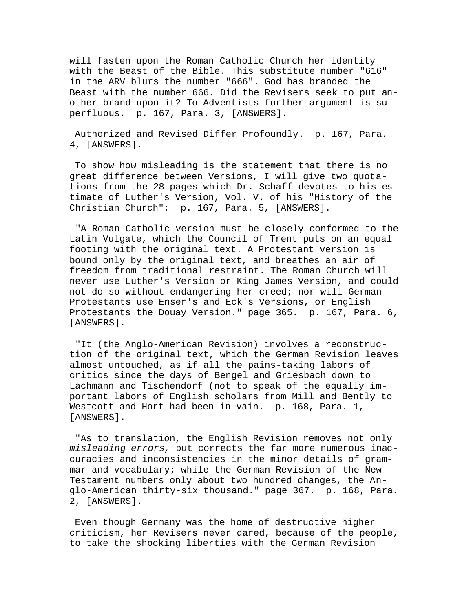will fasten upon the Roman Catholic Church her identity with the Beast of the Bible. This substitute number "616" in the ARV blurs the number "666". God has branded the Beast with the number 666. Did the Revisers seek to put another brand upon it? To Adventists further argument is superfluous. p. 167, Para. 3, [ANSWERS].

 Authorized and Revised Differ Profoundly. p. 167, Para. 4, [ANSWERS].

 To show how misleading is the statement that there is no great difference between Versions, I will give two quotations from the 28 pages which Dr. Schaff devotes to his estimate of Luther's Version, Vol. V. of his "History of the Christian Church": p. 167, Para. 5, [ANSWERS].

 "A Roman Catholic version must be closely conformed to the Latin Vulgate, which the Council of Trent puts on an equal footing with the original text. A Protestant version is bound only by the original text, and breathes an air of freedom from traditional restraint. The Roman Church will never use Luther's Version or King James Version, and could not do so without endangering her creed; nor will German Protestants use Enser's and Eck's Versions, or English Protestants the Douay Version." page 365. p. 167, Para. 6, [ANSWERS].

 "It (the Anglo-American Revision) involves a reconstruction of the original text, which the German Revision leaves almost untouched, as if all the pains-taking labors of critics since the days of Bengel and Griesbach down to Lachmann and Tischendorf (not to speak of the equally important labors of English scholars from Mill and Bently to Westcott and Hort had been in vain. p. 168, Para. 1, [ANSWERS].

 "As to translation, the English Revision removes not only *misleading errors,* but corrects the far more numerous inaccuracies and inconsistencies in the minor details of grammar and vocabulary; while the German Revision of the New Testament numbers only about two hundred changes, the Anglo-American thirty-six thousand." page 367. p. 168, Para. 2, [ANSWERS].

 Even though Germany was the home of destructive higher criticism, her Revisers never dared, because of the people, to take the shocking liberties with the German Revision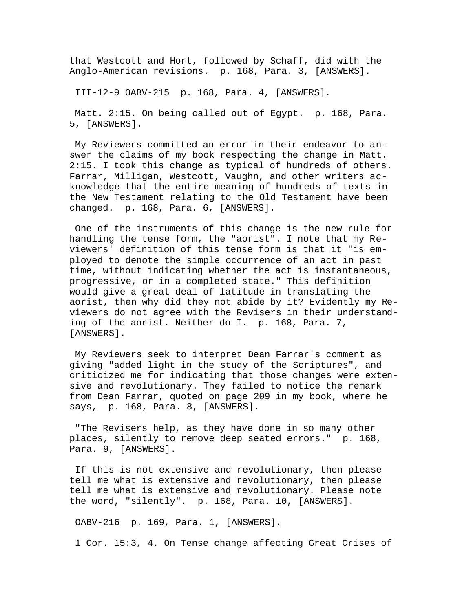that Westcott and Hort, followed by Schaff, did with the Anglo-American revisions. p. 168, Para. 3, [ANSWERS].

III-12-9 OABV-215 p. 168, Para. 4, [ANSWERS].

 Matt. 2:15. On being called out of Egypt. p. 168, Para. 5, [ANSWERS].

 My Reviewers committed an error in their endeavor to answer the claims of my book respecting the change in Matt. 2:15. I took this change as typical of hundreds of others. Farrar, Milligan, Westcott, Vaughn, and other writers acknowledge that the entire meaning of hundreds of texts in the New Testament relating to the Old Testament have been changed. p. 168, Para. 6, [ANSWERS].

 One of the instruments of this change is the new rule for handling the tense form, the "aorist". I note that my Reviewers' definition of this tense form is that it "is employed to denote the simple occurrence of an act in past time, without indicating whether the act is instantaneous, progressive, or in a completed state." This definition would give a great deal of latitude in translating the aorist, then why did they not abide by it? Evidently my Reviewers do not agree with the Revisers in their understanding of the aorist. Neither do I. p. 168, Para. 7, [ANSWERS].

 My Reviewers seek to interpret Dean Farrar's comment as giving "added light in the study of the Scriptures", and criticized me for indicating that those changes were extensive and revolutionary. They failed to notice the remark from Dean Farrar, quoted on page 209 in my book, where he says, p. 168, Para. 8, [ANSWERS].

 "The Revisers help, as they have done in so many other places, silently to remove deep seated errors." p. 168, Para. 9, [ANSWERS].

 If this is not extensive and revolutionary, then please tell me what is extensive and revolutionary, then please tell me what is extensive and revolutionary. Please note the word, "silently". p. 168, Para. 10, [ANSWERS].

OABV-216 p. 169, Para. 1, [ANSWERS].

1 Cor. 15:3, 4. On Tense change affecting Great Crises of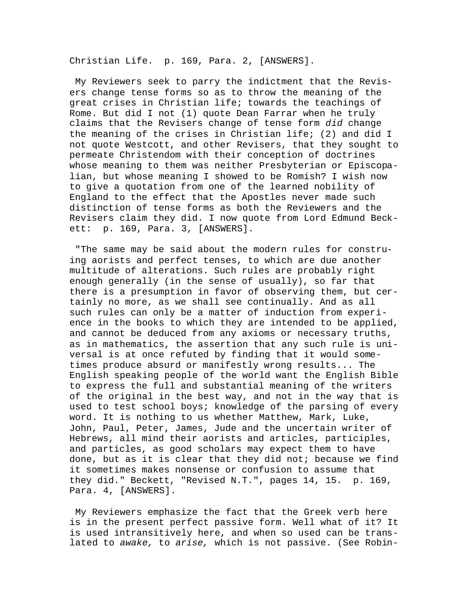Christian Life. p. 169, Para. 2, [ANSWERS].

 My Reviewers seek to parry the indictment that the Revisers change tense forms so as to throw the meaning of the great crises in Christian life; towards the teachings of Rome. But did I not (1) quote Dean Farrar when he truly claims that the Revisers change of tense form *did* change the meaning of the crises in Christian life; (2) and did I not quote Westcott, and other Revisers, that they sought to permeate Christendom with their conception of doctrines whose meaning to them was neither Presbyterian or Episcopalian, but whose meaning I showed to be Romish? I wish now to give a quotation from one of the learned nobility of England to the effect that the Apostles never made such distinction of tense forms as both the Reviewers and the Revisers claim they did. I now quote from Lord Edmund Beckett: p. 169, Para. 3, [ANSWERS].

 "The same may be said about the modern rules for construing aorists and perfect tenses, to which are due another multitude of alterations. Such rules are probably right enough generally (in the sense of usually), so far that there is a presumption in favor of observing them, but certainly no more, as we shall see continually. And as all such rules can only be a matter of induction from experience in the books to which they are intended to be applied, and cannot be deduced from any axioms or necessary truths, as in mathematics, the assertion that any such rule is universal is at once refuted by finding that it would sometimes produce absurd or manifestly wrong results... The English speaking people of the world want the English Bible to express the full and substantial meaning of the writers of the original in the best way, and not in the way that is used to test school boys; knowledge of the parsing of every word. It is nothing to us whether Matthew, Mark, Luke, John, Paul, Peter, James, Jude and the uncertain writer of Hebrews, all mind their aorists and articles, participles, and particles, as good scholars may expect them to have done, but as it is clear that they did not; because we find it sometimes makes nonsense or confusion to assume that they did." Beckett, "Revised N.T.", pages 14, 15. p. 169, Para. 4, [ANSWERS].

 My Reviewers emphasize the fact that the Greek verb here is in the present perfect passive form. Well what of it? It is used intransitively here, and when so used can be translated to *awake,* to *arise,* which is not passive. (See Robin-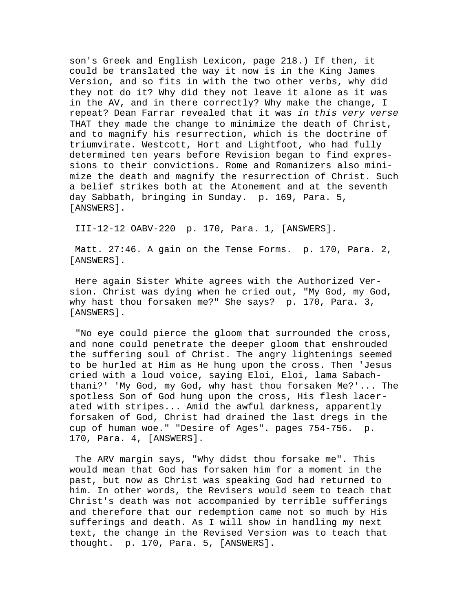son's Greek and English Lexicon, page 218.) If then, it could be translated the way it now is in the King James Version, and so fits in with the two other verbs, why did they not do it? Why did they not leave it alone as it was in the AV, and in there correctly? Why make the change, I repeat? Dean Farrar revealed that it was *in this very verse* THAT they made the change to minimize the death of Christ, and to magnify his resurrection, which is the doctrine of triumvirate. Westcott, Hort and Lightfoot, who had fully determined ten years before Revision began to find expressions to their convictions. Rome and Romanizers also minimize the death and magnify the resurrection of Christ. Such a belief strikes both at the Atonement and at the seventh day Sabbath, bringing in Sunday. p. 169, Para. 5, [ANSWERS].

III-12-12 OABV-220 p. 170, Para. 1, [ANSWERS].

 Matt. 27:46. A gain on the Tense Forms. p. 170, Para. 2, [ANSWERS].

 Here again Sister White agrees with the Authorized Version. Christ was dying when he cried out, "My God, my God, why hast thou forsaken me?" She says? p. 170, Para. 3, [ANSWERS].

 "No eye could pierce the gloom that surrounded the cross, and none could penetrate the deeper gloom that enshrouded the suffering soul of Christ. The angry lightenings seemed to be hurled at Him as He hung upon the cross. Then 'Jesus cried with a loud voice, saying Eloi, Eloi, lama Sabachthani?' 'My God, my God, why hast thou forsaken Me?'... The spotless Son of God hung upon the cross, His flesh lacerated with stripes... Amid the awful darkness, apparently forsaken of God, Christ had drained the last dregs in the cup of human woe." "Desire of Ages". pages 754-756. p. 170, Para. 4, [ANSWERS].

 The ARV margin says, "Why didst thou forsake me". This would mean that God has forsaken him for a moment in the past, but now as Christ was speaking God had returned to him. In other words, the Revisers would seem to teach that Christ's death was not accompanied by terrible sufferings and therefore that our redemption came not so much by His sufferings and death. As I will show in handling my next text, the change in the Revised Version was to teach that thought. p. 170, Para. 5, [ANSWERS].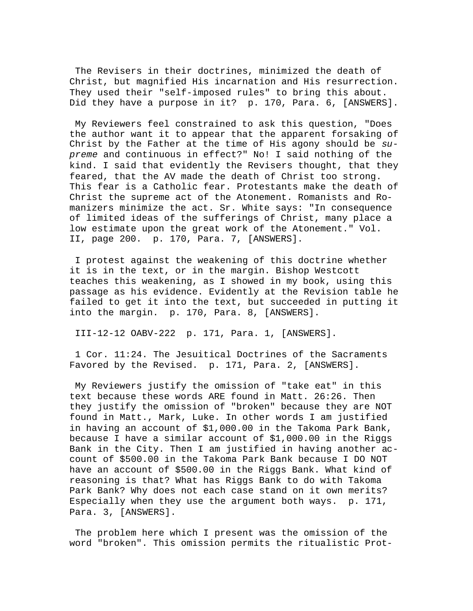The Revisers in their doctrines, minimized the death of Christ, but magnified His incarnation and His resurrection. They used their "self-imposed rules" to bring this about. Did they have a purpose in it? p. 170, Para. 6, [ANSWERS].

 My Reviewers feel constrained to ask this question, "Does the author want it to appear that the apparent forsaking of Christ by the Father at the time of His agony should be *supreme* and continuous in effect?" No! I said nothing of the kind. I said that evidently the Revisers thought, that they feared, that the AV made the death of Christ too strong. This fear is a Catholic fear. Protestants make the death of Christ the supreme act of the Atonement. Romanists and Romanizers minimize the act. Sr. White says: "In consequence of limited ideas of the sufferings of Christ, many place a low estimate upon the great work of the Atonement." Vol. II, page 200. p. 170, Para. 7, [ANSWERS].

 I protest against the weakening of this doctrine whether it is in the text, or in the margin. Bishop Westcott teaches this weakening, as I showed in my book, using this passage as his evidence. Evidently at the Revision table he failed to get it into the text, but succeeded in putting it into the margin. p. 170, Para. 8, [ANSWERS].

III-12-12 OABV-222 p. 171, Para. 1, [ANSWERS].

 1 Cor. 11:24. The Jesuitical Doctrines of the Sacraments Favored by the Revised. p. 171, Para. 2, [ANSWERS].

 My Reviewers justify the omission of "take eat" in this text because these words ARE found in Matt. 26:26. Then they justify the omission of "broken" because they are NOT found in Matt., Mark, Luke. In other words I am justified in having an account of \$1,000.00 in the Takoma Park Bank, because I have a similar account of \$1,000.00 in the Riggs Bank in the City. Then I am justified in having another account of \$500.00 in the Takoma Park Bank because I DO NOT have an account of \$500.00 in the Riggs Bank. What kind of reasoning is that? What has Riggs Bank to do with Takoma Park Bank? Why does not each case stand on it own merits? Especially when they use the argument both ways. p. 171, Para. 3, [ANSWERS].

 The problem here which I present was the omission of the word "broken". This omission permits the ritualistic Prot-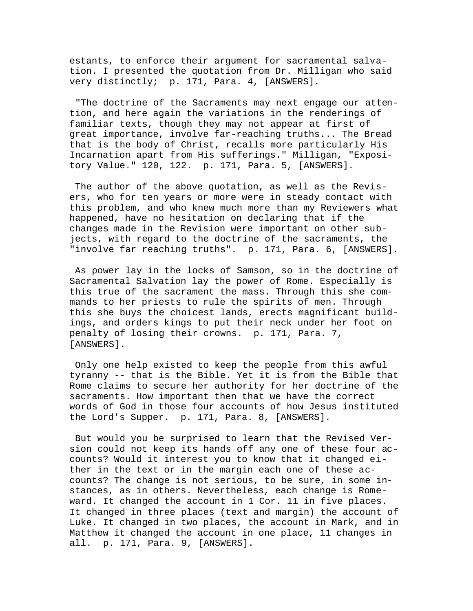estants, to enforce their argument for sacramental salvation. I presented the quotation from Dr. Milligan who said very distinctly; p. 171, Para. 4, [ANSWERS].

 "The doctrine of the Sacraments may next engage our attention, and here again the variations in the renderings of familiar texts, though they may not appear at first of great importance, involve far-reaching truths... The Bread that is the body of Christ, recalls more particularly His Incarnation apart from His sufferings." Milligan, "Expository Value." 120, 122. p. 171, Para. 5, [ANSWERS].

 The author of the above quotation, as well as the Revisers, who for ten years or more were in steady contact with this problem, and who knew much more than my Reviewers what happened, have no hesitation on declaring that if the changes made in the Revision were important on other subjects, with regard to the doctrine of the sacraments, the "involve far reaching truths". p. 171, Para. 6, [ANSWERS].

 As power lay in the locks of Samson, so in the doctrine of Sacramental Salvation lay the power of Rome. Especially is this true of the sacrament the mass. Through this she commands to her priests to rule the spirits of men. Through this she buys the choicest lands, erects magnificant buildings, and orders kings to put their neck under her foot on penalty of losing their crowns. p. 171, Para. 7, [ANSWERS].

 Only one help existed to keep the people from this awful tyranny -- that is the Bible. Yet it is from the Bible that Rome claims to secure her authority for her doctrine of the sacraments. How important then that we have the correct words of God in those four accounts of how Jesus instituted the Lord's Supper. p. 171, Para. 8, [ANSWERS].

 But would you be surprised to learn that the Revised Version could not keep its hands off any one of these four accounts? Would it interest you to know that it changed either in the text or in the margin each one of these accounts? The change is not serious, to be sure, in some instances, as in others. Nevertheless, each change is Romeward. It changed the account in 1 Cor. 11 in five places. It changed in three places (text and margin) the account of Luke. It changed in two places, the account in Mark, and in Matthew it changed the account in one place, 11 changes in all. p. 171, Para. 9, [ANSWERS].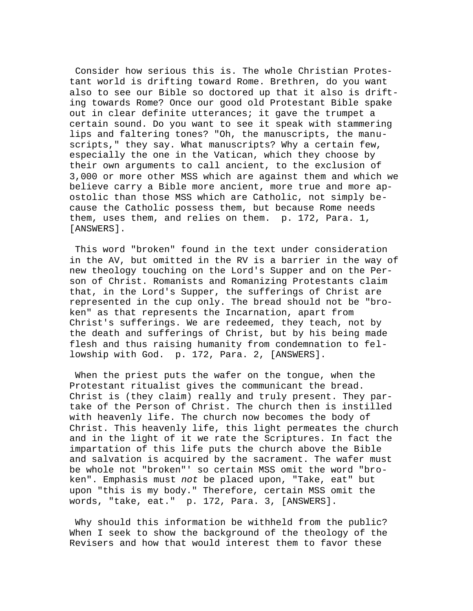Consider how serious this is. The whole Christian Protestant world is drifting toward Rome. Brethren, do you want also to see our Bible so doctored up that it also is drifting towards Rome? Once our good old Protestant Bible spake out in clear definite utterances; it gave the trumpet a certain sound. Do you want to see it speak with stammering lips and faltering tones? "Oh, the manuscripts, the manuscripts," they say. What manuscripts? Why a certain few, especially the one in the Vatican, which they choose by their own arguments to call ancient, to the exclusion of 3,000 or more other MSS which are against them and which we believe carry a Bible more ancient, more true and more apostolic than those MSS which are Catholic, not simply because the Catholic possess them, but because Rome needs them, uses them, and relies on them. p. 172, Para. 1, [ANSWERS].

 This word "broken" found in the text under consideration in the AV, but omitted in the RV is a barrier in the way of new theology touching on the Lord's Supper and on the Person of Christ. Romanists and Romanizing Protestants claim that, in the Lord's Supper, the sufferings of Christ are represented in the cup only. The bread should not be "broken" as that represents the Incarnation, apart from Christ's sufferings. We are redeemed, they teach, not by the death and sufferings of Christ, but by his being made flesh and thus raising humanity from condemnation to fellowship with God. p. 172, Para. 2, [ANSWERS].

 When the priest puts the wafer on the tongue, when the Protestant ritualist gives the communicant the bread. Christ is (they claim) really and truly present. They partake of the Person of Christ. The church then is instilled with heavenly life. The church now becomes the body of Christ. This heavenly life, this light permeates the church and in the light of it we rate the Scriptures. In fact the impartation of this life puts the church above the Bible and salvation is acquired by the sacrament. The wafer must be whole not "broken"' so certain MSS omit the word "broken". Emphasis must *not* be placed upon, "Take, eat" but upon "this is my body." Therefore, certain MSS omit the words, "take, eat." p. 172, Para. 3, [ANSWERS].

 Why should this information be withheld from the public? When I seek to show the background of the theology of the Revisers and how that would interest them to favor these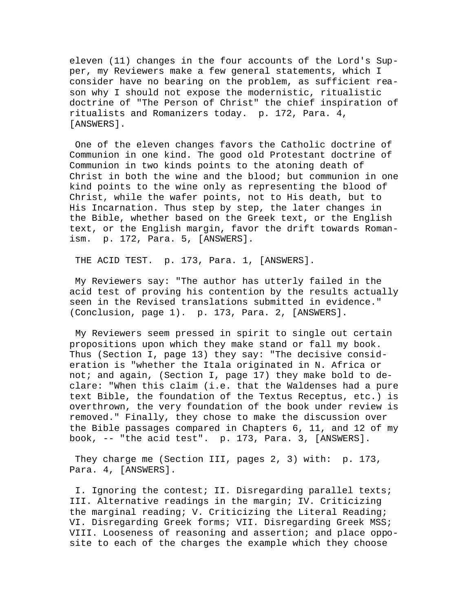eleven (11) changes in the four accounts of the Lord's Supper, my Reviewers make a few general statements, which I consider have no bearing on the problem, as sufficient reason why I should not expose the modernistic, ritualistic doctrine of "The Person of Christ" the chief inspiration of ritualists and Romanizers today. p. 172, Para. 4, [ANSWERS].

 One of the eleven changes favors the Catholic doctrine of Communion in one kind. The good old Protestant doctrine of Communion in two kinds points to the atoning death of Christ in both the wine and the blood; but communion in one kind points to the wine only as representing the blood of Christ, while the wafer points, not to His death, but to His Incarnation. Thus step by step, the later changes in the Bible, whether based on the Greek text, or the English text, or the English margin, favor the drift towards Romanism. p. 172, Para. 5, [ANSWERS].

THE ACID TEST. p. 173, Para. 1, [ANSWERS].

 My Reviewers say: "The author has utterly failed in the acid test of proving his contention by the results actually seen in the Revised translations submitted in evidence." (Conclusion, page 1). p. 173, Para. 2, [ANSWERS].

 My Reviewers seem pressed in spirit to single out certain propositions upon which they make stand or fall my book. Thus (Section I, page 13) they say: "The decisive consideration is "whether the Itala originated in N. Africa or not; and again, (Section I, page 17) they make bold to declare: "When this claim (i.e. that the Waldenses had a pure text Bible, the foundation of the Textus Receptus, etc.) is overthrown, the very foundation of the book under review is removed." Finally, they chose to make the discussion over the Bible passages compared in Chapters 6, 11, and 12 of my book, -- "the acid test". p. 173, Para. 3, [ANSWERS].

 They charge me (Section III, pages 2, 3) with: p. 173, Para. 4, [ANSWERS].

 I. Ignoring the contest; II. Disregarding parallel texts; III. Alternative readings in the margin; IV. Criticizing the marginal reading; V. Criticizing the Literal Reading; VI. Disregarding Greek forms; VII. Disregarding Greek MSS; VIII. Looseness of reasoning and assertion; and place opposite to each of the charges the example which they choose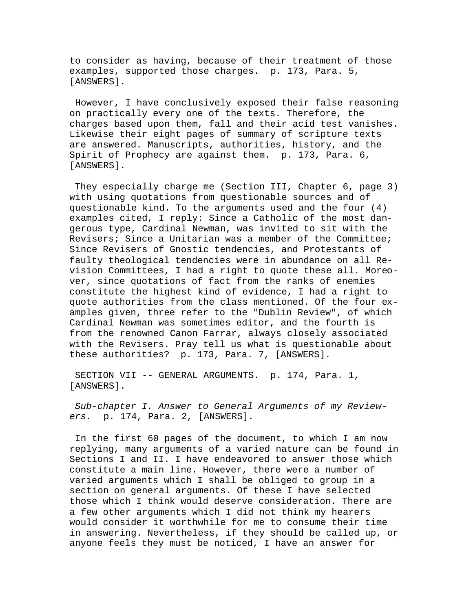to consider as having, because of their treatment of those examples, supported those charges. p. 173, Para. 5, [ANSWERS].

 However, I have conclusively exposed their false reasoning on practically every one of the texts. Therefore, the charges based upon them, fall and their acid test vanishes. Likewise their eight pages of summary of scripture texts are answered. Manuscripts, authorities, history, and the Spirit of Prophecy are against them. p. 173, Para. 6, [ANSWERS].

 They especially charge me (Section III, Chapter 6, page 3) with using quotations from questionable sources and of questionable kind. To the arguments used and the four (4) examples cited, I reply: Since a Catholic of the most dangerous type, Cardinal Newman, was invited to sit with the Revisers; Since a Unitarian was a member of the Committee; Since Revisers of Gnostic tendencies, and Protestants of faulty theological tendencies were in abundance on all Revision Committees, I had a right to quote these all. Moreover, since quotations of fact from the ranks of enemies constitute the highest kind of evidence, I had a right to quote authorities from the class mentioned. Of the four examples given, three refer to the "Dublin Review", of which Cardinal Newman was sometimes editor, and the fourth is from the renowned Canon Farrar, always closely associated with the Revisers. Pray tell us what is questionable about these authorities? p. 173, Para. 7, [ANSWERS].

 SECTION VII -- GENERAL ARGUMENTS. p. 174, Para. 1, [ANSWERS].

 *Sub-chapter I. Answer to General Arguments of my Reviewers.* p. 174, Para. 2, [ANSWERS].

 In the first 60 pages of the document, to which I am now replying, many arguments of a varied nature can be found in Sections I and II. I have endeavored to answer those which constitute a main line. However, there were a number of varied arguments which I shall be obliged to group in a section on general arguments. Of these I have selected those which I think would deserve consideration. There are a few other arguments which I did not think my hearers would consider it worthwhile for me to consume their time in answering. Nevertheless, if they should be called up, or anyone feels they must be noticed, I have an answer for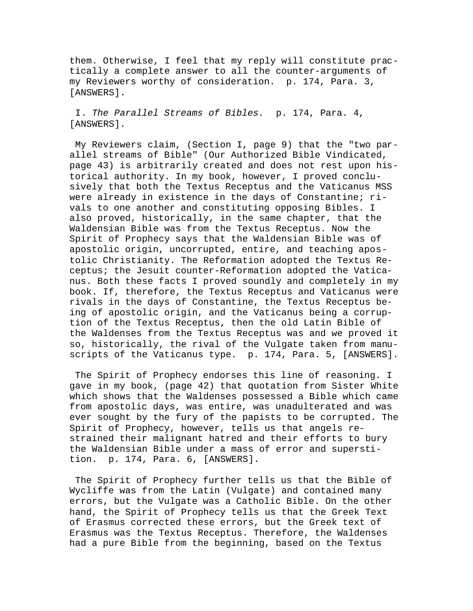them. Otherwise, I feel that my reply will constitute practically a complete answer to all the counter-arguments of my Reviewers worthy of consideration. p. 174, Para. 3, [ANSWERS].

 I. *The Parallel Streams of Bibles.* p. 174, Para. 4, [ANSWERS].

 My Reviewers claim, (Section I, page 9) that the "two parallel streams of Bible" (Our Authorized Bible Vindicated, page 43) is arbitrarily created and does not rest upon historical authority. In my book, however, I proved conclusively that both the Textus Receptus and the Vaticanus MSS were already in existence in the days of Constantine; rivals to one another and constituting opposing Bibles. I also proved, historically, in the same chapter, that the Waldensian Bible was from the Textus Receptus. Now the Spirit of Prophecy says that the Waldensian Bible was of apostolic origin, uncorrupted, entire, and teaching apostolic Christianity. The Reformation adopted the Textus Receptus; the Jesuit counter-Reformation adopted the Vaticanus. Both these facts I proved soundly and completely in my book. If, therefore, the Textus Receptus and Vaticanus were rivals in the days of Constantine, the Textus Receptus being of apostolic origin, and the Vaticanus being a corruption of the Textus Receptus, then the old Latin Bible of the Waldenses from the Textus Receptus was and we proved it so, historically, the rival of the Vulgate taken from manuscripts of the Vaticanus type. p. 174, Para. 5, [ANSWERS].

 The Spirit of Prophecy endorses this line of reasoning. I gave in my book, (page 42) that quotation from Sister White which shows that the Waldenses possessed a Bible which came from apostolic days, was entire, was unadulterated and was ever sought by the fury of the papists to be corrupted. The Spirit of Prophecy, however, tells us that angels restrained their malignant hatred and their efforts to bury the Waldensian Bible under a mass of error and superstition. p. 174, Para. 6, [ANSWERS].

 The Spirit of Prophecy further tells us that the Bible of Wycliffe was from the Latin (Vulgate) and contained many errors, but the Vulgate was a Catholic Bible. On the other hand, the Spirit of Prophecy tells us that the Greek Text of Erasmus corrected these errors, but the Greek text of Erasmus was the Textus Receptus. Therefore, the Waldenses had a pure Bible from the beginning, based on the Textus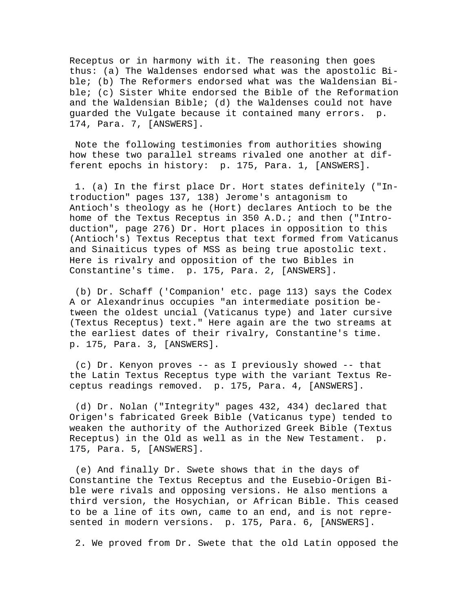Receptus or in harmony with it. The reasoning then goes thus: (a) The Waldenses endorsed what was the apostolic Bible; (b) The Reformers endorsed what was the Waldensian Bible; (c) Sister White endorsed the Bible of the Reformation and the Waldensian Bible; (d) the Waldenses could not have guarded the Vulgate because it contained many errors. p. 174, Para. 7, [ANSWERS].

 Note the following testimonies from authorities showing how these two parallel streams rivaled one another at different epochs in history: p. 175, Para. 1, [ANSWERS].

 1. (a) In the first place Dr. Hort states definitely ("Introduction" pages 137, 138) Jerome's antagonism to Antioch's theology as he (Hort) declares Antioch to be the home of the Textus Receptus in 350 A.D.; and then ("Introduction", page 276) Dr. Hort places in opposition to this (Antioch's) Textus Receptus that text formed from Vaticanus and Sinaiticus types of MSS as being true apostolic text. Here is rivalry and opposition of the two Bibles in Constantine's time. p. 175, Para. 2, [ANSWERS].

 (b) Dr. Schaff ('Companion' etc. page 113) says the Codex A or Alexandrinus occupies "an intermediate position between the oldest uncial (Vaticanus type) and later cursive (Textus Receptus) text." Here again are the two streams at the earliest dates of their rivalry, Constantine's time. p. 175, Para. 3, [ANSWERS].

 (c) Dr. Kenyon proves -- as I previously showed -- that the Latin Textus Receptus type with the variant Textus Receptus readings removed. p. 175, Para. 4, [ANSWERS].

 (d) Dr. Nolan ("Integrity" pages 432, 434) declared that Origen's fabricated Greek Bible (Vaticanus type) tended to weaken the authority of the Authorized Greek Bible (Textus Receptus) in the Old as well as in the New Testament. p. 175, Para. 5, [ANSWERS].

 (e) And finally Dr. Swete shows that in the days of Constantine the Textus Receptus and the Eusebio-Origen Bible were rivals and opposing versions. He also mentions a third version, the Hosychian, or African Bible. This ceased to be a line of its own, came to an end, and is not represented in modern versions. p. 175, Para. 6, [ANSWERS].

2. We proved from Dr. Swete that the old Latin opposed the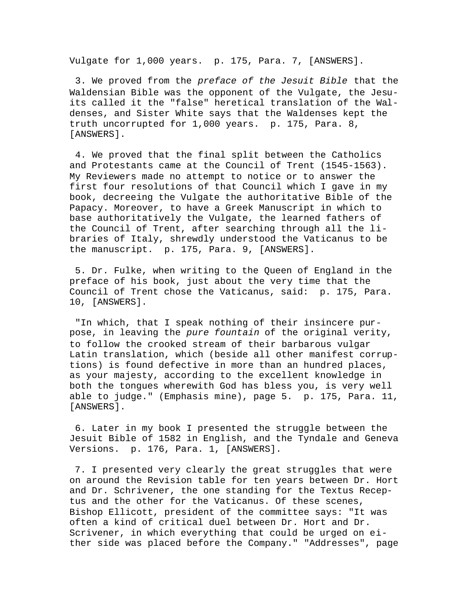Vulgate for 1,000 years. p. 175, Para. 7, [ANSWERS].

 3. We proved from the *preface of the Jesuit Bible* that the Waldensian Bible was the opponent of the Vulgate, the Jesuits called it the "false" heretical translation of the Waldenses, and Sister White says that the Waldenses kept the truth uncorrupted for 1,000 years. p. 175, Para. 8, [ANSWERS].

 4. We proved that the final split between the Catholics and Protestants came at the Council of Trent (1545-1563). My Reviewers made no attempt to notice or to answer the first four resolutions of that Council which I gave in my book, decreeing the Vulgate the authoritative Bible of the Papacy. Moreover, to have a Greek Manuscript in which to base authoritatively the Vulgate, the learned fathers of the Council of Trent, after searching through all the libraries of Italy, shrewdly understood the Vaticanus to be the manuscript. p. 175, Para. 9, [ANSWERS].

 5. Dr. Fulke, when writing to the Queen of England in the preface of his book, just about the very time that the Council of Trent chose the Vaticanus, said: p. 175, Para. 10, [ANSWERS].

 "In which, that I speak nothing of their insincere purpose, in leaving the *pure fountain* of the original verity, to follow the crooked stream of their barbarous vulgar Latin translation, which (beside all other manifest corruptions) is found defective in more than an hundred places, as your majesty, according to the excellent knowledge in both the tongues wherewith God has bless you, is very well able to judge." (Emphasis mine), page 5. p. 175, Para. 11, [ANSWERS].

 6. Later in my book I presented the struggle between the Jesuit Bible of 1582 in English, and the Tyndale and Geneva Versions. p. 176, Para. 1, [ANSWERS].

 7. I presented very clearly the great struggles that were on around the Revision table for ten years between Dr. Hort and Dr. Schrivener, the one standing for the Textus Receptus and the other for the Vaticanus. Of these scenes, Bishop Ellicott, president of the committee says: "It was often a kind of critical duel between Dr. Hort and Dr. Scrivener, in which everything that could be urged on either side was placed before the Company." "Addresses", page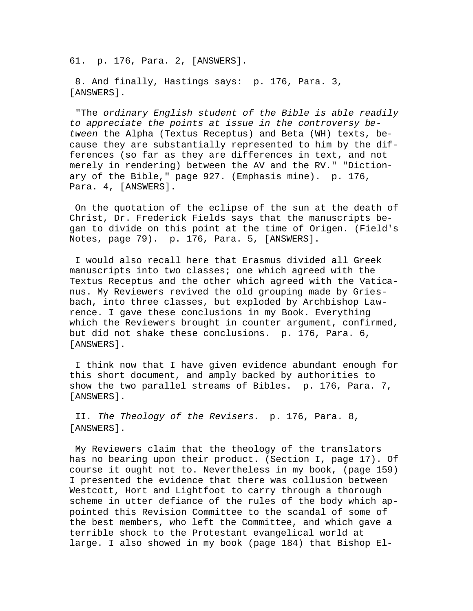61. p. 176, Para. 2, [ANSWERS].

 8. And finally, Hastings says: p. 176, Para. 3, [ANSWERS].

 "The *ordinary English student of the Bible is able readily to appreciate the points at issue in the controversy between* the Alpha (Textus Receptus) and Beta (WH) texts, because they are substantially represented to him by the differences (so far as they are differences in text, and not merely in rendering) between the AV and the RV." "Dictionary of the Bible," page 927. (Emphasis mine). p. 176, Para. 4, [ANSWERS].

 On the quotation of the eclipse of the sun at the death of Christ, Dr. Frederick Fields says that the manuscripts began to divide on this point at the time of Origen. (Field's Notes, page 79). p. 176, Para. 5, [ANSWERS].

 I would also recall here that Erasmus divided all Greek manuscripts into two classes; one which agreed with the Textus Receptus and the other which agreed with the Vaticanus. My Reviewers revived the old grouping made by Griesbach, into three classes, but exploded by Archbishop Lawrence. I gave these conclusions in my Book. Everything which the Reviewers brought in counter argument, confirmed, but did not shake these conclusions. p. 176, Para. 6, [ANSWERS].

 I think now that I have given evidence abundant enough for this short document, and amply backed by authorities to show the two parallel streams of Bibles. p. 176, Para. 7, [ANSWERS].

 II. *The Theology of the Revisers.* p. 176, Para. 8, [ANSWERS].

 My Reviewers claim that the theology of the translators has no bearing upon their product. (Section I, page 17). Of course it ought not to. Nevertheless in my book, (page 159) I presented the evidence that there was collusion between Westcott, Hort and Lightfoot to carry through a thorough scheme in utter defiance of the rules of the body which appointed this Revision Committee to the scandal of some of the best members, who left the Committee, and which gave a terrible shock to the Protestant evangelical world at large. I also showed in my book (page 184) that Bishop El-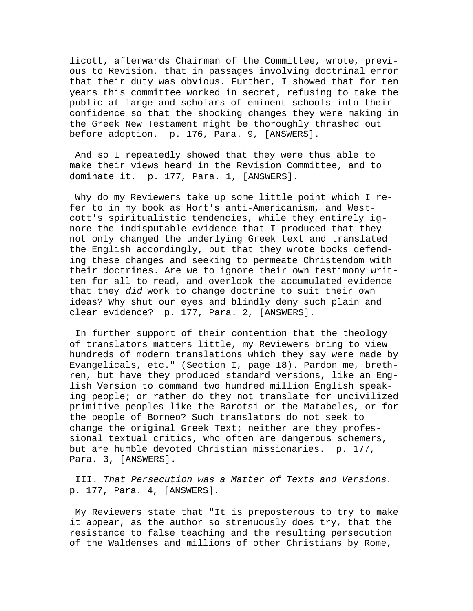licott, afterwards Chairman of the Committee, wrote, previous to Revision, that in passages involving doctrinal error that their duty was obvious. Further, I showed that for ten years this committee worked in secret, refusing to take the public at large and scholars of eminent schools into their confidence so that the shocking changes they were making in the Greek New Testament might be thoroughly thrashed out before adoption. p. 176, Para. 9, [ANSWERS].

 And so I repeatedly showed that they were thus able to make their views heard in the Revision Committee, and to dominate it. p. 177, Para. 1, [ANSWERS].

 Why do my Reviewers take up some little point which I refer to in my book as Hort's anti-Americanism, and Westcott's spiritualistic tendencies, while they entirely ignore the indisputable evidence that I produced that they not only changed the underlying Greek text and translated the English accordingly, but that they wrote books defending these changes and seeking to permeate Christendom with their doctrines. Are we to ignore their own testimony written for all to read, and overlook the accumulated evidence that they *did* work to change doctrine to suit their own ideas? Why shut our eyes and blindly deny such plain and clear evidence? p. 177, Para. 2, [ANSWERS].

 In further support of their contention that the theology of translators matters little, my Reviewers bring to view hundreds of modern translations which they say were made by Evangelicals, etc." (Section I, page 18). Pardon me, brethren, but have they produced standard versions, like an English Version to command two hundred million English speaking people; or rather do they not translate for uncivilized primitive peoples like the Barotsi or the Matabeles, or for the people of Borneo? Such translators do not seek to change the original Greek Text; neither are they professional textual critics, who often are dangerous schemers, but are humble devoted Christian missionaries. p. 177, Para. 3, [ANSWERS].

 III. *That Persecution was a Matter of Texts and Versions.* p. 177, Para. 4, [ANSWERS].

 My Reviewers state that "It is preposterous to try to make it appear, as the author so strenuously does try, that the resistance to false teaching and the resulting persecution of the Waldenses and millions of other Christians by Rome,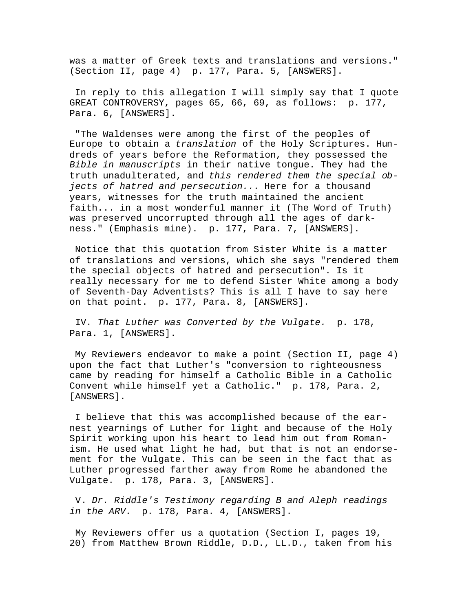was a matter of Greek texts and translations and versions." (Section II, page 4) p. 177, Para. 5, [ANSWERS].

 In reply to this allegation I will simply say that I quote GREAT CONTROVERSY, pages 65, 66, 69, as follows: p. 177, Para. 6, [ANSWERS].

 "The Waldenses were among the first of the peoples of Europe to obtain a *translation* of the Holy Scriptures. Hundreds of years before the Reformation, they possessed the *Bible in manuscripts* in their native tongue. They had the truth unadulterated, and *this rendered them the special objects of hatred and persecution...* Here for a thousand years, witnesses for the truth maintained the ancient faith... in a most wonderful manner it (The Word of Truth) was preserved uncorrupted through all the ages of darkness." (Emphasis mine). p. 177, Para. 7, [ANSWERS].

 Notice that this quotation from Sister White is a matter of translations and versions, which she says "rendered them the special objects of hatred and persecution". Is it really necessary for me to defend Sister White among a body of Seventh-Day Adventists? This is all I have to say here on that point. p. 177, Para. 8, [ANSWERS].

 IV. *That Luther was Converted by the Vulgate.* p. 178, Para. 1, [ANSWERS].

 My Reviewers endeavor to make a point (Section II, page 4) upon the fact that Luther's "conversion to righteousness came by reading for himself a Catholic Bible in a Catholic Convent while himself yet a Catholic." p. 178, Para. 2, [ANSWERS].

 I believe that this was accomplished because of the earnest yearnings of Luther for light and because of the Holy Spirit working upon his heart to lead him out from Romanism. He used what light he had, but that is not an endorsement for the Vulgate. This can be seen in the fact that as Luther progressed farther away from Rome he abandoned the Vulgate. p. 178, Para. 3, [ANSWERS].

 V. *Dr. Riddle's Testimony regarding B and Aleph readings in the ARV.* p. 178, Para. 4, [ANSWERS].

 My Reviewers offer us a quotation (Section I, pages 19, 20) from Matthew Brown Riddle, D.D., LL.D., taken from his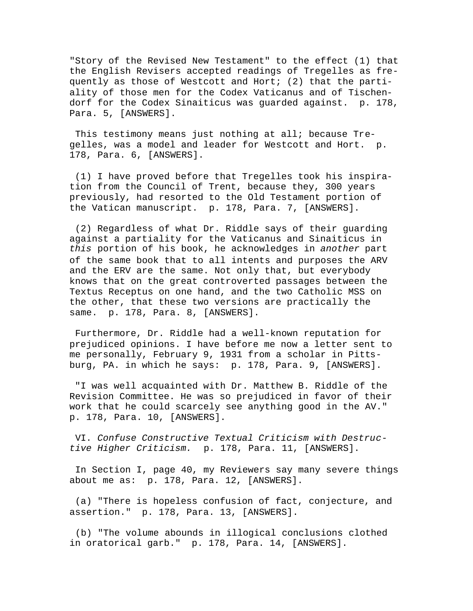"Story of the Revised New Testament" to the effect (1) that the English Revisers accepted readings of Tregelles as frequently as those of Westcott and Hort; (2) that the partiality of those men for the Codex Vaticanus and of Tischendorf for the Codex Sinaiticus was guarded against. p. 178, Para. 5, [ANSWERS].

 This testimony means just nothing at all; because Tregelles, was a model and leader for Westcott and Hort. p. 178, Para. 6, [ANSWERS].

 (1) I have proved before that Tregelles took his inspiration from the Council of Trent, because they, 300 years previously, had resorted to the Old Testament portion of the Vatican manuscript. p. 178, Para. 7, [ANSWERS].

 (2) Regardless of what Dr. Riddle says of their guarding against a partiality for the Vaticanus and Sinaiticus in *this* portion of his book, he acknowledges in *another* part of the same book that to all intents and purposes the ARV and the ERV are the same. Not only that, but everybody knows that on the great controverted passages between the Textus Receptus on one hand, and the two Catholic MSS on the other, that these two versions are practically the same. p. 178, Para. 8, [ANSWERS].

 Furthermore, Dr. Riddle had a well-known reputation for prejudiced opinions. I have before me now a letter sent to me personally, February 9, 1931 from a scholar in Pittsburg, PA. in which he says: p. 178, Para. 9, [ANSWERS].

 "I was well acquainted with Dr. Matthew B. Riddle of the Revision Committee. He was so prejudiced in favor of their work that he could scarcely see anything good in the AV." p. 178, Para. 10, [ANSWERS].

 VI. *Confuse Constructive Textual Criticism with Destructive Higher Criticism.* p. 178, Para. 11, [ANSWERS].

 In Section I, page 40, my Reviewers say many severe things about me as: p. 178, Para. 12, [ANSWERS].

 (a) "There is hopeless confusion of fact, conjecture, and assertion." p. 178, Para. 13, [ANSWERS].

 (b) "The volume abounds in illogical conclusions clothed in oratorical garb." p. 178, Para. 14, [ANSWERS].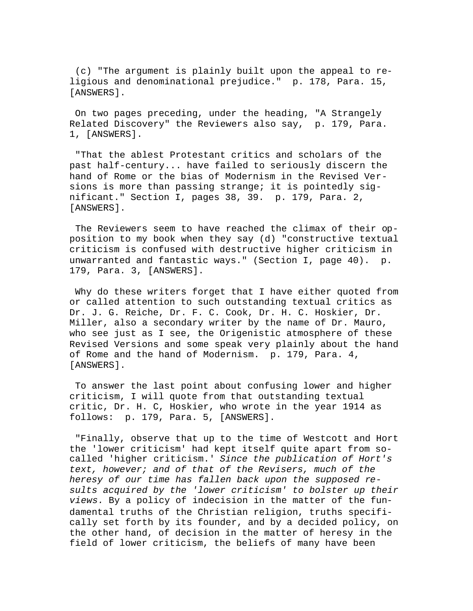(c) "The argument is plainly built upon the appeal to religious and denominational prejudice." p. 178, Para. 15, [ANSWERS].

 On two pages preceding, under the heading, "A Strangely Related Discovery" the Reviewers also say, p. 179, Para. 1, [ANSWERS].

 "That the ablest Protestant critics and scholars of the past half-century... have failed to seriously discern the hand of Rome or the bias of Modernism in the Revised Versions is more than passing strange; it is pointedly significant." Section I, pages 38, 39. p. 179, Para. 2, [ANSWERS].

 The Reviewers seem to have reached the climax of their opposition to my book when they say (d) "constructive textual criticism is confused with destructive higher criticism in unwarranted and fantastic ways." (Section I, page 40). p. 179, Para. 3, [ANSWERS].

 Why do these writers forget that I have either quoted from or called attention to such outstanding textual critics as Dr. J. G. Reiche, Dr. F. C. Cook, Dr. H. C. Hoskier, Dr. Miller, also a secondary writer by the name of Dr. Mauro, who see just as I see, the Origenistic atmosphere of these Revised Versions and some speak very plainly about the hand of Rome and the hand of Modernism. p. 179, Para. 4, [ANSWERS].

 To answer the last point about confusing lower and higher criticism, I will quote from that outstanding textual critic, Dr. H. C, Hoskier, who wrote in the year 1914 as follows: p. 179, Para. 5, [ANSWERS].

 "Finally, observe that up to the time of Westcott and Hort the 'lower criticism' had kept itself quite apart from socalled 'higher criticism.' *Since the publication of Hort's text, however; and of that of the Revisers, much of the heresy of our time has fallen back upon the supposed results acquired by the 'lower criticism' to bolster up their views.* By a policy of indecision in the matter of the fundamental truths of the Christian religion, truths specifically set forth by its founder, and by a decided policy, on the other hand, of decision in the matter of heresy in the field of lower criticism, the beliefs of many have been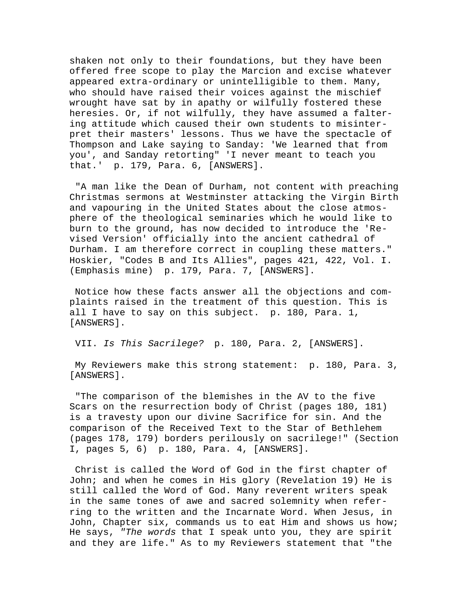shaken not only to their foundations, but they have been offered free scope to play the Marcion and excise whatever appeared extra-ordinary or unintelligible to them. Many, who should have raised their voices against the mischief wrought have sat by in apathy or wilfully fostered these heresies. Or, if not wilfully, they have assumed a faltering attitude which caused their own students to misinterpret their masters' lessons. Thus we have the spectacle of Thompson and Lake saying to Sanday: 'We learned that from you', and Sanday retorting" 'I never meant to teach you that.' p. 179, Para. 6, [ANSWERS].

 "A man like the Dean of Durham, not content with preaching Christmas sermons at Westminster attacking the Virgin Birth and vapouring in the United States about the close atmosphere of the theological seminaries which he would like to burn to the ground, has now decided to introduce the 'Revised Version' officially into the ancient cathedral of Durham. I am therefore correct in coupling these matters." Hoskier, "Codes B and Its Allies", pages 421, 422, Vol. I. (Emphasis mine) p. 179, Para. 7, [ANSWERS].

 Notice how these facts answer all the objections and complaints raised in the treatment of this question. This is all I have to say on this subject. p. 180, Para. 1, [ANSWERS].

VII. *Is This Sacrilege?* p. 180, Para. 2, [ANSWERS].

 My Reviewers make this strong statement: p. 180, Para. 3, [ANSWERS].

 "The comparison of the blemishes in the AV to the five Scars on the resurrection body of Christ (pages 180, 181) is a travesty upon our divine Sacrifice for sin. And the comparison of the Received Text to the Star of Bethlehem (pages 178, 179) borders perilously on sacrilege!" (Section I, pages 5, 6) p. 180, Para. 4, [ANSWERS].

 Christ is called the Word of God in the first chapter of John; and when he comes in His glory (Revelation 19) He is still called the Word of God. Many reverent writers speak in the same tones of awe and sacred solemnity when referring to the written and the Incarnate Word. When Jesus, in John, Chapter six, commands us to eat Him and shows us how; He says, *"The words* that I speak unto you, they are spirit and they are life." As to my Reviewers statement that "the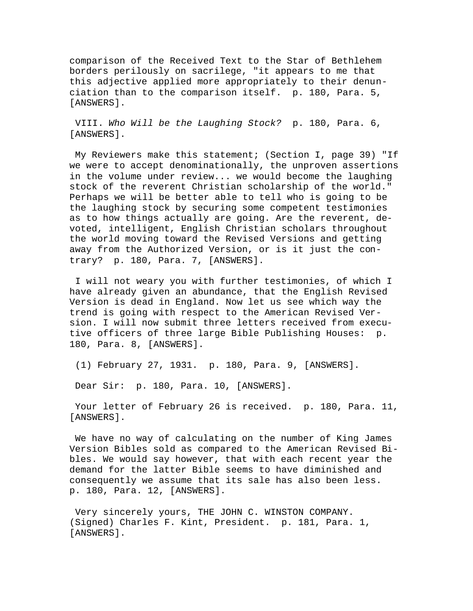comparison of the Received Text to the Star of Bethlehem borders perilously on sacrilege, "it appears to me that this adjective applied more appropriately to their denunciation than to the comparison itself. p. 180, Para. 5, [ANSWERS].

 VIII. *Who Will be the Laughing Stock?* p. 180, Para. 6, [ANSWERS].

 My Reviewers make this statement; (Section I, page 39) "If we were to accept denominationally, the unproven assertions in the volume under review... we would become the laughing stock of the reverent Christian scholarship of the world." Perhaps we will be better able to tell who is going to be the laughing stock by securing some competent testimonies as to how things actually are going. Are the reverent, devoted, intelligent, English Christian scholars throughout the world moving toward the Revised Versions and getting away from the Authorized Version, or is it just the contrary? p. 180, Para. 7, [ANSWERS].

 I will not weary you with further testimonies, of which I have already given an abundance, that the English Revised Version is dead in England. Now let us see which way the trend is going with respect to the American Revised Version. I will now submit three letters received from executive officers of three large Bible Publishing Houses: p. 180, Para. 8, [ANSWERS].

(1) February 27, 1931. p. 180, Para. 9, [ANSWERS].

Dear Sir: p. 180, Para. 10, [ANSWERS].

 Your letter of February 26 is received. p. 180, Para. 11, [ANSWERS].

 We have no way of calculating on the number of King James Version Bibles sold as compared to the American Revised Bibles. We would say however, that with each recent year the demand for the latter Bible seems to have diminished and consequently we assume that its sale has also been less. p. 180, Para. 12, [ANSWERS].

 Very sincerely yours, THE JOHN C. WINSTON COMPANY. (Signed) Charles F. Kint, President. p. 181, Para. 1, [ANSWERS].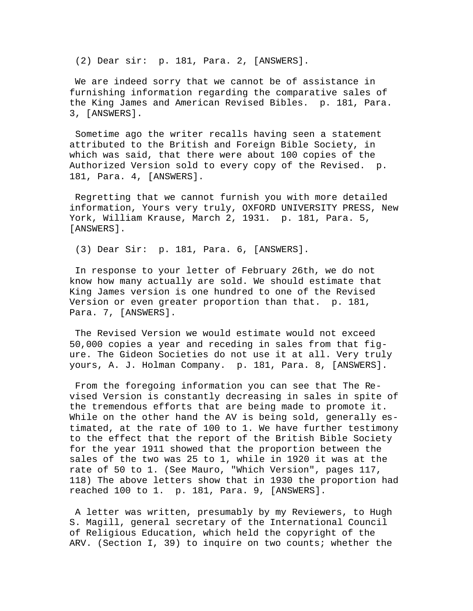(2) Dear sir: p. 181, Para. 2, [ANSWERS].

 We are indeed sorry that we cannot be of assistance in furnishing information regarding the comparative sales of the King James and American Revised Bibles. p. 181, Para. 3, [ANSWERS].

 Sometime ago the writer recalls having seen a statement attributed to the British and Foreign Bible Society, in which was said, that there were about 100 copies of the Authorized Version sold to every copy of the Revised. p. 181, Para. 4, [ANSWERS].

 Regretting that we cannot furnish you with more detailed information, Yours very truly, OXFORD UNIVERSITY PRESS, New York, William Krause, March 2, 1931. p. 181, Para. 5, [ANSWERS].

(3) Dear Sir: p. 181, Para. 6, [ANSWERS].

 In response to your letter of February 26th, we do not know how many actually are sold. We should estimate that King James version is one hundred to one of the Revised Version or even greater proportion than that. p. 181, Para. 7, [ANSWERS].

 The Revised Version we would estimate would not exceed 50,000 copies a year and receding in sales from that figure. The Gideon Societies do not use it at all. Very truly yours, A. J. Holman Company. p. 181, Para. 8, [ANSWERS].

 From the foregoing information you can see that The Revised Version is constantly decreasing in sales in spite of the tremendous efforts that are being made to promote it. While on the other hand the AV is being sold, generally estimated, at the rate of 100 to 1. We have further testimony to the effect that the report of the British Bible Society for the year 1911 showed that the proportion between the sales of the two was 25 to 1, while in 1920 it was at the rate of 50 to 1. (See Mauro, "Which Version", pages 117, 118) The above letters show that in 1930 the proportion had reached 100 to 1. p. 181, Para. 9, [ANSWERS].

 A letter was written, presumably by my Reviewers, to Hugh S. Magill, general secretary of the International Council of Religious Education, which held the copyright of the ARV. (Section I, 39) to inquire on two counts; whether the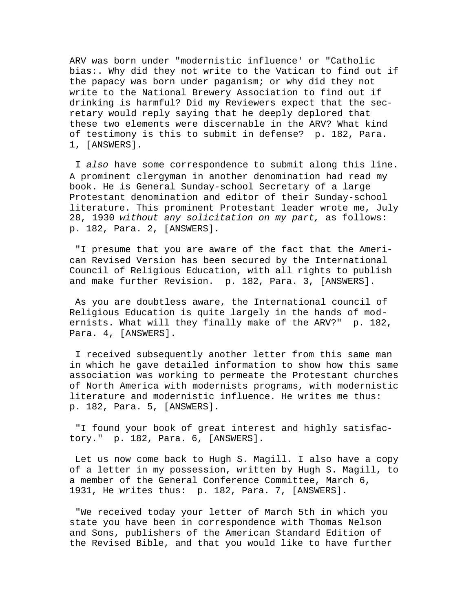ARV was born under "modernistic influence' or "Catholic bias:. Why did they not write to the Vatican to find out if the papacy was born under paganism; or why did they not write to the National Brewery Association to find out if drinking is harmful? Did my Reviewers expect that the secretary would reply saying that he deeply deplored that these two elements were discernable in the ARV? What kind of testimony is this to submit in defense? p. 182, Para. 1, [ANSWERS].

 I *also* have some correspondence to submit along this line. A prominent clergyman in another denomination had read my book. He is General Sunday-school Secretary of a large Protestant denomination and editor of their Sunday-school literature. This prominent Protestant leader wrote me, July 28, 1930 *without any solicitation on my part,* as follows: p. 182, Para. 2, [ANSWERS].

 "I presume that you are aware of the fact that the American Revised Version has been secured by the International Council of Religious Education, with all rights to publish and make further Revision. p. 182, Para. 3, [ANSWERS].

 As you are doubtless aware, the International council of Religious Education is quite largely in the hands of modernists. What will they finally make of the ARV?" p. 182, Para. 4, [ANSWERS].

 I received subsequently another letter from this same man in which he gave detailed information to show how this same association was working to permeate the Protestant churches of North America with modernists programs, with modernistic literature and modernistic influence. He writes me thus: p. 182, Para. 5, [ANSWERS].

 "I found your book of great interest and highly satisfactory." p. 182, Para. 6, [ANSWERS].

 Let us now come back to Hugh S. Magill. I also have a copy of a letter in my possession, written by Hugh S. Magill, to a member of the General Conference Committee, March 6, 1931, He writes thus: p. 182, Para. 7, [ANSWERS].

 "We received today your letter of March 5th in which you state you have been in correspondence with Thomas Nelson and Sons, publishers of the American Standard Edition of the Revised Bible, and that you would like to have further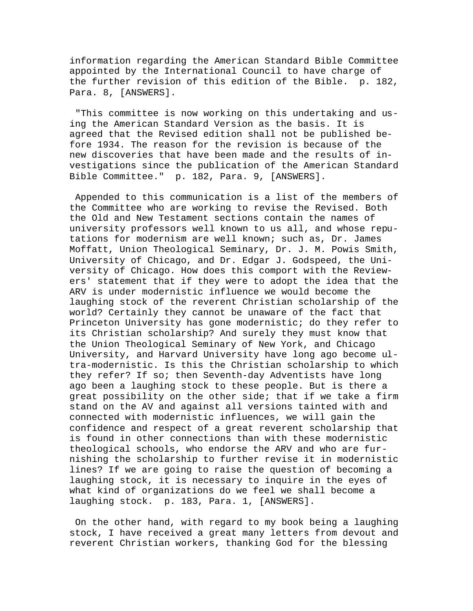information regarding the American Standard Bible Committee appointed by the International Council to have charge of the further revision of this edition of the Bible. p. 182, Para. 8, [ANSWERS].

 "This committee is now working on this undertaking and using the American Standard Version as the basis. It is agreed that the Revised edition shall not be published before 1934. The reason for the revision is because of the new discoveries that have been made and the results of investigations since the publication of the American Standard Bible Committee." p. 182, Para. 9, [ANSWERS].

 Appended to this communication is a list of the members of the Committee who are working to revise the Revised. Both the Old and New Testament sections contain the names of university professors well known to us all, and whose reputations for modernism are well known; such as, Dr. James Moffatt, Union Theological Seminary, Dr. J. M. Powis Smith, University of Chicago, and Dr. Edgar J. Godspeed, the University of Chicago. How does this comport with the Reviewers' statement that if they were to adopt the idea that the ARV is under modernistic influence we would become the laughing stock of the reverent Christian scholarship of the world? Certainly they cannot be unaware of the fact that Princeton University has gone modernistic; do they refer to its Christian scholarship? And surely they must know that the Union Theological Seminary of New York, and Chicago University, and Harvard University have long ago become ultra-modernistic. Is this the Christian scholarship to which they refer? If so; then Seventh-day Adventists have long ago been a laughing stock to these people. But is there a great possibility on the other side; that if we take a firm stand on the AV and against all versions tainted with and connected with modernistic influences, we will gain the confidence and respect of a great reverent scholarship that is found in other connections than with these modernistic theological schools, who endorse the ARV and who are furnishing the scholarship to further revise it in modernistic lines? If we are going to raise the question of becoming a laughing stock, it is necessary to inquire in the eyes of what kind of organizations do we feel we shall become a laughing stock. p. 183, Para. 1, [ANSWERS].

 On the other hand, with regard to my book being a laughing stock, I have received a great many letters from devout and reverent Christian workers, thanking God for the blessing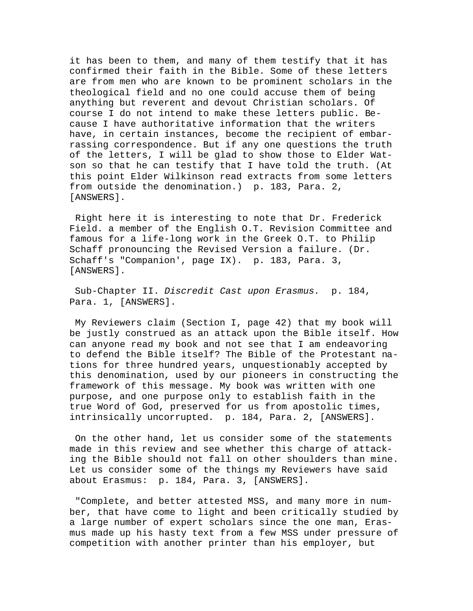it has been to them, and many of them testify that it has confirmed their faith in the Bible. Some of these letters are from men who are known to be prominent scholars in the theological field and no one could accuse them of being anything but reverent and devout Christian scholars. Of course I do not intend to make these letters public. Because I have authoritative information that the writers have, in certain instances, become the recipient of embarrassing correspondence. But if any one questions the truth of the letters, I will be glad to show those to Elder Watson so that he can testify that I have told the truth. (At this point Elder Wilkinson read extracts from some letters from outside the denomination.) p. 183, Para. 2, [ANSWERS].

 Right here it is interesting to note that Dr. Frederick Field. a member of the English O.T. Revision Committee and famous for a life-long work in the Greek O.T. to Philip Schaff pronouncing the Revised Version a failure. (Dr. Schaff's "Companion', page IX). p. 183, Para. 3, [ANSWERS].

 Sub-Chapter II. *Discredit Cast upon Erasmus.* p. 184, Para. 1, [ANSWERS].

 My Reviewers claim (Section I, page 42) that my book will be justly construed as an attack upon the Bible itself. How can anyone read my book and not see that I am endeavoring to defend the Bible itself? The Bible of the Protestant nations for three hundred years, unquestionably accepted by this denomination, used by our pioneers in constructing the framework of this message. My book was written with one purpose, and one purpose only to establish faith in the true Word of God, preserved for us from apostolic times, intrinsically uncorrupted. p. 184, Para. 2, [ANSWERS].

 On the other hand, let us consider some of the statements made in this review and see whether this charge of attacking the Bible should not fall on other shoulders than mine. Let us consider some of the things my Reviewers have said about Erasmus: p. 184, Para. 3, [ANSWERS].

 "Complete, and better attested MSS, and many more in number, that have come to light and been critically studied by a large number of expert scholars since the one man, Erasmus made up his hasty text from a few MSS under pressure of competition with another printer than his employer, but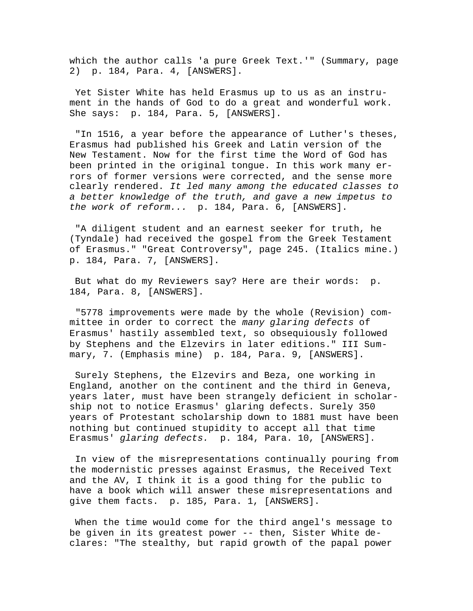which the author calls 'a pure Greek Text.'" (Summary, page 2) p. 184, Para. 4, [ANSWERS].

 Yet Sister White has held Erasmus up to us as an instrument in the hands of God to do a great and wonderful work. She says: p. 184, Para. 5, [ANSWERS].

 "In 1516, a year before the appearance of Luther's theses, Erasmus had published his Greek and Latin version of the New Testament. Now for the first time the Word of God has been printed in the original tongue. In this work many errors of former versions were corrected, and the sense more clearly rendered. *It led many among the educated classes to a better knowledge of the truth, and gave a new impetus to the work of reform...* p. 184, Para. 6, [ANSWERS].

 "A diligent student and an earnest seeker for truth, he (Tyndale) had received the gospel from the Greek Testament of Erasmus." "Great Controversy", page 245. (Italics mine.) p. 184, Para. 7, [ANSWERS].

 But what do my Reviewers say? Here are their words: p. 184, Para. 8, [ANSWERS].

 "5778 improvements were made by the whole (Revision) committee in order to correct the *many glaring defects* of Erasmus' hastily assembled text, so obsequiously followed by Stephens and the Elzevirs in later editions." III Summary, 7. (Emphasis mine) p. 184, Para. 9, [ANSWERS].

 Surely Stephens, the Elzevirs and Beza, one working in England, another on the continent and the third in Geneva, years later, must have been strangely deficient in scholarship not to notice Erasmus' glaring defects. Surely 350 years of Protestant scholarship down to 1881 must have been nothing but continued stupidity to accept all that time Erasmus' *glaring defects.* p. 184, Para. 10, [ANSWERS].

 In view of the misrepresentations continually pouring from the modernistic presses against Erasmus, the Received Text and the AV, I think it is a good thing for the public to have a book which will answer these misrepresentations and give them facts. p. 185, Para. 1, [ANSWERS].

 When the time would come for the third angel's message to be given in its greatest power -- then, Sister White declares: "The stealthy, but rapid growth of the papal power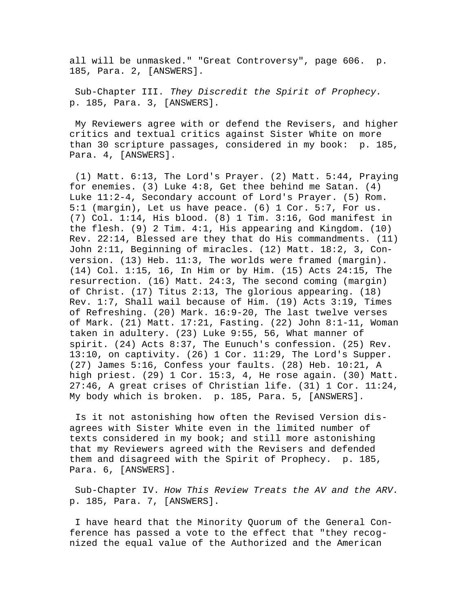all will be unmasked." "Great Controversy", page 606. p. 185, Para. 2, [ANSWERS].

 Sub-Chapter III. *They Discredit the Spirit of Prophecy.* p. 185, Para. 3, [ANSWERS].

 My Reviewers agree with or defend the Revisers, and higher critics and textual critics against Sister White on more than 30 scripture passages, considered in my book: p. 185, Para. 4, [ANSWERS].

 (1) Matt. 6:13, The Lord's Prayer. (2) Matt. 5:44, Praying for enemies. (3) Luke 4:8, Get thee behind me Satan. (4) Luke 11:2-4, Secondary account of Lord's Prayer. (5) Rom. 5:1 (margin), Let us have peace. (6) 1 Cor. 5:7, For us. (7) Col. 1:14, His blood. (8) 1 Tim. 3:16, God manifest in the flesh. (9) 2 Tim. 4:1, His appearing and Kingdom. (10) Rev. 22:14, Blessed are they that do His commandments. (11) John 2:11, Beginning of miracles. (12) Matt. 18:2, 3, Conversion. (13) Heb. 11:3, The worlds were framed (margin). (14) Col. 1:15, 16, In Him or by Him. (15) Acts 24:15, The resurrection. (16) Matt. 24:3, The second coming (margin) of Christ. (17) Titus 2:13, The glorious appearing. (18) Rev. 1:7, Shall wail because of Him. (19) Acts 3:19, Times of Refreshing. (20) Mark. 16:9-20, The last twelve verses of Mark. (21) Matt. 17:21, Fasting. (22) John 8:1-11, Woman taken in adultery. (23) Luke 9:55, 56, What manner of spirit. (24) Acts 8:37, The Eunuch's confession. (25) Rev. 13:10, on captivity. (26) 1 Cor. 11:29, The Lord's Supper. (27) James 5:16, Confess your faults. (28) Heb. 10:21, A high priest. (29) 1 Cor. 15:3, 4, He rose again. (30) Matt. 27:46, A great crises of Christian life. (31) 1 Cor. 11:24, My body which is broken. p. 185, Para. 5, [ANSWERS].

 Is it not astonishing how often the Revised Version disagrees with Sister White even in the limited number of texts considered in my book; and still more astonishing that my Reviewers agreed with the Revisers and defended them and disagreed with the Spirit of Prophecy. p. 185, Para. 6, [ANSWERS].

 Sub-Chapter IV. *How This Review Treats the AV and the ARV.* p. 185, Para. 7, [ANSWERS].

 I have heard that the Minority Quorum of the General Conference has passed a vote to the effect that "they recognized the equal value of the Authorized and the American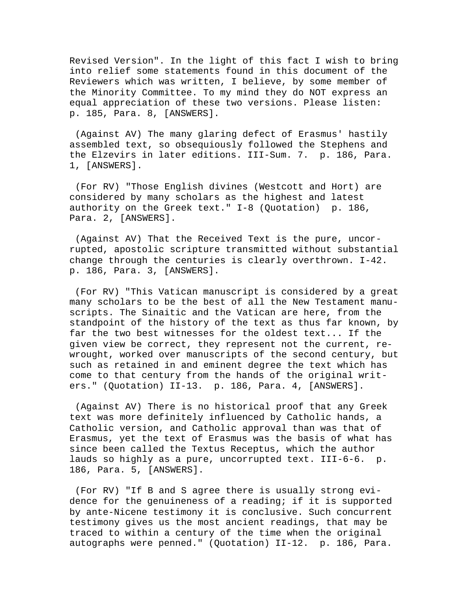Revised Version". In the light of this fact I wish to bring into relief some statements found in this document of the Reviewers which was written, I believe, by some member of the Minority Committee. To my mind they do NOT express an equal appreciation of these two versions. Please listen: p. 185, Para. 8, [ANSWERS].

 (Against AV) The many glaring defect of Erasmus' hastily assembled text, so obsequiously followed the Stephens and the Elzevirs in later editions. III-Sum. 7. p. 186, Para. 1, [ANSWERS].

 (For RV) "Those English divines (Westcott and Hort) are considered by many scholars as the highest and latest authority on the Greek text." I-8 (Quotation) p. 186, Para. 2, [ANSWERS].

 (Against AV) That the Received Text is the pure, uncorrupted, apostolic scripture transmitted without substantial change through the centuries is clearly overthrown. I-42. p. 186, Para. 3, [ANSWERS].

 (For RV) "This Vatican manuscript is considered by a great many scholars to be the best of all the New Testament manuscripts. The Sinaitic and the Vatican are here, from the standpoint of the history of the text as thus far known, by far the two best witnesses for the oldest text... If the given view be correct, they represent not the current, rewrought, worked over manuscripts of the second century, but such as retained in and eminent degree the text which has come to that century from the hands of the original writers." (Quotation) II-13. p. 186, Para. 4, [ANSWERS].

 (Against AV) There is no historical proof that any Greek text was more definitely influenced by Catholic hands, a Catholic version, and Catholic approval than was that of Erasmus, yet the text of Erasmus was the basis of what has since been called the Textus Receptus, which the author lauds so highly as a pure, uncorrupted text. III-6-6. p. 186, Para. 5, [ANSWERS].

 (For RV) "If B and S agree there is usually strong evidence for the genuineness of a reading; if it is supported by ante-Nicene testimony it is conclusive. Such concurrent testimony gives us the most ancient readings, that may be traced to within a century of the time when the original autographs were penned." (Quotation) II-12. p. 186, Para.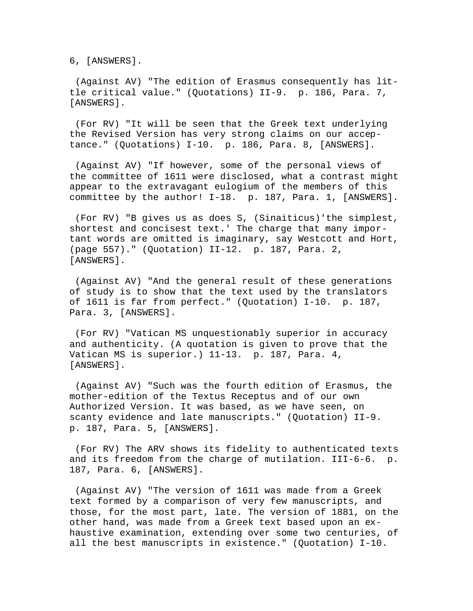6, [ANSWERS].

 (Against AV) "The edition of Erasmus consequently has little critical value." (Quotations) II-9. p. 186, Para. 7, [ANSWERS].

 (For RV) "It will be seen that the Greek text underlying the Revised Version has very strong claims on our acceptance." (Quotations) I-10. p. 186, Para. 8, [ANSWERS].

 (Against AV) "If however, some of the personal views of the committee of 1611 were disclosed, what a contrast might appear to the extravagant eulogium of the members of this committee by the author! I-18. p. 187, Para. 1, [ANSWERS].

 (For RV) "B gives us as does S, (Sinaiticus)'the simplest, shortest and concisest text.' The charge that many important words are omitted is imaginary, say Westcott and Hort, (page 557)." (Quotation) II-12. p. 187, Para. 2, [ANSWERS].

 (Against AV) "And the general result of these generations of study is to show that the text used by the translators of 1611 is far from perfect." (Quotation) I-10. p. 187, Para. 3, [ANSWERS].

 (For RV) "Vatican MS unquestionably superior in accuracy and authenticity. (A quotation is given to prove that the Vatican MS is superior.) 11-13. p. 187, Para. 4, [ANSWERS].

 (Against AV) "Such was the fourth edition of Erasmus, the mother-edition of the Textus Receptus and of our own Authorized Version. It was based, as we have seen, on scanty evidence and late manuscripts." (Quotation) II-9. p. 187, Para. 5, [ANSWERS].

 (For RV) The ARV shows its fidelity to authenticated texts and its freedom from the charge of mutilation. III-6-6. p. 187, Para. 6, [ANSWERS].

 (Against AV) "The version of 1611 was made from a Greek text formed by a comparison of very few manuscripts, and those, for the most part, late. The version of 1881, on the other hand, was made from a Greek text based upon an exhaustive examination, extending over some two centuries, of all the best manuscripts in existence." (Quotation) I-10.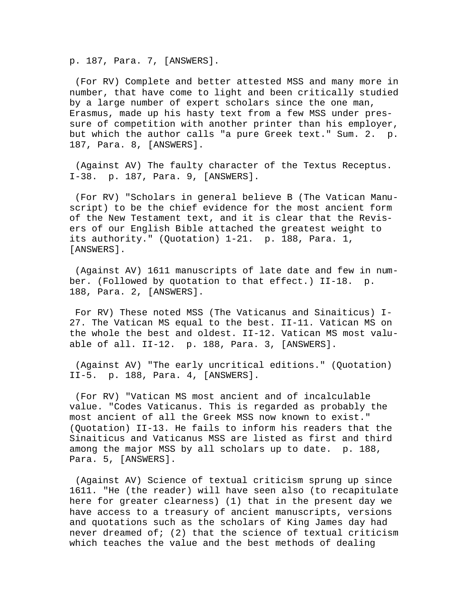p. 187, Para. 7, [ANSWERS].

 (For RV) Complete and better attested MSS and many more in number, that have come to light and been critically studied by a large number of expert scholars since the one man, Erasmus, made up his hasty text from a few MSS under pressure of competition with another printer than his employer, but which the author calls "a pure Greek text." Sum. 2. p. 187, Para. 8, [ANSWERS].

 (Against AV) The faulty character of the Textus Receptus. I-38. p. 187, Para. 9, [ANSWERS].

 (For RV) "Scholars in general believe B (The Vatican Manuscript) to be the chief evidence for the most ancient form of the New Testament text, and it is clear that the Revisers of our English Bible attached the greatest weight to its authority." (Quotation) 1-21. p. 188, Para. 1, [ANSWERS].

 (Against AV) 1611 manuscripts of late date and few in number. (Followed by quotation to that effect.) II-18. p. 188, Para. 2, [ANSWERS].

 For RV) These noted MSS (The Vaticanus and Sinaiticus) I-27. The Vatican MS equal to the best. II-11. Vatican MS on the whole the best and oldest. II-12. Vatican MS most valuable of all. II-12. p. 188, Para. 3, [ANSWERS].

 (Against AV) "The early uncritical editions." (Quotation) II-5. p. 188, Para. 4, [ANSWERS].

 (For RV) "Vatican MS most ancient and of incalculable value. "Codes Vaticanus. This is regarded as probably the most ancient of all the Greek MSS now known to exist." (Quotation) II-13. He fails to inform his readers that the Sinaiticus and Vaticanus MSS are listed as first and third among the major MSS by all scholars up to date. p. 188, Para. 5, [ANSWERS].

 (Against AV) Science of textual criticism sprung up since 1611. "He (the reader) will have seen also (to recapitulate here for greater clearness) (1) that in the present day we have access to a treasury of ancient manuscripts, versions and quotations such as the scholars of King James day had never dreamed of; (2) that the science of textual criticism which teaches the value and the best methods of dealing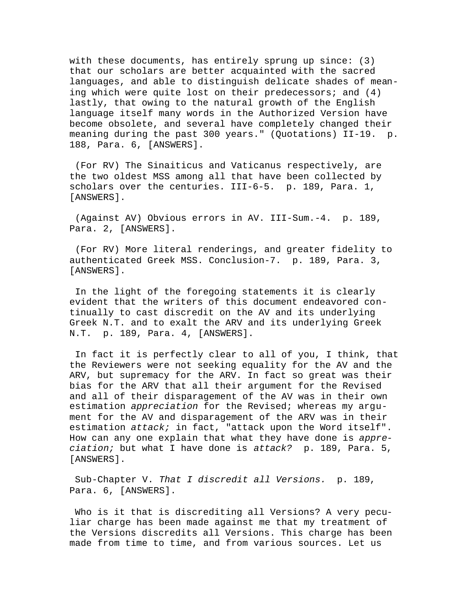with these documents, has entirely sprung up since: (3) that our scholars are better acquainted with the sacred languages, and able to distinguish delicate shades of meaning which were quite lost on their predecessors; and (4) lastly, that owing to the natural growth of the English language itself many words in the Authorized Version have become obsolete, and several have completely changed their meaning during the past 300 years." (Quotations) II-19. p. 188, Para. 6, [ANSWERS].

 (For RV) The Sinaiticus and Vaticanus respectively, are the two oldest MSS among all that have been collected by scholars over the centuries. III-6-5. p. 189, Para. 1, [ANSWERS].

 (Against AV) Obvious errors in AV. III-Sum.-4. p. 189, Para. 2, [ANSWERS].

 (For RV) More literal renderings, and greater fidelity to authenticated Greek MSS. Conclusion-7. p. 189, Para. 3, [ANSWERS].

 In the light of the foregoing statements it is clearly evident that the writers of this document endeavored continually to cast discredit on the AV and its underlying Greek N.T. and to exalt the ARV and its underlying Greek N.T. p. 189, Para. 4, [ANSWERS].

 In fact it is perfectly clear to all of you, I think, that the Reviewers were not seeking equality for the AV and the ARV, but supremacy for the ARV. In fact so great was their bias for the ARV that all their argument for the Revised and all of their disparagement of the AV was in their own estimation *appreciation* for the Revised; whereas my argument for the AV and disparagement of the ARV was in their estimation *attack;* in fact, "attack upon the Word itself". How can any one explain that what they have done is *appreciation;* but what I have done is *attack?* p. 189, Para. 5, [ANSWERS].

 Sub-Chapter V. *That I discredit all Versions.* p. 189, Para. 6, [ANSWERS].

 Who is it that is discrediting all Versions? A very peculiar charge has been made against me that my treatment of the Versions discredits all Versions. This charge has been made from time to time, and from various sources. Let us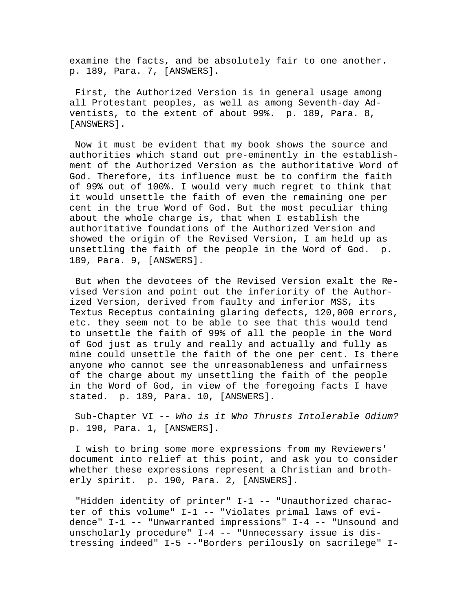examine the facts, and be absolutely fair to one another. p. 189, Para. 7, [ANSWERS].

 First, the Authorized Version is in general usage among all Protestant peoples, as well as among Seventh-day Adventists, to the extent of about 99%. p. 189, Para. 8, [ANSWERS].

 Now it must be evident that my book shows the source and authorities which stand out pre-eminently in the establishment of the Authorized Version as the authoritative Word of God. Therefore, its influence must be to confirm the faith of 99% out of 100%. I would very much regret to think that it would unsettle the faith of even the remaining one per cent in the true Word of God. But the most peculiar thing about the whole charge is, that when I establish the authoritative foundations of the Authorized Version and showed the origin of the Revised Version, I am held up as unsettling the faith of the people in the Word of God. p. 189, Para. 9, [ANSWERS].

 But when the devotees of the Revised Version exalt the Revised Version and point out the inferiority of the Authorized Version, derived from faulty and inferior MSS, its Textus Receptus containing glaring defects, 120,000 errors, etc. they seem not to be able to see that this would tend to unsettle the faith of 99% of all the people in the Word of God just as truly and really and actually and fully as mine could unsettle the faith of the one per cent. Is there anyone who cannot see the unreasonableness and unfairness of the charge about my unsettling the faith of the people in the Word of God, in view of the foregoing facts I have stated. p. 189, Para. 10, [ANSWERS].

 Sub-Chapter VI -- *Who is it Who Thrusts Intolerable Odium?* p. 190, Para. 1, [ANSWERS].

 I wish to bring some more expressions from my Reviewers' document into relief at this point, and ask you to consider whether these expressions represent a Christian and brotherly spirit. p. 190, Para. 2, [ANSWERS].

 "Hidden identity of printer" I-1 -- "Unauthorized character of this volume" I-1 -- "Violates primal laws of evidence" I-1 -- "Unwarranted impressions" I-4 -- "Unsound and unscholarly procedure" I-4 -- "Unnecessary issue is distressing indeed" I-5 --"Borders perilously on sacrilege" I-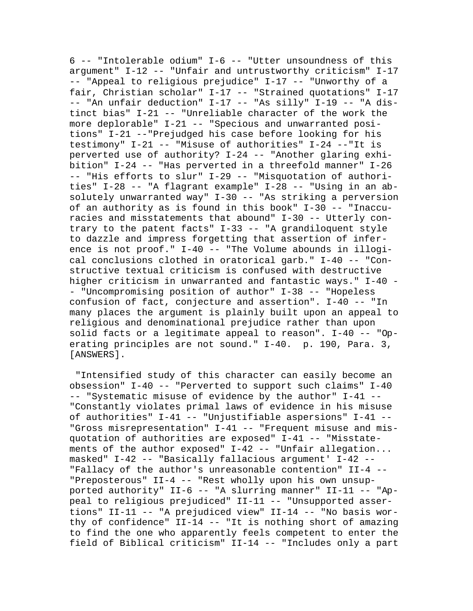6 -- "Intolerable odium" I-6 -- "Utter unsoundness of this argument" I-12 -- "Unfair and untrustworthy criticism" I-17 -- "Appeal to religious prejudice" I-17 -- "Unworthy of a fair, Christian scholar" I-17 -- "Strained quotations" I-17  $--$  "An unfair deduction" I-17 -- "As silly" I-19 -- "A distinct bias" I-21 -- "Unreliable character of the work the more deplorable" I-21 -- "Specious and unwarranted positions" I-21 --"Prejudged his case before looking for his testimony" I-21 -- "Misuse of authorities" I-24 --"It is perverted use of authority? I-24 -- "Another glaring exhibition" I-24 -- "Has perverted in a threefold manner" I-26 -- "His efforts to slur" I-29 -- "Misquotation of authorities" I-28 -- "A flagrant example" I-28 -- "Using in an absolutely unwarranted way" I-30 -- "As striking a perversion of an authority as is found in this book" I-30 -- "Inaccuracies and misstatements that abound" I-30 -- Utterly contrary to the patent facts" I-33 -- "A grandiloquent style to dazzle and impress forgetting that assertion of inference is not proof." I-40 -- "The Volume abounds in illogical conclusions clothed in oratorical garb." I-40 -- "Constructive textual criticism is confused with destructive higher criticism in unwarranted and fantastic ways." I-40 - - "Uncompromising position of author" I-38 -- "Hopeless confusion of fact, conjecture and assertion". I-40 -- "In many places the argument is plainly built upon an appeal to religious and denominational prejudice rather than upon solid facts or a legitimate appeal to reason". I-40 -- "Operating principles are not sound." I-40. p. 190, Para. 3, [ANSWERS].

 "Intensified study of this character can easily become an obsession" I-40 -- "Perverted to support such claims" I-40 -- "Systematic misuse of evidence by the author" I-41 -- "Constantly violates primal laws of evidence in his misuse of authorities" I-41 -- "Unjustifiable aspersions" I-41 -- "Gross misrepresentation" I-41 -- "Frequent misuse and misquotation of authorities are exposed" I-41 -- "Misstatements of the author exposed" I-42 -- "Unfair allegation... masked" I-42 -- "Basically fallacious argument' I-42 -- "Fallacy of the author's unreasonable contention" II-4 -- "Preposterous" II-4 -- "Rest wholly upon his own unsupported authority" II-6 -- "A slurring manner" II-11 -- "Appeal to religious prejudiced" II-11 -- "Unsupported assertions" II-11 -- "A prejudiced view" II-14 -- "No basis worthy of confidence" II-14 -- "It is nothing short of amazing to find the one who apparently feels competent to enter the field of Biblical criticism" II-14 -- "Includes only a part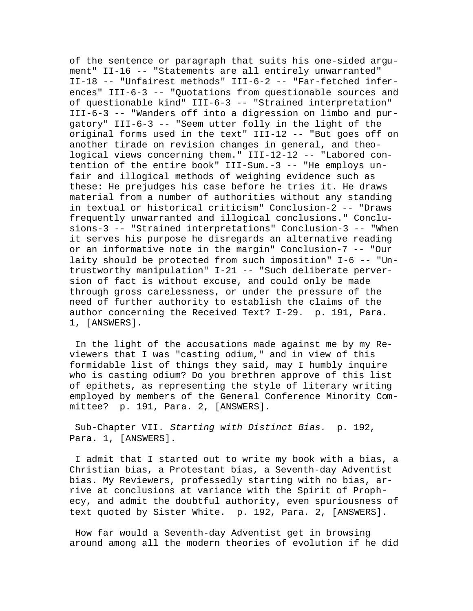of the sentence or paragraph that suits his one-sided argument" II-16 -- "Statements are all entirely unwarranted" II-18 -- "Unfairest methods" III-6-2 -- "Far-fetched inferences" III-6-3 -- "Quotations from questionable sources and of questionable kind" III-6-3 -- "Strained interpretation" III-6-3 -- "Wanders off into a digression on limbo and purgatory" III-6-3 -- "Seem utter folly in the light of the original forms used in the text" III-12 -- "But goes off on another tirade on revision changes in general, and theological views concerning them." III-12-12 -- "Labored contention of the entire book" III-Sum.-3 -- "He employs unfair and illogical methods of weighing evidence such as these: He prejudges his case before he tries it. He draws material from a number of authorities without any standing in textual or historical criticism" Conclusion-2 -- "Draws frequently unwarranted and illogical conclusions." Conclusions-3 -- "Strained interpretations" Conclusion-3 -- "When it serves his purpose he disregards an alternative reading or an informative note in the margin" Conclusion-7 -- "Our laity should be protected from such imposition" I-6 -- "Untrustworthy manipulation" I-21 -- "Such deliberate perversion of fact is without excuse, and could only be made through gross carelessness, or under the pressure of the need of further authority to establish the claims of the author concerning the Received Text? I-29. p. 191, Para. 1, [ANSWERS].

 In the light of the accusations made against me by my Reviewers that I was "casting odium," and in view of this formidable list of things they said, may I humbly inquire who is casting odium? Do you brethren approve of this list of epithets, as representing the style of literary writing employed by members of the General Conference Minority Committee? p. 191, Para. 2, [ANSWERS].

 Sub-Chapter VII. *Starting with Distinct Bias.* p. 192, Para. 1, [ANSWERS].

 I admit that I started out to write my book with a bias, a Christian bias, a Protestant bias, a Seventh-day Adventist bias. My Reviewers, professedly starting with no bias, arrive at conclusions at variance with the Spirit of Prophecy, and admit the doubtful authority, even spuriousness of text quoted by Sister White. p. 192, Para. 2, [ANSWERS].

 How far would a Seventh-day Adventist get in browsing around among all the modern theories of evolution if he did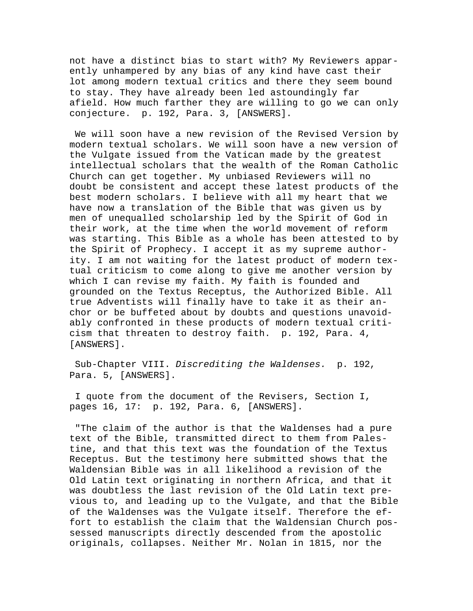not have a distinct bias to start with? My Reviewers apparently unhampered by any bias of any kind have cast their lot among modern textual critics and there they seem bound to stay. They have already been led astoundingly far afield. How much farther they are willing to go we can only conjecture. p. 192, Para. 3, [ANSWERS].

 We will soon have a new revision of the Revised Version by modern textual scholars. We will soon have a new version of the Vulgate issued from the Vatican made by the greatest intellectual scholars that the wealth of the Roman Catholic Church can get together. My unbiased Reviewers will no doubt be consistent and accept these latest products of the best modern scholars. I believe with all my heart that we have now a translation of the Bible that was given us by men of unequalled scholarship led by the Spirit of God in their work, at the time when the world movement of reform was starting. This Bible as a whole has been attested to by the Spirit of Prophecy. I accept it as my supreme authority. I am not waiting for the latest product of modern textual criticism to come along to give me another version by which I can revise my faith. My faith is founded and grounded on the Textus Receptus, the Authorized Bible. All true Adventists will finally have to take it as their anchor or be buffeted about by doubts and questions unavoidably confronted in these products of modern textual criticism that threaten to destroy faith. p. 192, Para. 4, [ANSWERS].

 Sub-Chapter VIII. *Discrediting the Waldenses.* p. 192, Para. 5, [ANSWERS].

 I quote from the document of the Revisers, Section I, pages 16, 17: p. 192, Para. 6, [ANSWERS].

 "The claim of the author is that the Waldenses had a pure text of the Bible, transmitted direct to them from Palestine, and that this text was the foundation of the Textus Receptus. But the testimony here submitted shows that the Waldensian Bible was in all likelihood a revision of the Old Latin text originating in northern Africa, and that it was doubtless the last revision of the Old Latin text previous to, and leading up to the Vulgate, and that the Bible of the Waldenses was the Vulgate itself. Therefore the effort to establish the claim that the Waldensian Church possessed manuscripts directly descended from the apostolic originals, collapses. Neither Mr. Nolan in 1815, nor the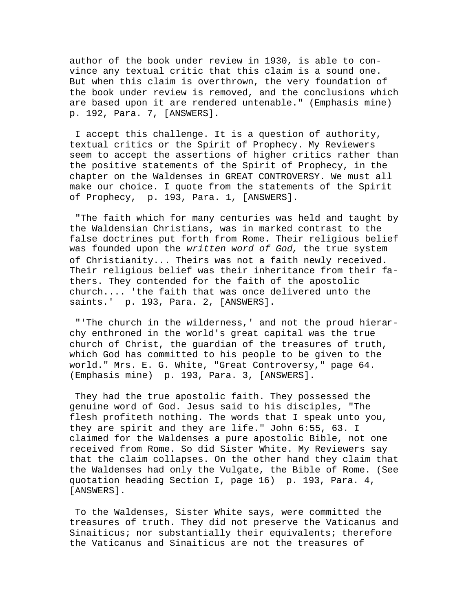author of the book under review in 1930, is able to convince any textual critic that this claim is a sound one. But when this claim is overthrown, the very foundation of the book under review is removed, and the conclusions which are based upon it are rendered untenable." (Emphasis mine) p. 192, Para. 7, [ANSWERS].

 I accept this challenge. It is a question of authority, textual critics or the Spirit of Prophecy. My Reviewers seem to accept the assertions of higher critics rather than the positive statements of the Spirit of Prophecy, in the chapter on the Waldenses in GREAT CONTROVERSY. We must all make our choice. I quote from the statements of the Spirit of Prophecy, p. 193, Para. 1, [ANSWERS].

 "The faith which for many centuries was held and taught by the Waldensian Christians, was in marked contrast to the false doctrines put forth from Rome. Their religious belief was founded upon the *written word of God,* the true system of Christianity... Theirs was not a faith newly received. Their religious belief was their inheritance from their fathers. They contended for the faith of the apostolic church.... 'the faith that was once delivered unto the saints.' p. 193, Para. 2, [ANSWERS].

 "'The church in the wilderness,' and not the proud hierarchy enthroned in the world's great capital was the true church of Christ, the guardian of the treasures of truth, which God has committed to his people to be given to the world." Mrs. E. G. White, "Great Controversy," page 64. (Emphasis mine) p. 193, Para. 3, [ANSWERS].

 They had the true apostolic faith. They possessed the genuine word of God. Jesus said to his disciples, "The flesh profiteth nothing. The words that I speak unto you, they are spirit and they are life." John 6:55, 63. I claimed for the Waldenses a pure apostolic Bible, not one received from Rome. So did Sister White. My Reviewers say that the claim collapses. On the other hand they claim that the Waldenses had only the Vulgate, the Bible of Rome. (See quotation heading Section I, page 16) p. 193, Para. 4, [ANSWERS].

 To the Waldenses, Sister White says, were committed the treasures of truth. They did not preserve the Vaticanus and Sinaiticus; nor substantially their equivalents; therefore the Vaticanus and Sinaiticus are not the treasures of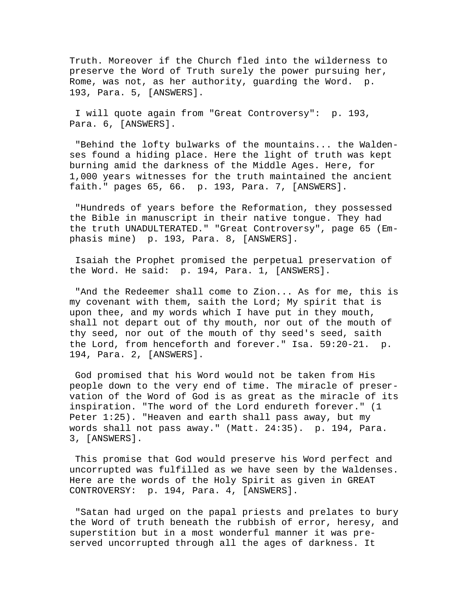Truth. Moreover if the Church fled into the wilderness to preserve the Word of Truth surely the power pursuing her, Rome, was not, as her authority, guarding the Word. p. 193, Para. 5, [ANSWERS].

 I will quote again from "Great Controversy": p. 193, Para. 6, [ANSWERS].

 "Behind the lofty bulwarks of the mountains... the Waldenses found a hiding place. Here the light of truth was kept burning amid the darkness of the Middle Ages. Here, for 1,000 years witnesses for the truth maintained the ancient faith." pages 65, 66. p. 193, Para. 7, [ANSWERS].

 "Hundreds of years before the Reformation, they possessed the Bible in manuscript in their native tongue. They had the truth UNADULTERATED." "Great Controversy", page 65 (Emphasis mine) p. 193, Para. 8, [ANSWERS].

 Isaiah the Prophet promised the perpetual preservation of the Word. He said: p. 194, Para. 1, [ANSWERS].

 "And the Redeemer shall come to Zion... As for me, this is my covenant with them, saith the Lord; My spirit that is upon thee, and my words which I have put in they mouth, shall not depart out of thy mouth, nor out of the mouth of thy seed, nor out of the mouth of thy seed's seed, saith the Lord, from henceforth and forever." Isa. 59:20-21. p. 194, Para. 2, [ANSWERS].

 God promised that his Word would not be taken from His people down to the very end of time. The miracle of preservation of the Word of God is as great as the miracle of its inspiration. "The word of the Lord endureth forever." (1 Peter 1:25). "Heaven and earth shall pass away, but my words shall not pass away." (Matt. 24:35). p. 194, Para. 3, [ANSWERS].

 This promise that God would preserve his Word perfect and uncorrupted was fulfilled as we have seen by the Waldenses. Here are the words of the Holy Spirit as given in GREAT CONTROVERSY: p. 194, Para. 4, [ANSWERS].

 "Satan had urged on the papal priests and prelates to bury the Word of truth beneath the rubbish of error, heresy, and superstition but in a most wonderful manner it was preserved uncorrupted through all the ages of darkness. It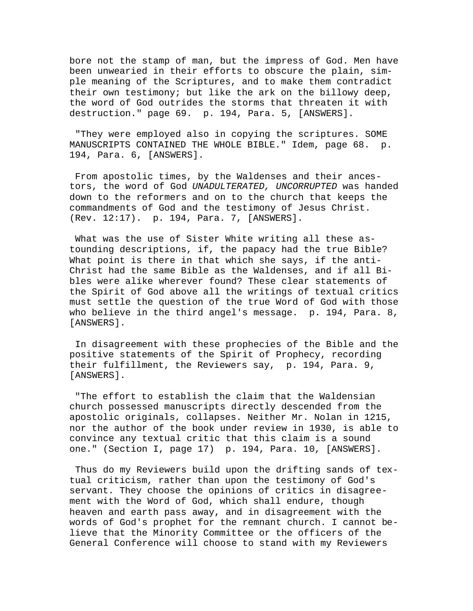bore not the stamp of man, but the impress of God. Men have been unwearied in their efforts to obscure the plain, simple meaning of the Scriptures, and to make them contradict their own testimony; but like the ark on the billowy deep, the word of God outrides the storms that threaten it with destruction." page 69. p. 194, Para. 5, [ANSWERS].

 "They were employed also in copying the scriptures. SOME MANUSCRIPTS CONTAINED THE WHOLE BIBLE." Idem, page 68. p. 194, Para. 6, [ANSWERS].

 From apostolic times, by the Waldenses and their ancestors, the word of God *UNADULTERATED, UNCORRUPTED* was handed down to the reformers and on to the church that keeps the commandments of God and the testimony of Jesus Christ. (Rev. 12:17). p. 194, Para. 7, [ANSWERS].

 What was the use of Sister White writing all these astounding descriptions, if, the papacy had the true Bible? What point is there in that which she says, if the anti-Christ had the same Bible as the Waldenses, and if all Bibles were alike wherever found? These clear statements of the Spirit of God above all the writings of textual critics must settle the question of the true Word of God with those who believe in the third angel's message. p. 194, Para. 8, [ANSWERS].

 In disagreement with these prophecies of the Bible and the positive statements of the Spirit of Prophecy, recording their fulfillment, the Reviewers say, p. 194, Para. 9, [ANSWERS].

 "The effort to establish the claim that the Waldensian church possessed manuscripts directly descended from the apostolic originals, collapses. Neither Mr. Nolan in 1215, nor the author of the book under review in 1930, is able to convince any textual critic that this claim is a sound one." (Section I, page 17) p. 194, Para. 10, [ANSWERS].

 Thus do my Reviewers build upon the drifting sands of textual criticism, rather than upon the testimony of God's servant. They choose the opinions of critics in disagreement with the Word of God, which shall endure, though heaven and earth pass away, and in disagreement with the words of God's prophet for the remnant church. I cannot believe that the Minority Committee or the officers of the General Conference will choose to stand with my Reviewers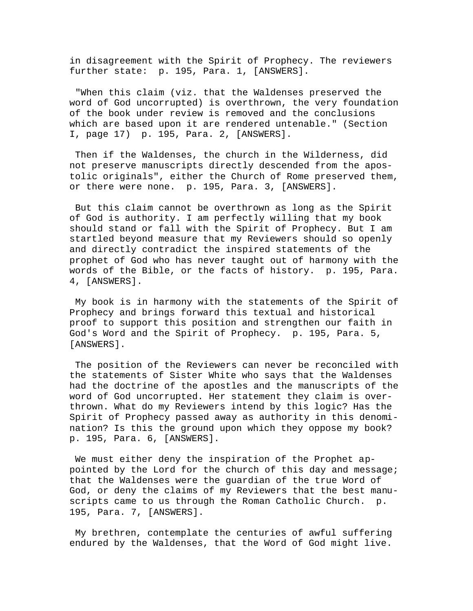in disagreement with the Spirit of Prophecy. The reviewers further state: p. 195, Para. 1, [ANSWERS].

 "When this claim (viz. that the Waldenses preserved the word of God uncorrupted) is overthrown, the very foundation of the book under review is removed and the conclusions which are based upon it are rendered untenable." (Section I, page 17) p. 195, Para. 2, [ANSWERS].

 Then if the Waldenses, the church in the Wilderness, did not preserve manuscripts directly descended from the apostolic originals", either the Church of Rome preserved them, or there were none. p. 195, Para. 3, [ANSWERS].

 But this claim cannot be overthrown as long as the Spirit of God is authority. I am perfectly willing that my book should stand or fall with the Spirit of Prophecy. But I am startled beyond measure that my Reviewers should so openly and directly contradict the inspired statements of the prophet of God who has never taught out of harmony with the words of the Bible, or the facts of history. p. 195, Para. 4, [ANSWERS].

 My book is in harmony with the statements of the Spirit of Prophecy and brings forward this textual and historical proof to support this position and strengthen our faith in God's Word and the Spirit of Prophecy. p. 195, Para. 5, [ANSWERS].

 The position of the Reviewers can never be reconciled with the statements of Sister White who says that the Waldenses had the doctrine of the apostles and the manuscripts of the word of God uncorrupted. Her statement they claim is overthrown. What do my Reviewers intend by this logic? Has the Spirit of Prophecy passed away as authority in this denomination? Is this the ground upon which they oppose my book? p. 195, Para. 6, [ANSWERS].

 We must either deny the inspiration of the Prophet appointed by the Lord for the church of this day and message; that the Waldenses were the guardian of the true Word of God, or deny the claims of my Reviewers that the best manuscripts came to us through the Roman Catholic Church. p. 195, Para. 7, [ANSWERS].

 My brethren, contemplate the centuries of awful suffering endured by the Waldenses, that the Word of God might live.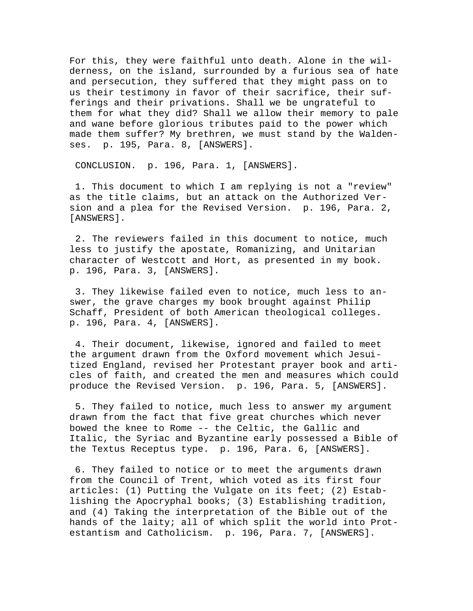For this, they were faithful unto death. Alone in the wilderness, on the island, surrounded by a furious sea of hate and persecution, they suffered that they might pass on to us their testimony in favor of their sacrifice, their sufferings and their privations. Shall we be ungrateful to them for what they did? Shall we allow their memory to pale and wane before glorious tributes paid to the power which made them suffer? My brethren, we must stand by the Waldenses. p. 195, Para. 8, [ANSWERS].

CONCLUSION. p. 196, Para. 1, [ANSWERS].

 1. This document to which I am replying is not a "review" as the title claims, but an attack on the Authorized Version and a plea for the Revised Version. p. 196, Para. 2, [ANSWERS].

 2. The reviewers failed in this document to notice, much less to justify the apostate, Romanizing, and Unitarian character of Westcott and Hort, as presented in my book. p. 196, Para. 3, [ANSWERS].

 3. They likewise failed even to notice, much less to answer, the grave charges my book brought against Philip Schaff, President of both American theological colleges. p. 196, Para. 4, [ANSWERS].

 4. Their document, likewise, ignored and failed to meet the argument drawn from the Oxford movement which Jesuitized England, revised her Protestant prayer book and articles of faith, and created the men and measures which could produce the Revised Version. p. 196, Para. 5, [ANSWERS].

 5. They failed to notice, much less to answer my argument drawn from the fact that five great churches which never bowed the knee to Rome -- the Celtic, the Gallic and Italic, the Syriac and Byzantine early possessed a Bible of the Textus Receptus type. p. 196, Para. 6, [ANSWERS].

 6. They failed to notice or to meet the arguments drawn from the Council of Trent, which voted as its first four articles: (1) Putting the Vulgate on its feet; (2) Establishing the Apocryphal books; (3) Establishing tradition, and (4) Taking the interpretation of the Bible out of the hands of the laity; all of which split the world into Protestantism and Catholicism. p. 196, Para. 7, [ANSWERS].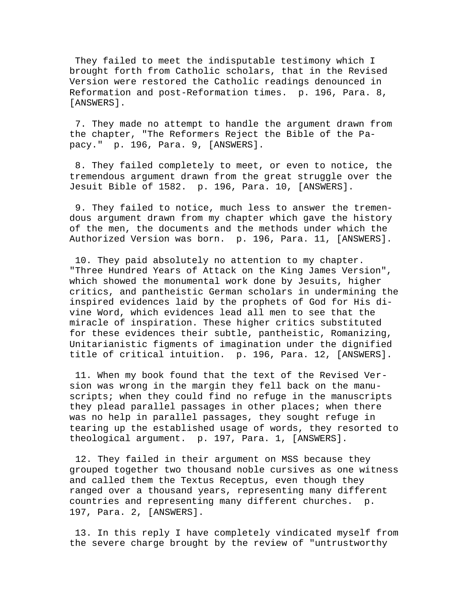They failed to meet the indisputable testimony which I brought forth from Catholic scholars, that in the Revised Version were restored the Catholic readings denounced in Reformation and post-Reformation times. p. 196, Para. 8, [ANSWERS].

 7. They made no attempt to handle the argument drawn from the chapter, "The Reformers Reject the Bible of the Papacy." p. 196, Para. 9, [ANSWERS].

 8. They failed completely to meet, or even to notice, the tremendous argument drawn from the great struggle over the Jesuit Bible of 1582. p. 196, Para. 10, [ANSWERS].

 9. They failed to notice, much less to answer the tremendous argument drawn from my chapter which gave the history of the men, the documents and the methods under which the Authorized Version was born. p. 196, Para. 11, [ANSWERS].

 10. They paid absolutely no attention to my chapter. "Three Hundred Years of Attack on the King James Version", which showed the monumental work done by Jesuits, higher critics, and pantheistic German scholars in undermining the inspired evidences laid by the prophets of God for His divine Word, which evidences lead all men to see that the miracle of inspiration. These higher critics substituted for these evidences their subtle, pantheistic, Romanizing, Unitarianistic figments of imagination under the dignified title of critical intuition. p. 196, Para. 12, [ANSWERS].

 11. When my book found that the text of the Revised Version was wrong in the margin they fell back on the manuscripts; when they could find no refuge in the manuscripts they plead parallel passages in other places; when there was no help in parallel passages, they sought refuge in tearing up the established usage of words, they resorted to theological argument. p. 197, Para. 1, [ANSWERS].

 12. They failed in their argument on MSS because they grouped together two thousand noble cursives as one witness and called them the Textus Receptus, even though they ranged over a thousand years, representing many different countries and representing many different churches. p. 197, Para. 2, [ANSWERS].

 13. In this reply I have completely vindicated myself from the severe charge brought by the review of "untrustworthy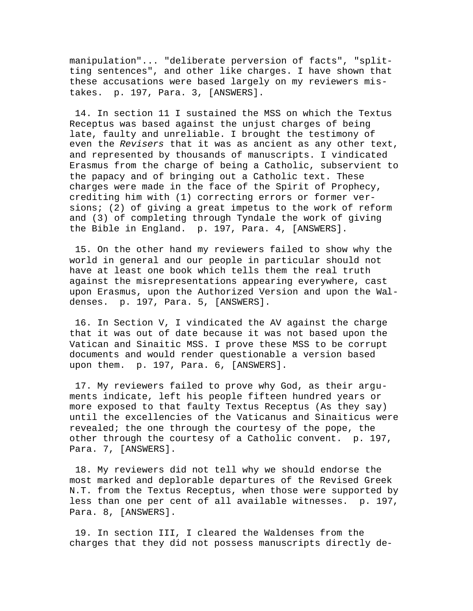manipulation"... "deliberate perversion of facts", "splitting sentences", and other like charges. I have shown that these accusations were based largely on my reviewers mistakes. p. 197, Para. 3, [ANSWERS].

 14. In section 11 I sustained the MSS on which the Textus Receptus was based against the unjust charges of being late, faulty and unreliable. I brought the testimony of even the *Revisers* that it was as ancient as any other text, and represented by thousands of manuscripts. I vindicated Erasmus from the charge of being a Catholic, subservient to the papacy and of bringing out a Catholic text. These charges were made in the face of the Spirit of Prophecy, crediting him with (1) correcting errors or former versions; (2) of giving a great impetus to the work of reform and (3) of completing through Tyndale the work of giving the Bible in England. p. 197, Para. 4, [ANSWERS].

 15. On the other hand my reviewers failed to show why the world in general and our people in particular should not have at least one book which tells them the real truth against the misrepresentations appearing everywhere, cast upon Erasmus, upon the Authorized Version and upon the Waldenses. p. 197, Para. 5, [ANSWERS].

 16. In Section V, I vindicated the AV against the charge that it was out of date because it was not based upon the Vatican and Sinaitic MSS. I prove these MSS to be corrupt documents and would render questionable a version based upon them. p. 197, Para. 6, [ANSWERS].

 17. My reviewers failed to prove why God, as their arguments indicate, left his people fifteen hundred years or more exposed to that faulty Textus Receptus (As they say) until the excellencies of the Vaticanus and Sinaiticus were revealed; the one through the courtesy of the pope, the other through the courtesy of a Catholic convent. p. 197, Para. 7, [ANSWERS].

 18. My reviewers did not tell why we should endorse the most marked and deplorable departures of the Revised Greek N.T. from the Textus Receptus, when those were supported by less than one per cent of all available witnesses. p. 197, Para. 8, [ANSWERS].

 19. In section III, I cleared the Waldenses from the charges that they did not possess manuscripts directly de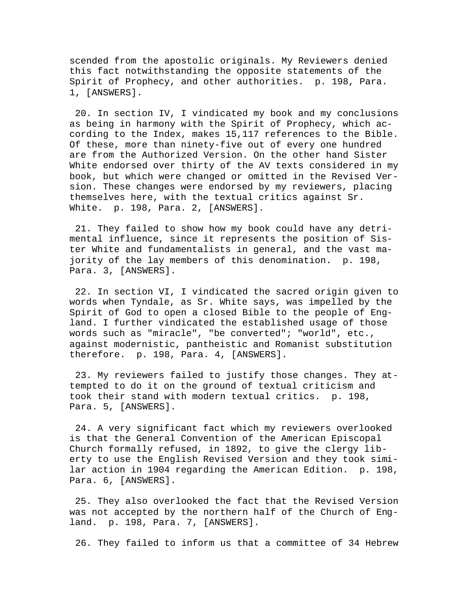scended from the apostolic originals. My Reviewers denied this fact notwithstanding the opposite statements of the Spirit of Prophecy, and other authorities. p. 198, Para. 1, [ANSWERS].

 20. In section IV, I vindicated my book and my conclusions as being in harmony with the Spirit of Prophecy, which according to the Index, makes 15,117 references to the Bible. Of these, more than ninety-five out of every one hundred are from the Authorized Version. On the other hand Sister White endorsed over thirty of the AV texts considered in my book, but which were changed or omitted in the Revised Version. These changes were endorsed by my reviewers, placing themselves here, with the textual critics against Sr. White. p. 198, Para. 2, [ANSWERS].

 21. They failed to show how my book could have any detrimental influence, since it represents the position of Sister White and fundamentalists in general, and the vast majority of the lay members of this denomination. p. 198, Para. 3, [ANSWERS].

 22. In section VI, I vindicated the sacred origin given to words when Tyndale, as Sr. White says, was impelled by the Spirit of God to open a closed Bible to the people of England. I further vindicated the established usage of those words such as "miracle", "be converted"; "world", etc., against modernistic, pantheistic and Romanist substitution therefore. p. 198, Para. 4, [ANSWERS].

 23. My reviewers failed to justify those changes. They attempted to do it on the ground of textual criticism and took their stand with modern textual critics. p. 198, Para. 5, [ANSWERS].

 24. A very significant fact which my reviewers overlooked is that the General Convention of the American Episcopal Church formally refused, in 1892, to give the clergy liberty to use the English Revised Version and they took similar action in 1904 regarding the American Edition. p. 198, Para. 6, [ANSWERS].

 25. They also overlooked the fact that the Revised Version was not accepted by the northern half of the Church of England. p. 198, Para. 7, [ANSWERS].

26. They failed to inform us that a committee of 34 Hebrew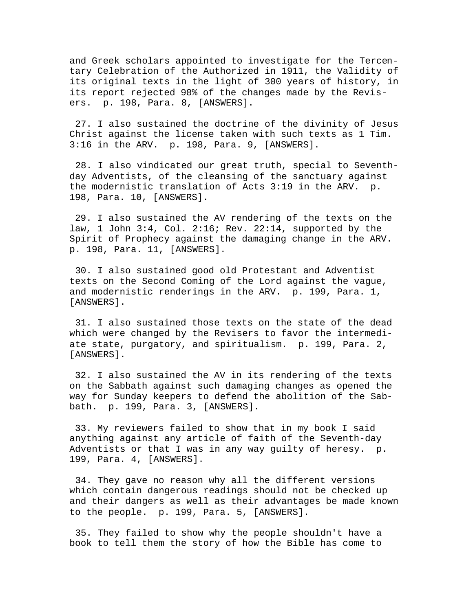and Greek scholars appointed to investigate for the Tercentary Celebration of the Authorized in 1911, the Validity of its original texts in the light of 300 years of history, in its report rejected 98% of the changes made by the Revisers. p. 198, Para. 8, [ANSWERS].

 27. I also sustained the doctrine of the divinity of Jesus Christ against the license taken with such texts as 1 Tim. 3:16 in the ARV. p. 198, Para. 9, [ANSWERS].

 28. I also vindicated our great truth, special to Seventhday Adventists, of the cleansing of the sanctuary against the modernistic translation of Acts 3:19 in the ARV. p. 198, Para. 10, [ANSWERS].

 29. I also sustained the AV rendering of the texts on the law, 1 John 3:4, Col. 2:16; Rev. 22:14, supported by the Spirit of Prophecy against the damaging change in the ARV. p. 198, Para. 11, [ANSWERS].

 30. I also sustained good old Protestant and Adventist texts on the Second Coming of the Lord against the vague, and modernistic renderings in the ARV. p. 199, Para. 1, [ANSWERS].

 31. I also sustained those texts on the state of the dead which were changed by the Revisers to favor the intermediate state, purgatory, and spiritualism. p. 199, Para. 2, [ANSWERS].

 32. I also sustained the AV in its rendering of the texts on the Sabbath against such damaging changes as opened the way for Sunday keepers to defend the abolition of the Sabbath. p. 199, Para. 3, [ANSWERS].

 33. My reviewers failed to show that in my book I said anything against any article of faith of the Seventh-day Adventists or that I was in any way guilty of heresy. p. 199, Para. 4, [ANSWERS].

 34. They gave no reason why all the different versions which contain dangerous readings should not be checked up and their dangers as well as their advantages be made known to the people. p. 199, Para. 5, [ANSWERS].

 35. They failed to show why the people shouldn't have a book to tell them the story of how the Bible has come to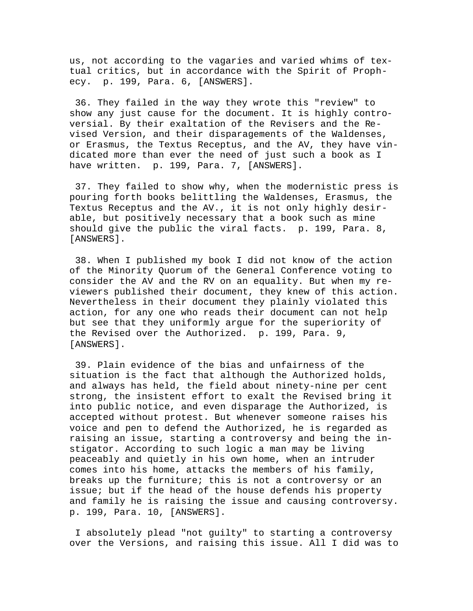us, not according to the vagaries and varied whims of textual critics, but in accordance with the Spirit of Prophecy. p. 199, Para. 6, [ANSWERS].

 36. They failed in the way they wrote this "review" to show any just cause for the document. It is highly controversial. By their exaltation of the Revisers and the Revised Version, and their disparagements of the Waldenses, or Erasmus, the Textus Receptus, and the AV, they have vindicated more than ever the need of just such a book as I have written. p. 199, Para. 7, [ANSWERS].

 37. They failed to show why, when the modernistic press is pouring forth books belittling the Waldenses, Erasmus, the Textus Receptus and the AV., it is not only highly desirable, but positively necessary that a book such as mine should give the public the viral facts. p. 199, Para. 8, [ANSWERS].

 38. When I published my book I did not know of the action of the Minority Quorum of the General Conference voting to consider the AV and the RV on an equality. But when my reviewers published their document, they knew of this action. Nevertheless in their document they plainly violated this action, for any one who reads their document can not help but see that they uniformly argue for the superiority of the Revised over the Authorized. p. 199, Para. 9, [ANSWERS].

 39. Plain evidence of the bias and unfairness of the situation is the fact that although the Authorized holds, and always has held, the field about ninety-nine per cent strong, the insistent effort to exalt the Revised bring it into public notice, and even disparage the Authorized, is accepted without protest. But whenever someone raises his voice and pen to defend the Authorized, he is regarded as raising an issue, starting a controversy and being the instigator. According to such logic a man may be living peaceably and quietly in his own home, when an intruder comes into his home, attacks the members of his family, breaks up the furniture; this is not a controversy or an issue; but if the head of the house defends his property and family he is raising the issue and causing controversy. p. 199, Para. 10, [ANSWERS].

 I absolutely plead "not guilty" to starting a controversy over the Versions, and raising this issue. All I did was to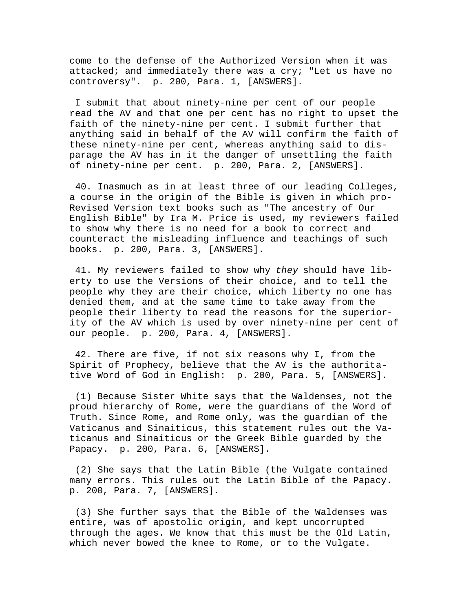come to the defense of the Authorized Version when it was attacked; and immediately there was a cry; "Let us have no controversy". p. 200, Para. 1, [ANSWERS].

 I submit that about ninety-nine per cent of our people read the AV and that one per cent has no right to upset the faith of the ninety-nine per cent. I submit further that anything said in behalf of the AV will confirm the faith of these ninety-nine per cent, whereas anything said to disparage the AV has in it the danger of unsettling the faith of ninety-nine per cent. p. 200, Para. 2, [ANSWERS].

 40. Inasmuch as in at least three of our leading Colleges, a course in the origin of the Bible is given in which pro-Revised Version text books such as "The ancestry of Our English Bible" by Ira M. Price is used, my reviewers failed to show why there is no need for a book to correct and counteract the misleading influence and teachings of such books. p. 200, Para. 3, [ANSWERS].

 41. My reviewers failed to show why *they* should have liberty to use the Versions of their choice, and to tell the people why they are their choice, which liberty no one has denied them, and at the same time to take away from the people their liberty to read the reasons for the superiority of the AV which is used by over ninety-nine per cent of our people. p. 200, Para. 4, [ANSWERS].

 42. There are five, if not six reasons why I, from the Spirit of Prophecy, believe that the AV is the authoritative Word of God in English: p. 200, Para. 5, [ANSWERS].

 (1) Because Sister White says that the Waldenses, not the proud hierarchy of Rome, were the guardians of the Word of Truth. Since Rome, and Rome only, was the guardian of the Vaticanus and Sinaiticus, this statement rules out the Vaticanus and Sinaiticus or the Greek Bible guarded by the Papacy. p. 200, Para. 6, [ANSWERS].

 (2) She says that the Latin Bible (the Vulgate contained many errors. This rules out the Latin Bible of the Papacy. p. 200, Para. 7, [ANSWERS].

 (3) She further says that the Bible of the Waldenses was entire, was of apostolic origin, and kept uncorrupted through the ages. We know that this must be the Old Latin, which never bowed the knee to Rome, or to the Vulgate.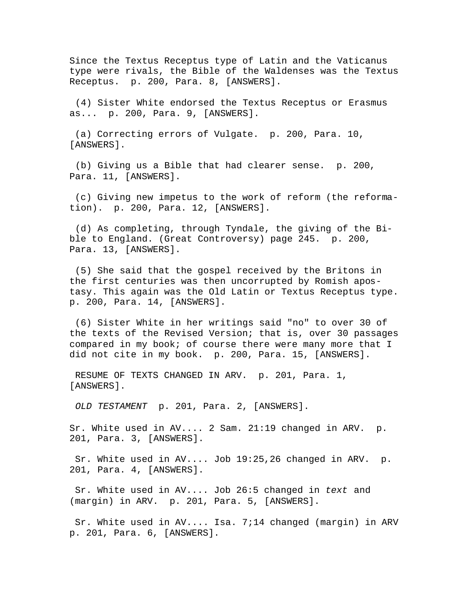Since the Textus Receptus type of Latin and the Vaticanus type were rivals, the Bible of the Waldenses was the Textus Receptus. p. 200, Para. 8, [ANSWERS].

 (4) Sister White endorsed the Textus Receptus or Erasmus as... p. 200, Para. 9, [ANSWERS].

 (a) Correcting errors of Vulgate. p. 200, Para. 10, [ANSWERS].

 (b) Giving us a Bible that had clearer sense. p. 200, Para. 11, [ANSWERS].

 (c) Giving new impetus to the work of reform (the reformation). p. 200, Para. 12, [ANSWERS].

 (d) As completing, through Tyndale, the giving of the Bible to England. (Great Controversy) page 245. p. 200, Para. 13, [ANSWERS].

 (5) She said that the gospel received by the Britons in the first centuries was then uncorrupted by Romish apostasy. This again was the Old Latin or Textus Receptus type. p. 200, Para. 14, [ANSWERS].

 (6) Sister White in her writings said "no" to over 30 of the texts of the Revised Version; that is, over 30 passages compared in my book; of course there were many more that I did not cite in my book. p. 200, Para. 15, [ANSWERS].

 RESUME OF TEXTS CHANGED IN ARV. p. 201, Para. 1, [ANSWERS].

 *OLD TESTAMENT* p. 201, Para. 2, [ANSWERS].

Sr. White used in AV.... 2 Sam. 21:19 changed in ARV. p. 201, Para. 3, [ANSWERS].

 Sr. White used in AV.... Job 19:25,26 changed in ARV. p. 201, Para. 4, [ANSWERS].

 Sr. White used in AV.... Job 26:5 changed in *text* and (margin) in ARV. p. 201, Para. 5, [ANSWERS].

 Sr. White used in AV.... Isa. 7;14 changed (margin) in ARV p. 201, Para. 6, [ANSWERS].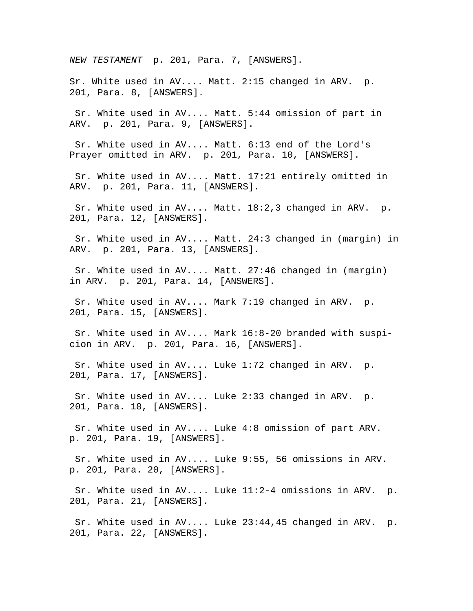*NEW TESTAMENT* p. 201, Para. 7, [ANSWERS].

Sr. White used in AV.... Matt. 2:15 changed in ARV. p. 201, Para. 8, [ANSWERS].

 Sr. White used in AV.... Matt. 5:44 omission of part in ARV. p. 201, Para. 9, [ANSWERS].

 Sr. White used in AV.... Matt. 6:13 end of the Lord's Prayer omitted in ARV. p. 201, Para. 10, [ANSWERS].

 Sr. White used in AV.... Matt. 17:21 entirely omitted in ARV. p. 201, Para. 11, [ANSWERS].

 Sr. White used in AV.... Matt. 18:2,3 changed in ARV. p. 201, Para. 12, [ANSWERS].

 Sr. White used in AV.... Matt. 24:3 changed in (margin) in ARV. p. 201, Para. 13, [ANSWERS].

 Sr. White used in AV.... Matt. 27:46 changed in (margin) in ARV. p. 201, Para. 14, [ANSWERS].

 Sr. White used in AV.... Mark 7:19 changed in ARV. p. 201, Para. 15, [ANSWERS].

 Sr. White used in AV.... Mark 16:8-20 branded with suspicion in ARV. p. 201, Para. 16, [ANSWERS].

 Sr. White used in AV.... Luke 1:72 changed in ARV. p. 201, Para. 17, [ANSWERS].

 Sr. White used in AV.... Luke 2:33 changed in ARV. p. 201, Para. 18, [ANSWERS].

 Sr. White used in AV.... Luke 4:8 omission of part ARV. p. 201, Para. 19, [ANSWERS].

 Sr. White used in AV.... Luke 9:55, 56 omissions in ARV. p. 201, Para. 20, [ANSWERS].

 Sr. White used in AV.... Luke 11:2-4 omissions in ARV. p. 201, Para. 21, [ANSWERS].

 Sr. White used in AV.... Luke 23:44,45 changed in ARV. p. 201, Para. 22, [ANSWERS].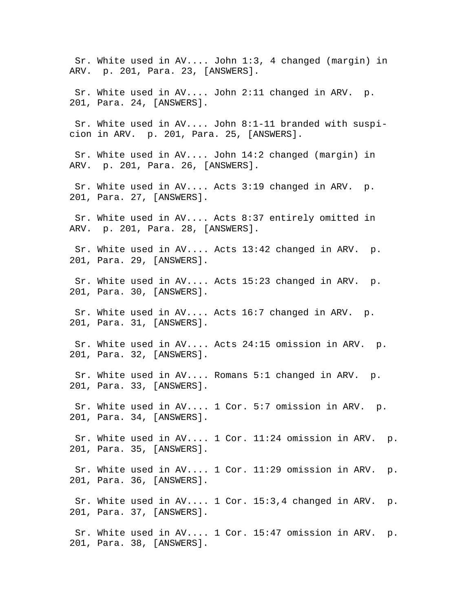Sr. White used in AV.... John 1:3, 4 changed (margin) in ARV. p. 201, Para. 23, [ANSWERS]. Sr. White used in AV.... John 2:11 changed in ARV. p. 201, Para. 24, [ANSWERS]. Sr. White used in AV.... John 8:1-11 branded with suspicion in ARV. p. 201, Para. 25, [ANSWERS]. Sr. White used in AV.... John 14:2 changed (margin) in ARV. p. 201, Para. 26, [ANSWERS]. Sr. White used in AV.... Acts 3:19 changed in ARV. p. 201, Para. 27, [ANSWERS]. Sr. White used in AV.... Acts 8:37 entirely omitted in ARV. p. 201, Para. 28, [ANSWERS]. Sr. White used in AV.... Acts 13:42 changed in ARV. p. 201, Para. 29, [ANSWERS]. Sr. White used in AV.... Acts 15:23 changed in ARV. p. 201, Para. 30, [ANSWERS]. Sr. White used in AV.... Acts 16:7 changed in ARV. p. 201, Para. 31, [ANSWERS]. Sr. White used in AV.... Acts 24:15 omission in ARV. p. 201, Para. 32, [ANSWERS]. Sr. White used in AV.... Romans 5:1 changed in ARV. p. 201, Para. 33, [ANSWERS]. Sr. White used in AV.... 1 Cor. 5:7 omission in ARV. p. 201, Para. 34, [ANSWERS]. Sr. White used in AV.... 1 Cor. 11:24 omission in ARV. p. 201, Para. 35, [ANSWERS]. Sr. White used in AV.... 1 Cor. 11:29 omission in ARV. p. 201, Para. 36, [ANSWERS]. Sr. White used in AV.... 1 Cor. 15:3,4 changed in ARV. p. 201, Para. 37, [ANSWERS]. Sr. White used in AV.... 1 Cor. 15:47 omission in ARV. p. 201, Para. 38, [ANSWERS].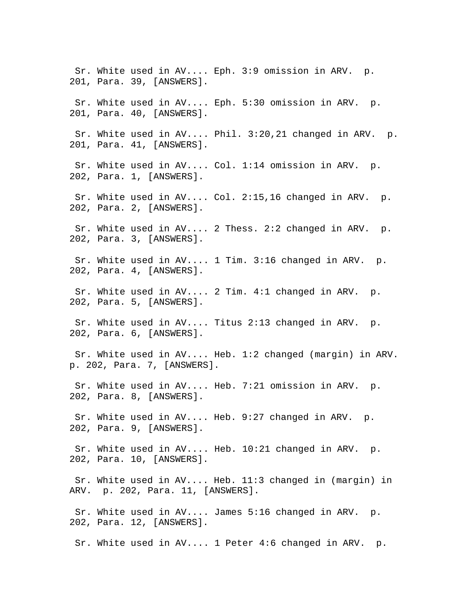Sr. White used in AV.... Eph. 3:9 omission in ARV. p. 201, Para. 39, [ANSWERS]. Sr. White used in AV.... Eph. 5:30 omission in ARV. p. 201, Para. 40, [ANSWERS]. Sr. White used in AV.... Phil. 3:20,21 changed in ARV. p. 201, Para. 41, [ANSWERS]. Sr. White used in AV.... Col. 1:14 omission in ARV. p. 202, Para. 1, [ANSWERS]. Sr. White used in AV.... Col. 2:15,16 changed in ARV. p. 202, Para. 2, [ANSWERS]. Sr. White used in AV.... 2 Thess. 2:2 changed in ARV. p. 202, Para. 3, [ANSWERS]. Sr. White used in AV.... 1 Tim. 3:16 changed in ARV. p. 202, Para. 4, [ANSWERS]. Sr. White used in AV.... 2 Tim. 4:1 changed in ARV. p. 202, Para. 5, [ANSWERS]. Sr. White used in AV.... Titus 2:13 changed in ARV. p. 202, Para. 6, [ANSWERS]. Sr. White used in AV.... Heb. 1:2 changed (margin) in ARV. p. 202, Para. 7, [ANSWERS]. Sr. White used in AV.... Heb. 7:21 omission in ARV. p. 202, Para. 8, [ANSWERS]. Sr. White used in AV.... Heb. 9:27 changed in ARV. p. 202, Para. 9, [ANSWERS]. Sr. White used in AV.... Heb. 10:21 changed in ARV. p. 202, Para. 10, [ANSWERS]. Sr. White used in AV.... Heb. 11:3 changed in (margin) in ARV. p. 202, Para. 11, [ANSWERS]. Sr. White used in AV.... James 5:16 changed in ARV. p. 202, Para. 12, [ANSWERS]. Sr. White used in AV.... 1 Peter 4:6 changed in ARV. p.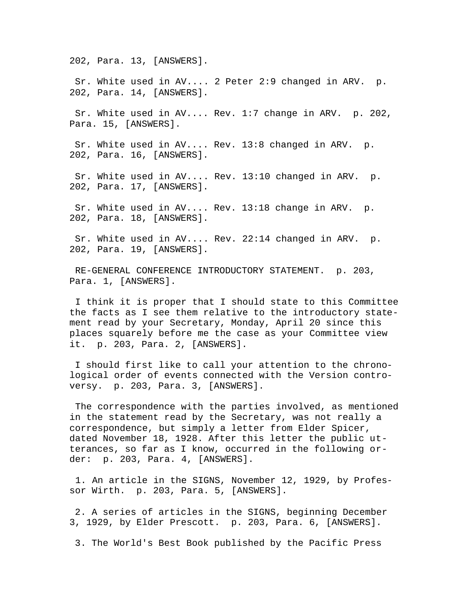202, Para. 13, [ANSWERS].

 Sr. White used in AV.... 2 Peter 2:9 changed in ARV. p. 202, Para. 14, [ANSWERS].

 Sr. White used in AV.... Rev. 1:7 change in ARV. p. 202, Para. 15, [ANSWERS].

 Sr. White used in AV.... Rev. 13:8 changed in ARV. p. 202, Para. 16, [ANSWERS].

 Sr. White used in AV.... Rev. 13:10 changed in ARV. p. 202, Para. 17, [ANSWERS].

 Sr. White used in AV.... Rev. 13:18 change in ARV. p. 202, Para. 18, [ANSWERS].

 Sr. White used in AV.... Rev. 22:14 changed in ARV. p. 202, Para. 19, [ANSWERS].

 RE-GENERAL CONFERENCE INTRODUCTORY STATEMENT. p. 203, Para. 1, [ANSWERS].

 I think it is proper that I should state to this Committee the facts as I see them relative to the introductory statement read by your Secretary, Monday, April 20 since this places squarely before me the case as your Committee view it. p. 203, Para. 2, [ANSWERS].

 I should first like to call your attention to the chronological order of events connected with the Version controversy. p. 203, Para. 3, [ANSWERS].

 The correspondence with the parties involved, as mentioned in the statement read by the Secretary, was not really a correspondence, but simply a letter from Elder Spicer, dated November 18, 1928. After this letter the public utterances, so far as I know, occurred in the following order: p. 203, Para. 4, [ANSWERS].

 1. An article in the SIGNS, November 12, 1929, by Professor Wirth. p. 203, Para. 5, [ANSWERS].

 2. A series of articles in the SIGNS, beginning December 3, 1929, by Elder Prescott. p. 203, Para. 6, [ANSWERS].

3. The World's Best Book published by the Pacific Press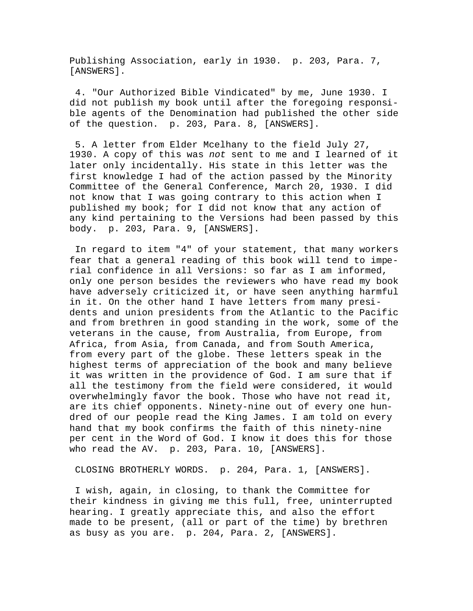Publishing Association, early in 1930. p. 203, Para. 7, [ANSWERS].

 4. "Our Authorized Bible Vindicated" by me, June 1930. I did not publish my book until after the foregoing responsible agents of the Denomination had published the other side of the question. p. 203, Para. 8, [ANSWERS].

 5. A letter from Elder Mcelhany to the field July 27, 1930. A copy of this was *not* sent to me and I learned of it later only incidentally. His state in this letter was the first knowledge I had of the action passed by the Minority Committee of the General Conference, March 20, 1930. I did not know that I was going contrary to this action when I published my book; for I did not know that any action of any kind pertaining to the Versions had been passed by this body. p. 203, Para. 9, [ANSWERS].

 In regard to item "4" of your statement, that many workers fear that a general reading of this book will tend to imperial confidence in all Versions: so far as I am informed, only one person besides the reviewers who have read my book have adversely criticized it, or have seen anything harmful in it. On the other hand I have letters from many presidents and union presidents from the Atlantic to the Pacific and from brethren in good standing in the work, some of the veterans in the cause, from Australia, from Europe, from Africa, from Asia, from Canada, and from South America, from every part of the globe. These letters speak in the highest terms of appreciation of the book and many believe it was written in the providence of God. I am sure that if all the testimony from the field were considered, it would overwhelmingly favor the book. Those who have not read it, are its chief opponents. Ninety-nine out of every one hundred of our people read the King James. I am told on every hand that my book confirms the faith of this ninety-nine per cent in the Word of God. I know it does this for those who read the AV. p. 203, Para. 10, [ANSWERS].

CLOSING BROTHERLY WORDS. p. 204, Para. 1, [ANSWERS].

 I wish, again, in closing, to thank the Committee for their kindness in giving me this full, free, uninterrupted hearing. I greatly appreciate this, and also the effort made to be present, (all or part of the time) by brethren as busy as you are. p. 204, Para. 2, [ANSWERS].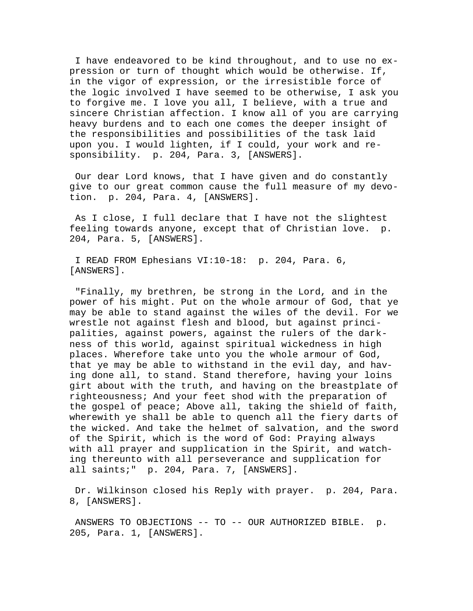I have endeavored to be kind throughout, and to use no expression or turn of thought which would be otherwise. If, in the vigor of expression, or the irresistible force of the logic involved I have seemed to be otherwise, I ask you to forgive me. I love you all, I believe, with a true and sincere Christian affection. I know all of you are carrying heavy burdens and to each one comes the deeper insight of the responsibilities and possibilities of the task laid upon you. I would lighten, if I could, your work and responsibility. p. 204, Para. 3, [ANSWERS].

 Our dear Lord knows, that I have given and do constantly give to our great common cause the full measure of my devotion. p. 204, Para. 4, [ANSWERS].

 As I close, I full declare that I have not the slightest feeling towards anyone, except that of Christian love. p. 204, Para. 5, [ANSWERS].

 I READ FROM Ephesians VI:10-18: p. 204, Para. 6, [ANSWERS].

 "Finally, my brethren, be strong in the Lord, and in the power of his might. Put on the whole armour of God, that ye may be able to stand against the wiles of the devil. For we wrestle not against flesh and blood, but against principalities, against powers, against the rulers of the darkness of this world, against spiritual wickedness in high places. Wherefore take unto you the whole armour of God, that ye may be able to withstand in the evil day, and having done all, to stand. Stand therefore, having your loins girt about with the truth, and having on the breastplate of righteousness; And your feet shod with the preparation of the gospel of peace; Above all, taking the shield of faith, wherewith ye shall be able to quench all the fiery darts of the wicked. And take the helmet of salvation, and the sword of the Spirit, which is the word of God: Praying always with all prayer and supplication in the Spirit, and watching thereunto with all perseverance and supplication for all saints;" p. 204, Para. 7, [ANSWERS].

 Dr. Wilkinson closed his Reply with prayer. p. 204, Para. 8, [ANSWERS].

 ANSWERS TO OBJECTIONS -- TO -- OUR AUTHORIZED BIBLE. p. 205, Para. 1, [ANSWERS].